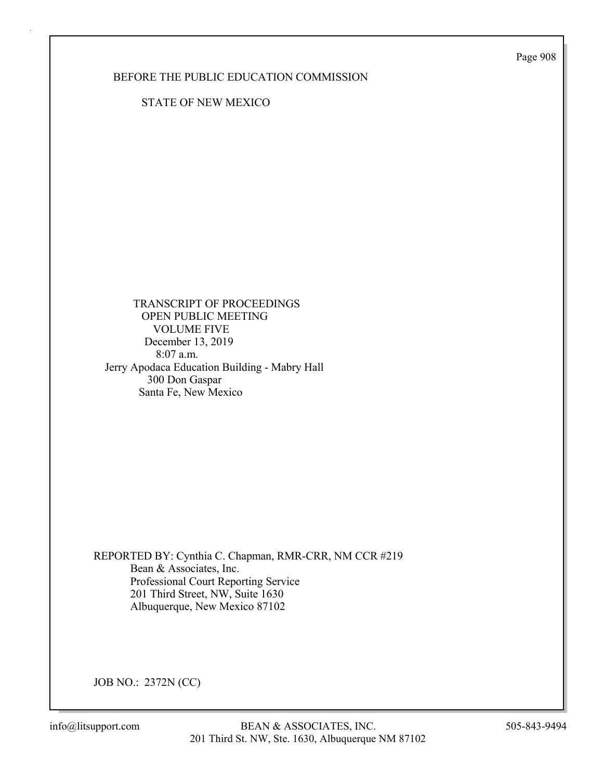Page 908

# BEFORE THE PUBLIC EDUCATION COMMISSION

STATE OF NEW MEXICO

 TRANSCRIPT OF PROCEEDINGS OPEN PUBLIC MEETING VOLUME FIVE December 13, 2019 8:07 a.m. Jerry Apodaca Education Building - Mabry Hall 300 Don Gaspar Santa Fe, New Mexico

REPORTED BY: Cynthia C. Chapman, RMR-CRR, NM CCR #219 Bean & Associates, Inc. Professional Court Reporting Service 201 Third Street, NW, Suite 1630 Albuquerque, New Mexico 87102

JOB NO.: 2372N (CC)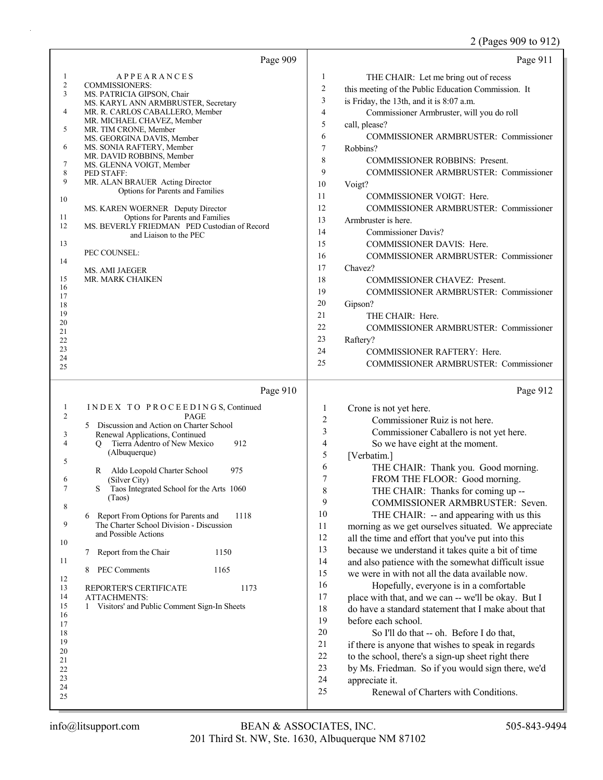# 2 (Pages 909 to 912)

| Page 909                                                                                                                                                                                                                                                                                                                                                                                                                                                                                                                                                                                                                                                                                                                                                                                                 | Page 911                                                                                                                                                                                                                                                                                                                                                                                                                                                                                                                                                                                                                                                                                                                                                                                                                                                                                                                                                                                                                                                                                                                                                                                                                                   |
|----------------------------------------------------------------------------------------------------------------------------------------------------------------------------------------------------------------------------------------------------------------------------------------------------------------------------------------------------------------------------------------------------------------------------------------------------------------------------------------------------------------------------------------------------------------------------------------------------------------------------------------------------------------------------------------------------------------------------------------------------------------------------------------------------------|--------------------------------------------------------------------------------------------------------------------------------------------------------------------------------------------------------------------------------------------------------------------------------------------------------------------------------------------------------------------------------------------------------------------------------------------------------------------------------------------------------------------------------------------------------------------------------------------------------------------------------------------------------------------------------------------------------------------------------------------------------------------------------------------------------------------------------------------------------------------------------------------------------------------------------------------------------------------------------------------------------------------------------------------------------------------------------------------------------------------------------------------------------------------------------------------------------------------------------------------|
| $\mathbf{1}$<br><b>APPEARANCES</b><br>$\overline{c}$<br><b>COMMISSIONERS:</b><br>3<br>MS. PATRICIA GIPSON, Chair<br>MS. KARYL ANN ARMBRUSTER, Secretary<br>4<br>MR. R. CARLOS CABALLERO, Member<br>MR. MICHAEL CHAVEZ, Member<br>5<br>MR. TIM CRONE, Member<br>MS. GEORGINA DAVIS, Member<br>6<br>MS. SONIA RAFTERY, Member<br>MR. DAVID ROBBINS, Member<br>7<br>MS. GLENNA VOIGT, Member<br>8<br>PED STAFF:<br>9<br>MR. ALAN BRAUER Acting Director<br>Options for Parents and Families<br>10<br>MS. KAREN WOERNER Deputy Director<br>11<br>Options for Parents and Families<br>12<br>MS. BEVERLY FRIEDMAN PED Custodian of Record<br>and Liaison to the PEC<br>13<br>PEC COUNSEL:<br>14<br><b>MS. AMI JAEGER</b><br>15<br>MR. MARK CHAIKEN<br>16<br>17<br>18<br>19<br>20<br>21<br>22<br>23<br>24<br>25 | 1<br>THE CHAIR: Let me bring out of recess<br>$\overline{c}$<br>this meeting of the Public Education Commission. It<br>$\mathfrak{Z}$<br>is Friday, the 13th, and it is 8:07 a.m.<br>$\overline{4}$<br>Commissioner Armbruster, will you do roll<br>5<br>call, please?<br>6<br>COMMISSIONER ARMBRUSTER: Commissioner<br>$\tau$<br>Robbins?<br>8<br><b>COMMISSIONER ROBBINS: Present.</b><br>9<br>COMMISSIONER ARMBRUSTER: Commissioner<br>10<br>Voigt?<br>11<br>COMMISSIONER VOIGT: Here.<br>12<br>COMMISSIONER ARMBRUSTER: Commissioner<br>13<br>Armbruster is here.<br>14<br><b>Commissioner Davis?</b><br>15<br>COMMISSIONER DAVIS: Here.<br>16<br>COMMISSIONER ARMBRUSTER: Commissioner<br>17<br>Chavez?<br>18<br>COMMISSIONER CHAVEZ: Present.<br>19<br><b>COMMISSIONER ARMBRUSTER: Commissioner</b><br>20<br>Gipson?<br>21<br>THE CHAIR: Here.<br>22<br><b>COMMISSIONER ARMBRUSTER: Commissioner</b><br>23<br>Raftery?<br>24<br>COMMISSIONER RAFTERY: Here.<br>25<br>COMMISSIONER ARMBRUSTER: Commissioner                                                                                                                                                                                                                           |
| Page 910                                                                                                                                                                                                                                                                                                                                                                                                                                                                                                                                                                                                                                                                                                                                                                                                 | Page 912                                                                                                                                                                                                                                                                                                                                                                                                                                                                                                                                                                                                                                                                                                                                                                                                                                                                                                                                                                                                                                                                                                                                                                                                                                   |
| INDEX TO PROCEEDINGS, Continued<br>$\mathbf{1}$<br>$\overline{c}$<br>PAGE<br>5 Discussion and Action on Charter School<br>Renewal Applications, Continued<br>3<br>4<br>Tierra Adentro of New Mexico<br>912<br>$\circ$<br>(Albuquerque)<br>5<br>Aldo Leopold Charter School<br>975<br>R<br>6<br>(Silver City)<br>7<br>S<br>Taos Integrated School for the Arts 1060<br>(Taos)<br>8<br>Report From Options for Parents and<br>1118<br>6<br>9<br>The Charter School Division - Discussion<br>and Possible Actions<br>10<br>Report from the Chair<br>1150<br>7<br>11<br>PEC Comments<br>1165<br>8<br>12<br>1173<br>13<br>REPORTER'S CERTIFICATE<br>14<br><b>ATTACHMENTS:</b><br>15<br>Visitors' and Public Comment Sign-In Sheets<br>1<br>16<br>17<br>18<br>19<br>20<br>21<br>22<br>23<br>24<br>25           | 1<br>Crone is not yet here.<br>2<br>Commissioner Ruiz is not here.<br>3<br>Commissioner Caballero is not yet here.<br>4<br>So we have eight at the moment.<br>5<br>[Verbatim.]<br>6<br>THE CHAIR: Thank you. Good morning.<br>7<br>FROM THE FLOOR: Good morning.<br>8<br>THE CHAIR: Thanks for coming up --<br>9<br>COMMISSIONER ARMBRUSTER: Seven.<br>10<br>THE CHAIR: -- and appearing with us this<br>11<br>morning as we get ourselves situated. We appreciate<br>12<br>all the time and effort that you've put into this<br>13<br>because we understand it takes quite a bit of time<br>14<br>and also patience with the somewhat difficult issue<br>15<br>we were in with not all the data available now.<br>16<br>Hopefully, everyone is in a comfortable<br>17<br>place with that, and we can -- we'll be okay. But I<br>18<br>do have a standard statement that I make about that<br>19<br>before each school.<br>$20\,$<br>So I'll do that -- oh. Before I do that,<br>21<br>if there is anyone that wishes to speak in regards<br>$22\,$<br>to the school, there's a sign-up sheet right there<br>23<br>by Ms. Friedman. So if you would sign there, we'd<br>24<br>appreciate it.<br>25<br>Renewal of Charters with Conditions. |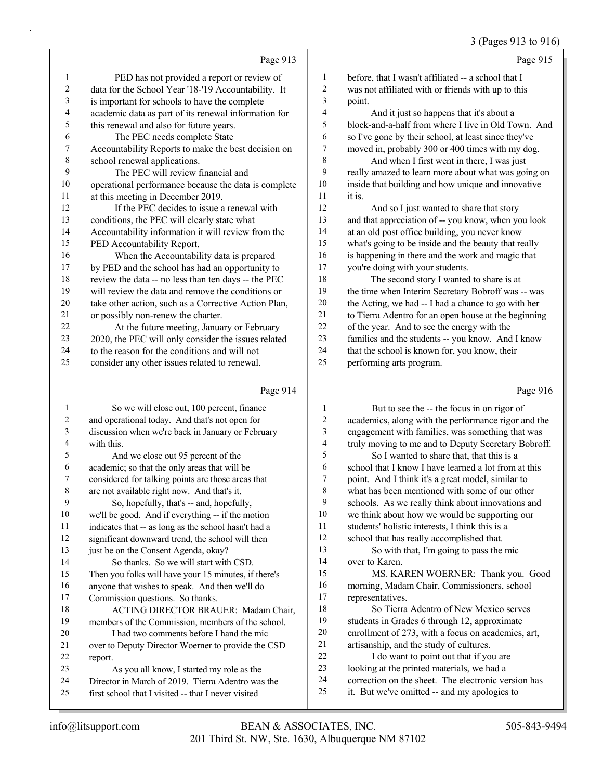# 3 (Pages 913 to 916)

|    | Page 913                                             |    | Page 915                                             |
|----|------------------------------------------------------|----|------------------------------------------------------|
| 1  | PED has not provided a report or review of           | 1  | before, that I wasn't affiliated -- a school that I  |
| 2  | data for the School Year '18-'19 Accountability. It  | 2  | was not affiliated with or friends with up to this   |
| 3  | is important for schools to have the complete        | 3  | point.                                               |
| 4  | academic data as part of its renewal information for | 4  | And it just so happens that it's about a             |
| 5  | this renewal and also for future years.              | 5  | block-and-a-half from where I live in Old Town. And  |
| 6  | The PEC needs complete State                         | 6  | so I've gone by their school, at least since they've |
| 7  | Accountability Reports to make the best decision on  | 7  | moved in, probably 300 or 400 times with my dog.     |
| 8  | school renewal applications.                         | 8  | And when I first went in there, I was just           |
| 9  | The PEC will review financial and                    | 9  | really amazed to learn more about what was going on  |
| 10 | operational performance because the data is complete | 10 | inside that building and how unique and innovative   |
| 11 | at this meeting in December 2019.                    | 11 | it is.                                               |
| 12 | If the PEC decides to issue a renewal with           | 12 | And so I just wanted to share that story             |
| 13 | conditions, the PEC will clearly state what          | 13 | and that appreciation of -- you know, when you look  |
| 14 | Accountability information it will review from the   | 14 | at an old post office building, you never know       |
| 15 | PED Accountability Report.                           | 15 | what's going to be inside and the beauty that really |
| 16 | When the Accountability data is prepared             | 16 | is happening in there and the work and magic that    |
| 17 | by PED and the school has had an opportunity to      | 17 | you're doing with your students.                     |
| 18 | review the data -- no less than ten days -- the PEC  | 18 | The second story I wanted to share is at             |
| 19 | will review the data and remove the conditions or    | 19 | the time when Interim Secretary Bobroff was -- was   |
| 20 | take other action, such as a Corrective Action Plan, | 20 | the Acting, we had -- I had a chance to go with her  |
| 21 | or possibly non-renew the charter.                   | 21 | to Tierra Adentro for an open house at the beginning |
| 22 | At the future meeting, January or February           | 22 | of the year. And to see the energy with the          |
| 23 | 2020, the PEC will only consider the issues related  | 23 | families and the students -- you know. And I know    |
| 24 | to the reason for the conditions and will not        | 24 | that the school is known for, you know, their        |
| 25 | consider any other issues related to renewal.        | 25 | performing arts program.                             |
|    | Page 914                                             |    | Page 916                                             |

#### Page 914 |

|    | So we will close out, 100 percent, finance           | 1  | But to see the -- the focus in on rigor of           |
|----|------------------------------------------------------|----|------------------------------------------------------|
| 2  | and operational today. And that's not open for       | 2  | academics, along with the performance rigor and the  |
| 3  | discussion when we're back in January or February    | 3  | engagement with families, was something that was     |
| 4  | with this.                                           | 4  | truly moving to me and to Deputy Secretary Bobroff.  |
| 5  | And we close out 95 percent of the                   | 5  | So I wanted to share that, that this is a            |
| 6  | academic; so that the only areas that will be        | 6  | school that I know I have learned a lot from at this |
| 7  | considered for talking points are those areas that   | 7  | point. And I think it's a great model, similar to    |
| 8  | are not available right now. And that's it.          | 8  | what has been mentioned with some of our other       |
| 9  | So, hopefully, that's -- and, hopefully,             | 9  | schools. As we really think about innovations and    |
| 10 | we'll be good. And if everything -- if the motion    | 10 | we think about how we would be supporting our        |
| 11 | indicates that -- as long as the school hasn't had a | 11 | students' holistic interests, I think this is a      |
| 12 | significant downward trend, the school will then     | 12 | school that has really accomplished that.            |
| 13 | just be on the Consent Agenda, okay?                 | 13 | So with that, I'm going to pass the mic              |
| 14 | So thanks. So we will start with CSD.                | 14 | over to Karen.                                       |
| 15 | Then you folks will have your 15 minutes, if there's | 15 | MS. KAREN WOERNER: Thank you. Good                   |
| 16 | anyone that wishes to speak. And then we'll do       | 16 | morning, Madam Chair, Commissioners, school          |
| 17 | Commission questions. So thanks.                     | 17 | representatives.                                     |
| 18 | ACTING DIRECTOR BRAUER: Madam Chair,                 | 18 | So Tierra Adentro of New Mexico serves               |
| 19 | members of the Commission, members of the school.    | 19 | students in Grades 6 through 12, approximate         |
| 20 | I had two comments before I hand the mic             | 20 | enrollment of 273, with a focus on academics, art,   |
| 21 | over to Deputy Director Woerner to provide the CSD   | 21 | artisanship, and the study of cultures.              |
| 22 | report.                                              | 22 | I do want to point out that if you are               |
| 23 | As you all know, I started my role as the            | 23 | looking at the printed materials, we had a           |
| 24 | Director in March of 2019. Tierra Adentro was the    | 24 | correction on the sheet. The electronic version has  |
| 25 | first school that I visited -- that I never visited  | 25 | it. But we've omitted -- and my apologies to         |
|    |                                                      |    |                                                      |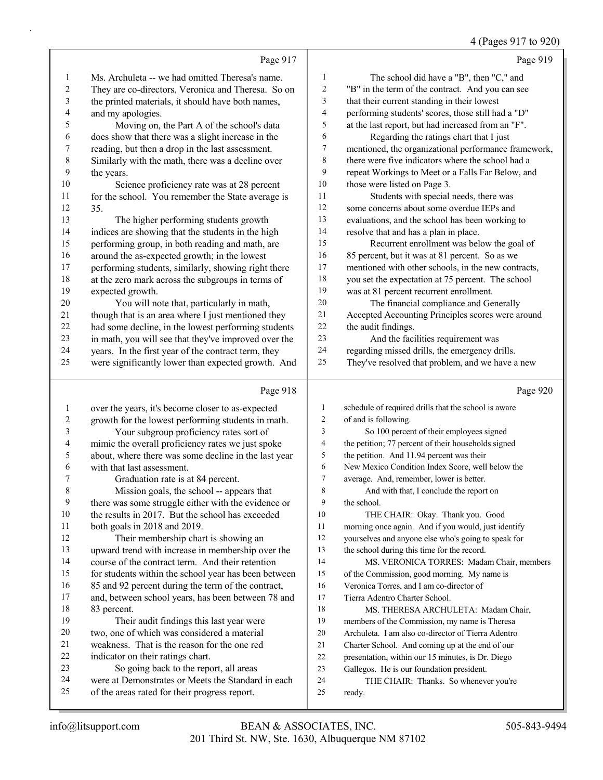#### 4 (Pages 917 to 920)

|                |                                                      |                          | 4 (Pages 917 to 920                                  |
|----------------|------------------------------------------------------|--------------------------|------------------------------------------------------|
|                | Page 917                                             |                          | Page 919                                             |
| $\mathbf{1}$   | Ms. Archuleta -- we had omitted Theresa's name.      | 1                        | The school did have a "B", then "C," and             |
| $\overline{c}$ | They are co-directors, Veronica and Theresa. So on   | $\boldsymbol{2}$         | "B" in the term of the contract. And you can see     |
| 3              | the printed materials, it should have both names,    | 3                        | that their current standing in their lowest          |
| 4              | and my apologies.                                    | $\overline{\mathcal{A}}$ | performing students' scores, those still had a "D"   |
| 5              | Moving on, the Part A of the school's data           | 5                        | at the last report, but had increased from an "F".   |
| 6              | does show that there was a slight increase in the    | 6                        | Regarding the ratings chart that I just              |
| 7              | reading, but then a drop in the last assessment.     | 7                        | mentioned, the organizational performance framework, |
| 8              | Similarly with the math, there was a decline over    | 8                        | there were five indicators where the school had a    |
| 9              | the years.                                           | 9                        | repeat Workings to Meet or a Falls Far Below, and    |
| 10             | Science proficiency rate was at 28 percent           | 10                       | those were listed on Page 3.                         |
| 11             | for the school. You remember the State average is    | 11                       | Students with special needs, there was               |
| 12             | 35.                                                  | 12                       | some concerns about some overdue IEPs and            |
| 13             | The higher performing students growth                | 13                       | evaluations, and the school has been working to      |
| 14             | indices are showing that the students in the high    | 14                       | resolve that and has a plan in place.                |
| 15             | performing group, in both reading and math, are      | 15                       | Recurrent enrollment was below the goal of           |
| 16             | around the as-expected growth; in the lowest         | 16                       | 85 percent, but it was at 81 percent. So as we       |
| 17             | performing students, similarly, showing right there  | 17                       | mentioned with other schools, in the new contracts,  |
| 18             | at the zero mark across the subgroups in terms of    | 18                       | you set the expectation at 75 percent. The school    |
| 19             | expected growth.                                     | 19                       | was at 81 percent recurrent enrollment.              |
| 20             | You will note that, particularly in math,            | 20                       | The financial compliance and Generally               |
| 21             | though that is an area where I just mentioned they   | $21\,$                   | Accepted Accounting Principles scores were around    |
| 22             | had some decline, in the lowest performing students  | $22\,$                   | the audit findings.                                  |
| 23             | in math, you will see that they've improved over the | 23                       | And the facilities requirement was                   |
| 24             | years. In the first year of the contract term, they  | 24                       | regarding missed drills, the emergency drills.       |
| 25             | were significantly lower than expected growth. And   | 25                       | They've resolved that problem, and we have a new     |
|                | Page 918                                             |                          | Page 920                                             |
| $\mathbf{1}$   | over the years, it's become closer to as-expected    | $\mathbf{1}$             | schedule of required drills that the school is aware |
| $\overline{c}$ | growth for the lowest performing students in math.   | 2                        | of and is following.                                 |
| $\mathfrak{Z}$ | Your subgroup proficiency rates sort of              | 3                        | So 100 percent of their employees signed             |
| $\overline{4}$ | mimic the overall proficiency rates we just spoke    | 4                        | the petition; 77 percent of their households signed  |
| 5              | about, where there was some decline in the last year | 5                        | the petition. And 11.94 percent was their            |
| 6              | with that last assessment.                           | 6                        | New Mexico Condition Index Score, well below the     |
| 7              | Graduation rate is at 84 percent.                    | 7                        | average. And, remember, lower is better.             |
| 8              | Mission goals, the school -- appears that            | 8                        | And with that, I conclude the report on              |
| 9              | there was some struggle either with the evidence or  | 9                        | the school.                                          |
| 10             | the results in 2017. But the school has exceeded     | 10                       | THE CHAIR: Okay. Thank you. Good                     |
| 11             | both goals in 2018 and 2019.                         | 11                       | morning once again. And if you would, just identify  |
| 12             | Their membership chart is showing an                 | 12                       | yourselves and anyone else who's going to speak for  |
| 13             | upward trend with increase in membership over the    | 13                       | the school during this time for the record.          |
| 14             | course of the contract term. And their retention     | 14                       | MS. VERONICA TORRES: Madam Chair, members            |
| 15             | for students within the school year has been between | 15                       | of the Commission, good morning. My name is          |
| 16             | 85 and 92 percent during the term of the contract,   | 16                       | Veronica Torres, and I am co-director of             |
| 17             | and, between school years, has been between 78 and   | 17                       | Tierra Adentro Charter School.                       |
| 18             | 83 percent.                                          | 18                       | MS. THERESA ARCHULETA: Madam Chair,                  |
| 19             | Their audit findings this last year were             | 19                       | members of the Commission, my name is Theresa        |
| 20             | two, one of which was considered a material          | 20                       | Archuleta. I am also co-director of Tierra Adentro   |
| 21             | weakness. That is the reason for the one red         | 21                       | Charter School. And coming up at the end of our      |
| 22             | indicator on their ratings chart.                    | $22\,$                   | presentation, within our 15 minutes, is Dr. Diego    |
| 23             | So going back to the report, all areas               | 23                       | Gallegos. He is our foundation president.            |

23 Gallegos. He is our foundation president.<br>24 THE CHAIR: Thanks. So whenever THE CHAIR: Thanks. So whenever you're ready.

were at Demonstrates or Meets the Standard in each

of the areas rated for their progress report.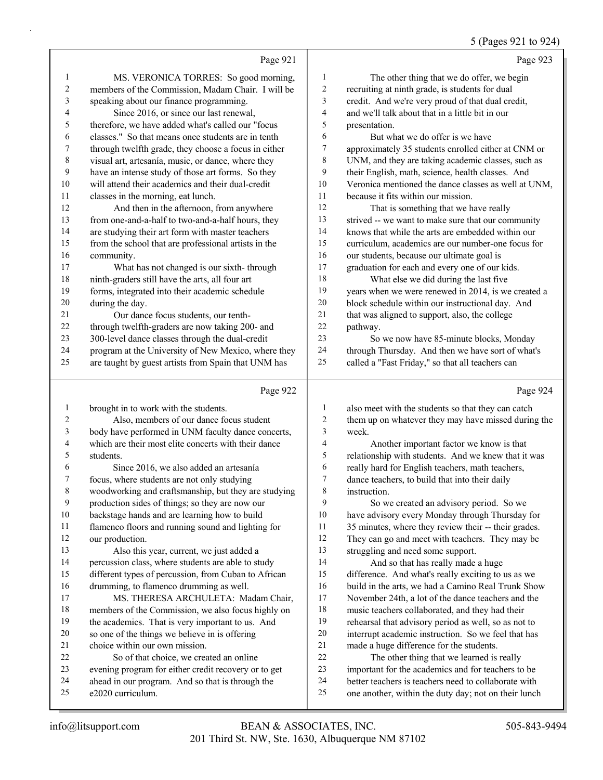## 5 (Pages 921 to 924)

|                | Page 921                                                                                                |                | Page 923                                                       |
|----------------|---------------------------------------------------------------------------------------------------------|----------------|----------------------------------------------------------------|
| 1              | MS. VERONICA TORRES: So good morning,                                                                   | $\mathbf{1}$   | The other thing that we do offer, we begin                     |
| 2              | members of the Commission, Madam Chair. I will be                                                       | 2              | recruiting at ninth grade, is students for dual                |
| 3              | speaking about our finance programming.                                                                 | 3              | credit. And we're very proud of that dual credit,              |
| 4              | Since 2016, or since our last renewal,                                                                  | $\overline{4}$ | and we'll talk about that in a little bit in our               |
| 5              | therefore, we have added what's called our "focus                                                       | 5              | presentation.                                                  |
| 6              | classes." So that means once students are in tenth                                                      | 6              | But what we do offer is we have                                |
| 7              | through twelfth grade, they choose a focus in either                                                    | 7              | approximately 35 students enrolled either at CNM or            |
| 8              | visual art, artesanía, music, or dance, where they                                                      | 8              | UNM, and they are taking academic classes, such as             |
| 9              | have an intense study of those art forms. So they                                                       | 9              | their English, math, science, health classes. And              |
| 10             | will attend their academics and their dual-credit                                                       | 10             | Veronica mentioned the dance classes as well at UNM,           |
| 11             | classes in the morning, eat lunch.                                                                      | 11             | because it fits within our mission.                            |
| 12             | And then in the afternoon, from anywhere                                                                | 12             | That is something that we have really                          |
| 13             | from one-and-a-half to two-and-a-half hours, they                                                       | 13             | strived -- we want to make sure that our community             |
| 14             | are studying their art form with master teachers                                                        | 14             | knows that while the arts are embedded within our              |
| 15             | from the school that are professional artists in the                                                    | 15             | curriculum, academics are our number-one focus for             |
| 16             | community.                                                                                              | 16             | our students, because our ultimate goal is                     |
| 17             | What has not changed is our sixth-through                                                               | 17             | graduation for each and every one of our kids.                 |
| 18             | ninth-graders still have the arts, all four art                                                         | 18             | What else we did during the last five                          |
| 19             | forms, integrated into their academic schedule                                                          | 19             | years when we were renewed in 2014, is we created a            |
| 20             | during the day.                                                                                         | 20             | block schedule within our instructional day. And               |
| 21             | Our dance focus students, our tenth-                                                                    | 21             | that was aligned to support, also, the college                 |
| 22             | through twelfth-graders are now taking 200- and                                                         | 22             | pathway.                                                       |
| 23             | 300-level dance classes through the dual-credit                                                         | 23             | So we now have 85-minute blocks, Monday                        |
| 24             | program at the University of New Mexico, where they                                                     | 24             | through Thursday. And then we have sort of what's              |
| 25             | are taught by guest artists from Spain that UNM has                                                     | 25             | called a "Fast Friday," so that all teachers can               |
|                |                                                                                                         |                |                                                                |
|                | Page 922                                                                                                |                | Page 924                                                       |
|                |                                                                                                         |                |                                                                |
| $\mathbf{1}$   | brought in to work with the students.                                                                   | 1              | also meet with the students so that they can catch             |
| $\overline{c}$ | Also, members of our dance focus student                                                                | $\overline{c}$ | them up on whatever they may have missed during the            |
| 3<br>4         | body have performed in UNM faculty dance concerts,                                                      | 3              | week.                                                          |
| 5              | which are their most elite concerts with their dance<br>students.                                       | $\overline{4}$ | Another important factor we know is that                       |
| 6              |                                                                                                         | 5<br>6         | relationship with students. And we knew that it was            |
| 7              | Since 2016, we also added an artesanía                                                                  | 7              | really hard for English teachers, math teachers,               |
| $\,8\,$        | focus, where students are not only studying                                                             | $\,$ 8 $\,$    | dance teachers, to build that into their daily<br>instruction. |
| 9              | woodworking and craftsmanship, but they are studying<br>production sides of things; so they are now our | 9              | So we created an advisory period. So we                        |
| 10             | backstage hands and are learning how to build                                                           | $10\,$         | have advisory every Monday through Thursday for                |
| 11             | flamenco floors and running sound and lighting for                                                      | 11             | 35 minutes, where they review their -- their grades.           |
| 12             | our production.                                                                                         | 12             | They can go and meet with teachers. They may be                |
| 13             | Also this year, current, we just added a                                                                | 13             | struggling and need some support.                              |
| 14             | percussion class, where students are able to study                                                      | 14             | And so that has really made a huge                             |
| 15             | different types of percussion, from Cuban to African                                                    | 15             | difference. And what's really exciting to us as we             |
| 16             | drumming, to flamenco drumming as well.                                                                 | 16             | build in the arts, we had a Camino Real Trunk Show             |
| 17             | MS. THERESA ARCHULETA: Madam Chair,                                                                     | 17             | November 24th, a lot of the dance teachers and the             |
| 18             | members of the Commission, we also focus highly on                                                      | 18             | music teachers collaborated, and they had their                |
| 19             | the academics. That is very important to us. And                                                        | 19             | rehearsal that advisory period as well, so as not to           |
| 20             | so one of the things we believe in is offering                                                          | $20\,$         | interrupt academic instruction. So we feel that has            |
| 21             | choice within our own mission.                                                                          | 21             | made a huge difference for the students.                       |
| 22             | So of that choice, we created an online                                                                 | $22\,$         | The other thing that we learned is really                      |
| 23             | evening program for either credit recovery or to get                                                    | 23             | important for the academics and for teachers to be             |
| 24             | ahead in our program. And so that is through the                                                        | 24             | better teachers is teachers need to collaborate with           |
| 25             | e2020 curriculum.                                                                                       | 25             | one another, within the duty day; not on their lunch           |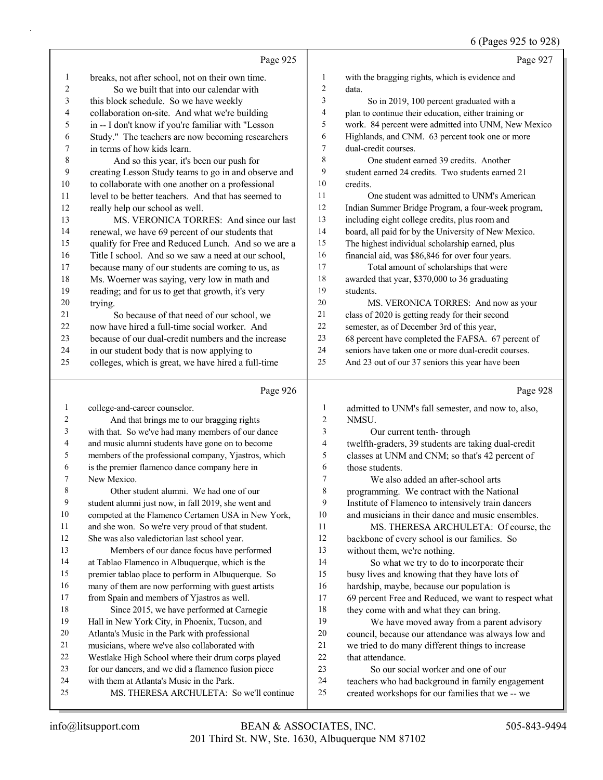|              |                                                                                       |                | $\sigma$ (1 agos <i>723</i> to 720)                                                                  |
|--------------|---------------------------------------------------------------------------------------|----------------|------------------------------------------------------------------------------------------------------|
|              | Page 925                                                                              |                | Page 927                                                                                             |
| 1            | breaks, not after school, not on their own time.                                      | 1              | with the bragging rights, which is evidence and                                                      |
| 2            | So we built that into our calendar with                                               | $\mathbf{2}$   | data.                                                                                                |
| 3            | this block schedule. So we have weekly                                                | 3              | So in 2019, 100 percent graduated with a                                                             |
| 4            | collaboration on-site. And what we're building                                        | 4              | plan to continue their education, either training or                                                 |
| 5            | in -- I don't know if you're familiar with "Lesson                                    | 5              | work. 84 percent were admitted into UNM, New Mexico                                                  |
| 6            | Study." The teachers are now becoming researchers                                     | 6              | Highlands, and CNM. 63 percent took one or more                                                      |
| 7            | in terms of how kids learn.                                                           | $\tau$         | dual-credit courses.                                                                                 |
| $\,$ $\,$    | And so this year, it's been our push for                                              | 8              | One student earned 39 credits. Another                                                               |
| 9            | creating Lesson Study teams to go in and observe and                                  | 9              | student earned 24 credits. Two students earned 21                                                    |
| $10\,$<br>11 | to collaborate with one another on a professional                                     | 10<br>11       | credits.                                                                                             |
| 12           | level to be better teachers. And that has seemed to                                   | 12             | One student was admitted to UNM's American                                                           |
| 13           | really help our school as well.<br>MS. VERONICA TORRES: And since our last            | 13             | Indian Summer Bridge Program, a four-week program,<br>including eight college credits, plus room and |
| 14           | renewal, we have 69 percent of our students that                                      | 14             | board, all paid for by the University of New Mexico.                                                 |
| 15           | qualify for Free and Reduced Lunch. And so we are a                                   | 15             | The highest individual scholarship earned, plus                                                      |
| 16           | Title I school. And so we saw a need at our school,                                   | 16             | financial aid, was \$86,846 for over four years.                                                     |
| 17           | because many of our students are coming to us, as                                     | 17             | Total amount of scholarships that were                                                               |
| 18           | Ms. Woerner was saying, very low in math and                                          | 18             | awarded that year, \$370,000 to 36 graduating                                                        |
| 19           | reading; and for us to get that growth, it's very                                     | 19             | students.                                                                                            |
| $20\,$       | trying.                                                                               | 20             | MS. VERONICA TORRES: And now as your                                                                 |
| 21           | So because of that need of our school, we                                             | $21\,$         | class of 2020 is getting ready for their second                                                      |
| 22           | now have hired a full-time social worker. And                                         | 22             | semester, as of December 3rd of this year,                                                           |
| 23           | because of our dual-credit numbers and the increase                                   | 23             | 68 percent have completed the FAFSA. 67 percent of                                                   |
| 24           | in our student body that is now applying to                                           | 24             | seniors have taken one or more dual-credit courses.                                                  |
| 25           | colleges, which is great, we have hired a full-time                                   | 25             | And 23 out of our 37 seniors this year have been                                                     |
|              |                                                                                       |                |                                                                                                      |
|              |                                                                                       |                |                                                                                                      |
|              | Page 926                                                                              |                | Page 928                                                                                             |
| 1            | college-and-career counselor.                                                         | 1              | admitted to UNM's fall semester, and now to, also,                                                   |
| 2            | And that brings me to our bragging rights                                             | $\overline{c}$ | NMSU.                                                                                                |
| 3            | with that. So we've had many members of our dance                                     | 3              | Our current tenth-through                                                                            |
| 4            | and music alumni students have gone on to become                                      | $\overline{4}$ | twelfth-graders, 39 students are taking dual-credit                                                  |
| 5            | members of the professional company, Yjastros, which                                  | 5              | classes at UNM and CNM; so that's 42 percent of                                                      |
| 6            | is the premier flamenco dance company here in                                         | 6              | those students.                                                                                      |
| 7            | New Mexico.                                                                           | 7              | We also added an after-school arts                                                                   |
| 8            | Other student alumni. We had one of our                                               | 8              | programming. We contract with the National                                                           |
| 9            | student alumni just now, in fall 2019, she went and                                   | 9              | Institute of Flamenco to intensively train dancers                                                   |
| 10           | competed at the Flamenco Certamen USA in New York,                                    | 10             | and musicians in their dance and music ensembles.                                                    |
| 11           | and she won. So we're very proud of that student.                                     | 11             | MS. THERESA ARCHULETA: Of course, the                                                                |
| 12           | She was also valedictorian last school year.                                          | 12             | backbone of every school is our families. So                                                         |
| 13           | Members of our dance focus have performed                                             | 13             | without them, we're nothing.                                                                         |
| 14           | at Tablao Flamenco in Albuquerque, which is the                                       | 14             | So what we try to do to incorporate their                                                            |
| 15           | premier tablao place to perform in Albuquerque. So                                    | 15             | busy lives and knowing that they have lots of                                                        |
| 16           | many of them are now performing with guest artists                                    | 16             | hardship, maybe, because our population is                                                           |
| 17           | from Spain and members of Yjastros as well.                                           | 17             | 69 percent Free and Reduced, we want to respect what                                                 |
| 18           | Since 2015, we have performed at Carnegie                                             | 18             | they come with and what they can bring.                                                              |
| 19           | Hall in New York City, in Phoenix, Tucson, and                                        | 19             | We have moved away from a parent advisory                                                            |
| $20\,$       | Atlanta's Music in the Park with professional                                         | 20             | council, because our attendance was always low and                                                   |
| 21           | musicians, where we've also collaborated with                                         | 21             | we tried to do many different things to increase                                                     |
| 22<br>23     | Westlake High School where their drum corps played                                    | 22<br>23       | that attendance.                                                                                     |
| 24           | for our dancers, and we did a flamenco fusion piece                                   | 24             | So our social worker and one of our                                                                  |
| 25           | with them at Atlanta's Music in the Park.<br>MS. THERESA ARCHULETA: So we'll continue | 25             | teachers who had background in family engagement<br>created workshops for our families that we -- we |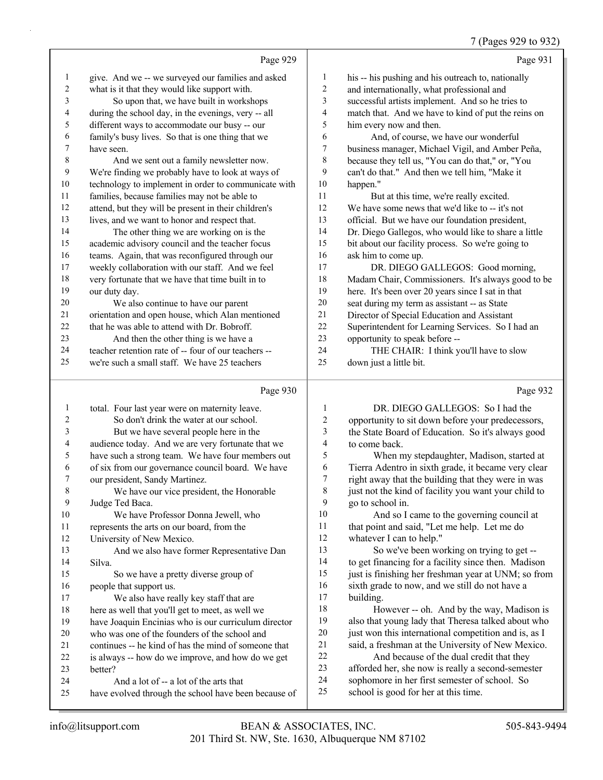## 7 (Pages 929 to 932)

|              |                                                                              |                | $\frac{1}{2}$ (Pages 929 to 932)                     |
|--------------|------------------------------------------------------------------------------|----------------|------------------------------------------------------|
|              | Page 929                                                                     |                | Page 931                                             |
| $\mathbf{1}$ | give. And we -- we surveyed our families and asked                           | 1              | his -- his pushing and his outreach to, nationally   |
| 2            | what is it that they would like support with.                                | $\overline{c}$ | and internationally, what professional and           |
| 3            | So upon that, we have built in workshops                                     | 3              | successful artists implement. And so he tries to     |
| 4            | during the school day, in the evenings, very -- all                          | 4              | match that. And we have to kind of put the reins on  |
| 5            | different ways to accommodate our busy -- our                                | 5              | him every now and then.                              |
| 6            | family's busy lives. So that is one thing that we                            | 6              | And, of course, we have our wonderful                |
| 7            | have seen.                                                                   | 7              | business manager, Michael Vigil, and Amber Peña,     |
| 8            | And we sent out a family newsletter now.                                     | 8              | because they tell us, "You can do that," or, "You    |
| 9            | We're finding we probably have to look at ways of                            | 9              | can't do that." And then we tell him, "Make it       |
| 10           | technology to implement in order to communicate with                         | 10             | happen."                                             |
| 11           | families, because families may not be able to                                | 11             | But at this time, we're really excited.              |
| 12           | attend, but they will be present in their children's                         | 12             | We have some news that we'd like to -- it's not      |
| 13           | lives, and we want to honor and respect that.                                | 13             | official. But we have our foundation president,      |
| 14           | The other thing we are working on is the                                     | 14             | Dr. Diego Gallegos, who would like to share a little |
| 15           | academic advisory council and the teacher focus                              | 15             | bit about our facility process. So we're going to    |
| 16           | teams. Again, that was reconfigured through our                              | 16             | ask him to come up.                                  |
| 17           | weekly collaboration with our staff. And we feel                             | 17             | DR. DIEGO GALLEGOS: Good morning,                    |
| 18           | very fortunate that we have that time built in to                            | 18             | Madam Chair, Commissioners. It's always good to be   |
| 19           | our duty day.                                                                | 19             | here. It's been over 20 years since I sat in that    |
| 20           | We also continue to have our parent                                          | 20             | seat during my term as assistant -- as State         |
| 21           | orientation and open house, which Alan mentioned                             | 21             | Director of Special Education and Assistant          |
| 22           | that he was able to attend with Dr. Bobroff.                                 | 22             | Superintendent for Learning Services. So I had an    |
| 23           | And then the other thing is we have a                                        | 23             | opportunity to speak before --                       |
| 24           | teacher retention rate of -- four of our teachers --                         | 24             | THE CHAIR: I think you'll have to slow               |
| 25           | we're such a small staff. We have 25 teachers                                | 25             | down just a little bit.                              |
|              | Page 930                                                                     |                | Page 932                                             |
|              | total. Four last year were on maternity leave.                               | 1              | DR. DIEGO GALLEGOS: So I had the                     |
|              | $\alpha$ 1 $\alpha$ 1 1 $\alpha$ $\beta$ $\beta$ $\gamma$ $\beta$ 1 $\gamma$ | $\sim$         |                                                      |

| $\overline{c}$ | So don't drink the water at our school.              | $\overline{2}$ | opportunity to sit down before your predecessors,    |
|----------------|------------------------------------------------------|----------------|------------------------------------------------------|
| 3              | But we have several people here in the               | 3              | the State Board of Education. So it's always good    |
| 4              | audience today. And we are very fortunate that we    | 4              | to come back.                                        |
| 5              | have such a strong team. We have four members out    | 5              | When my stepdaughter, Madison, started at            |
| 6              | of six from our governance council board. We have    | 6              | Tierra Adentro in sixth grade, it became very clear  |
| 7              | our president, Sandy Martinez.                       | 7              | right away that the building that they were in was   |
| 8              | We have our vice president, the Honorable            | 8              | just not the kind of facility you want your child to |
| 9              | Judge Ted Baca.                                      | 9              | go to school in.                                     |
| 10             | We have Professor Donna Jewell, who                  | 10             | And so I came to the governing council at            |
| 11             | represents the arts on our board, from the           | 11             | that point and said, "Let me help. Let me do         |
| 12             | University of New Mexico.                            | 12             | whatever I can to help."                             |
| 13             | And we also have former Representative Dan           | 13             | So we've been working on trying to get --            |
| 14             | Silva.                                               | 14             | to get financing for a facility since then. Madison  |
| 15             | So we have a pretty diverse group of                 | 15             | just is finishing her freshman year at UNM; so from  |
| 16             | people that support us.                              | 16             | sixth grade to now, and we still do not have a       |
| 17             | We also have really key staff that are               | 17             | building.                                            |
| 18             | here as well that you'll get to meet, as well we     | 18             | However -- oh. And by the way, Madison is            |
| 19             | have Joaquin Encinias who is our curriculum director | 19             | also that young lady that Theresa talked about who   |
| 20             | who was one of the founders of the school and        | 20             | just won this international competition and is, as I |
| 21             | continues -- he kind of has the mind of someone that | 21             | said, a freshman at the University of New Mexico.    |
| 22             | is always -- how do we improve, and how do we get    | 22             | And because of the dual credit that they             |
| 23             | better?                                              | 23             | afforded her, she now is really a second-semester    |
| 24             | And a lot of -- a lot of the arts that               | 24             | sophomore in her first semester of school. So        |
| 25             | have evolved through the school have been because of | 25             | school is good for her at this time.                 |
|                |                                                      |                |                                                      |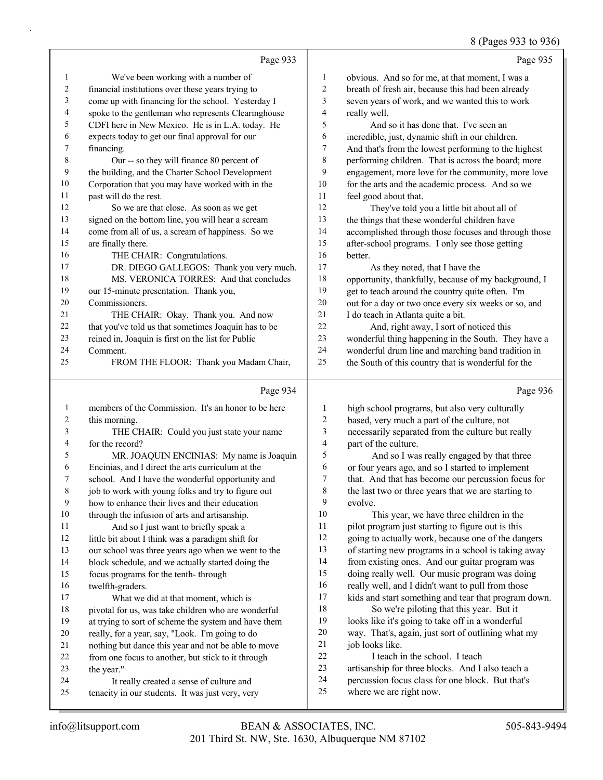## 8 (Pages 933 to 936)

|                |                                                      |                          | 0 If ages $233 \text{ W } 230$                       |
|----------------|------------------------------------------------------|--------------------------|------------------------------------------------------|
|                | Page 933                                             |                          | Page 935                                             |
| $\mathbf{1}$   | We've been working with a number of                  | 1                        | obvious. And so for me, at that moment, I was a      |
| 2              | financial institutions over these years trying to    | 2                        | breath of fresh air, because this had been already   |
| 3              | come up with financing for the school. Yesterday I   | 3                        | seven years of work, and we wanted this to work      |
| 4              | spoke to the gentleman who represents Clearinghouse  | $\overline{\mathcal{A}}$ | really well.                                         |
| 5              | CDFI here in New Mexico. He is in L.A. today. He     | 5                        | And so it has done that. I've seen an                |
| 6              | expects today to get our final approval for our      | 6                        | incredible, just, dynamic shift in our children.     |
| 7              | financing.                                           | 7                        | And that's from the lowest performing to the highest |
| $\,$ $\,$      | Our -- so they will finance 80 percent of            | 8                        | performing children. That is across the board; more  |
| 9              | the building, and the Charter School Development     | 9                        | engagement, more love for the community, more love   |
| 10             | Corporation that you may have worked with in the     | 10                       | for the arts and the academic process. And so we     |
| 11             | past will do the rest.                               | 11                       | feel good about that.                                |
| 12             | So we are that close. As soon as we get              | 12                       | They've told you a little bit about all of           |
| 13             | signed on the bottom line, you will hear a scream    | 13                       | the things that these wonderful children have        |
| 14             | come from all of us, a scream of happiness. So we    | 14                       | accomplished through those focuses and through those |
| 15             | are finally there.                                   | 15                       | after-school programs. I only see those getting      |
| 16             | THE CHAIR: Congratulations.                          | 16                       | better.                                              |
| 17             | DR. DIEGO GALLEGOS: Thank you very much.             | 17                       | As they noted, that I have the                       |
| 18             | MS. VERONICA TORRES: And that concludes              | 18                       | opportunity, thankfully, because of my background, I |
| 19             | our 15-minute presentation. Thank you,               | 19                       | get to teach around the country quite often. I'm     |
| 20             | Commissioners.                                       | 20                       | out for a day or two once every six weeks or so, and |
| 21             | THE CHAIR: Okay. Thank you. And now                  | 21                       | I do teach in Atlanta quite a bit.                   |
| 22             | that you've told us that sometimes Joaquin has to be | 22                       | And, right away, I sort of noticed this              |
| 23             | reined in, Joaquin is first on the list for Public   | 23                       | wonderful thing happening in the South. They have a  |
| 24             | Comment.                                             | 24                       | wonderful drum line and marching band tradition in   |
| 25             | FROM THE FLOOR: Thank you Madam Chair,               | 25                       | the South of this country that is wonderful for the  |
|                |                                                      |                          |                                                      |
|                | Page 934                                             |                          | Page 936                                             |
| 1              | members of the Commission. It's an honor to be here  | $\mathbf{1}$             | high school programs, but also very culturally       |
| 2              | this morning.                                        | 2                        | based, very much a part of the culture, not          |
| 3              | THE CHAIR: Could you just state your name            | $\mathfrak{Z}$           | necessarily separated from the culture but really    |
| $\overline{4}$ | for the record?                                      | 4                        | part of the culture.                                 |
| 5              | MR. JOAQUIN ENCINIAS: My name is Joaquin             | 5                        | And so I was really engaged by that three            |
| 6              | Encinias, and I direct the arts curriculum at the    | 6                        | or four years ago, and so I started to implement     |
| 7              | school. And I have the wonderful opportunity and     | $\boldsymbol{7}$         | that. And that has become our percussion focus for   |
| 8              | job to work with young folks and try to figure out   | $\,$ 8 $\,$              | the last two or three years that we are starting to  |
| 9              | how to enhance their lives and their education       | 9                        | evolve.                                              |
| $10\,$         | through the infusion of arts and artisanship.        | 10                       | This year, we have three children in the             |
| 11             | And so I just want to briefly speak a                | 11                       | pilot program just starting to figure out is this    |
| $12\,$         | little bit about I think was a paradigm shift for    | 12                       | going to actually work, because one of the dangers   |
| 13             | our school was three years ago when we went to the   | 13                       | of starting new programs in a school is taking away  |
| 14             | block schedule, and we actually started doing the    | 14                       | from existing ones. And our guitar program was       |

- focus programs for the tenth- through
- twelfth-graders.
- 17 What we did at that moment, which is pivotal for us, was take children who are wonderful at trying to sort of scheme the system and have them
- really, for a year, say, "Look. I'm going to do
- nothing but dance this year and not be able to move
- from one focus to another, but stick to it through
- the year."
- 24 It really created a sense of culture and
- tenacity in our students. It was just very, very
- 22 I teach in the school. I teach artisanship for three blocks. And I also teach a

18 So we're piloting that this year. But it looks like it's going to take off in a wonderful way. That's, again, just sort of outlining what my

percussion focus class for one block. But that's

 doing really well. Our music program was doing really well, and I didn't want to pull from those kids and start something and tear that program down.

where we are right now.

job looks like.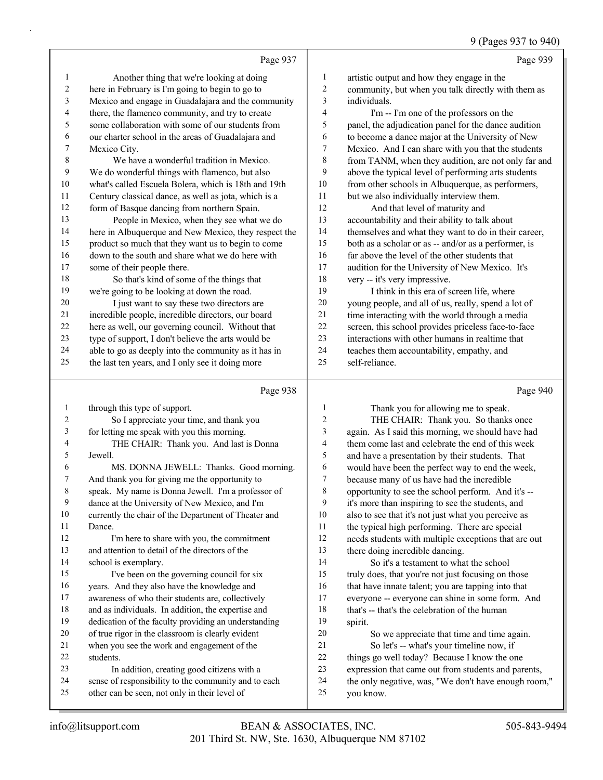# 9 (Pages 937 to 940)

|                |                                                      |                | <b>7 (Γά χ τ 5 7 7 7 1 1 1 7 4 1 7 4 1 7 4 1 1 7 4 1 1 7 4 1 1 7 4 1 1 7 4 1 1 7 4 1 1 7 4 1 1 7 4 1 1 </b> |
|----------------|------------------------------------------------------|----------------|-------------------------------------------------------------------------------------------------------------|
|                | Page 937                                             |                | Page 939                                                                                                    |
| 1              | Another thing that we're looking at doing            | 1              | artistic output and how they engage in the                                                                  |
| $\overline{c}$ | here in February is I'm going to begin to go to      | $\overline{c}$ | community, but when you talk directly with them as                                                          |
| 3              | Mexico and engage in Guadalajara and the community   | 3              | individuals.                                                                                                |
| 4              | there, the flamenco community, and try to create     | 4              | I'm -- I'm one of the professors on the                                                                     |
| 5              | some collaboration with some of our students from    | 5              | panel, the adjudication panel for the dance audition                                                        |
| 6              | our charter school in the areas of Guadalajara and   | 6              | to become a dance major at the University of New                                                            |
| 7              | Mexico City.                                         | 7              | Mexico. And I can share with you that the students                                                          |
| 8              | We have a wonderful tradition in Mexico.             | 8              | from TANM, when they audition, are not only far and                                                         |
| 9              | We do wonderful things with flamenco, but also       | 9              | above the typical level of performing arts students                                                         |
| 10             | what's called Escuela Bolera, which is 18th and 19th | 10             | from other schools in Albuquerque, as performers,                                                           |
| 11             | Century classical dance, as well as jota, which is a | 11             | but we also individually interview them.                                                                    |
| 12             | form of Basque dancing from northern Spain.          | 12             | And that level of maturity and                                                                              |
| 13             | People in Mexico, when they see what we do           | 13             | accountability and their ability to talk about                                                              |
| 14             | here in Albuquerque and New Mexico, they respect the | 14             | themselves and what they want to do in their career,                                                        |
| 15             | product so much that they want us to begin to come   | 15             | both as a scholar or as -- and/or as a performer, is                                                        |
| 16             | down to the south and share what we do here with     | 16             | far above the level of the other students that                                                              |
| 17             | some of their people there.                          | 17             | audition for the University of New Mexico. It's                                                             |
| 18             | So that's kind of some of the things that            | 18             | very -- it's very impressive.                                                                               |
| 19             | we're going to be looking at down the road.          | 19             | I think in this era of screen life, where                                                                   |
| 20             | I just want to say these two directors are           | 20             | young people, and all of us, really, spend a lot of                                                         |
| 21             | incredible people, incredible directors, our board   | 21             | time interacting with the world through a media                                                             |
| 22             | here as well, our governing council. Without that    | 22             | screen, this school provides priceless face-to-face                                                         |
| 23             | type of support, I don't believe the arts would be   | 23             | interactions with other humans in realtime that                                                             |
| 24             | able to go as deeply into the community as it has in | 24             | teaches them accountability, empathy, and                                                                   |
| 25             | the last ten years, and I only see it doing more     | 25             | self-reliance.                                                                                              |
|                | Page 938                                             |                | Page 940                                                                                                    |

| 1  | through this type of support.                        | 1              | Thank you for allowing me to speak.                  |
|----|------------------------------------------------------|----------------|------------------------------------------------------|
| 2  | So I appreciate your time, and thank you             | $\overline{2}$ | THE CHAIR: Thank you. So thanks once                 |
| 3  | for letting me speak with you this morning.          | 3              | again. As I said this morning, we should have had    |
| 4  | THE CHAIR: Thank you. And last is Donna              | 4              | them come last and celebrate the end of this week    |
| 5  | Jewell.                                              | 5              | and have a presentation by their students. That      |
| 6  | MS. DONNA JEWELL: Thanks. Good morning.              | 6              | would have been the perfect way to end the week,     |
| 7  | And thank you for giving me the opportunity to       | 7              | because many of us have had the incredible           |
| 8  | speak. My name is Donna Jewell. I'm a professor of   | 8              | opportunity to see the school perform. And it's --   |
| 9  | dance at the University of New Mexico, and I'm       | 9              | it's more than inspiring to see the students, and    |
| 10 | currently the chair of the Department of Theater and | 10             | also to see that it's not just what you perceive as  |
| 11 | Dance.                                               | 11             | the typical high performing. There are special       |
| 12 | I'm here to share with you, the commitment           | 12             | needs students with multiple exceptions that are out |
| 13 | and attention to detail of the directors of the      | 13             | there doing incredible dancing.                      |
| 14 | school is exemplary.                                 | 14             | So it's a testament to what the school               |
| 15 | I've been on the governing council for six           | 15             | truly does, that you're not just focusing on those   |
| 16 | years. And they also have the knowledge and          | 16             | that have innate talent; you are tapping into that   |
| 17 | awareness of who their students are, collectively    | 17             | everyone -- everyone can shine in some form. And     |
| 18 | and as individuals. In addition, the expertise and   | 18             | that's -- that's the celebration of the human        |
| 19 | dedication of the faculty providing an understanding | 19             | spirit.                                              |
| 20 | of true rigor in the classroom is clearly evident    | 20             | So we appreciate that time and time again.           |
| 21 | when you see the work and engagement of the          | 21             | So let's -- what's your timeline now, if             |
| 22 | students.                                            | 22             | things go well today? Because I know the one         |
| 23 | In addition, creating good citizens with a           | 23             | expression that came out from students and parents,  |
| 24 | sense of responsibility to the community and to each | 24             | the only negative, was, "We don't have enough room," |
| 25 | other can be seen, not only in their level of        | 25             | you know.                                            |
|    |                                                      |                |                                                      |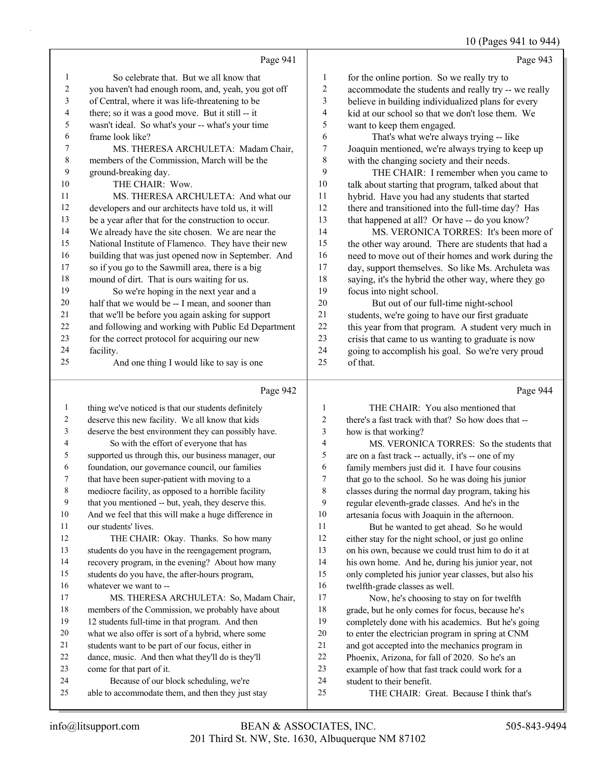10 (Pages 941 to 944)

|    |                                                     |              | $10$ (F ages $7 + 1$ to $7 + 4$                      |
|----|-----------------------------------------------------|--------------|------------------------------------------------------|
|    | Page 941                                            |              | Page 943                                             |
| 1  | So celebrate that. But we all know that             | $\mathbf{1}$ | for the online portion. So we really try to          |
| 2  | you haven't had enough room, and, yeah, you got off | 2            | accommodate the students and really try -- we really |
| 3  | of Central, where it was life-threatening to be     | 3            | believe in building individualized plans for every   |
| 4  | there; so it was a good move. But it still -- it    | 4            | kid at our school so that we don't lose them. We     |
| 5  | wasn't ideal. So what's your -- what's your time    | 5            | want to keep them engaged.                           |
| 6  | frame look like?                                    | 6            | That's what we're always trying -- like              |
| 7  | MS. THERESA ARCHULETA: Madam Chair,                 | 7            | Joaquin mentioned, we're always trying to keep up    |
| 8  | members of the Commission, March will be the        | 8            | with the changing society and their needs.           |
| 9  | ground-breaking day.                                | 9            | THE CHAIR: I remember when you came to               |
| 10 | THE CHAIR: Wow.                                     | 10           | talk about starting that program, talked about that  |
| 11 | MS. THERESA ARCHULETA: And what our                 | 11           | hybrid. Have you had any students that started       |
| 12 | developers and our architects have told us, it will | 12           | there and transitioned into the full-time day? Has   |
| 13 | be a year after that for the construction to occur. | 13           | that happened at all? Or have -- do you know?        |
| 14 | We already have the site chosen. We are near the    | 14           | MS. VERONICA TORRES: It's been more of               |
| 15 | National Institute of Flamenco. They have their new | 15           | the other way around. There are students that had a  |
| 16 | building that was just opened now in September. And | 16           | need to move out of their homes and work during the  |
| 17 | so if you go to the Sawmill area, there is a big    | 17           | day, support themselves. So like Ms. Archuleta was   |
| 18 | mound of dirt. That is ours waiting for us.         | 18           | saying, it's the hybrid the other way, where they go |
| 19 | So we're hoping in the next year and a              | 19           | focus into night school.                             |
| 20 | half that we would be -- I mean, and sooner than    | 20           | But out of our full-time night-school                |
| 21 | that we'll be before you again asking for support   | 21           | students, we're going to have our first graduate     |
| 22 | and following and working with Public Ed Department | 22           | this year from that program. A student very much in  |
| 23 | for the correct protocol for acquiring our new      | 23           | crisis that came to us wanting to graduate is now    |
| 24 | facility.                                           | 24           | going to accomplish his goal. So we're very proud    |
| 25 | And one thing I would like to say is one            | 25           | of that.                                             |
|    | Page 942                                            |              | Page 944                                             |
| 1  | thing we've noticed is that our students definitely | 1            | THE CHAIR: You also mentioned that                   |

| 1  | thing we've noticed is that our students definitely  | $\mathbf{1}$ | THE CHAIR: You also mentioned that                   |
|----|------------------------------------------------------|--------------|------------------------------------------------------|
| 2  | deserve this new facility. We all know that kids     | 2            | there's a fast track with that? So how does that --  |
| 3  | deserve the best environment they can possibly have. | 3            | how is that working?                                 |
| 4  | So with the effort of everyone that has              | 4            | MS. VERONICA TORRES: So the students that            |
| 5  | supported us through this, our business manager, our | 5            | are on a fast track -- actually, it's -- one of my   |
| 6  | foundation, our governance council, our families     | 6            | family members just did it. I have four cousins      |
| 7  | that have been super-patient with moving to a        | 7            | that go to the school. So he was doing his junior    |
| 8  | mediocre facility, as opposed to a horrible facility | 8            | classes during the normal day program, taking his    |
| 9  | that you mentioned -- but, yeah, they deserve this.  | 9            | regular eleventh-grade classes. And he's in the      |
| 10 | And we feel that this will make a huge difference in | 10           | artesanía focus with Joaquin in the afternoon.       |
| 11 | our students' lives.                                 | 11           | But he wanted to get ahead. So he would              |
| 12 | THE CHAIR: Okay. Thanks. So how many                 | 12           | either stay for the night school, or just go online  |
| 13 | students do you have in the reengagement program,    | 13           | on his own, because we could trust him to do it at   |
| 14 | recovery program, in the evening? About how many     | 14           | his own home. And he, during his junior year, not    |
| 15 | students do you have, the after-hours program,       | 15           | only completed his junior year classes, but also his |
| 16 | whatever we want to --                               | 16           | twelfth-grade classes as well.                       |
| 17 | MS. THERESA ARCHULETA: So, Madam Chair,              | 17           | Now, he's choosing to stay on for twelfth            |
| 18 | members of the Commission, we probably have about    | 18           | grade, but he only comes for focus, because he's     |
| 19 | 12 students full-time in that program. And then      | 19           | completely done with his academics. But he's going   |
| 20 | what we also offer is sort of a hybrid, where some   | 20           | to enter the electrician program in spring at CNM    |
| 21 | students want to be part of our focus, either in     | 21           | and got accepted into the mechanics program in       |
| 22 | dance, music. And then what they'll do is they'll    | 22           | Phoenix, Arizona, for fall of 2020. So he's an       |
| 23 | come for that part of it.                            | 23           | example of how that fast track could work for a      |
| 24 | Because of our block scheduling, we're               | 24           | student to their benefit.                            |
| 25 | able to accommodate them, and then they just stay    | 25           | THE CHAIR: Great. Because I think that's             |
|    |                                                      |              |                                                      |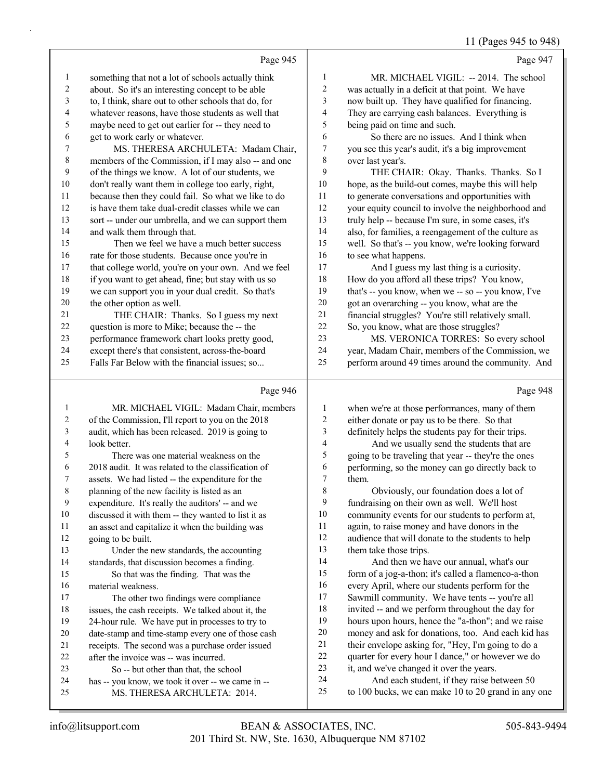11 (Pages 945 to 948)

|                | Page 945                                             |                | Page 947                                             |
|----------------|------------------------------------------------------|----------------|------------------------------------------------------|
| 1              | something that not a lot of schools actually think   | 1              | MR. MICHAEL VIGIL: -- 2014. The school               |
| $\overline{c}$ | about. So it's an interesting concept to be able     | $\overline{c}$ | was actually in a deficit at that point. We have     |
| 3              | to, I think, share out to other schools that do, for | 3              | now built up. They have qualified for financing.     |
| 4              | whatever reasons, have those students as well that   | 4              | They are carrying cash balances. Everything is       |
| 5              | maybe need to get out earlier for -- they need to    | 5              | being paid on time and such.                         |
| 6              | get to work early or whatever.                       | 6              | So there are no issues. And I think when             |
| 7              | MS. THERESA ARCHULETA: Madam Chair,                  | 7              | you see this year's audit, it's a big improvement    |
| $\,$ 8 $\,$    | members of the Commission, if I may also -- and one  | 8              | over last year's.                                    |
| 9              | of the things we know. A lot of our students, we     | 9              | THE CHAIR: Okay. Thanks. Thanks. So I                |
| $10\,$         | don't really want them in college too early, right,  | 10             | hope, as the build-out comes, maybe this will help   |
| 11             | because then they could fail. So what we like to do  | 11             | to generate conversations and opportunities with     |
| 12             | is have them take dual-credit classes while we can   | 12             | your equity council to involve the neighborhood and  |
| 13             | sort -- under our umbrella, and we can support them  | 13             | truly help -- because I'm sure, in some cases, it's  |
| 14             | and walk them through that.                          | 14             | also, for families, a reengagement of the culture as |
| 15             | Then we feel we have a much better success           | 15             | well. So that's -- you know, we're looking forward   |
| 16             | rate for those students. Because once you're in      | 16             | to see what happens.                                 |
| 17             | that college world, you're on your own. And we feel  | 17             | And I guess my last thing is a curiosity.            |
| 18             | if you want to get ahead, fine; but stay with us so  | 18             | How do you afford all these trips? You know,         |
| 19             | we can support you in your dual credit. So that's    | 19             | that's -- you know, when we -- so -- you know, I've  |
| 20             | the other option as well.                            | 20             | got an overarching -- you know, what are the         |
| 21             | THE CHAIR: Thanks. So I guess my next                | 21             | financial struggles? You're still relatively small.  |
| 22             | question is more to Mike; because the -- the         | 22             | So, you know, what are those struggles?              |
| 23             | performance framework chart looks pretty good,       | 23             | MS. VERONICA TORRES: So every school                 |
| 24             | except there's that consistent, across-the-board     | 24             | year, Madam Chair, members of the Commission, we     |
| 25             | Falls Far Below with the financial issues; so        | 25             | perform around 49 times around the community. And    |
|                | Page 946                                             |                | Page 948                                             |
| 1              | MR. MICHAEL VIGIL: Madam Chair, members              | 1              | when we're at those performances, many of them       |

| 1  | MR. MICHAEL VIGIL: Madam Chair, members             | 1              |  |
|----|-----------------------------------------------------|----------------|--|
| 2  | of the Commission, I'll report to you on the 2018   | 2              |  |
| 3  | audit, which has been released. 2019 is going to    | 3              |  |
| 4  | look better.                                        | $\overline{4}$ |  |
| 5  | There was one material weakness on the              | 5              |  |
| 6  | 2018 audit. It was related to the classification of | 6              |  |
| 7  | assets. We had listed -- the expenditure for the    | 7              |  |
| 8  | planning of the new facility is listed as an        | 8              |  |
| 9  | expenditure. It's really the auditors' -- and we    | 9              |  |
| 10 | discussed it with them -- they wanted to list it as | 10             |  |
| 11 | an asset and capitalize it when the building was    | 11             |  |
| 12 | going to be built.                                  | 12             |  |
| 13 | Under the new standards, the accounting             | 13             |  |
| 14 | standards, that discussion becomes a finding.       | 14             |  |
| 15 | So that was the finding. That was the               | 15             |  |
| 16 | material weakness.                                  | 16             |  |
| 17 | The other two findings were compliance              | 17             |  |
| 18 | issues, the cash receipts. We talked about it, the  | 18             |  |
| 19 | 24-hour rule. We have put in processes to try to    | 19             |  |
| 20 | date-stamp and time-stamp every one of those cash   | 20             |  |
| 21 | receipts. The second was a purchase order issued    | 21             |  |
| 22 | after the invoice was -- was incurred.              | 22             |  |
| 23 | So -- but other than that, the school               | 23             |  |
| 24 | has -- you know, we took it over -- we came in --   | 24             |  |
| 25 | MS. THERESA ARCHULETA: 2014.                        | 25             |  |
|    |                                                     |                |  |

either donate or pay us to be there. So that definitely helps the students pay for their trips. And we usually send the students that are 5 going to be traveling that year -- they're the ones

performing, so the money can go directly back to them.

Obviously, our foundation does a lot of fundraising on their own as well. We'll host community events for our students to perform at, again, to raise money and have donors in the audience that will donate to the students to help them take those trips. And then we have our annual, what's our form of a jog-a-thon; it's called a flamenco-a-thon every April, where our students perform for the Sawmill community. We have tents -- you're all invited -- and we perform throughout the day for hours upon hours, hence the "a-thon"; and we raise

#### money and ask for donations, too. And each kid has their envelope asking for, "Hey, I'm going to do a

- quarter for every hour I dance," or however we do
- it, and we've changed it over the years.
	- And each student, if they raise between 50
	- to 100 bucks, we can make 10 to 20 grand in any one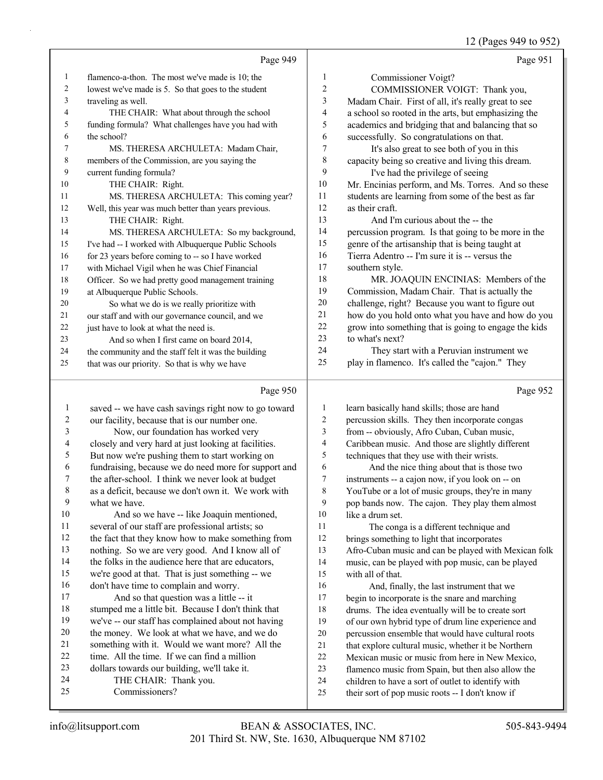12 (Pages 949 to 952)

|    |                                                      |    | $12$ (1 agos $777$ to $732$ )                        |
|----|------------------------------------------------------|----|------------------------------------------------------|
|    | Page 949                                             |    | Page 951                                             |
| 1  | flamenco-a-thon. The most we've made is 10; the      | 1  | Commissioner Voigt?                                  |
| 2  | lowest we've made is 5. So that goes to the student  | 2  | COMMISSIONER VOIGT: Thank you,                       |
| 3  | traveling as well.                                   | 3  | Madam Chair. First of all, it's really great to see  |
| 4  | THE CHAIR: What about through the school             | 4  | a school so rooted in the arts, but emphasizing the  |
| 5  | funding formula? What challenges have you had with   | 5  | academics and bridging that and balancing that so    |
| 6  | the school?                                          | 6  | successfully. So congratulations on that.            |
| 7  | MS. THERESA ARCHULETA: Madam Chair,                  | 7  | It's also great to see both of you in this           |
| 8  | members of the Commission, are you saying the        | 8  | capacity being so creative and living this dream.    |
| 9  | current funding formula?                             | 9  | I've had the privilege of seeing                     |
| 10 | THE CHAIR: Right.                                    | 10 | Mr. Encinias perform, and Ms. Torres. And so these   |
| 11 | MS. THERESA ARCHULETA: This coming year?             | 11 | students are learning from some of the best as far   |
| 12 | Well, this year was much better than years previous. | 12 | as their craft.                                      |
| 13 | THE CHAIR: Right.                                    | 13 | And I'm curious about the -- the                     |
| 14 | MS. THERESA ARCHULETA: So my background,             | 14 | percussion program. Is that going to be more in the  |
| 15 | I've had -- I worked with Albuquerque Public Schools | 15 | genre of the artisanship that is being taught at     |
| 16 | for 23 years before coming to -- so I have worked    | 16 | Tierra Adentro -- I'm sure it is -- versus the       |
| 17 | with Michael Vigil when he was Chief Financial       | 17 | southern style.                                      |
| 18 | Officer. So we had pretty good management training   | 18 | MR. JOAQUIN ENCINIAS: Members of the                 |
| 19 | at Albuquerque Public Schools.                       | 19 | Commission, Madam Chair. That is actually the        |
| 20 | So what we do is we really prioritize with           | 20 | challenge, right? Because you want to figure out     |
| 21 | our staff and with our governance council, and we    | 21 | how do you hold onto what you have and how do you    |
| 22 | just have to look at what the need is.               | 22 | grow into something that is going to engage the kids |
| 23 | And so when I first came on board 2014,              | 23 | to what's next?                                      |
| 24 | the community and the staff felt it was the building | 24 | They start with a Peruvian instrument we             |
| 25 | that was our priority. So that is why we have        | 25 | play in flamenco. It's called the "cajon." They      |
|    | $\sim$ $\sim$ $\sim$                                 |    |                                                      |

#### Page 950

|                | Page 950                                             |    | Page 952                                             |
|----------------|------------------------------------------------------|----|------------------------------------------------------|
| 1              | saved -- we have cash savings right now to go toward | 1  | learn basically hand skills; those are hand          |
| $\overline{c}$ | our facility, because that is our number one.        | 2  | percussion skills. They then incorporate congas      |
| 3              | Now, our foundation has worked very                  | 3  | from -- obviously, Afro Cuban, Cuban music,          |
| 4              | closely and very hard at just looking at facilities. | 4  | Caribbean music. And those are slightly different    |
| 5              | But now we're pushing them to start working on       | 5  | techniques that they use with their wrists.          |
| 6              | fundraising, because we do need more for support and | 6  | And the nice thing about that is those two           |
| 7              | the after-school. I think we never look at budget    | 7  | instruments -- a cajon now, if you look on -- on     |
| 8              | as a deficit, because we don't own it. We work with  | 8  | YouTube or a lot of music groups, they're in many    |
| 9              | what we have.                                        | 9  | pop bands now. The cajon. They play them almost      |
| 10             | And so we have -- like Joaquin mentioned,            | 10 | like a drum set.                                     |
| 11             | several of our staff are professional artists; so    | 11 | The conga is a different technique and               |
| 12             | the fact that they know how to make something from   | 12 | brings something to light that incorporates          |
| 13             | nothing. So we are very good. And I know all of      | 13 | Afro-Cuban music and can be played with Mexican folk |
| 14             | the folks in the audience here that are educators,   | 14 | music, can be played with pop music, can be played   |
| 15             | we're good at that. That is just something -- we     | 15 | with all of that.                                    |
| 16             | don't have time to complain and worry.               | 16 | And, finally, the last instrument that we            |
| 17             | And so that question was a little -- it              | 17 | begin to incorporate is the snare and marching       |
| 18             | stumped me a little bit. Because I don't think that  | 18 | drums. The idea eventually will be to create sort    |
| 19             | we've -- our staff has complained about not having   | 19 | of our own hybrid type of drum line experience and   |
| 20             | the money. We look at what we have, and we do        | 20 | percussion ensemble that would have cultural roots   |
| 21             | something with it. Would we want more? All the       | 21 | that explore cultural music, whether it be Northern  |
| 22             | time. All the time. If we can find a million         | 22 | Mexican music or music from here in New Mexico.      |
| 23             | dollars towards our building, we'll take it.         | 23 | flamenco music from Spain, but then also allow the   |
| 24             | THE CHAIR: Thank you.                                | 24 | children to have a sort of outlet to identify with   |
| 25             | Commissioners?                                       | 25 | their sort of pop music roots -- I don't know if     |
|                |                                                      |    |                                                      |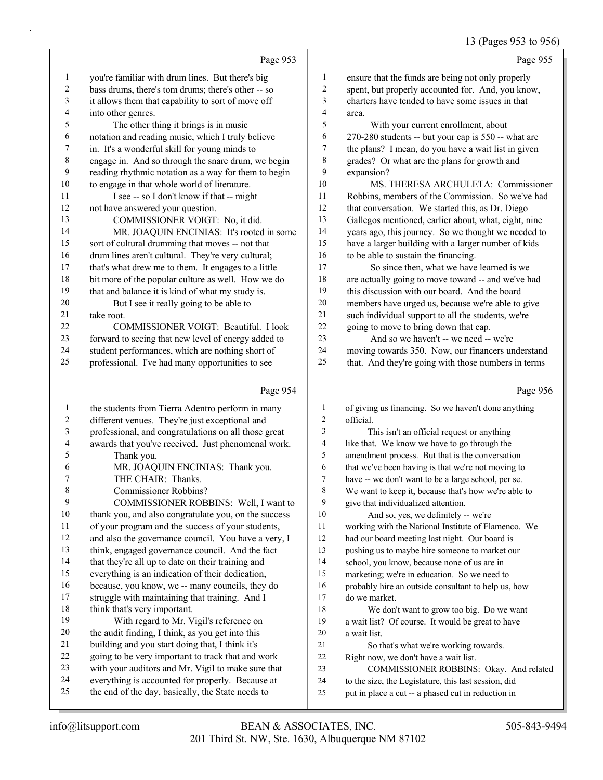13 (Pages 953 to 956)

|                |                                                                                                        |                  | 13 (Pages 953 to 956)                                                                                      |
|----------------|--------------------------------------------------------------------------------------------------------|------------------|------------------------------------------------------------------------------------------------------------|
|                | Page 953                                                                                               |                  | Page 955                                                                                                   |
| $\mathbf{1}$   | you're familiar with drum lines. But there's big                                                       | $\mathbf{1}$     | ensure that the funds are being not only properly                                                          |
| 2              | bass drums, there's tom drums; there's other -- so                                                     | $\overline{c}$   | spent, but properly accounted for. And, you know,                                                          |
| 3              | it allows them that capability to sort of move off                                                     | 3                | charters have tended to have some issues in that                                                           |
| 4              | into other genres.                                                                                     | 4                | area.                                                                                                      |
| 5              | The other thing it brings is in music                                                                  | 5                | With your current enrollment, about                                                                        |
| 6              | notation and reading music, which I truly believe                                                      | 6                | 270-280 students -- but your cap is 550 -- what are                                                        |
| 7              | in. It's a wonderful skill for young minds to                                                          | 7                | the plans? I mean, do you have a wait list in given                                                        |
| 8              | engage in. And so through the snare drum, we begin                                                     | 8                | grades? Or what are the plans for growth and                                                               |
| 9              | reading rhythmic notation as a way for them to begin                                                   | 9                | expansion?                                                                                                 |
| 10             | to engage in that whole world of literature.                                                           | 10               | MS. THERESA ARCHULETA: Commissioner                                                                        |
| 11             | I see -- so I don't know if that -- might                                                              | 11               | Robbins, members of the Commission. So we've had                                                           |
| 12             | not have answered your question.                                                                       | 12               | that conversation. We started this, as Dr. Diego                                                           |
| 13             | COMMISSIONER VOIGT: No, it did.                                                                        | 13               | Gallegos mentioned, earlier about, what, eight, nine                                                       |
| 14             | MR. JOAQUIN ENCINIAS: It's rooted in some                                                              | 14               | years ago, this journey. So we thought we needed to                                                        |
| 15             | sort of cultural drumming that moves -- not that                                                       | 15               | have a larger building with a larger number of kids                                                        |
| 16             | drum lines aren't cultural. They're very cultural;                                                     | 16               | to be able to sustain the financing.                                                                       |
| 17             | that's what drew me to them. It engages to a little                                                    | 17               | So since then, what we have learned is we                                                                  |
| 18             | bit more of the popular culture as well. How we do                                                     | 18               | are actually going to move toward -- and we've had                                                         |
| 19             | that and balance it is kind of what my study is.                                                       | 19               | this discussion with our board. And the board                                                              |
| 20             | But I see it really going to be able to                                                                | 20               | members have urged us, because we're able to give                                                          |
| 21             | take root.                                                                                             | 21               | such individual support to all the students, we're                                                         |
| 22             | COMMISSIONER VOIGT: Beautiful. I look                                                                  | 22               | going to move to bring down that cap.                                                                      |
| 23             | forward to seeing that new level of energy added to                                                    | 23               | And so we haven't -- we need -- we're                                                                      |
| 24             | student performances, which are nothing short of                                                       | 24               | moving towards 350. Now, our financers understand                                                          |
| 25             | professional. I've had many opportunities to see                                                       | 25               | that. And they're going with those numbers in terms                                                        |
|                |                                                                                                        |                  |                                                                                                            |
|                | Page 954                                                                                               |                  | Page 956                                                                                                   |
| $\mathbf{1}$   |                                                                                                        | $\mathbf{1}$     |                                                                                                            |
| $\overline{c}$ | the students from Tierra Adentro perform in many                                                       | $\overline{2}$   | of giving us financing. So we haven't done anything<br>official.                                           |
| 3              | different venues. They're just exceptional and<br>professional, and congratulations on all those great | 3                | This isn't an official request or anything                                                                 |
| 4              |                                                                                                        | 4                | like that. We know we have to go through the                                                               |
| 5              | awards that you've received. Just phenomenal work.<br>Thank you.                                       | 5                | amendment process. But that is the conversation                                                            |
| 6              | MR. JOAQUIN ENCINIAS: Thank you.                                                                       | 6                | that we've been having is that we're not moving to                                                         |
| 7              | THE CHAIR: Thanks.                                                                                     | $\boldsymbol{7}$ | have -- we don't want to be a large school, per se.                                                        |
| 8              | Commissioner Robbins?                                                                                  | 8                | We want to keep it, because that's how we're able to                                                       |
| 9              | COMMISSIONER ROBBINS: Well, I want to                                                                  | 9                | give that individualized attention.                                                                        |
| 10             | thank you, and also congratulate you, on the success                                                   | 10               | And so, yes, we definitely -- we're                                                                        |
| 11             | of your program and the success of your students,                                                      | 11               | working with the National Institute of Flamenco. We                                                        |
| 12             | and also the governance council. You have a very, I                                                    | 12               | had our board meeting last night. Our board is                                                             |
| 13             | think, engaged governance council. And the fact                                                        | 13               | pushing us to maybe hire someone to market our                                                             |
| 14             | that they're all up to date on their training and                                                      | 14               | school, you know, because none of us are in                                                                |
| 15             | everything is an indication of their dedication,                                                       | 15               | marketing; we're in education. So we need to                                                               |
| 16             | because, you know, we -- many councils, they do                                                        | 16               | probably hire an outside consultant to help us, how                                                        |
| 17             | struggle with maintaining that training. And I                                                         | 17               | do we market.                                                                                              |
| 18             | think that's very important.                                                                           | 18               | We don't want to grow too big. Do we want                                                                  |
| 19             | With regard to Mr. Vigil's reference on                                                                | 19               | a wait list? Of course. It would be great to have                                                          |
| 20             | the audit finding, I think, as you get into this                                                       | 20               | a wait list.                                                                                               |
| 21             | building and you start doing that, I think it's                                                        | 21               | So that's what we're working towards.                                                                      |
| 22             | going to be very important to track that and work                                                      | 22               | Right now, we don't have a wait list.                                                                      |
| 23             | with your auditors and Mr. Vigil to make sure that                                                     | 23               | COMMISSIONER ROBBINS: Okay. And related                                                                    |
| 24<br>25       | everything is accounted for properly. Because at<br>the end of the day, basically, the State needs to  | 24<br>25         | to the size, the Legislature, this last session, did<br>put in place a cut -- a phased cut in reduction in |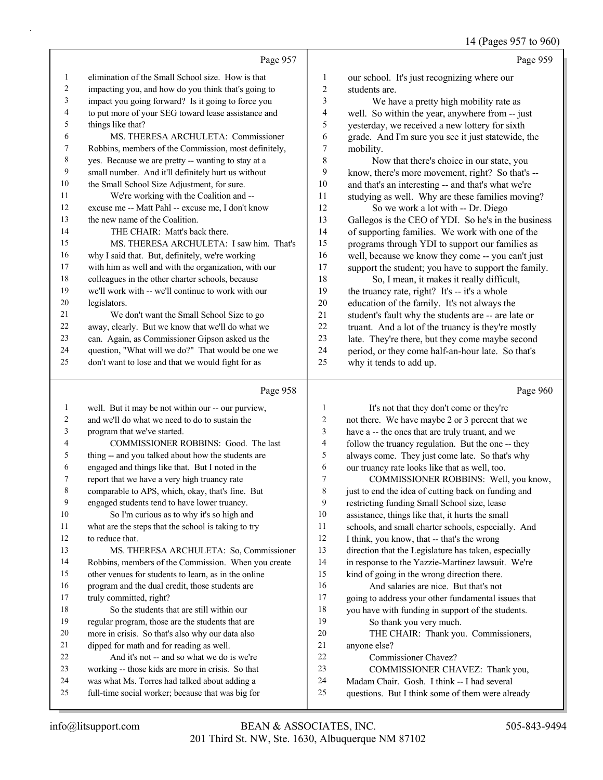|    | Page 957                                             |    | Page 959                                             |
|----|------------------------------------------------------|----|------------------------------------------------------|
| 1  | elimination of the Small School size. How is that    | 1  | our school. It's just recognizing where our          |
| 2  | impacting you, and how do you think that's going to  | 2  | students are.                                        |
| 3  | impact you going forward? Is it going to force you   | 3  | We have a pretty high mobility rate as               |
| 4  | to put more of your SEG toward lease assistance and  | 4  | well. So within the year, anywhere from -- just      |
| 5  | things like that?                                    | 5  | yesterday, we received a new lottery for sixth       |
| 6  | MS. THERESA ARCHULETA: Commissioner                  | 6  | grade. And I'm sure you see it just statewide, the   |
| 7  | Robbins, members of the Commission, most definitely, | 7  | mobility.                                            |
| 8  | yes. Because we are pretty -- wanting to stay at a   | 8  | Now that there's choice in our state, you            |
| 9  | small number. And it'll definitely hurt us without   | 9  | know, there's more movement, right? So that's --     |
| 10 | the Small School Size Adjustment, for sure.          | 10 | and that's an interesting -- and that's what we're   |
| 11 | We're working with the Coalition and --              | 11 | studying as well. Why are these families moving?     |
| 12 | excuse me -- Matt Pahl -- excuse me, I don't know    | 12 | So we work a lot with -- Dr. Diego                   |
| 13 | the new name of the Coalition.                       | 13 | Gallegos is the CEO of YDI. So he's in the business  |
| 14 | THE CHAIR: Matt's back there.                        | 14 | of supporting families. We work with one of the      |
| 15 | MS. THERESA ARCHULETA: I saw him. That's             | 15 | programs through YDI to support our families as      |
| 16 | why I said that. But, definitely, we're working      | 16 | well, because we know they come -- you can't just    |
| 17 | with him as well and with the organization, with our | 17 | support the student; you have to support the family. |
| 18 | colleagues in the other charter schools, because     | 18 | So, I mean, it makes it really difficult,            |
| 19 | we'll work with -- we'll continue to work with our   | 19 | the truancy rate, right? It's -- it's a whole        |
| 20 | legislators.                                         | 20 | education of the family. It's not always the         |
| 21 | We don't want the Small School Size to go            | 21 | student's fault why the students are -- are late or  |
| 22 | away, clearly. But we know that we'll do what we     | 22 | truant. And a lot of the truancy is they're mostly   |
| 23 | can. Again, as Commissioner Gipson asked us the      | 23 | late. They're there, but they come maybe second      |
| 24 | question, "What will we do?" That would be one we    | 24 | period, or they come half-an-hour late. So that's    |
| 25 | don't want to lose and that we would fight for as    | 25 | why it tends to add up.                              |
|    |                                                      |    |                                                      |
|    |                                                      |    |                                                      |

## Page

|                | Page 958                                             |    | Page 960                                             |
|----------------|------------------------------------------------------|----|------------------------------------------------------|
| 1              | well. But it may be not within our -- our purview,   | 1  | It's not that they don't come or they're             |
| $\overline{2}$ | and we'll do what we need to do to sustain the       | 2  | not there. We have maybe 2 or 3 percent that we      |
| 3              | program that we've started.                          | 3  | have a -- the ones that are truly truant, and we     |
| 4              | COMMISSIONER ROBBINS: Good. The last                 | 4  | follow the truancy regulation. But the one -- they   |
| 5              | thing -- and you talked about how the students are   | 5  | always come. They just come late. So that's why      |
| 6              | engaged and things like that. But I noted in the     | 6  | our truancy rate looks like that as well, too.       |
| 7              | report that we have a very high truancy rate         | 7  | COMMISSIONER ROBBINS: Well, you know,                |
| 8              | comparable to APS, which, okay, that's fine. But     | 8  | just to end the idea of cutting back on funding and  |
| 9              | engaged students tend to have lower truancy.         | 9  | restricting funding Small School size, lease         |
| 10             | So I'm curious as to why it's so high and            | 10 | assistance, things like that, it hurts the small     |
| 11             | what are the steps that the school is taking to try  | 11 | schools, and small charter schools, especially. And  |
| 12             | to reduce that.                                      | 12 | I think, you know, that -- that's the wrong          |
| 13             | MS. THERESA ARCHULETA: So, Commissioner              | 13 | direction that the Legislature has taken, especially |
| 14             | Robbins, members of the Commission. When you create  | 14 | in response to the Yazzie-Martinez lawsuit. We're    |
| 15             | other venues for students to learn, as in the online | 15 | kind of going in the wrong direction there.          |
| 16             | program and the dual credit, those students are      | 16 | And salaries are nice. But that's not                |
| 17             | truly committed, right?                              | 17 | going to address your other fundamental issues that  |
| 18             | So the students that are still within our            | 18 | you have with funding in support of the students.    |
| 19             | regular program, those are the students that are     | 19 | So thank you very much.                              |
| 20             | more in crisis. So that's also why our data also     | 20 | THE CHAIR: Thank you. Commissioners,                 |
| 21             | dipped for math and for reading as well.             | 21 | anyone else?                                         |
| 22             | And it's not -- and so what we do is we're           | 22 | Commissioner Chavez?                                 |
| 23             | working -- those kids are more in crisis. So that    | 23 | COMMISSIONER CHAVEZ: Thank you,                      |
| 24             | was what Ms. Torres had talked about adding a        | 24 | Madam Chair. Gosh. I think -- I had several          |
| 25             | full-time social worker; because that was big for    | 25 | questions. But I think some of them were already     |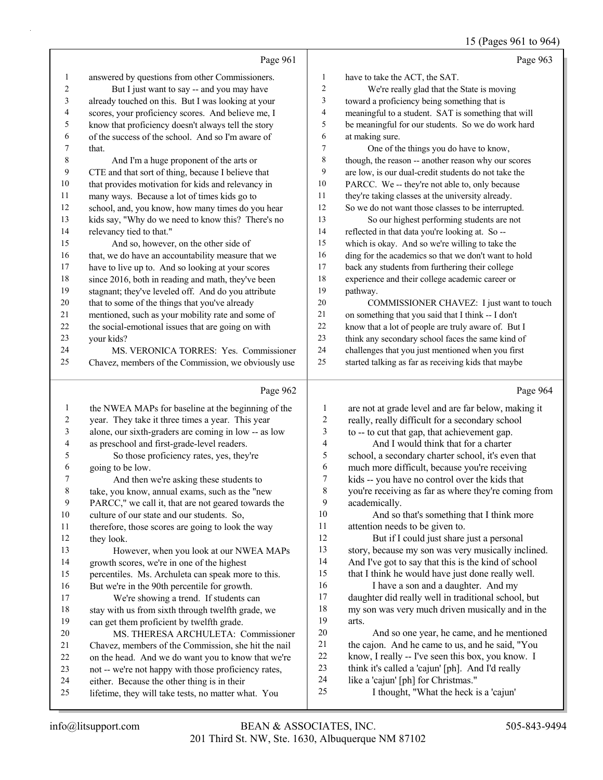# 15 (Pages 961 to 964)

|              | Page 961                                                                                           |                  | Page 963                                                                                                |
|--------------|----------------------------------------------------------------------------------------------------|------------------|---------------------------------------------------------------------------------------------------------|
| 1            | answered by questions from other Commissioners.                                                    | $\mathbf{1}$     | have to take the ACT, the SAT.                                                                          |
| 2            | But I just want to say -- and you may have                                                         | $\boldsymbol{2}$ | We're really glad that the State is moving                                                              |
| 3            | already touched on this. But I was looking at your                                                 | 3                | toward a proficiency being something that is                                                            |
| 4            | scores, your proficiency scores. And believe me, I                                                 | 4                | meaningful to a student. SAT is something that will                                                     |
| 5            | know that proficiency doesn't always tell the story                                                | 5                | be meaningful for our students. So we do work hard                                                      |
| 6            | of the success of the school. And so I'm aware of                                                  | 6                | at making sure.                                                                                         |
| 7            | that.                                                                                              | 7                | One of the things you do have to know,                                                                  |
| 8            | And I'm a huge proponent of the arts or                                                            | 8                | though, the reason -- another reason why our scores                                                     |
| 9            | CTE and that sort of thing, because I believe that                                                 | 9                | are low, is our dual-credit students do not take the                                                    |
| 10           | that provides motivation for kids and relevancy in                                                 | 10               | PARCC. We -- they're not able to, only because                                                          |
| 11           | many ways. Because a lot of times kids go to                                                       | 11               | they're taking classes at the university already.                                                       |
| 12           | school, and, you know, how many times do you hear                                                  | 12               | So we do not want those classes to be interrupted.                                                      |
| 13           | kids say, "Why do we need to know this? There's no                                                 | 13               | So our highest performing students are not                                                              |
| 14           | relevancy tied to that."                                                                           | 14               | reflected in that data you're looking at. So --                                                         |
| 15           | And so, however, on the other side of                                                              | 15               | which is okay. And so we're willing to take the                                                         |
| 16           | that, we do have an accountability measure that we                                                 | 16               | ding for the academics so that we don't want to hold                                                    |
| 17           | have to live up to. And so looking at your scores                                                  | 17               | back any students from furthering their college                                                         |
| 18           | since 2016, both in reading and math, they've been                                                 | 18               | experience and their college academic career or                                                         |
| 19           | stagnant; they've leveled off. And do you attribute                                                | 19               | pathway.                                                                                                |
| $20\,$       | that to some of the things that you've already                                                     | 20               | COMMISSIONER CHAVEZ: I just want to touch                                                               |
| 21           | mentioned, such as your mobility rate and some of                                                  | 21               | on something that you said that I think -- I don't                                                      |
| 22           | the social-emotional issues that are going on with                                                 | 22               | know that a lot of people are truly aware of. But I                                                     |
| $23\,$       | your kids?                                                                                         | 23               | think any secondary school faces the same kind of                                                       |
| 24<br>25     | MS. VERONICA TORRES: Yes. Commissioner                                                             | 24<br>25         | challenges that you just mentioned when you first                                                       |
|              | Chavez, members of the Commission, we obviously use                                                |                  | started talking as far as receiving kids that maybe                                                     |
|              |                                                                                                    |                  |                                                                                                         |
|              | Page 962                                                                                           |                  | Page 964                                                                                                |
| $\mathbf{1}$ | the NWEA MAPs for baseline at the beginning of the                                                 | $\mathbf{1}$     | are not at grade level and are far below, making it                                                     |
| 2            | year. They take it three times a year. This year                                                   | $\overline{c}$   | really, really difficult for a secondary school                                                         |
| 3            | alone, our sixth-graders are coming in low -- as low                                               | 3                | to -- to cut that gap, that achievement gap.                                                            |
| 4            | as preschool and first-grade-level readers.                                                        | 4                | And I would think that for a charter                                                                    |
| 5            | So those proficiency rates, yes, they're                                                           | 5                | school, a secondary charter school, it's even that                                                      |
| 6            | going to be low.                                                                                   | 6                | much more difficult, because you're receiving                                                           |
| 7            | And then we're asking these students to                                                            | 7                | kids -- you have no control over the kids that                                                          |
| 8            | take, you know, annual exams, such as the "new                                                     | 8                | you're receiving as far as where they're coming from                                                    |
| 9            | PARCC," we call it, that are not geared towards the                                                | 9                | academically.                                                                                           |
| $10\,$       | culture of our state and our students. So,                                                         | 10               | And so that's something that I think more                                                               |
| 11           | therefore, those scores are going to look the way                                                  | 11               | attention needs to be given to.                                                                         |
| 12           | they look.                                                                                         | 12               | But if I could just share just a personal                                                               |
| 13           | However, when you look at our NWEA MAPs                                                            | 13               | story, because my son was very musically inclined.                                                      |
| 14           | growth scores, we're in one of the highest                                                         | 14<br>15         | And I've got to say that this is the kind of school                                                     |
| 15<br>16     | percentiles. Ms. Archuleta can speak more to this.                                                 | 16               | that I think he would have just done really well.                                                       |
| 17           | But we're in the 90th percentile for growth.                                                       | 17               | I have a son and a daughter. And my                                                                     |
| $18\,$       | We're showing a trend. If students can<br>stay with us from sixth through twelfth grade, we        | 18               | daughter did really well in traditional school, but<br>my son was very much driven musically and in the |
| 19           | can get them proficient by twelfth grade.                                                          | 19               | arts.                                                                                                   |
| 20           | MS. THERESA ARCHULETA: Commissioner                                                                | $20\,$           | And so one year, he came, and he mentioned                                                              |
| 21           | Chavez, members of the Commission, she hit the nail                                                | 21               | the cajon. And he came to us, and he said, "You                                                         |
| 22           | on the head. And we do want you to know that we're                                                 | 22               | know, I really -- I've seen this box, you know. I                                                       |
| 23           | not -- we're not happy with those proficiency rates,                                               | 23               | think it's called a 'cajun' [ph]. And I'd really                                                        |
| 24<br>25     | either. Because the other thing is in their<br>lifetime, they will take tests, no matter what. You | 24<br>25         | like a 'cajun' [ph] for Christmas."<br>I thought, "What the heck is a 'cajun'                           |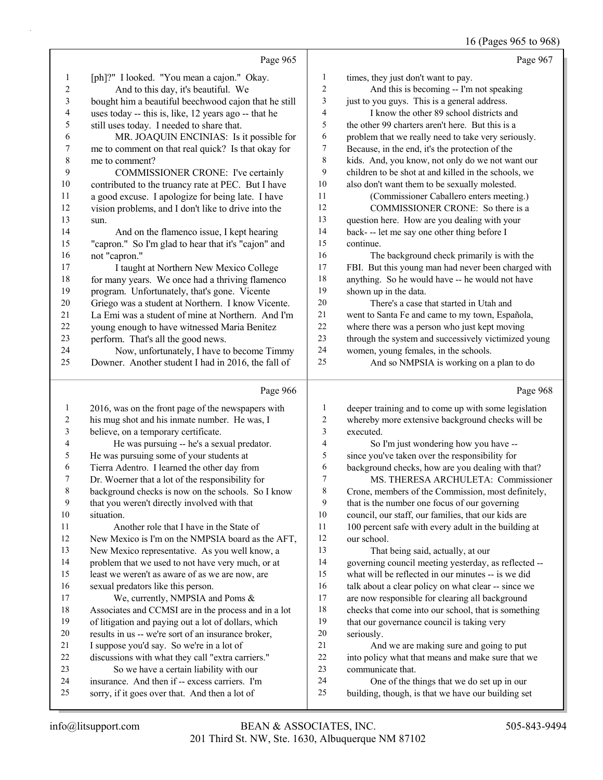# 16 (Pages 965 to 968)

|                          |                                                      |                  | $10$ (1 ages 700 to 700                              |
|--------------------------|------------------------------------------------------|------------------|------------------------------------------------------|
|                          | Page 965                                             |                  | Page 967                                             |
| 1                        | [ph]?" I looked. "You mean a cajon." Okay.           | $\mathbf{1}$     | times, they just don't want to pay.                  |
| $\sqrt{2}$               | And to this day, it's beautiful. We                  | $\overline{2}$   | And this is becoming -- I'm not speaking             |
| 3                        | bought him a beautiful beechwood cajon that he still | 3                | just to you guys. This is a general address.         |
| $\overline{\mathcal{A}}$ | uses today -- this is, like, 12 years ago -- that he | 4                | I know the other 89 school districts and             |
| 5                        | still uses today. I needed to share that.            | 5                | the other 99 charters aren't here. But this is a     |
| 6                        | MR. JOAQUIN ENCINIAS: Is it possible for             | 6                | problem that we really need to take very seriously.  |
| $\boldsymbol{7}$         | me to comment on that real quick? Is that okay for   | 7                | Because, in the end, it's the protection of the      |
| $\,$ $\,$                | me to comment?                                       | $\,$ $\,$        | kids. And, you know, not only do we not want our     |
| 9                        | COMMISSIONER CRONE: I've certainly                   | 9                | children to be shot at and killed in the schools, we |
| $10\,$                   | contributed to the truancy rate at PEC. But I have   | 10               | also don't want them to be sexually molested.        |
| 11                       | a good excuse. I apologize for being late. I have    | 11               | (Commissioner Caballero enters meeting.)             |
| 12                       | vision problems, and I don't like to drive into the  | 12               | COMMISSIONER CRONE: So there is a                    |
| 13                       | sun.                                                 | 13               | question here. How are you dealing with your         |
| 14                       | And on the flamenco issue, I kept hearing            | 14               | back--- let me say one other thing before I          |
| 15                       | "capron." So I'm glad to hear that it's "cajon" and  | 15               | continue.                                            |
| 16                       | not "capron."                                        | 16               | The background check primarily is with the           |
| 17                       | I taught at Northern New Mexico College              | 17               | FBI. But this young man had never been charged with  |
| $18\,$                   | for many years. We once had a thriving flamenco      | 18               | anything. So he would have -- he would not have      |
| 19                       | program. Unfortunately, that's gone. Vicente         | 19               | shown up in the data.                                |
| $20\,$                   | Griego was a student at Northern. I know Vicente.    | 20               | There's a case that started in Utah and              |
| 21                       | La Emi was a student of mine at Northern. And I'm    | $21\,$           | went to Santa Fe and came to my town, Española,      |
| $22\,$                   | young enough to have witnessed Maria Benitez         | $22\,$           | where there was a person who just kept moving        |
| 23                       | perform. That's all the good news.                   | 23               | through the system and successively victimized young |
| 24                       | Now, unfortunately, I have to become Timmy           | 24               | women, young females, in the schools.                |
| 25                       | Downer. Another student I had in 2016, the fall of   | 25               | And so NMPSIA is working on a plan to do             |
|                          | Page 966                                             |                  | Page 968                                             |
| $\mathbf{1}$             | 2016, was on the front page of the newspapers with   | $\mathbf{1}$     | deeper training and to come up with some legislation |
| $\overline{c}$           | his mug shot and his inmate number. He was, I        | $\overline{c}$   | whereby more extensive background checks will be     |
| $\mathfrak{Z}$           | believe, on a temporary certificate.                 | 3                | executed.                                            |
| 4                        | He was pursuing -- he's a sexual predator.           | 4                | So I'm just wondering how you have --                |
| 5                        | He was pursuing some of your students at             | 5                | since you've taken over the responsibility for       |
| 6                        | Tierra Adentro. I learned the other day from         | 6                | background checks, how are you dealing with that?    |
| 7                        | Dr. Woerner that a lot of the responsibility for     | $\boldsymbol{7}$ | MS. THERESA ARCHULETA: Commissioner                  |
| 8                        | background checks is now on the schools. So I know   | $\,$ 8 $\,$      | Crone, members of the Commission, most definitely,   |
| 9                        | that you weren't directly involved with that         | 9                | that is the number one focus of our governing        |
| 10                       | situation.                                           | $10\,$           | council, our staff, our families, that our kids are  |
| 11                       | Another role that I have in the State of             | 11               | 100 percent safe with every adult in the building at |
| 12                       | New Mexico is I'm on the NMPSIA board as the AFT,    | 12               | our school.                                          |
| 13                       | New Mexico representative. As you well know, a       | 13               | That being said, actually, at our                    |
| 14                       | problem that we used to not have very much, or at    | 14               | governing council meeting yesterday, as reflected -- |
| 15                       | least we weren't as aware of as we are now, are      | 15               | what will be reflected in our minutes -- is we did   |
| 16                       | sexual predators like this person.                   | 16               | talk about a clear policy on what clear -- since we  |
| 17                       | We, currently, NMPSIA and Poms &                     | 17               | are now responsible for clearing all background      |
| 18                       | Associates and CCMSI are in the process and in a lot | 18               | checks that come into our school, that is something  |
| 19                       | of litigation and paying out a lot of dollars, which | 19               | that our governance council is taking very           |
| $20\,$                   | results in us -- we're sort of an insurance broker,  | $20\,$           | seriously.                                           |
| 21                       | I suppose you'd say. So we're in a lot of            | $21\,$           | And we are making sure and going to put              |
| $22\,$                   | discussions with what they call "extra carriers."    | $22\,$           | into policy what that means and make sure that we    |

 insurance. And then if -- excess carriers. I'm communicate that.

24 One of the things that we do set up in our building, though, is that we have our building set

23 So we have a certain liability with our

sorry, if it goes over that. And then a lot of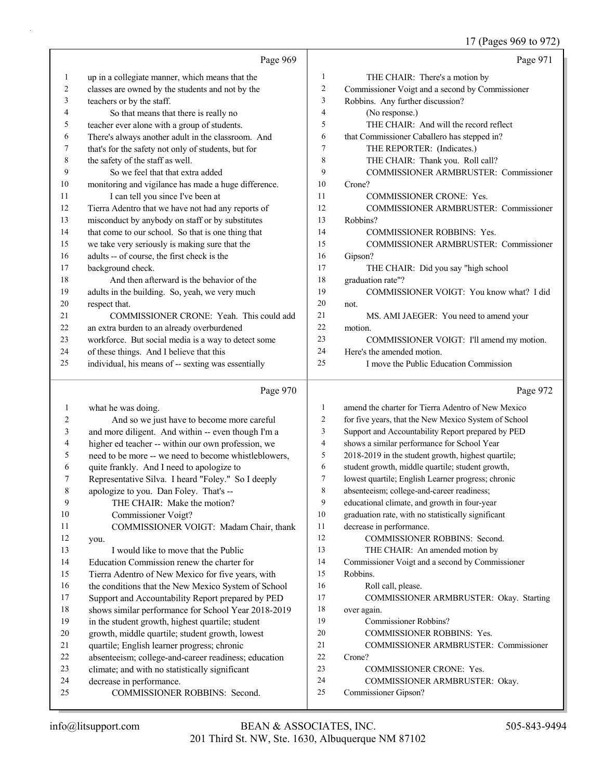|          |                                                           |                | 17 (Pages 969 to 972)                                  |
|----------|-----------------------------------------------------------|----------------|--------------------------------------------------------|
|          | Page 969                                                  |                | Page 971                                               |
| 1        | up in a collegiate manner, which means that the           | 1              | THE CHAIR: There's a motion by                         |
| 2        | classes are owned by the students and not by the          | $\overline{c}$ | Commissioner Voigt and a second by Commissioner        |
| 3        | teachers or by the staff.                                 | 3              | Robbins. Any further discussion?                       |
| 4        | So that means that there is really no                     | 4              | (No response.)                                         |
| 5        | teacher ever alone with a group of students.              | 5              | THE CHAIR: And will the record reflect                 |
| 6        | There's always another adult in the classroom. And        | 6              | that Commissioner Caballero has stepped in?            |
| 7        | that's for the safety not only of students, but for       | 7              | THE REPORTER: (Indicates.)                             |
| 8        | the safety of the staff as well.                          | 8              | THE CHAIR: Thank you. Roll call?                       |
| 9        | So we feel that that extra added                          | 9              | COMMISSIONER ARMBRUSTER: Commissioner                  |
| 10       | monitoring and vigilance has made a huge difference.      | 10             | Crone?                                                 |
| 11       | I can tell you since I've been at                         | 11             | <b>COMMISSIONER CRONE: Yes.</b>                        |
| 12       | Tierra Adentro that we have not had any reports of        | 12             | COMMISSIONER ARMBRUSTER: Commissioner                  |
| 13       | misconduct by anybody on staff or by substitutes          | 13             | Robbins?                                               |
| 14       | that come to our school. So that is one thing that        | 14             | <b>COMMISSIONER ROBBINS: Yes.</b>                      |
| 15       | we take very seriously is making sure that the            | 15             | COMMISSIONER ARMBRUSTER: Commissioner                  |
| 16       | adults -- of course, the first check is the               | 16             | Gipson?                                                |
| 17       | background check.                                         | 17             | THE CHAIR: Did you say "high school                    |
| 18       | And then afterward is the behavior of the                 | 18             | graduation rate"?                                      |
| 19       | adults in the building. So, yeah, we very much            | 19             | COMMISSIONER VOIGT: You know what? I did               |
| 20       | respect that.                                             | 20             | not.                                                   |
| 21       | COMMISSIONER CRONE: Yeah. This could add                  | 21             | MS. AMI JAEGER: You need to amend your                 |
| 22       | an extra burden to an already overburdened                | 22             | motion.                                                |
| 23       | workforce. But social media is a way to detect some       | 23             | COMMISSIONER VOIGT: I'll amend my motion.              |
| 24       | of these things. And I believe that this                  | 24             | Here's the amended motion.                             |
| 25       | individual, his means of -- sexting was essentially       | 25             | I move the Public Education Commission                 |
|          | Page 970                                                  |                | Page 972                                               |
| 1        | what he was doing.                                        | $\mathbf{1}$   | amend the charter for Tierra Adentro of New Mexico     |
| 2        | And so we just have to become more careful                | 2              | for five years, that the New Mexico System of School   |
| 3        | and more diligent. And within -- even though I'm a        | 3              | Support and Accountability Report prepared by PED      |
| 4        | higher ed teacher -- within our own profession, we        | 4              | shows a similar performance for School Year            |
| 5        | need to be more -- we need to become whistleblowers,      | 5              | 2018-2019 in the student growth, highest quartile;     |
| 6        | quite frankly. And I need to apologize to                 | 6              | student growth, middle quartile; student growth,       |
|          | Representative Silva. I heard "Foley." So I deeply        | 7              | lowest quartile; English Learner progress; chronic     |
| 8        | apologize to you. Dan Foley. That's --                    | 8              | absenteeism; college-and-career readiness;             |
| 9        | THE CHAIR: Make the motion?                               | 9              | educational climate, and growth in four-year           |
| 10       | Commissioner Voigt?                                       | 10             | graduation rate, with no statistically significant     |
| 11       | COMMISSIONER VOIGT: Madam Chair, thank                    | 11             | decrease in performance.                               |
| 12       | you.                                                      | 12             | COMMISSIONER ROBBINS: Second.                          |
| 13       | I would like to move that the Public                      | 13             | THE CHAIR: An amended motion by                        |
| 14       | Education Commission renew the charter for                | 14             | Commissioner Voigt and a second by Commissioner        |
| 15       | Tierra Adentro of New Mexico for five years, with         | 15             | Robbins.                                               |
| 16       | the conditions that the New Mexico System of School       | 16             | Roll call, please.                                     |
| 17       | Support and Accountability Report prepared by PED         | 17             | COMMISSIONER ARMBRUSTER: Okay. Starting                |
| 18       | shows similar performance for School Year 2018-2019       | 18             | over again.                                            |
| 19       | in the student growth, highest quartile; student          | 19             | Commissioner Robbins?                                  |
| 20       | growth, middle quartile; student growth, lowest           | 20             | COMMISSIONER ROBBINS: Yes.                             |
| 21       | quartile; English learner progress; chronic               | 21             | COMMISSIONER ARMBRUSTER: Commissioner                  |
| 22       | absenteeism; college-and-career readiness; education      | 22             | Crone?                                                 |
| 23       | climate; and with no statistically significant            | 23             | <b>COMMISSIONER CRONE: Yes.</b>                        |
|          |                                                           |                |                                                        |
| 24<br>25 | decrease in performance.<br>COMMISSIONER ROBBINS: Second. | 24<br>25       | COMMISSIONER ARMBRUSTER: Okay.<br>Commissioner Gipson? |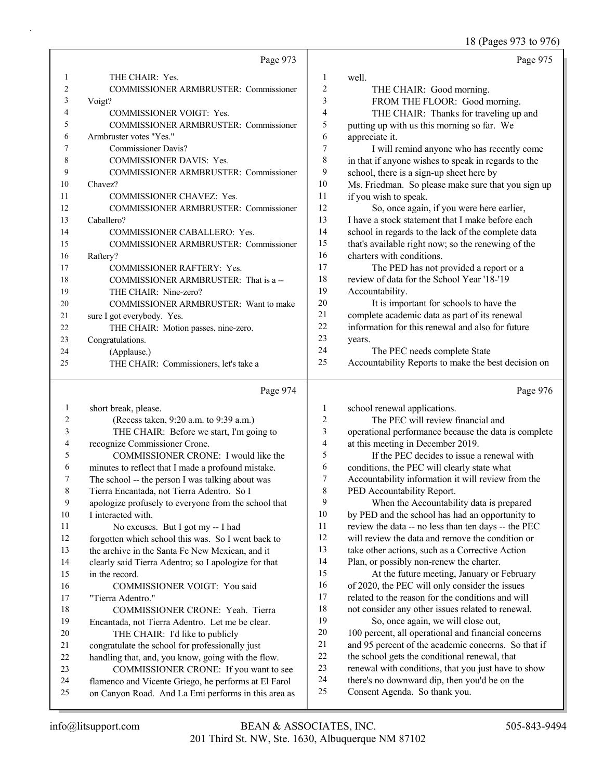18 (Pages 973 to 976)

|    | Page 973                                     |                | Page 975                                             |
|----|----------------------------------------------|----------------|------------------------------------------------------|
|    | THE CHAIR: Yes.                              | 1              | well.                                                |
| 2  | COMMISSIONER ARMBRUSTER: Commissioner        | $\overline{2}$ | THE CHAIR: Good morning.                             |
| 3  | Voigt?                                       | 3              | FROM THE FLOOR: Good morning.                        |
| 4  | <b>COMMISSIONER VOIGT: Yes.</b>              | 4              | THE CHAIR: Thanks for traveling up and               |
| 5  | COMMISSIONER ARMBRUSTER: Commissioner        | 5              | putting up with us this morning so far. We           |
| 6  | Armbruster votes "Yes."                      | 6              | appreciate it.                                       |
| 7  | <b>Commissioner Davis?</b>                   | $\overline{7}$ | I will remind anyone who has recently come           |
| 8  | <b>COMMISSIONER DAVIS: Yes.</b>              | 8              | in that if anyone wishes to speak in regards to the  |
| 9  | COMMISSIONER ARMBRUSTER: Commissioner        | 9              | school, there is a sign-up sheet here by             |
| 10 | Chavez?                                      | 10             | Ms. Friedman. So please make sure that you sign up   |
| 11 | COMMISSIONER CHAVEZ: Yes.                    | 11             | if you wish to speak.                                |
| 12 | <b>COMMISSIONER ARMBRUSTER: Commissioner</b> | 12             | So, once again, if you were here earlier,            |
| 13 | Caballero?                                   | 13             | I have a stock statement that I make before each     |
| 14 | COMMISSIONER CABALLERO: Yes.                 | 14             | school in regards to the lack of the complete data   |
| 15 | COMMISSIONER ARMBRUSTER: Commissioner        | 15             | that's available right now; so the renewing of the   |
| 16 | Raftery?                                     | 16             | charters with conditions.                            |
| 17 | COMMISSIONER RAFTERY: Yes.                   | 17             | The PED has not provided a report or a               |
| 18 | COMMISSIONER ARMBRUSTER: That is a --        | 18             | review of data for the School Year '18-'19           |
| 19 | THE CHAIR: Nine-zero?                        | 19             | Accountability.                                      |
| 20 | COMMISSIONER ARMBRUSTER: Want to make        | 20             | It is important for schools to have the              |
| 21 | sure I got everybody. Yes.                   | 21             | complete academic data as part of its renewal        |
| 22 | THE CHAIR: Motion passes, nine-zero.         | 22             | information for this renewal and also for future     |
| 23 | Congratulations.                             | 23             | years.                                               |
| 24 | (Applause.)                                  | 24             | The PEC needs complete State                         |
| 25 | THE CHAIR: Commissioners, let's take a       | 25             | Accountability Reports to make the best decision on  |
|    | Page 974                                     |                | Page 976                                             |
| 1  | short break, please.                         | 1              | school renewal applications.                         |
| 2  | (Recess taken, 9:20 a.m. to 9:39 a.m.)       | 2              | The PEC will review financial and                    |
| 3  | THE CHAIR: Before we start, I'm going to     | 3              | operational performance because the data is complete |
| 4  | recognize Commissioner Crone.                | 4              | at this meeting in December 2019.                    |

5 If the PEC decides to issue a renewal with conditions, the PEC will clearly state what Accountability information it will review from the PED Accountability Report.

9 When the Accountability data is prepared by PED and the school has had an opportunity to review the data -- no less than ten days -- the PEC will review the data and remove the condition or take other actions, such as a Corrective Action Plan, or possibly non-renew the charter. 15 At the future meeting, January or February

- 16 of 2020, the PEC will only consider the issues 17 related to the reason for the conditions and will
- 18 not consider any other issues related to renewal. 19 So, once again, we will close out,
- 20 100 percent, all operational and financial concerns 21 and 95 percent of the academic concerns. So that if
- 22 the school gets the conditional renewal, that
- 23 renewal with conditions, that you just have to show
- 24 there's no downward dip, then you'd be on the
- 25 Consent Agenda. So thank you.

10 I interacted with.

15 in the record.

17 "Tierra Adentro."

5 COMMISSIONER CRONE: I would like the minutes to reflect that I made a profound mistake. The school -- the person I was talking about was Tierra Encantada, not Tierra Adentro. So I

9 apologize profusely to everyone from the school that

12 forgotten which school this was. So I went back to 13 the archive in the Santa Fe New Mexican, and it 14 clearly said Tierra Adentro; so I apologize for that

11 No excuses. But I got my -- I had

16 COMMISSIONER VOIGT: You said

18 COMMISSIONER CRONE: Yeah. Tierra Encantada, not Tierra Adentro. Let me be clear. 20 THE CHAIR: I'd like to publicly congratulate the school for professionally just handling that, and, you know, going with the flow. 23 COMMISSIONER CRONE: If you want to see flamenco and Vicente Griego, he performs at El Farol on Canyon Road. And La Emi performs in this area as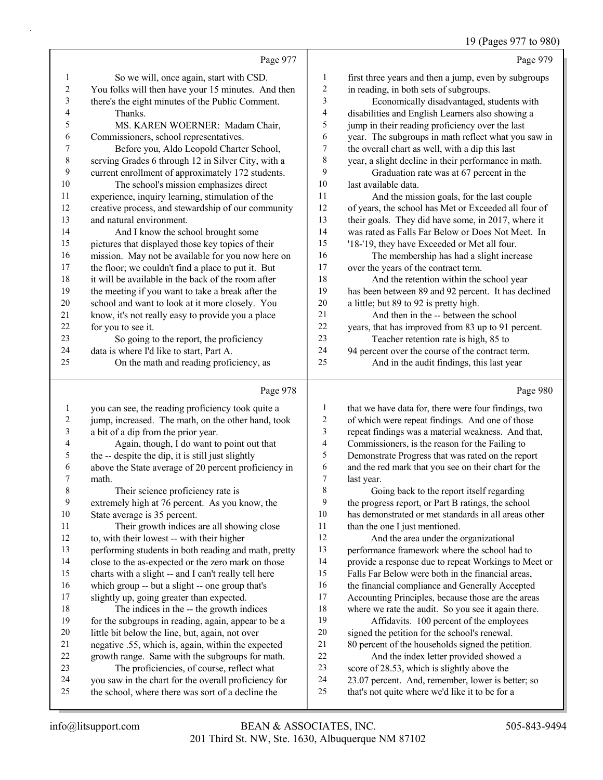# 19 (Pages 977 to 980)

|   | ١ |
|---|---|
| ш |   |

|                | Page 977                                                                                                |                  | Page 979                                                                                                |
|----------------|---------------------------------------------------------------------------------------------------------|------------------|---------------------------------------------------------------------------------------------------------|
| 1              | So we will, once again, start with CSD.                                                                 | $\mathbf{1}$     | first three years and then a jump, even by subgroups                                                    |
| $\overline{c}$ | You folks will then have your 15 minutes. And then                                                      | $\overline{c}$   | in reading, in both sets of subgroups.                                                                  |
| 3              | there's the eight minutes of the Public Comment.                                                        | 3                | Economically disadvantaged, students with                                                               |
| 4              | Thanks.                                                                                                 | 4                | disabilities and English Learners also showing a                                                        |
| 5              | MS. KAREN WOERNER: Madam Chair,                                                                         | 5                | jump in their reading proficiency over the last                                                         |
| 6              | Commissioners, school representatives.                                                                  | 6                | year. The subgroups in math reflect what you saw in                                                     |
| 7              | Before you, Aldo Leopold Charter School,                                                                | 7                | the overall chart as well, with a dip this last                                                         |
| $\,$ $\,$      | serving Grades 6 through 12 in Silver City, with a                                                      | 8                | year, a slight decline in their performance in math.                                                    |
| 9              | current enrollment of approximately 172 students.                                                       | 9                | Graduation rate was at 67 percent in the                                                                |
| 10             | The school's mission emphasizes direct                                                                  | 10               | last available data.                                                                                    |
| 11             | experience, inquiry learning, stimulation of the                                                        | 11               | And the mission goals, for the last couple                                                              |
| 12             | creative process, and stewardship of our community                                                      | 12               | of years, the school has Met or Exceeded all four of                                                    |
| 13             | and natural environment.                                                                                | 13               | their goals. They did have some, in 2017, where it                                                      |
| 14             | And I know the school brought some                                                                      | 14               | was rated as Falls Far Below or Does Not Meet. In                                                       |
| 15             | pictures that displayed those key topics of their                                                       | 15               | '18-'19, they have Exceeded or Met all four.                                                            |
| 16             | mission. May not be available for you now here on                                                       | 16               | The membership has had a slight increase                                                                |
| 17             | the floor; we couldn't find a place to put it. But                                                      | 17               | over the years of the contract term.                                                                    |
| 18             | it will be available in the back of the room after                                                      | 18               | And the retention within the school year                                                                |
| 19             | the meeting if you want to take a break after the                                                       | 19               | has been between 89 and 92 percent. It has declined                                                     |
| 20             | school and want to look at it more closely. You                                                         | 20               | a little; but 89 to 92 is pretty high.                                                                  |
| 21             | know, it's not really easy to provide you a place                                                       | $21\,$           | And then in the -- between the school                                                                   |
| 22             | for you to see it.                                                                                      | $22\,$           | years, that has improved from 83 up to 91 percent.                                                      |
| 23             | So going to the report, the proficiency                                                                 | 23               | Teacher retention rate is high, 85 to                                                                   |
| 24             | data is where I'd like to start, Part A.                                                                | 24               | 94 percent over the course of the contract term.                                                        |
| 25             | On the math and reading proficiency, as                                                                 | 25               | And in the audit findings, this last year                                                               |
|                |                                                                                                         |                  |                                                                                                         |
|                | Page 978                                                                                                |                  | Page 980                                                                                                |
| $\mathbf{1}$   |                                                                                                         | 1                |                                                                                                         |
| $\overline{c}$ | you can see, the reading proficiency took quite a<br>jump, increased. The math, on the other hand, took | $\boldsymbol{2}$ | that we have data for, there were four findings, two<br>of which were repeat findings. And one of those |
| 3              | a bit of a dip from the prior year.                                                                     | 3                | repeat findings was a material weakness. And that,                                                      |
| 4              | Again, though, I do want to point out that                                                              | 4                | Commissioners, is the reason for the Failing to                                                         |
| 5              | the -- despite the dip, it is still just slightly                                                       | 5                | Demonstrate Progress that was rated on the report                                                       |
| 6              | above the State average of 20 percent proficiency in                                                    | 6                | and the red mark that you see on their chart for the                                                    |
| $\sqrt{ }$     | math.                                                                                                   | $\overline{7}$   | last year.                                                                                              |
| 8              | Their science proficiency rate is                                                                       | 8                | Going back to the report itself regarding                                                               |
| 9              | extremely high at 76 percent. As you know, the                                                          | 9                | the progress report, or Part B ratings, the school                                                      |
| 10             | State average is 35 percent.                                                                            | 10               | has demonstrated or met standards in all areas other                                                    |
| 11             | Their growth indices are all showing close                                                              | 11               | than the one I just mentioned.                                                                          |
| 12             | to, with their lowest -- with their higher                                                              | 12               | And the area under the organizational                                                                   |
| 13             | performing students in both reading and math, pretty                                                    | 13               | performance framework where the school had to                                                           |
| 14             | close to the as-expected or the zero mark on those                                                      | 14               | provide a response due to repeat Workings to Meet or                                                    |
| 15             | charts with a slight -- and I can't really tell here                                                    | 15               | Falls Far Below were both in the financial areas,                                                       |
| 16             | which group -- but a slight -- one group that's                                                         | 16               | the financial compliance and Generally Accepted                                                         |
| 17             | slightly up, going greater than expected.                                                               | 17               | Accounting Principles, because those are the areas                                                      |
| 18             | The indices in the -- the growth indices                                                                | 18               | where we rate the audit. So you see it again there.                                                     |
| 19             | for the subgroups in reading, again, appear to be a                                                     | 19               | Affidavits. 100 percent of the employees                                                                |
| 20             | little bit below the line, but, again, not over                                                         | $20\,$           | signed the petition for the school's renewal.                                                           |
| 21             | negative .55, which is, again, within the expected                                                      | 21               | 80 percent of the households signed the petition.                                                       |
| 22             | growth range. Same with the subgroups for math.                                                         | $22\,$           | And the index letter provided showed a                                                                  |
| 23<br>24       | The proficiencies, of course, reflect what<br>you saw in the chart for the overall proficiency for      | 23<br>24         | score of 28.53, which is slightly above the<br>23.07 percent. And, remember, lower is better; so        |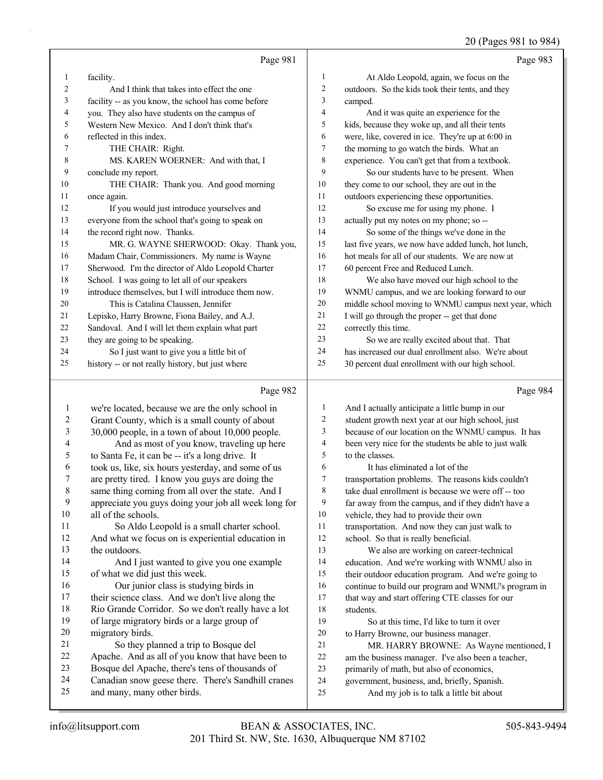|    |                                                      |    | $= 0$ (1 agos 5 o 1 as 5 o 1)                        |
|----|------------------------------------------------------|----|------------------------------------------------------|
|    | Page 981                                             |    | Page 983                                             |
| 1  | facility.                                            | 1  | At Aldo Leopold, again, we focus on the              |
| 2  | And I think that takes into effect the one           | 2  | outdoors. So the kids took their tents, and they     |
| 3  | facility -- as you know, the school has come before  | 3  | camped.                                              |
| 4  | you. They also have students on the campus of        | 4  | And it was quite an experience for the               |
| 5  | Western New Mexico. And I don't think that's         | 5  | kids, because they woke up, and all their tents      |
| 6  | reflected in this index.                             | 6  | were, like, covered in ice. They're up at 6:00 in    |
| 7  | THE CHAIR: Right.                                    | 7  | the morning to go watch the birds. What an           |
| 8  | MS. KAREN WOERNER: And with that, I                  | 8  | experience. You can't get that from a textbook.      |
| 9  | conclude my report.                                  | 9  | So our students have to be present. When             |
| 10 | THE CHAIR: Thank you. And good morning               | 10 | they come to our school, they are out in the         |
| 11 | once again.                                          | 11 | outdoors experiencing these opportunities.           |
| 12 | If you would just introduce yourselves and           | 12 | So excuse me for using my phone. I                   |
| 13 | everyone from the school that's going to speak on    | 13 | actually put my notes on my phone; so --             |
| 14 | the record right now. Thanks.                        | 14 | So some of the things we've done in the              |
| 15 | MR. G. WAYNE SHERWOOD: Okay. Thank you,              | 15 | last five years, we now have added lunch, hot lunch, |
| 16 | Madam Chair, Commissioners. My name is Wayne         | 16 | hot meals for all of our students. We are now at     |
| 17 | Sherwood. I'm the director of Aldo Leopold Charter   | 17 | 60 percent Free and Reduced Lunch.                   |
| 18 | School. I was going to let all of our speakers       | 18 | We also have moved our high school to the            |
| 19 | introduce themselves, but I will introduce them now. | 19 | WNMU campus, and we are looking forward to our       |
| 20 | This is Catalina Claussen, Jennifer                  | 20 | middle school moving to WNMU campus next year, which |
| 21 | Lepisko, Harry Browne, Fiona Bailey, and A.J.        | 21 | I will go through the proper -- get that done        |
| 22 | Sandoval. And I will let them explain what part      | 22 | correctly this time.                                 |
| 23 | they are going to be speaking.                       | 23 | So we are really excited about that. That            |
| 24 | So I just want to give you a little bit of           | 24 | has increased our dual enrollment also. We're about  |
| 25 | history -- or not really history, but just where     | 25 | 30 percent dual enrollment with our high school.     |
|    | Page 982                                             |    | Page 984                                             |

| 1  | we're located, because we are the only school in     | 1  | And I actually anticipate a little bump in our       |
|----|------------------------------------------------------|----|------------------------------------------------------|
| 2  | Grant County, which is a small county of about       | 2  | student growth next year at our high school, just    |
| 3  | 30,000 people, in a town of about 10,000 people.     | 3  | because of our location on the WNMU campus. It has   |
| 4  | And as most of you know, traveling up here           | 4  | been very nice for the students be able to just walk |
| 5  | to Santa Fe, it can be -- it's a long drive. It      | 5  | to the classes.                                      |
| 6  | took us, like, six hours yesterday, and some of us   | 6  | It has eliminated a lot of the                       |
| 7  | are pretty tired. I know you guys are doing the      | 7  | transportation problems. The reasons kids couldn't   |
| 8  | same thing coming from all over the state. And I     | 8  | take dual enrollment is because we were off -- too   |
| 9  | appreciate you guys doing your job all week long for | 9  | far away from the campus, and if they didn't have a  |
| 10 | all of the schools.                                  | 10 | vehicle, they had to provide their own               |
| 11 | So Aldo Leopold is a small charter school.           | 11 | transportation. And now they can just walk to        |
| 12 | And what we focus on is experiential education in    | 12 | school. So that is really beneficial.                |
| 13 | the outdoors.                                        | 13 | We also are working on career-technical              |
| 14 | And I just wanted to give you one example            | 14 | education. And we're working with WNMU also in       |
| 15 | of what we did just this week.                       | 15 | their outdoor education program. And we're going to  |
| 16 | Our junior class is studying birds in                | 16 | continue to build our program and WNMU's program in  |
| 17 | their science class. And we don't live along the     | 17 | that way and start offering CTE classes for our      |
| 18 | Rio Grande Corridor. So we don't really have a lot   | 18 | students.                                            |
| 19 | of large migratory birds or a large group of         | 19 | So at this time, I'd like to turn it over            |
| 20 | migratory birds.                                     | 20 | to Harry Browne, our business manager.               |
| 21 | So they planned a trip to Bosque del                 | 21 | MR. HARRY BROWNE: As Wayne mentioned, I              |
| 22 | Apache. And as all of you know that have been to     | 22 | am the business manager. I've also been a teacher,   |
| 23 | Bosque del Apache, there's tens of thousands of      | 23 | primarily of math, but also of economics,            |
| 24 | Canadian snow geese there. There's Sandhill cranes   | 24 | government, business, and, briefly, Spanish.         |
| 25 | and many, many other birds.                          | 25 | And my job is to talk a little bit about             |
|    |                                                      |    |                                                      |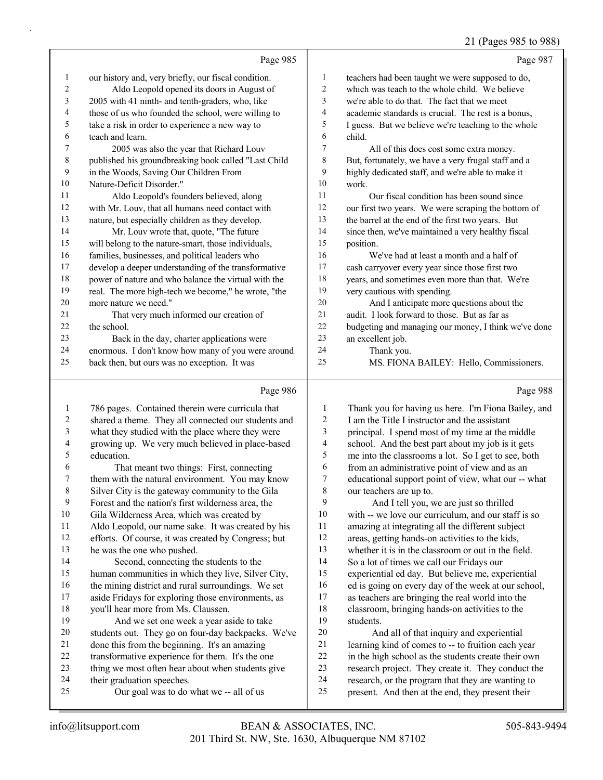#### 21 (Pages 985 to 988)

|                |                                                      |                | $21$ (1 ages 700 to 700                              |
|----------------|------------------------------------------------------|----------------|------------------------------------------------------|
|                | Page 985                                             |                | Page 987                                             |
| 1              | our history and, very briefly, our fiscal condition. | $\mathbf{1}$   | teachers had been taught we were supposed to do,     |
| $\overline{c}$ | Aldo Leopold opened its doors in August of           | $\overline{2}$ | which was teach to the whole child. We believe       |
| 3              | 2005 with 41 ninth- and tenth-graders, who, like     | 3              | we're able to do that. The fact that we meet         |
| 4              | those of us who founded the school, were willing to  | 4              | academic standards is crucial. The rest is a bonus,  |
| 5              | take a risk in order to experience a new way to      | 5              | I guess. But we believe we're teaching to the whole  |
| 6              | teach and learn.                                     | 6              | child.                                               |
| 7              | 2005 was also the year that Richard Louv             | 7              | All of this does cost some extra money.              |
| $\,8\,$        | published his groundbreaking book called "Last Child | 8              | But, fortunately, we have a very frugal staff and a  |
| 9              | in the Woods, Saving Our Children From               | 9              | highly dedicated staff, and we're able to make it    |
| $10\,$         | Nature-Deficit Disorder."                            | 10             | work.                                                |
| 11             | Aldo Leopold's founders believed, along              | 11             | Our fiscal condition has been sound since            |
| 12             | with Mr. Louv, that all humans need contact with     | 12             | our first two years. We were scraping the bottom of  |
| 13             | nature, but especially children as they develop.     | 13             | the barrel at the end of the first two years. But    |
| 14             | Mr. Louv wrote that, quote, "The future              | 14             | since then, we've maintained a very healthy fiscal   |
| 15             | will belong to the nature-smart, those individuals,  | 15             | position.                                            |
| 16             | families, businesses, and political leaders who      | 16             | We've had at least a month and a half of             |
| $17\,$         | develop a deeper understanding of the transformative | 17             | cash carryover every year since those first two      |
| $18\,$         | power of nature and who balance the virtual with the | $18\,$         | years, and sometimes even more than that. We're      |
| 19             | real. The more high-tech we become," he wrote, "the  | 19             | very cautious with spending.                         |
| $20\,$         | more nature we need."                                | $20\,$         | And I anticipate more questions about the            |
| 21             | That very much informed our creation of              | 21             | audit. I look forward to those. But as far as        |
| 22             | the school.                                          | 22             | budgeting and managing our money, I think we've done |
| 23             | Back in the day, charter applications were           | 23             | an excellent job.                                    |
| 24             | enormous. I don't know how many of you were around   | 24             | Thank you.                                           |
| 25             | back then, but ours was no exception. It was         | 25             | MS. FIONA BAILEY: Hello, Commissioners.              |
|                | Page 986                                             |                | Page 988                                             |
| $\mathbf{1}$   | 786 pages. Contained therein were curricula that     | 1              | Thank you for having us here. I'm Fiona Bailey, and  |
| $\overline{c}$ | shared a theme. They all connected our students and  | 2              | I am the Title I instructor and the assistant        |
| 3              | what they studied with the place where they were     | 3              | principal. I spend most of my time at the middle     |
| 4              | growing up. We very much believed in place-based     | 4              | school. And the best part about my job is it gets    |
| 5              | education.                                           | 5              | me into the classrooms a lot. So I get to see, both  |
|                |                                                      |                |                                                      |

6 That meant two things: First, connecting them with the natural environment. You may know Silver City is the gateway community to the Gila Forest and the nation's first wilderness area, the Gila Wilderness Area, which was created by

Aldo Leopold, our name sake. It was created by his

 efforts. Of course, it was created by Congress; but he was the one who pushed.

14 Second, connecting the students to the human communities in which they live, Silver City,

- 16 the mining district and rural surroundings. We set
- aside Fridays for exploring those environments, as you'll hear more from Ms. Claussen.

19 And we set one week a year aside to take students out. They go on four-day backpacks. We've done this from the beginning. It's an amazing

- transformative experience for them. It's the one
- thing we most often hear about when students give
- their graduation speeches.

# 25 Our goal was to do what we -- all of us

 from an administrative point of view and as an educational support point of view, what our -- what our teachers are up to. 9 And I tell you, we are just so thrilled with -- we love our curriculum, and our staff is so amazing at integrating all the different subject

- areas, getting hands-on activities to the kids,
- whether it is in the classroom or out in the field. So a lot of times we call our Fridays our

experiential ed day. But believe me, experiential

ed is going on every day of the week at our school,

as teachers are bringing the real world into the

 classroom, bringing hands-on activities to the students.

20 And all of that inquiry and experiential learning kind of comes to -- to fruition each year in the high school as the students create their own research project. They create it. They conduct the research, or the program that they are wanting to present. And then at the end, they present their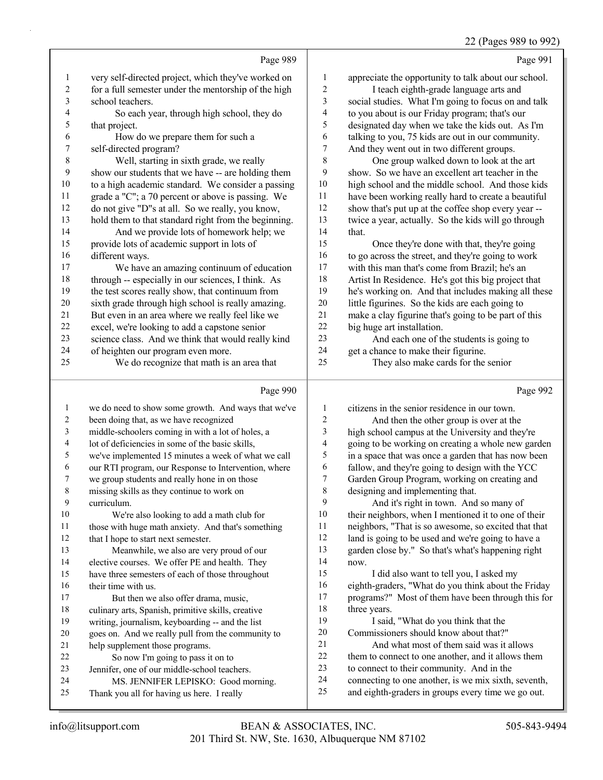22 (Pages 989 to 992)

| $(Pa$ ges 989 to $\theta$ |  |
|---------------------------|--|

|                          |                                                      |                          | $22 \text{ (1460)}$ 10) to 112                       |
|--------------------------|------------------------------------------------------|--------------------------|------------------------------------------------------|
|                          | Page 989                                             |                          | Page 991                                             |
| $\mathbf{1}$             | very self-directed project, which they've worked on  | $\mathbf{1}$             | appreciate the opportunity to talk about our school. |
| $\sqrt{2}$               | for a full semester under the mentorship of the high | 2                        | I teach eighth-grade language arts and               |
| 3                        | school teachers.                                     | $\mathfrak{Z}$           | social studies. What I'm going to focus on and talk  |
| $\overline{\mathcal{L}}$ | So each year, through high school, they do           | 4                        | to you about is our Friday program; that's our       |
| 5                        | that project.                                        | 5                        | designated day when we take the kids out. As I'm     |
| 6                        | How do we prepare them for such a                    | 6                        | talking to you, 75 kids are out in our community.    |
| $\boldsymbol{7}$         | self-directed program?                               | $\boldsymbol{7}$         | And they went out in two different groups.           |
| $\,$ 8 $\,$              | Well, starting in sixth grade, we really             | $\,$ $\,$                | One group walked down to look at the art             |
| 9                        | show our students that we have -- are holding them   | 9                        | show. So we have an excellent art teacher in the     |
| $10\,$                   | to a high academic standard. We consider a passing   | 10                       | high school and the middle school. And those kids    |
| 11                       | grade a "C"; a 70 percent or above is passing. We    | 11                       | have been working really hard to create a beautiful  |
| 12                       | do not give "D"s at all. So we really, you know,     | 12                       | show that's put up at the coffee shop every year --  |
| 13                       | hold them to that standard right from the beginning. | 13                       | twice a year, actually. So the kids will go through  |
| 14                       | And we provide lots of homework help; we             | 14                       | that.                                                |
| 15                       | provide lots of academic support in lots of          | 15                       | Once they're done with that, they're going           |
| 16                       | different ways.                                      | 16                       | to go across the street, and they're going to work   |
| 17                       | We have an amazing continuum of education            | 17                       | with this man that's come from Brazil; he's an       |
| $18\,$                   | through -- especially in our sciences, I think. As   | 18                       | Artist In Residence. He's got this big project that  |
| 19                       | the test scores really show, that continuum from     | 19                       | he's working on. And that includes making all these  |
| 20                       | sixth grade through high school is really amazing.   | 20                       | little figurines. So the kids are each going to      |
| 21                       | But even in an area where we really feel like we     | $21\,$                   | make a clay figurine that's going to be part of this |
| 22                       | excel, we're looking to add a capstone senior        | 22                       | big huge art installation.                           |
| 23                       | science class. And we think that would really kind   | 23                       | And each one of the students is going to             |
| 24                       | of heighten our program even more.                   | 24                       | get a chance to make their figurine.                 |
| 25                       | We do recognize that math is an area that            | 25                       | They also make cards for the senior                  |
|                          | Page 990                                             |                          | Page 992                                             |
| $\mathbf{1}$             | we do need to show some growth. And ways that we've  | $\mathbf{1}$             | citizens in the senior residence in our town.        |
| $\boldsymbol{2}$         | been doing that, as we have recognized               | 2                        | And then the other group is over at the              |
| $\overline{\mathbf{3}}$  | middle-schoolers coming in with a lot of holes, a    | $\mathfrak{Z}$           | high school campus at the University and they're     |
| $\overline{\mathbf{4}}$  | lot of deficiencies in some of the basic skills,     | $\overline{\mathcal{L}}$ | going to be working on creating a whole new garden   |
| 5                        | we've implemented 15 minutes a week of what we call  | 5                        | in a space that was once a garden that has now been  |
| 6                        | our RTI program, our Response to Intervention, where | 6                        | fallow, and they're going to design with the YCC     |
| $\boldsymbol{7}$         | we group students and really hone in on those        | $\boldsymbol{7}$         | Garden Group Program, working on creating and        |
| $\,$ 8 $\,$              | missing skills as they continue to work on           | $\,$ $\,$                | designing and implementing that.                     |
| 9                        | curriculum.                                          | 9                        | And it's right in town. And so many of               |
| 10                       | We're also looking to add a math club for            | 10                       | their neighbors, when I mentioned it to one of their |
| 11                       | those with huge math anxiety. And that's something   | 11                       | neighbors, "That is so awesome, so excited that that |
| 12                       | that I hope to start next semester.                  | 12                       | land is going to be used and we're going to have a   |

22 So now I'm going to pass it on to Jennifer, one of our middle-school teachers.

17 But then we also offer drama, music, culinary arts, Spanish, primitive skills, creative writing, journalism, keyboarding -- and the list goes on. And we really pull from the community to

13 Meanwhile, we also are very proud of our elective courses. We offer PE and health. They have three semesters of each of those throughout

- 24 MS. JENNIFER LEPISKO: Good morning.
- Thank you all for having us here. I really

help supplement those programs.

201 Third St. NW, Ste. 1630, Albuquerque NM 87102 info@litsupport.com BEAN & ASSOCIATES, INC. 505-843-9494

now.

18 three years.

garden close by." So that's what's happening right

 eighth-graders, "What do you think about the Friday programs?" Most of them have been through this for

 connecting to one another, is we mix sixth, seventh, and eighth-graders in groups every time we go out.

15 I did also want to tell you, I asked my

19 I said, "What do you think that the Commissioners should know about that?" 21 And what most of them said was it allows 22 them to connect to one another, and it allows them to connect to their community. And in the

16 their time with us.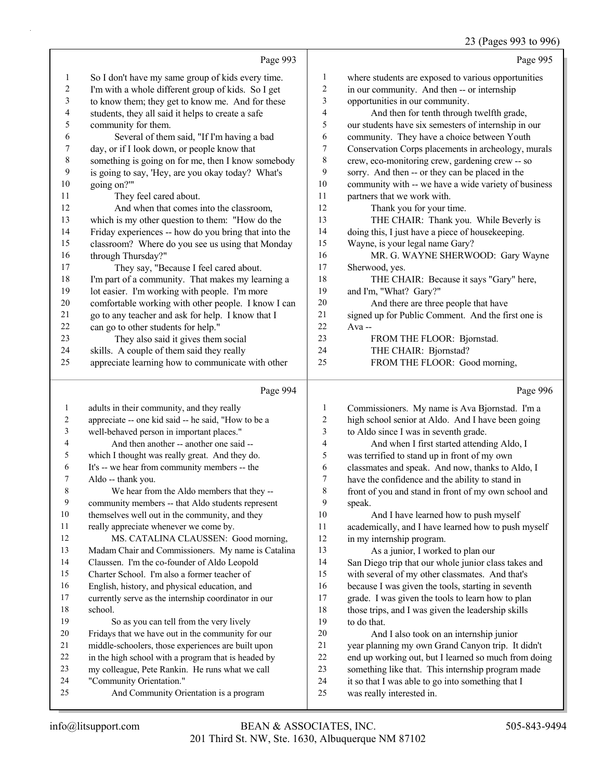# 23 (Pages 993 to 996)

|                          |                                                                                                       |                         | 23 (Pages 993 to 996)                                                                                     |
|--------------------------|-------------------------------------------------------------------------------------------------------|-------------------------|-----------------------------------------------------------------------------------------------------------|
|                          | Page 993                                                                                              |                         | Page 995                                                                                                  |
| 1                        | So I don't have my same group of kids every time.                                                     | 1                       | where students are exposed to various opportunities                                                       |
| $\sqrt{2}$               | I'm with a whole different group of kids. So I get                                                    | $\sqrt{2}$              | in our community. And then -- or internship                                                               |
| 3                        | to know them; they get to know me. And for these                                                      | 3                       | opportunities in our community.                                                                           |
| $\overline{\mathcal{L}}$ | students, they all said it helps to create a safe                                                     | $\overline{\mathbf{4}}$ | And then for tenth through twelfth grade,                                                                 |
| 5                        | community for them.                                                                                   | 5                       | our students have six semesters of internship in our                                                      |
| 6                        | Several of them said, "If I'm having a bad                                                            | 6                       | community. They have a choice between Youth                                                               |
| $\boldsymbol{7}$         | day, or if I look down, or people know that                                                           | $\tau$                  | Conservation Corps placements in archeology, murals                                                       |
| $\,$ 8 $\,$              | something is going on for me, then I know somebody                                                    | $\,$ 8 $\,$             | crew, eco-monitoring crew, gardening crew -- so                                                           |
| 9                        | is going to say, 'Hey, are you okay today? What's                                                     | 9                       | sorry. And then -- or they can be placed in the                                                           |
| 10                       | going on?""                                                                                           | 10                      | community with -- we have a wide variety of business                                                      |
| 11                       | They feel cared about.                                                                                | 11                      | partners that we work with.                                                                               |
| 12                       | And when that comes into the classroom,                                                               | 12                      | Thank you for your time.                                                                                  |
| 13                       | which is my other question to them: "How do the                                                       | 13                      | THE CHAIR: Thank you. While Beverly is                                                                    |
| 14                       | Friday experiences -- how do you bring that into the                                                  | 14                      | doing this, I just have a piece of housekeeping.                                                          |
| 15                       | classroom? Where do you see us using that Monday                                                      | 15                      | Wayne, is your legal name Gary?                                                                           |
| 16                       | through Thursday?"                                                                                    | 16                      | MR. G. WAYNE SHERWOOD: Gary Wayne                                                                         |
| 17                       | They say, "Because I feel cared about.                                                                | 17                      | Sherwood, yes.                                                                                            |
| 18                       | I'm part of a community. That makes my learning a                                                     | 18                      | THE CHAIR: Because it says "Gary" here,                                                                   |
| 19                       | lot easier. I'm working with people. I'm more                                                         | 19                      | and I'm, "What? Gary?"                                                                                    |
| $20\,$                   | comfortable working with other people. I know I can                                                   | 20                      | And there are three people that have                                                                      |
| 21                       | go to any teacher and ask for help. I know that I                                                     | $21\,$                  | signed up for Public Comment. And the first one is                                                        |
| $22\,$                   | can go to other students for help."                                                                   | 22                      | Ava-                                                                                                      |
| 23                       | They also said it gives them social                                                                   | 23                      | FROM THE FLOOR: Bjornstad.                                                                                |
| 24                       | skills. A couple of them said they really                                                             | 24                      | THE CHAIR: Bjornstad?                                                                                     |
| 25                       | appreciate learning how to communicate with other                                                     | 25                      | FROM THE FLOOR: Good morning,                                                                             |
|                          |                                                                                                       |                         |                                                                                                           |
|                          |                                                                                                       |                         |                                                                                                           |
|                          | Page 994                                                                                              |                         | Page 996                                                                                                  |
| $\mathbf{1}$             |                                                                                                       | $\mathbf{1}$            |                                                                                                           |
|                          | adults in their community, and they really                                                            |                         | Commissioners. My name is Ava Bjornstad. I'm a                                                            |
| $\boldsymbol{2}$<br>3    | appreciate -- one kid said -- he said, "How to be a                                                   | $\sqrt{2}$<br>3         | high school senior at Aldo. And I have been going                                                         |
| $\overline{4}$           | well-behaved person in important places."                                                             | $\overline{4}$          | to Aldo since I was in seventh grade.                                                                     |
| 5                        | And then another -- another one said --                                                               | 5                       | And when I first started attending Aldo, I                                                                |
| 6                        | which I thought was really great. And they do.                                                        | 6                       | was terrified to stand up in front of my own                                                              |
| 7                        | It's -- we hear from community members -- the                                                         | 7                       | classmates and speak. And now, thanks to Aldo, I                                                          |
| 8                        | Aldo -- thank you.                                                                                    |                         | have the confidence and the ability to stand in                                                           |
| 9                        | We hear from the Aldo members that they --<br>community members -- that Aldo students represent       | $\,$ 8 $\,$<br>9        | front of you and stand in front of my own school and<br>speak.                                            |
| 10                       | themselves well out in the community, and they                                                        | 10                      |                                                                                                           |
| 11                       |                                                                                                       | 11                      | And I have learned how to push myself                                                                     |
| 12                       | really appreciate whenever we come by.                                                                | 12                      | academically, and I have learned how to push myself                                                       |
| 13                       | MS. CATALINA CLAUSSEN: Good morning,                                                                  | 13                      | in my internship program.                                                                                 |
| 14                       | Madam Chair and Commissioners. My name is Catalina<br>Claussen. I'm the co-founder of Aldo Leopold    | 14                      | As a junior, I worked to plan our                                                                         |
| 15                       | Charter School. I'm also a former teacher of                                                          | 15                      | San Diego trip that our whole junior class takes and<br>with several of my other classmates. And that's   |
| 16                       |                                                                                                       | 16                      |                                                                                                           |
| 17                       | English, history, and physical education, and<br>currently serve as the internship coordinator in our | 17                      | because I was given the tools, starting in seventh                                                        |
| 18                       | school.                                                                                               | 18                      | grade. I was given the tools to learn how to plan                                                         |
| 19                       |                                                                                                       | 19                      | those trips, and I was given the leadership skills<br>to do that.                                         |
| 20                       | So as you can tell from the very lively<br>Fridays that we have out in the community for our          | 20                      | And I also took on an internship junior                                                                   |
| 21                       | middle-schoolers, those experiences are built upon                                                    | 21                      |                                                                                                           |
| 22                       | in the high school with a program that is headed by                                                   | 22                      | year planning my own Grand Canyon trip. It didn't<br>end up working out, but I learned so much from doing |
| 23                       | my colleague, Pete Rankin. He runs what we call                                                       | 23                      | something like that. This internship program made                                                         |
| 24                       | "Community Orientation."                                                                              | 24                      | it so that I was able to go into something that I                                                         |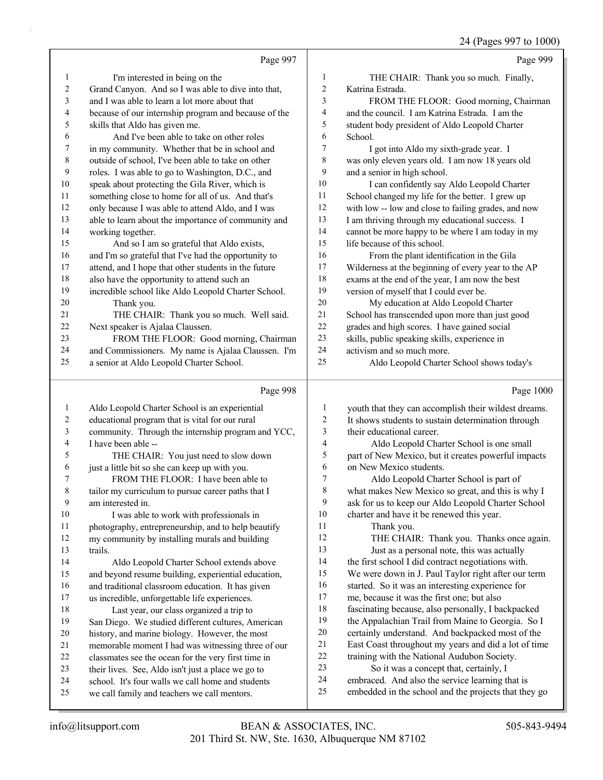24 (Pages 997 to 1000)

|                         | Page 997                                                                                          |                  | Page 999                                                                                                   |
|-------------------------|---------------------------------------------------------------------------------------------------|------------------|------------------------------------------------------------------------------------------------------------|
| 1                       | I'm interested in being on the                                                                    | $\mathbf{1}$     | THE CHAIR: Thank you so much. Finally,                                                                     |
| $\overline{\mathbf{c}}$ | Grand Canyon. And so I was able to dive into that,                                                | $\boldsymbol{2}$ | Katrina Estrada.                                                                                           |
| 3                       | and I was able to learn a lot more about that                                                     | 3                | FROM THE FLOOR: Good morning, Chairman                                                                     |
| 4                       | because of our internship program and because of the                                              | 4                | and the council. I am Katrina Estrada. I am the                                                            |
| 5                       | skills that Aldo has given me.                                                                    | 5                | student body president of Aldo Leopold Charter                                                             |
| 6                       | And I've been able to take on other roles                                                         | 6                | School.                                                                                                    |
| 7                       | in my community. Whether that be in school and                                                    | 7                | I got into Aldo my sixth-grade year. I                                                                     |
| $\,$ 8 $\,$             | outside of school, I've been able to take on other                                                | 8                | was only eleven years old. I am now 18 years old                                                           |
| $\mathbf{9}$            | roles. I was able to go to Washington, D.C., and                                                  | 9                | and a senior in high school.                                                                               |
| $10\,$                  | speak about protecting the Gila River, which is                                                   | 10               | I can confidently say Aldo Leopold Charter                                                                 |
| 11                      | something close to home for all of us. And that's                                                 | 11               | School changed my life for the better. I grew up                                                           |
| 12                      | only because I was able to attend Aldo, and I was                                                 | 12               | with low -- low and close to failing grades, and now                                                       |
| 13                      | able to learn about the importance of community and                                               | 13               | I am thriving through my educational success. I                                                            |
| 14                      | working together.                                                                                 | 14               | cannot be more happy to be where I am today in my                                                          |
| 15                      | And so I am so grateful that Aldo exists,                                                         | 15               | life because of this school.                                                                               |
| 16                      | and I'm so grateful that I've had the opportunity to                                              | 16               | From the plant identification in the Gila                                                                  |
| 17                      | attend, and I hope that other students in the future                                              | 17               | Wilderness at the beginning of every year to the AP                                                        |
| 18                      | also have the opportunity to attend such an                                                       | 18               | exams at the end of the year, I am now the best                                                            |
| 19                      | incredible school like Aldo Leopold Charter School.                                               | 19               | version of myself that I could ever be.                                                                    |
| 20                      | Thank you.                                                                                        | 20               | My education at Aldo Leopold Charter                                                                       |
| 21                      | THE CHAIR: Thank you so much. Well said.                                                          | $21\,$           | School has transcended upon more than just good                                                            |
| 22                      | Next speaker is Ajalaa Claussen.                                                                  | 22               | grades and high scores. I have gained social                                                               |
| 23                      | FROM THE FLOOR: Good morning, Chairman                                                            | 23               | skills, public speaking skills, experience in                                                              |
| 24                      | and Commissioners. My name is Ajalaa Claussen. I'm                                                | 24               | activism and so much more.                                                                                 |
| 25                      | a senior at Aldo Leopold Charter School.                                                          | 25               | Aldo Leopold Charter School shows today's                                                                  |
|                         |                                                                                                   |                  |                                                                                                            |
|                         | Page 998                                                                                          |                  | Page 1000                                                                                                  |
| $\mathbf{1}$            |                                                                                                   | $\mathbf{1}$     |                                                                                                            |
| 2                       | Aldo Leopold Charter School is an experiential<br>educational program that is vital for our rural | 2                | youth that they can accomplish their wildest dreams.<br>It shows students to sustain determination through |
| 3                       | community. Through the internship program and YCC,                                                | 3                | their educational career.                                                                                  |
| 4                       | I have been able --                                                                               | 4                | Aldo Leopold Charter School is one small                                                                   |
| 5                       | THE CHAIR: You just need to slow down                                                             | 5                | part of New Mexico, but it creates powerful impacts                                                        |
| 6                       | just a little bit so she can keep up with you.                                                    | 6                | on New Mexico students.                                                                                    |
| 7                       | FROM THE FLOOR: I have been able to                                                               | $\boldsymbol{7}$ | Aldo Leopold Charter School is part of                                                                     |
| 8                       | tailor my curriculum to pursue career paths that I                                                | 8                | what makes New Mexico so great, and this is why I                                                          |
| 9                       | am interested in.                                                                                 | 9                | ask for us to keep our Aldo Leopold Charter School                                                         |
| 10                      | I was able to work with professionals in                                                          | 10               | charter and have it be renewed this year.                                                                  |
| 11                      | photography, entrepreneurship, and to help beautify                                               | 11               | Thank you.                                                                                                 |
| 12                      | my community by installing murals and building                                                    | 12               | THE CHAIR: Thank you. Thanks once again.                                                                   |
| 13                      | trails.                                                                                           | 13               | Just as a personal note, this was actually                                                                 |
| 14                      | Aldo Leopold Charter School extends above                                                         | 14               | the first school I did contract negotiations with.                                                         |
| 15                      | and beyond resume building, experiential education,                                               | 15               | We were down in J. Paul Taylor right after our term                                                        |
| 16                      | and traditional classroom education. It has given                                                 | 16               | started. So it was an interesting experience for                                                           |
| 17                      | us incredible, unforgettable life experiences.                                                    | 17               | me, because it was the first one; but also                                                                 |
| 18                      | Last year, our class organized a trip to                                                          | 18               | fascinating because, also personally, I backpacked                                                         |
| 19                      | San Diego. We studied different cultures, American                                                | 19               | the Appalachian Trail from Maine to Georgia. So I                                                          |
| 20                      | history, and marine biology. However, the most                                                    | $20\,$           | certainly understand. And backpacked most of the                                                           |
| 21                      | memorable moment I had was witnessing three of our                                                | 21               | East Coast throughout my years and did a lot of time                                                       |
| $22\,$                  | classmates see the ocean for the very first time in                                               | $22\,$           | training with the National Audubon Society.                                                                |
| 23                      | their lives. See, Aldo isn't just a place we go to                                                | 23               | So it was a concept that, certainly, I                                                                     |
| 24<br>25                | school. It's four walls we call home and students<br>we call family and teachers we call mentors. | 24<br>25         | embraced. And also the service learning that is<br>embedded in the school and the projects that they go    |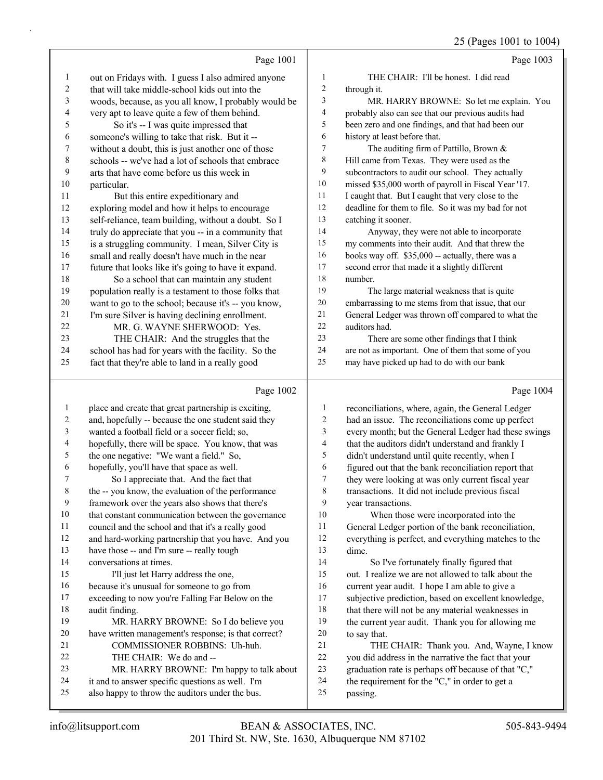|    |                                                      |                | $23$ (1 agos 1001 to 100                             |  |
|----|------------------------------------------------------|----------------|------------------------------------------------------|--|
|    | Page 1001                                            |                | Page 1003                                            |  |
| 1  | out on Fridays with. I guess I also admired anyone   | 1              | THE CHAIR: I'll be honest. I did read                |  |
| 2  | that will take middle-school kids out into the       | $\overline{c}$ | through it.                                          |  |
| 3  | woods, because, as you all know, I probably would be | 3              | MR. HARRY BROWNE: So let me explain. You             |  |
| 4  | very apt to leave quite a few of them behind.        | 4              | probably also can see that our previous audits had   |  |
| 5  | So it's -- I was quite impressed that                | 5              | been zero and one findings, and that had been our    |  |
| 6  | someone's willing to take that risk. But it --       | 6              | history at least before that.                        |  |
| 7  | without a doubt, this is just another one of those   | 7              | The auditing firm of Pattillo, Brown &               |  |
| 8  | schools -- we've had a lot of schools that embrace   | 8              | Hill came from Texas. They were used as the          |  |
| 9  | arts that have come before us this week in           | 9              | subcontractors to audit our school. They actually    |  |
| 10 | particular.                                          | 10             | missed \$35,000 worth of payroll in Fiscal Year '17. |  |
| 11 | But this entire expeditionary and                    | 11             | I caught that. But I caught that very close to the   |  |
| 12 | exploring model and how it helps to encourage        | 12             | deadline for them to file. So it was my bad for not  |  |
| 13 | self-reliance, team building, without a doubt. So I  | 13             | catching it sooner.                                  |  |
| 14 | truly do appreciate that you -- in a community that  | 14             | Anyway, they were not able to incorporate            |  |
| 15 | is a struggling community. I mean, Silver City is    | 15             | my comments into their audit. And that threw the     |  |
| 16 | small and really doesn't have much in the near       | 16             | books way off. \$35,000 -- actually, there was a     |  |
| 17 | future that looks like it's going to have it expand. | 17             | second error that made it a slightly different       |  |
| 18 | So a school that can maintain any student            | 18             | number.                                              |  |
| 19 | population really is a testament to those folks that | 19             | The large material weakness that is quite            |  |
| 20 | want to go to the school; because it's -- you know,  | 20             | embarrassing to me stems from that issue, that our   |  |
| 21 | I'm sure Silver is having declining enrollment.      | 21             | General Ledger was thrown off compared to what the   |  |
| 22 | MR. G. WAYNE SHERWOOD: Yes.                          | 22             | auditors had.                                        |  |
| 23 | THE CHAIR: And the struggles that the                | 23             | There are some other findings that I think           |  |
| 24 | school has had for years with the facility. So the   | 24             | are not as important. One of them that some of you   |  |
| 25 | fact that they're able to land in a really good      | 25             | may have picked up had to do with our bank           |  |
|    | Page 1002                                            |                | Page 1004                                            |  |
| 1  | place and create that great partnership is exciting, | 1              | reconciliations, where, again, the General Ledger    |  |

|    | place and create that great partnership is exciting, | 1  | reconciliations, where, again, the General Ledger    |
|----|------------------------------------------------------|----|------------------------------------------------------|
| 2  | and, hopefully -- because the one student said they  | 2  | had an issue. The reconciliations come up perfect    |
| 3  | wanted a football field or a soccer field; so,       | 3  | every month; but the General Ledger had these swings |
| 4  | hopefully, there will be space. You know, that was   | 4  | that the auditors didn't understand and frankly I    |
| 5  | the one negative: "We want a field." So,             | 5  | didn't understand until quite recently, when I       |
| 6  | hopefully, you'll have that space as well.           | 6  | figured out that the bank reconciliation report that |
| 7  | So I appreciate that. And the fact that              | 7  | they were looking at was only current fiscal year    |
| 8  | the -- you know, the evaluation of the performance   | 8  | transactions. It did not include previous fiscal     |
| 9  | framework over the years also shows that there's     | 9  | year transactions.                                   |
| 10 | that constant communication between the governance   | 10 | When those were incorporated into the                |
| 11 | council and the school and that it's a really good   | 11 | General Ledger portion of the bank reconciliation,   |
| 12 | and hard-working partnership that you have. And you  | 12 | everything is perfect, and everything matches to the |
| 13 | have those -- and I'm sure -- really tough           | 13 | dime.                                                |
| 14 | conversations at times.                              | 14 | So I've fortunately finally figured that             |
| 15 | I'll just let Harry address the one,                 | 15 | out. I realize we are not allowed to talk about the  |
| 16 | because it's unusual for someone to go from          | 16 | current year audit. I hope I am able to give a       |
| 17 | exceeding to now you're Falling Far Below on the     | 17 | subjective prediction, based on excellent knowledge, |
| 18 | audit finding.                                       | 18 | that there will not be any material weaknesses in    |
| 19 | MR. HARRY BROWNE: So I do believe you                | 19 | the current year audit. Thank you for allowing me    |
| 20 | have written management's response; is that correct? | 20 | to say that.                                         |
| 21 | COMMISSIONER ROBBINS: Uh-huh.                        | 21 | THE CHAIR: Thank you. And, Wayne, I know             |
| 22 | THE CHAIR: We do and --                              | 22 | you did address in the narrative the fact that your  |
| 23 | MR. HARRY BROWNE: I'm happy to talk about            | 23 | graduation rate is perhaps off because of that "C,"  |
| 24 | it and to answer specific questions as well. I'm     | 24 | the requirement for the "C," in order to get a       |
| 25 | also happy to throw the auditors under the bus.      | 25 | passing.                                             |
|    |                                                      |    |                                                      |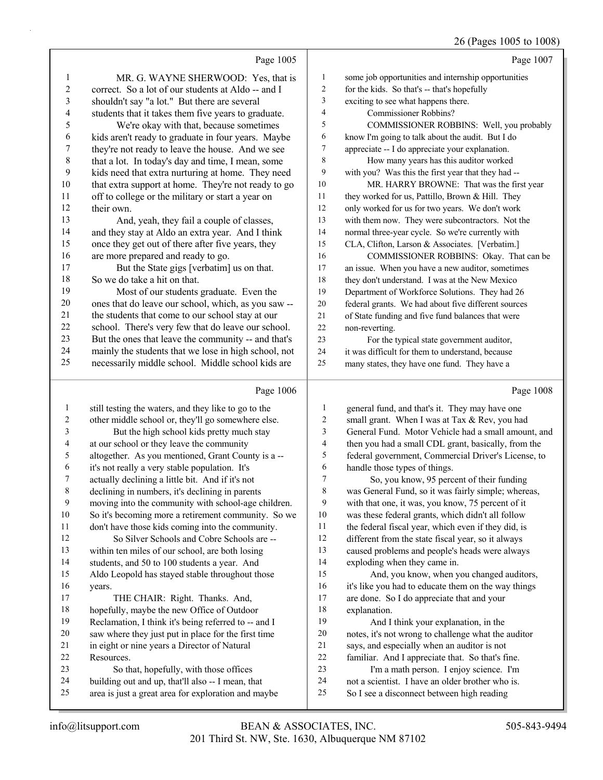# 26 (Pages 1005 to 1008)

|                | Page 1005                                                                                   |          | Page 1007                                                                                   |
|----------------|---------------------------------------------------------------------------------------------|----------|---------------------------------------------------------------------------------------------|
| 1              | MR. G. WAYNE SHERWOOD: Yes, that is                                                         | 1        | some job opportunities and internship opportunities                                         |
| $\overline{c}$ | correct. So a lot of our students at Aldo -- and I                                          | 2        | for the kids. So that's -- that's hopefully                                                 |
| 3              | shouldn't say "a lot." But there are several                                                | 3        | exciting to see what happens there.                                                         |
| 4              | students that it takes them five years to graduate.                                         | 4        | Commissioner Robbins?                                                                       |
| 5              | We're okay with that, because sometimes                                                     | 5        | COMMISSIONER ROBBINS: Well, you probably                                                    |
| 6              | kids aren't ready to graduate in four years. Maybe                                          | 6        | know I'm going to talk about the audit. But I do                                            |
| 7              | they're not ready to leave the house. And we see                                            | 7        | appreciate -- I do appreciate your explanation.                                             |
| $\,$ $\,$      | that a lot. In today's day and time, I mean, some                                           | 8        | How many years has this auditor worked                                                      |
| 9              | kids need that extra nurturing at home. They need                                           | 9        | with you? Was this the first year that they had --                                          |
| 10             | that extra support at home. They're not ready to go                                         | 10       | MR. HARRY BROWNE: That was the first year                                                   |
| 11             | off to college or the military or start a year on                                           | 11       | they worked for us, Pattillo, Brown & Hill. They                                            |
| 12             | their own.                                                                                  | 12       | only worked for us for two years. We don't work                                             |
| 13             | And, yeah, they fail a couple of classes,                                                   | 13       | with them now. They were subcontractors. Not the                                            |
| 14             | and they stay at Aldo an extra year. And I think                                            | 14       | normal three-year cycle. So we're currently with                                            |
| 15             | once they get out of there after five years, they                                           | 15       | CLA, Clifton, Larson & Associates. [Verbatim.]                                              |
| 16             | are more prepared and ready to go.                                                          | 16       | COMMISSIONER ROBBINS: Okay. That can be                                                     |
| 17             | But the State gigs [verbatim] us on that.                                                   | 17       | an issue. When you have a new auditor, sometimes                                            |
| $18\,$         | So we do take a hit on that.                                                                | 18       | they don't understand. I was at the New Mexico                                              |
| 19             | Most of our students graduate. Even the                                                     | 19       | Department of Workforce Solutions. They had 26                                              |
| $20\,$         | ones that do leave our school, which, as you saw --                                         | $20\,$   | federal grants. We had about five different sources                                         |
| 21             | the students that come to our school stay at our                                            | $21\,$   | of State funding and five fund balances that were                                           |
| $22\,$         | school. There's very few that do leave our school.                                          | $22\,$   | non-reverting.                                                                              |
| $23\,$         | But the ones that leave the community -- and that's                                         | 23       | For the typical state government auditor,                                                   |
| 24             | mainly the students that we lose in high school, not                                        | 24       | it was difficult for them to understand, because                                            |
| 25             | necessarily middle school. Middle school kids are                                           | 25       | many states, they have one fund. They have a                                                |
|                |                                                                                             |          |                                                                                             |
|                | Page 1006                                                                                   |          | Page 1008                                                                                   |
| $\mathbf{1}$   | still testing the waters, and they like to go to the                                        | 1        | general fund, and that's it. They may have one                                              |
| 2              | other middle school or, they'll go somewhere else.                                          | 2        | small grant. When I was at Tax & Rev, you had                                               |
| 3              | But the high school kids pretty much stay                                                   | 3        | General Fund. Motor Vehicle had a small amount, and                                         |
| 4              | at our school or they leave the community                                                   | 4        | then you had a small CDL grant, basically, from the                                         |
| 5              | altogether. As you mentioned, Grant County is a --                                          | 5        | federal government, Commercial Driver's License, to                                         |
| 6              | it's not really a very stable population. It's                                              | 6        | handle those types of things.                                                               |
| 7              | actually declining a little bit. And if it's not                                            | 7        | So, you know, 95 percent of their funding                                                   |
|                | declining in numbers, it's declining in parents                                             | 8        | was General Fund, so it was fairly simple; whereas,                                         |
| 9              | moving into the community with school-age children.                                         | 9        | with that one, it was, you know, 75 percent of it                                           |
| 10             | So it's becoming more a retirement community. So we                                         | 10       | was these federal grants, which didn't all follow                                           |
| 11             | don't have those kids coming into the community.                                            | 11       | the federal fiscal year, which even if they did, is                                         |
| 12             | So Silver Schools and Cobre Schools are --                                                  | 12       | different from the state fiscal year, so it always                                          |
| 13             | within ten miles of our school, are both losing                                             | 13       | caused problems and people's heads were always                                              |
| 14             | students, and 50 to 100 students a year. And                                                | 14       | exploding when they came in.                                                                |
| 15             | Aldo Leopold has stayed stable throughout those                                             | 15       | And, you know, when you changed auditors,                                                   |
| 16             | years.                                                                                      | 16       | it's like you had to educate them on the way things                                         |
| 17             | THE CHAIR: Right. Thanks. And,                                                              | 17       | are done. So I do appreciate that and your                                                  |
| 18             | hopefully, maybe the new Office of Outdoor                                                  | 18       | explanation.                                                                                |
| 19             | Reclamation, I think it's being referred to -- and I                                        | 19       | And I think your explanation, in the                                                        |
| 20             | saw where they just put in place for the first time                                         | $20\,$   | notes, it's not wrong to challenge what the auditor                                         |
| 21             | in eight or nine years a Director of Natural                                                | 21       | says, and especially when an auditor is not                                                 |
| 22<br>23       | Resources.                                                                                  | 22<br>23 | familiar. And I appreciate that. So that's fine.                                            |
| 24             | So that, hopefully, with those offices<br>building out and up, that'll also -- I mean, that | 24       | I'm a math person. I enjoy science. I'm<br>not a scientist. I have an older brother who is. |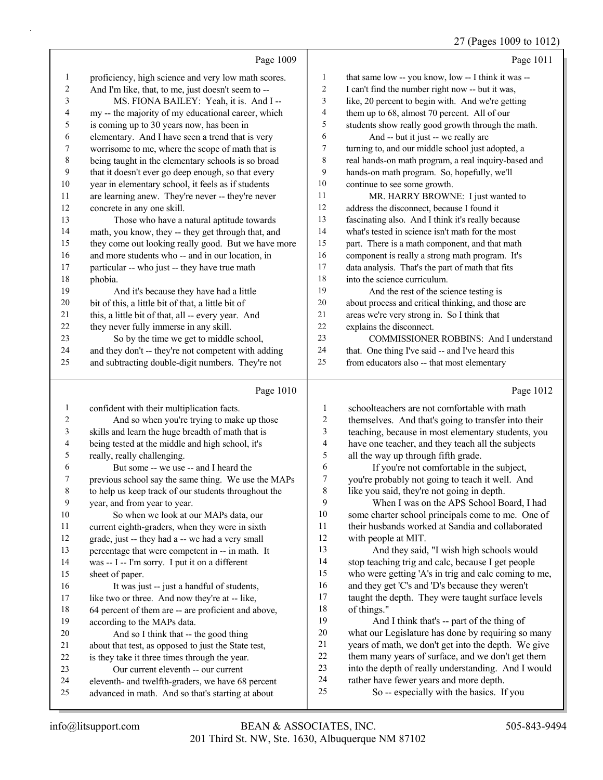#### 27 (Pages 1009 to 1012)

|                          | Page 1009                                            |                          | Page 1011                                            |
|--------------------------|------------------------------------------------------|--------------------------|------------------------------------------------------|
| $\mathbf{1}$             | proficiency, high science and very low math scores.  | $\mathbf{1}$             | that same low -- you know, low -- I think it was --  |
| $\overline{c}$           | And I'm like, that, to me, just doesn't seem to --   | $\sqrt{2}$               | I can't find the number right now -- but it was,     |
| 3                        | MS. FIONA BAILEY: Yeah, it is. And I --              | 3                        | like, 20 percent to begin with. And we're getting    |
| $\overline{\mathcal{L}}$ | my -- the majority of my educational career, which   | 4                        | them up to 68, almost 70 percent. All of our         |
| 5                        | is coming up to 30 years now, has been in            | 5                        | students show really good growth through the math.   |
| 6                        | elementary. And I have seen a trend that is very     | $\epsilon$               | And -- but it just -- we really are                  |
| $\boldsymbol{7}$         | worrisome to me, where the scope of math that is     | $\boldsymbol{7}$         | turning to, and our middle school just adopted, a    |
| 8                        | being taught in the elementary schools is so broad   | $\,$ $\,$                | real hands-on math program, a real inquiry-based and |
| 9                        | that it doesn't ever go deep enough, so that every   | 9                        | hands-on math program. So, hopefully, we'll          |
| 10                       | year in elementary school, it feels as if students   | 10                       | continue to see some growth.                         |
| 11                       | are learning anew. They're never -- they're never    | 11                       | MR. HARRY BROWNE: I just wanted to                   |
| 12                       | concrete in any one skill.                           | 12                       | address the disconnect, because I found it           |
| 13                       | Those who have a natural aptitude towards            | 13                       | fascinating also. And I think it's really because    |
| 14                       | math, you know, they -- they get through that, and   | 14                       | what's tested in science isn't math for the most     |
| 15                       | they come out looking really good. But we have more  | 15                       | part. There is a math component, and that math       |
| 16                       | and more students who -- and in our location, in     | 16                       | component is really a strong math program. It's      |
| 17                       | particular -- who just -- they have true math        | $17\,$                   | data analysis. That's the part of math that fits     |
| 18                       | phobia.                                              | $18\,$                   | into the science curriculum.                         |
| 19                       | And it's because they have had a little              | 19                       | And the rest of the science testing is               |
| 20                       | bit of this, a little bit of that, a little bit of   | $20\,$                   | about process and critical thinking, and those are   |
| 21                       | this, a little bit of that, all -- every year. And   | $21\,$                   | areas we're very strong in. So I think that          |
| $22\,$                   | they never fully immerse in any skill.               | 22                       | explains the disconnect.                             |
| 23                       | So by the time we get to middle school,              | 23                       | COMMISSIONER ROBBINS: And I understand               |
| 24                       | and they don't -- they're not competent with adding  | 24                       | that. One thing I've said -- and I've heard this     |
| 25                       | and subtracting double-digit numbers. They're not    | 25                       | from educators also -- that most elementary          |
|                          | Page 1010                                            |                          | Page 1012                                            |
| $\mathbf{1}$             | confident with their multiplication facts.           | $\mathbf{1}$             | schoolteachers are not comfortable with math         |
| $\overline{\mathbf{c}}$  | And so when you're trying to make up those           | $\overline{c}$           | themselves. And that's going to transfer into their  |
| 3                        | skills and learn the huge breadth of math that is    | 3                        | teaching, because in most elementary students, you   |
| 4                        | being tested at the middle and high school, it's     | $\overline{\mathcal{A}}$ | have one teacher, and they teach all the subjects    |
| $\sqrt{5}$               | really, really challenging.                          | 5                        | all the way up through fifth grade.                  |
| 6                        | But some -- we use -- and I heard the                | 6                        | If you're not comfortable in the subject,            |
| $\boldsymbol{7}$         | previous school say the same thing. We use the MAPs  | $\boldsymbol{7}$         | you're probably not going to teach it well. And      |
| $\,$ $\,$                | to help us keep track of our students throughout the | 8                        | like you said, they're not going in depth.           |
| 9                        | year, and from year to year.                         | 9                        | When I was on the APS School Board, I had            |
| 10                       | So when we look at our MAPs data, our                | 10                       | some charter school principals come to me. One of    |
| 11                       | current eighth-graders, when they were in sixth      | 11                       | their husbands worked at Sandia and collaborated     |

with people at MIT.

of things."

13 And they said, "I wish high schools would stop teaching trig and calc, because I get people who were getting 'A's in trig and calc coming to me, and they get 'C's and 'D's because they weren't taught the depth. They were taught surface levels

19 And I think that's -- part of the thing of what our Legislature has done by requiring so many years of math, we don't get into the depth. We give 22 them many years of surface, and we don't get them into the depth of really understanding. And I would

rather have fewer years and more depth.

201 Third St. NW, Ste. 1630, Albuquerque NM 87102 info@litsupport.com BEAN & ASSOCIATES, INC. 505-843-9494 advanced in math. And so that's starting at about 25 So -- especially with the basics. If you

sheet of paper.

according to the MAPs data.

 grade, just -- they had a -- we had a very small percentage that were competent in -- in math. It was -- I -- I'm sorry. I put it on a different

16 It was just -- just a handful of students, 17 like two or three. And now they're at -- like, 64 percent of them are -- are proficient and above,

20 And so I think that -- the good thing about that test, as opposed to just the State test, is they take it three times through the year. 23 Our current eleventh -- our current

eleventh- and twelfth-graders, we have 68 percent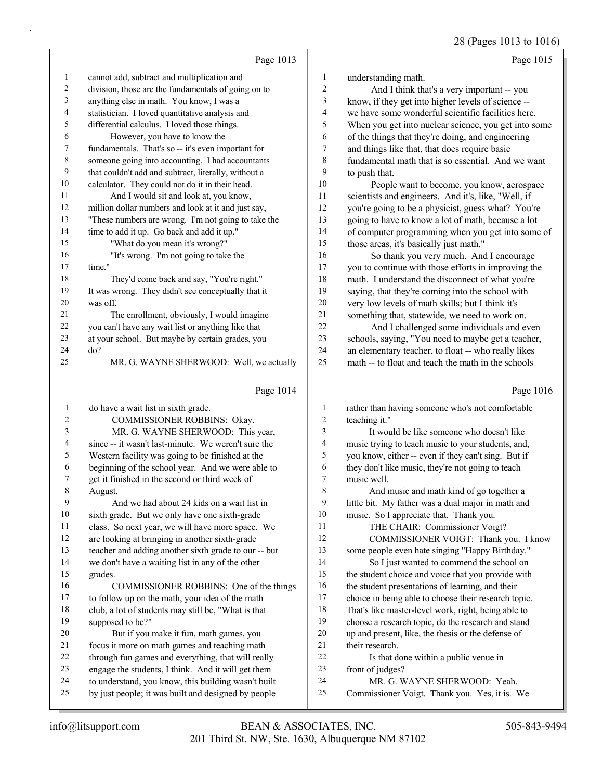|                          | Page 1013                                                                                                  |                         | Page 1015                                                                     |
|--------------------------|------------------------------------------------------------------------------------------------------------|-------------------------|-------------------------------------------------------------------------------|
| $\mathbf{1}$             | cannot add, subtract and multiplication and                                                                | $\mathbf{1}$            | understanding math.                                                           |
| $\overline{c}$           | division, those are the fundamentals of going on to                                                        | $\overline{c}$          | And I think that's a very important -- you                                    |
| $\mathfrak{Z}$           | anything else in math. You know, I was a                                                                   | 3                       | know, if they get into higher levels of science --                            |
| 4                        | statistician. I loved quantitative analysis and                                                            | $\overline{4}$          | we have some wonderful scientific facilities here.                            |
| 5                        | differential calculus. I loved those things.                                                               | 5                       | When you get into nuclear science, you get into some                          |
| 6                        | However, you have to know the                                                                              | 6                       | of the things that they're doing, and engineering                             |
| 7                        | fundamentals. That's so -- it's even important for                                                         | $\boldsymbol{7}$        | and things like that, that does require basic                                 |
| $\,$ 8 $\,$              | someone going into accounting. I had accountants                                                           | 8                       | fundamental math that is so essential. And we want                            |
| $\mathbf{9}$             | that couldn't add and subtract, literally, without a                                                       | 9                       | to push that.                                                                 |
| 10                       | calculator. They could not do it in their head.                                                            | $10\,$                  | People want to become, you know, aerospace                                    |
| 11                       | And I would sit and look at, you know,                                                                     | $11\,$                  | scientists and engineers. And it's, like, "Well, if                           |
| 12                       | million dollar numbers and look at it and just say,                                                        | 12                      | you're going to be a physicist, guess what? You're                            |
| 13                       | "These numbers are wrong. I'm not going to take the                                                        | 13                      | going to have to know a lot of math, because a lot                            |
| 14                       | time to add it up. Go back and add it up."                                                                 | 14                      | of computer programming when you get into some of                             |
| 15                       | "What do you mean it's wrong?"                                                                             | 15                      | those areas, it's basically just math."                                       |
| 16                       | "It's wrong. I'm not going to take the                                                                     | 16                      | So thank you very much. And I encourage                                       |
| 17                       | time."                                                                                                     | 17                      | you to continue with those efforts in improving the                           |
| 18                       | They'd come back and say, "You're right."                                                                  | 18                      | math. I understand the disconnect of what you're                              |
| 19                       | It was wrong. They didn't see conceptually that it                                                         | 19                      | saying, that they're coming into the school with                              |
| 20                       | was off.                                                                                                   | $20\,$                  | very low levels of math skills; but I think it's                              |
| 21                       | The enrollment, obviously, I would imagine                                                                 | 21                      | something that, statewide, we need to work on.                                |
| 22                       | you can't have any wait list or anything like that                                                         | 22                      | And I challenged some individuals and even                                    |
| 23                       | at your school. But maybe by certain grades, you                                                           | 23                      | schools, saying, "You need to maybe get a teacher,                            |
| 24                       | do?                                                                                                        | 24                      | an elementary teacher, to float -- who really likes                           |
| 25                       | MR. G. WAYNE SHERWOOD: Well, we actually                                                                   | 25                      | math -- to float and teach the math in the schools                            |
|                          |                                                                                                            |                         |                                                                               |
|                          | Page 1014                                                                                                  |                         | Page 1016                                                                     |
| $\mathbf{1}$             | do have a wait list in sixth grade.                                                                        | $\mathbf{1}$            | rather than having someone who's not comfortable                              |
| 2                        | COMMISSIONER ROBBINS: Okay.                                                                                | $\overline{\mathbf{c}}$ | teaching it."                                                                 |
| 3                        | MR. G. WAYNE SHERWOOD: This year,                                                                          | 3                       | It would be like someone who doesn't like                                     |
| $\overline{\mathcal{L}}$ | since -- it wasn't last-minute. We weren't sure the                                                        | 4                       | music trying to teach music to your students, and,                            |
| 5                        | Western facility was going to be finished at the                                                           | 5                       | you know, either -- even if they can't sing. But if                           |
| 6                        | beginning of the school year. And we were able to                                                          | 6                       | they don't like music, they're not going to teach                             |
| 7                        | get it finished in the second or third week of                                                             | $\overline{7}$          | music well.                                                                   |
| $\,$ 8 $\,$              | August.                                                                                                    | $\,$ $\,$               | And music and math kind of go together a                                      |
| 9                        | And we had about 24 kids on a wait list in                                                                 | 9                       | little bit. My father was a dual major in math and                            |
| $10\,$                   | sixth grade. But we only have one sixth-grade                                                              | 10                      | music. So I appreciate that. Thank you.                                       |
| 11                       | class. So next year, we will have more space. We                                                           | 11                      | THE CHAIR: Commissioner Voigt?                                                |
| 12                       | are looking at bringing in another sixth-grade                                                             | 12                      | COMMISSIONER VOIGT: Thank you. I know                                         |
| 13                       | teacher and adding another sixth grade to our -- but                                                       | 13                      | some people even hate singing "Happy Birthday."                               |
| 14                       | we don't have a waiting list in any of the other                                                           | 14                      | So I just wanted to commend the school on                                     |
| 15                       | grades.                                                                                                    | 15                      | the student choice and voice that you provide with                            |
| 16                       | COMMISSIONER ROBBINS: One of the things                                                                    | 16                      | the student presentations of learning, and their                              |
| 17                       | to follow up on the math, your idea of the math                                                            | 17                      | choice in being able to choose their research topic.                          |
| 18                       | club, a lot of students may still be, "What is that                                                        | 18                      | That's like master-level work, right, being able to                           |
| 19                       | supposed to be?"                                                                                           | 19                      | choose a research topic, do the research and stand                            |
| 20                       | But if you make it fun, math games, you                                                                    | $20\,$                  | up and present, like, the thesis or the defense of                            |
| 21                       | focus it more on math games and teaching math                                                              | $21\,$                  | their research.                                                               |
| 22                       | through fun games and everything, that will really                                                         | 22                      | Is that done within a public venue in                                         |
| 23                       | engage the students, I think. And it will get them                                                         | $23\,$                  | front of judges?                                                              |
| 24<br>25                 | to understand, you know, this building wasn't built<br>by just people; it was built and designed by people | 24<br>25                | MR. G. WAYNE SHERWOOD: Yeah.<br>Commissioner Voigt. Thank you. Yes, it is. We |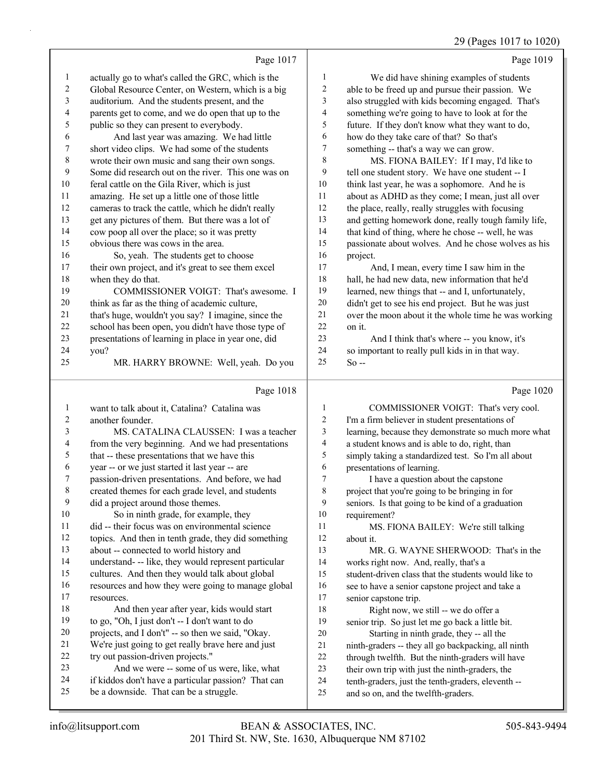## 29 (Pages 1017 to 1020)

|                |                                                                                                   |                | $27$ (1 ages 1017 to 1020                                                                             |
|----------------|---------------------------------------------------------------------------------------------------|----------------|-------------------------------------------------------------------------------------------------------|
|                | Page 1017                                                                                         |                | Page 1019                                                                                             |
| $\mathbf{1}$   | actually go to what's called the GRC, which is the                                                | 1              | We did have shining examples of students                                                              |
| $\sqrt{2}$     | Global Resource Center, on Western, which is a big                                                | 2              | able to be freed up and pursue their passion. We                                                      |
| $\sqrt{3}$     | auditorium. And the students present, and the                                                     | 3              | also struggled with kids becoming engaged. That's                                                     |
| 4              | parents get to come, and we do open that up to the                                                | 4              | something we're going to have to look at for the                                                      |
| 5              | public so they can present to everybody.                                                          | 5              | future. If they don't know what they want to do,                                                      |
| 6              | And last year was amazing. We had little                                                          | 6              | how do they take care of that? So that's                                                              |
| 7              | short video clips. We had some of the students                                                    | 7              | something -- that's a way we can grow.                                                                |
| 8              | wrote their own music and sang their own songs.                                                   | 8              | MS. FIONA BAILEY: If I may, I'd like to                                                               |
| 9              | Some did research out on the river. This one was on                                               | 9              | tell one student story. We have one student -- I                                                      |
| 10             | feral cattle on the Gila River, which is just                                                     | 10             | think last year, he was a sophomore. And he is                                                        |
| 11             | amazing. He set up a little one of those little                                                   | 11             | about as ADHD as they come; I mean, just all over                                                     |
| 12             | cameras to track the cattle, which he didn't really                                               | 12             | the place, really, really struggles with focusing                                                     |
| 13             | get any pictures of them. But there was a lot of                                                  | 13             | and getting homework done, really tough family life,                                                  |
| 14             | cow poop all over the place; so it was pretty                                                     | 14             | that kind of thing, where he chose -- well, he was                                                    |
| 15             | obvious there was cows in the area.                                                               | 15             | passionate about wolves. And he chose wolves as his                                                   |
| 16             | So, yeah. The students get to choose                                                              | 16             | project.                                                                                              |
| 17             | their own project, and it's great to see them excel                                               | 17             | And, I mean, every time I saw him in the                                                              |
| 18             | when they do that.                                                                                | 18             | hall, he had new data, new information that he'd                                                      |
| 19             | COMMISSIONER VOIGT: That's awesome. I                                                             | 19             | learned, new things that -- and I, unfortunately,                                                     |
| 20             | think as far as the thing of academic culture,                                                    | $20\,$         | didn't get to see his end project. But he was just                                                    |
| 21             | that's huge, wouldn't you say? I imagine, since the                                               | 21             | over the moon about it the whole time he was working                                                  |
| 22             | school has been open, you didn't have those type of                                               | $22\,$         | on it.                                                                                                |
| 23             | presentations of learning in place in year one, did                                               | 23             | And I think that's where -- you know, it's                                                            |
| 24             | you?                                                                                              | 24             | so important to really pull kids in in that way.                                                      |
| 25             | MR. HARRY BROWNE: Well, yeah. Do you                                                              | 25             | $So -$                                                                                                |
|                | Page 1018                                                                                         |                | Page 1020                                                                                             |
| $\mathbf{1}$   | want to talk about it, Catalina? Catalina was                                                     | $\mathbf{1}$   | COMMISSIONER VOIGT: That's very cool.                                                                 |
| $\overline{2}$ | another founder.                                                                                  | $\overline{c}$ | I'm a firm believer in student presentations of                                                       |
| 3              | MS. CATALINA CLAUSSEN: I was a teacher                                                            | 3              | learning, because they demonstrate so much more what                                                  |
| 4              | from the very beginning. And we had presentations                                                 | 4              | a student knows and is able to do, right, than                                                        |
| 5              | that -- these presentations that we have this                                                     | 5              | simply taking a standardized test. So I'm all about                                                   |
| 6              | year -- or we just started it last year -- are                                                    | 6              | presentations of learning.                                                                            |
| $\tau$         | passion-driven presentations. And before, we had                                                  | $\tau$         | I have a question about the capstone                                                                  |
| $\,8\,$        | created themes for each grade level, and students                                                 | 8              | project that you're going to be bringing in for                                                       |
| 9              | did a project around those themes.                                                                | 9              | seniors. Is that going to be kind of a graduation                                                     |
| 10             | So in ninth grade, for example, they                                                              | 10             | requirement?                                                                                          |
| 11             | did -- their focus was on environmental science                                                   | 11             | MS. FIONA BAILEY: We're still talking                                                                 |
| 12             | topics. And then in tenth grade, they did something                                               | 12             | about it.                                                                                             |
| 13             | about -- connected to world history and                                                           | 13             | MR. G. WAYNE SHERWOOD: That's in the                                                                  |
| 14             | understand- -- like, they would represent particular                                              | 14             | works right now. And, really, that's a                                                                |
| 15             |                                                                                                   |                |                                                                                                       |
|                | cultures. And then they would talk about global                                                   | 15             | student-driven class that the students would like to                                                  |
| 16             | resources and how they were going to manage global                                                | 16             | see to have a senior capstone project and take a                                                      |
| 17             | resources.                                                                                        | 17             | senior capstone trip.                                                                                 |
| 18             | And then year after year, kids would start                                                        | $18\,$         | Right now, we still -- we do offer a                                                                  |
| 19             | to go, "Oh, I just don't -- I don't want to do                                                    | 19             | senior trip. So just let me go back a little bit.                                                     |
| 20             | projects, and I don't" -- so then we said, "Okay.                                                 | 20             | Starting in ninth grade, they -- all the                                                              |
| 21             | We're just going to get really brave here and just                                                | 21             | ninth-graders -- they all go backpacking, all ninth                                                   |
| 22             | try out passion-driven projects."                                                                 | $22\,$         | through twelfth. But the ninth-graders will have                                                      |
| 23<br>24       | And we were -- some of us were, like, what<br>if kiddos don't have a particular passion? That can | 23<br>24       | their own trip with just the ninth-graders, the<br>tenth-graders, just the tenth-graders, eleventh -- |

- be a downside. That can be a struggle.
- and so on, and the twelfth-graders.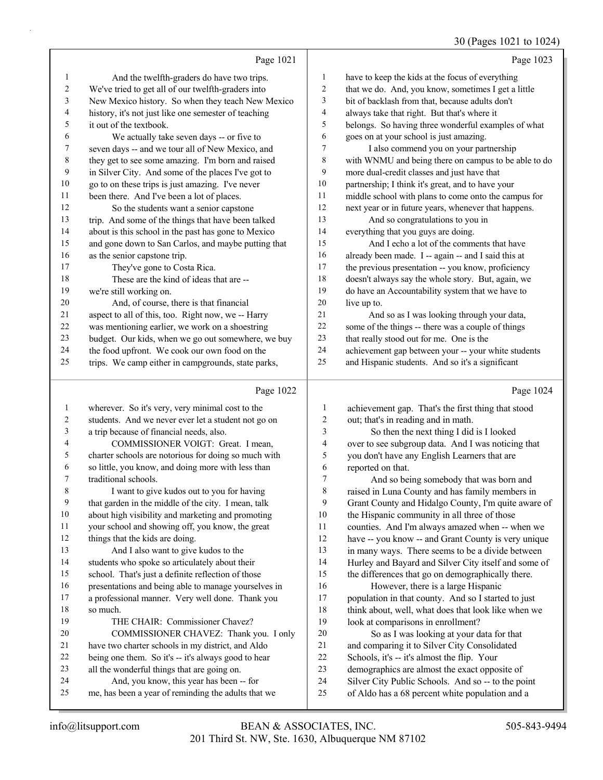## 30 (Pages 1021 to 1024)

|                          |                                                      |                  | $30 \text{ (14g/s 1021 W 1027)}$                     |
|--------------------------|------------------------------------------------------|------------------|------------------------------------------------------|
|                          | Page 1021                                            |                  | Page 1023                                            |
| 1                        | And the twelfth-graders do have two trips.           | 1                | have to keep the kids at the focus of everything     |
| 2                        | We've tried to get all of our twelfth-graders into   | 2                | that we do. And, you know, sometimes I get a little  |
| 3                        | New Mexico history. So when they teach New Mexico    | 3                | bit of backlash from that, because adults don't      |
| $\overline{\mathcal{A}}$ | history, it's not just like one semester of teaching | 4                | always take that right. But that's where it          |
| 5                        | it out of the textbook.                              | 5                | belongs. So having three wonderful examples of what  |
| 6                        | We actually take seven days -- or five to            | 6                | goes on at your school is just amazing.              |
| 7                        | seven days -- and we tour all of New Mexico, and     | 7                | I also commend you on your partnership               |
| 8                        | they get to see some amazing. I'm born and raised    | 8                | with WNMU and being there on campus to be able to do |
| 9                        | in Silver City. And some of the places I've got to   | 9                | more dual-credit classes and just have that          |
| 10                       | go to on these trips is just amazing. I've never     | 10               | partnership; I think it's great, and to have your    |
| 11                       | been there. And I've been a lot of places.           | 11               | middle school with plans to come onto the campus for |
| 12                       | So the students want a senior capstone               | 12               | next year or in future years, whenever that happens. |
| 13                       | trip. And some of the things that have been talked   | 13               | And so congratulations to you in                     |
| 14                       | about is this school in the past has gone to Mexico  | 14               | everything that you guys are doing.                  |
| 15                       | and gone down to San Carlos, and maybe putting that  | 15               | And I echo a lot of the comments that have           |
| 16                       | as the senior capstone trip.                         | 16               | already been made. I -- again -- and I said this at  |
| 17                       | They've gone to Costa Rica.                          | 17               | the previous presentation -- you know, proficiency   |
| 18                       | These are the kind of ideas that are --              | 18               | doesn't always say the whole story. But, again, we   |
| 19                       | we're still working on.                              | 19               | do have an Accountability system that we have to     |
| 20                       | And, of course, there is that financial              | 20               | live up to.                                          |
| 21                       | aspect to all of this, too. Right now, we -- Harry   | 21               | And so as I was looking through your data,           |
| 22                       | was mentioning earlier, we work on a shoestring      | 22               | some of the things -- there was a couple of things   |
| 23                       | budget. Our kids, when we go out somewhere, we buy   | 23               | that really stood out for me. One is the             |
| 24                       | the food upfront. We cook our own food on the        | 24               | achievement gap between your -- your white students  |
| 25                       | trips. We camp either in campgrounds, state parks,   | 25               | and Hispanic students. And so it's a significant     |
|                          |                                                      |                  |                                                      |
|                          | Page 1022                                            |                  | Page 1024                                            |
| 1                        | wherever. So it's very, very minimal cost to the     | 1                | achievement gap. That's the first thing that stood   |
| 2                        | students. And we never ever let a student not go on  | $\boldsymbol{2}$ | out; that's in reading and in math.                  |
| 3                        | a trip because of financial needs, also.             | 3                | So then the next thing I did is I looked             |
| 4                        | COMMISSIONER VOIGT: Great. I mean,                   | 4                | over to see subgroup data. And I was noticing that   |

charter schools are notorious for doing so much with

 so little, you know, and doing more with less than traditional schools.

8 I want to give kudos out to you for having that garden in the middle of the city. I mean, talk about high visibility and marketing and promoting your school and showing off, you know, the great

12 things that the kids are doing. 13 And I also want to give kudos to the

students who spoke so articulately about their

school. That's just a definite reflection of those

presentations and being able to manage yourselves in

 a professional manner. Very well done. Thank you so much.

19 THE CHAIR: Commissioner Chavez?

20 COMMISSIONER CHAVEZ: Thank you. I only

- have two charter schools in my district, and Aldo
- being one them. So it's -- it's always good to hear
- all the wonderful things that are going on.
- 24 And, you know, this year has been -- for me, has been a year of reminding the adults that we

over to see subgroup data. And I was noticing that you don't have any English Learners that are reported on that. 7 And so being somebody that was born and

 raised in Luna County and has family members in Grant County and Hidalgo County, I'm quite aware of the Hispanic community in all three of those counties. And I'm always amazed when -- when we have -- you know -- and Grant County is very unique in many ways. There seems to be a divide between Hurley and Bayard and Silver City itself and some of the differences that go on demographically there. 16 However, there is a large Hispanic population in that county. And so I started to just 18 think about, well, what does that look like when we look at comparisons in enrollment?

20 So as I was looking at your data for that and comparing it to Silver City Consolidated Schools, it's -- it's almost the flip. Your demographics are almost the exact opposite of Silver City Public Schools. And so -- to the point

of Aldo has a 68 percent white population and a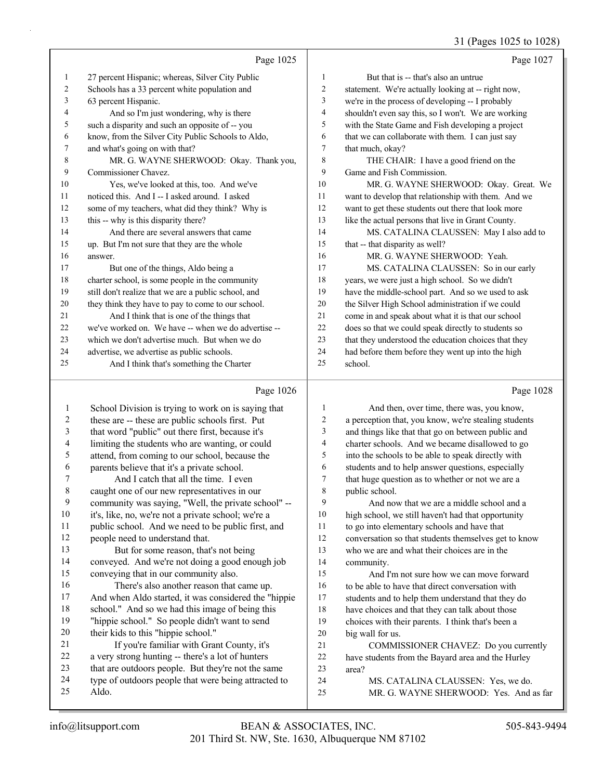# 31 (Pages 1025 to 1028)

|    | Page 1025                                            |                | Page 1027                                            |
|----|------------------------------------------------------|----------------|------------------------------------------------------|
| 1  | 27 percent Hispanic; whereas, Silver City Public     | 1              | But that is -- that's also an untrue                 |
| 2  | Schools has a 33 percent white population and        | 2              | statement. We're actually looking at -- right now,   |
| 3  | 63 percent Hispanic.                                 | 3              | we're in the process of developing -- I probably     |
| 4  | And so I'm just wondering, why is there              | $\overline{4}$ | shouldn't even say this, so I won't. We are working  |
| 5  | such a disparity and such an opposite of -- you      | 5              | with the State Game and Fish developing a project    |
| 6  | know, from the Silver City Public Schools to Aldo,   | 6              | that we can collaborate with them. I can just say    |
| 7  | and what's going on with that?                       | 7              | that much, okay?                                     |
| 8  | MR. G. WAYNE SHERWOOD: Okay. Thank you,              | 8              | THE CHAIR: I have a good friend on the               |
| 9  | Commissioner Chavez.                                 | 9              | Game and Fish Commission.                            |
| 10 | Yes, we've looked at this, too. And we've            | 10             | MR. G. WAYNE SHERWOOD: Okay. Great. We               |
| 11 | noticed this. And I -- I asked around. I asked       | 11             | want to develop that relationship with them. And we  |
| 12 | some of my teachers, what did they think? Why is     | 12             | want to get these students out there that look more  |
| 13 | this -- why is this disparity there?                 | 13             | like the actual persons that live in Grant County.   |
| 14 | And there are several answers that came              | 14             | MS. CATALINA CLAUSSEN: May I also add to             |
| 15 | up. But I'm not sure that they are the whole         | 15             | that -- that disparity as well?                      |
| 16 | answer.                                              | 16             | MR. G. WAYNE SHERWOOD: Yeah.                         |
| 17 | But one of the things, Aldo being a                  | 17             | MS. CATALINA CLAUSSEN: So in our early               |
| 18 | charter school, is some people in the community      | 18             | years, we were just a high school. So we didn't      |
| 19 | still don't realize that we are a public school, and | 19             | have the middle-school part. And so we used to ask   |
| 20 | they think they have to pay to come to our school.   | 20             | the Silver High School administration if we could    |
| 21 | And I think that is one of the things that           | 21             | come in and speak about what it is that our school   |
| 22 | we've worked on. We have -- when we do advertise --  | 22             | does so that we could speak directly to students so  |
| 23 | which we don't advertise much. But when we do        | 23             | that they understood the education choices that they |
| 24 | advertise, we advertise as public schools.           | 24             | had before them before they went up into the high    |
| 25 | And I think that's something the Charter             | 25             | school.                                              |
|    |                                                      |                |                                                      |

# Page 1026 |

|             | Page 1026                                            |    | Page 1028                                            |
|-------------|------------------------------------------------------|----|------------------------------------------------------|
| 1           | School Division is trying to work on is saying that  | 1  | And then, over time, there was, you know,            |
| 2           | these are -- these are public schools first. Put     | 2  | a perception that, you know, we're stealing students |
| 3           | that word "public" out there first, because it's     | 3  | and things like that that go on between public and   |
| 4           | limiting the students who are wanting, or could      | 4  | charter schools. And we became disallowed to go      |
| 5           | attend, from coming to our school, because the       | 5  | into the schools to be able to speak directly with   |
| 6           | parents believe that it's a private school.          | 6  | students and to help answer questions, especially    |
| 7           | And I catch that all the time. I even                | 7  | that huge question as to whether or not we are a     |
| $\,$ 8 $\,$ | caught one of our new representatives in our         | 8  | public school.                                       |
| 9           | community was saying, "Well, the private school" --  | 9  | And now that we are a middle school and a            |
| 10          | it's, like, no, we're not a private school; we're a  | 10 | high school, we still haven't had that opportunity   |
| 11          | public school. And we need to be public first, and   | 11 | to go into elementary schools and have that          |
| 12          | people need to understand that.                      | 12 | conversation so that students themselves get to know |
| 13          | But for some reason, that's not being                | 13 | who we are and what their choices are in the         |
| 14          | conveyed. And we're not doing a good enough job      | 14 | community.                                           |
| 15          | conveying that in our community also.                | 15 | And I'm not sure how we can move forward             |
| 16          | There's also another reason that came up.            | 16 | to be able to have that direct conversation with     |
| 17          | And when Aldo started, it was considered the "hippie | 17 | students and to help them understand that they do    |
| 18          | school." And so we had this image of being this      | 18 | have choices and that they can talk about those      |
| 19          | "hippie school." So people didn't want to send       | 19 | choices with their parents. I think that's been a    |
| 20          | their kids to this "hippie school."                  | 20 | big wall for us.                                     |
| 21          | If you're familiar with Grant County, it's           | 21 | COMMISSIONER CHAVEZ: Do you currently                |
| 22          | a very strong hunting -- there's a lot of hunters    | 22 | have students from the Bayard area and the Hurley    |
| 23          | that are outdoors people. But they're not the same   | 23 | area?                                                |
| 24          | type of outdoors people that were being attracted to | 24 | MS. CATALINA CLAUSSEN: Yes, we do.                   |
| 25          | Aldo.                                                | 25 | MR. G. WAYNE SHERWOOD: Yes. And as far               |
|             |                                                      |    |                                                      |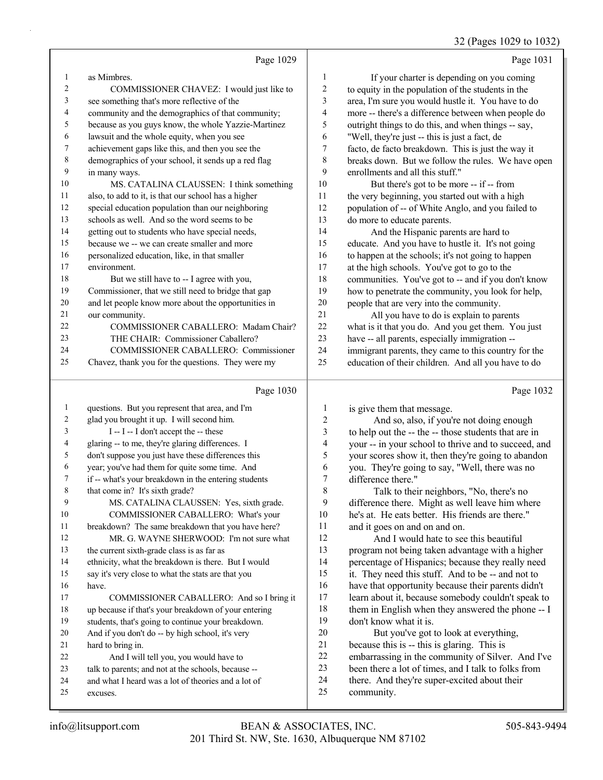# 32 (Pages 1029 to 1032)

|                          |                                                                            |                         | 32 (Pages 1029 to 1032                                                                                 |
|--------------------------|----------------------------------------------------------------------------|-------------------------|--------------------------------------------------------------------------------------------------------|
|                          | Page 1029                                                                  |                         | Page 1031                                                                                              |
| $\mathbf{1}$             | as Mimbres.                                                                | 1                       | If your charter is depending on you coming                                                             |
| $\sqrt{2}$               | COMMISSIONER CHAVEZ: I would just like to                                  | $\overline{c}$          | to equity in the population of the students in the                                                     |
| $\mathfrak z$            | see something that's more reflective of the                                | 3                       | area, I'm sure you would hustle it. You have to do                                                     |
| $\overline{4}$           | community and the demographics of that community;                          | $\overline{\mathbf{4}}$ | more -- there's a difference between when people do                                                    |
| $\mathfrak s$            | because as you guys know, the whole Yazzie-Martinez                        | 5                       | outright things to do this, and when things -- say,                                                    |
| 6                        | lawsuit and the whole equity, when you see                                 | 6                       | "Well, they're just -- this is just a fact, de                                                         |
| $\tau$                   | achievement gaps like this, and then you see the                           | $\boldsymbol{7}$        | facto, de facto breakdown. This is just the way it                                                     |
| 8                        | demographics of your school, it sends up a red flag                        | 8                       | breaks down. But we follow the rules. We have open                                                     |
| 9                        | in many ways.                                                              | 9                       | enrollments and all this stuff."                                                                       |
| 10                       | MS. CATALINA CLAUSSEN: I think something                                   | $10\,$                  | But there's got to be more -- if -- from                                                               |
| 11                       | also, to add to it, is that our school has a higher                        | 11                      | the very beginning, you started out with a high                                                        |
| 12                       | special education population than our neighboring                          | 12                      | population of -- of White Anglo, and you failed to                                                     |
| 13                       | schools as well. And so the word seems to be                               | 13                      | do more to educate parents.                                                                            |
| 14                       | getting out to students who have special needs,                            | 14                      | And the Hispanic parents are hard to                                                                   |
| 15                       | because we -- we can create smaller and more                               | 15                      | educate. And you have to hustle it. It's not going                                                     |
| 16                       | personalized education, like, in that smaller                              | 16                      | to happen at the schools; it's not going to happen                                                     |
| 17                       | environment.                                                               | 17                      | at the high schools. You've got to go to the                                                           |
| 18                       | But we still have to -- I agree with you,                                  | 18                      | communities. You've got to -- and if you don't know                                                    |
| 19                       | Commissioner, that we still need to bridge that gap                        | 19                      | how to penetrate the community, you look for help,                                                     |
| 20                       | and let people know more about the opportunities in                        | $20\,$                  | people that are very into the community.                                                               |
| 21<br>22                 | our community.                                                             | 21<br>22                | All you have to do is explain to parents                                                               |
| 23                       | COMMISSIONER CABALLERO: Madam Chair?<br>THE CHAIR: Commissioner Caballero? | 23                      | what is it that you do. And you get them. You just                                                     |
| 24                       | COMMISSIONER CABALLERO: Commissioner                                       | 24                      | have -- all parents, especially immigration --<br>immigrant parents, they came to this country for the |
| 25                       | Chavez, thank you for the questions. They were my                          | 25                      | education of their children. And all you have to do                                                    |
|                          |                                                                            |                         |                                                                                                        |
|                          | Page 1030                                                                  |                         | Page 1032                                                                                              |
| $\mathbf{1}$             | questions. But you represent that area, and I'm                            | 1                       | is give them that message.                                                                             |
| $\overline{\mathbf{c}}$  | glad you brought it up. I will second him.                                 | 2                       | And so, also, if you're not doing enough                                                               |
| 3                        | I -- I -- I don't accept the -- these                                      | $\overline{\mathbf{3}}$ | to help out the -- the -- those students that are in                                                   |
| $\overline{\mathcal{A}}$ | glaring -- to me, they're glaring differences. I                           | 4                       | your -- in your school to thrive and to succeed, and                                                   |
| 5                        | don't suppose you just have these differences this                         | 5                       | your scores show it, then they're going to abandon                                                     |
| 6                        | year; you've had them for quite some time. And                             | 6                       | you. They're going to say, "Well, there was no                                                         |
| 7                        | if -- what's your breakdown in the entering students                       | 7                       | difference there."                                                                                     |
| 8                        | that come in? It's sixth grade?                                            | $\,$ 8 $\,$             | Talk to their neighbors, "No, there's no                                                               |
| 9                        | MS. CATALINA CLAUSSEN: Yes, sixth grade.                                   | 9                       | difference there. Might as well leave him where                                                        |
| 10                       | COMMISSIONER CABALLERO: What's your                                        | 10                      | he's at. He eats better. His friends are there."                                                       |
| 11                       | breakdown? The same breakdown that you have here?                          | 11                      | and it goes on and on and on.                                                                          |
| 12                       | MR. G. WAYNE SHERWOOD: I'm not sure what                                   | 12                      | And I would hate to see this beautiful                                                                 |
| 13                       | the current sixth-grade class is as far as                                 | 13                      | program not being taken advantage with a higher                                                        |
| 14                       | ethnicity, what the breakdown is there. But I would                        | 14                      | percentage of Hispanics; because they really need                                                      |
| 15                       | say it's very close to what the stats are that you                         | 15                      | it. They need this stuff. And to be -- and not to                                                      |
| 16                       | have.                                                                      | 16                      | have that opportunity because their parents didn't                                                     |
| 17                       | COMMISSIONER CABALLERO: And so I bring it                                  | 17                      | learn about it, because somebody couldn't speak to                                                     |
| 18                       | up because if that's your breakdown of your entering                       | 18                      | them in English when they answered the phone -- I                                                      |
| 19                       | students, that's going to continue your breakdown.                         | 19                      | don't know what it is.                                                                                 |
| 20                       | And if you don't do -- by high school, it's very                           | $20\,$                  | But you've got to look at everything,                                                                  |
| 21                       | hard to bring in.                                                          | 21                      | because this is -- this is glaring. This is                                                            |
| 22                       | And I will tell you, you would have to                                     | $22\,$<br>23            | embarrassing in the community of Silver. And I've                                                      |
| 23<br>24                 | talk to parents; and not at the schools, because --                        |                         | been there a lot of times, and I talk to folks from                                                    |
|                          |                                                                            |                         |                                                                                                        |
| 25                       | and what I heard was a lot of theories and a lot of<br>excuses.            | 24<br>25                | there. And they're super-excited about their<br>community.                                             |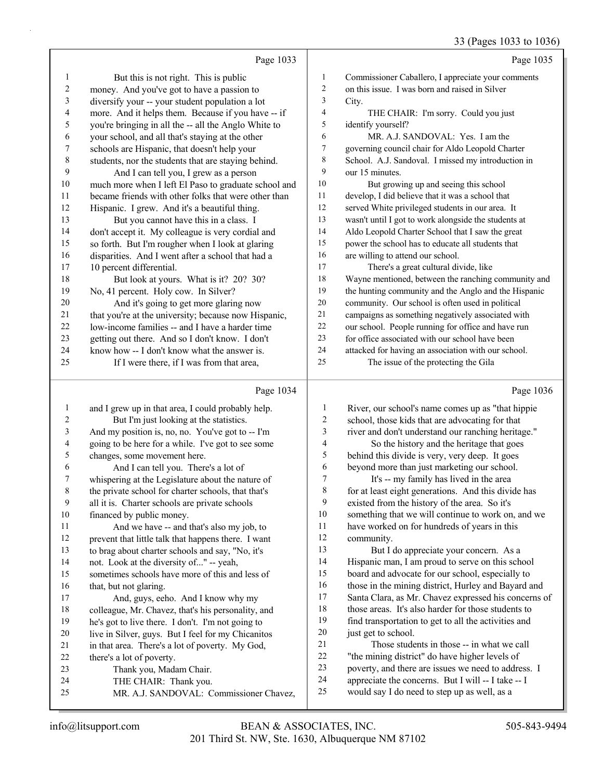$1032 + 1036$ 

|                          |                                                      |                         | 33 (Pages 1033 to 1036)                              |
|--------------------------|------------------------------------------------------|-------------------------|------------------------------------------------------|
|                          | Page 1033                                            |                         | Page 1035                                            |
| $\mathbf{1}$             | But this is not right. This is public                | $\,1\,$                 | Commissioner Caballero, I appreciate your comments   |
| $\sqrt{2}$               | money. And you've got to have a passion to           | $\overline{c}$          | on this issue. I was born and raised in Silver       |
| 3                        | diversify your -- your student population a lot      | 3                       | City.                                                |
| 4                        | more. And it helps them. Because if you have -- if   | $\overline{\mathbf{4}}$ | THE CHAIR: I'm sorry. Could you just                 |
| 5                        | you're bringing in all the -- all the Anglo White to | 5                       | identify yourself?                                   |
| 6                        | your school, and all that's staying at the other     | 6                       | MR. A.J. SANDOVAL: Yes. I am the                     |
| $\boldsymbol{7}$         | schools are Hispanic, that doesn't help your         | $\tau$                  | governing council chair for Aldo Leopold Charter     |
| $\,$ $\,$                | students, nor the students that are staying behind.  | $\,$ $\,$               | School. A.J. Sandoval. I missed my introduction in   |
| 9                        | And I can tell you, I grew as a person               | 9                       | our 15 minutes.                                      |
| 10                       | much more when I left El Paso to graduate school and | 10                      | But growing up and seeing this school                |
| 11                       | became friends with other folks that were other than | 11                      | develop, I did believe that it was a school that     |
| 12                       | Hispanic. I grew. And it's a beautiful thing.        | 12                      | served White privileged students in our area. It     |
| 13                       | But you cannot have this in a class. I               | 13                      | wasn't until I got to work alongside the students at |
| 14                       | don't accept it. My colleague is very cordial and    | 14                      | Aldo Leopold Charter School that I saw the great     |
| 15                       | so forth. But I'm rougher when I look at glaring     | 15                      | power the school has to educate all students that    |
| 16                       | disparities. And I went after a school that had a    | 16                      | are willing to attend our school.                    |
| 17                       | 10 percent differential.                             | 17                      | There's a great cultural divide, like                |
| 18                       | But look at yours. What is it? 20? 30?               | 18                      | Wayne mentioned, between the ranching community and  |
| 19                       | No, 41 percent. Holy cow. In Silver?                 | 19                      | the hunting community and the Anglo and the Hispanic |
| 20                       | And it's going to get more glaring now               | 20                      | community. Our school is often used in political     |
| 21                       | that you're at the university; because now Hispanic, | 21                      | campaigns as something negatively associated with    |
| 22                       | low-income families -- and I have a harder time      | 22                      | our school. People running for office and have run   |
| 23                       | getting out there. And so I don't know. I don't      | 23                      | for office associated with our school have been      |
| 24                       | know how -- I don't know what the answer is.         | 24                      | attacked for having an association with our school.  |
| 25                       | If I were there, if I was from that area,            | 25                      | The issue of the protecting the Gila                 |
|                          | Page 1034                                            |                         | Page 1036                                            |
| $\mathbf{1}$             | and I grew up in that area, I could probably help.   | $\mathbf{1}$            | River, our school's name comes up as "that hippie    |
| $\overline{c}$           | But I'm just looking at the statistics.              | $\overline{c}$          | school, those kids that are advocating for that      |
| 3                        | And my position is, no, no. You've got to -- I'm     | $\mathfrak{Z}$          | river and don't understand our ranching heritage."   |
| $\overline{\mathcal{A}}$ | going to be here for a while. I've got to see some   | $\overline{4}$          | So the history and the heritage that goes            |
| 5                        | changes, some movement here.                         | 5                       | behind this divide is very, very deep. It goes       |
| 6                        | And I can tell you. There's a lot of                 | 6                       | beyond more than just marketing our school.          |
| $\boldsymbol{7}$         | whispering at the Legislature about the nature of    | $\boldsymbol{7}$        | It's -- my family has lived in the area              |
| $\,$ $\,$                | the private school for charter schools, that that's  | $\,$ $\,$               | for at least eight generations. And this divide has  |
| 9                        | all it is. Charter schools are private schools       | 9                       | existed from the history of the area. So it's        |
| 10                       | financed by public money.                            | 10                      | something that we will continue to work on, and we   |
| 11                       | And we have -- and that's also my job, to            | 11                      | have worked on for hundreds of years in this         |
| 12                       | prevent that little talk that happens there. I want  | 12                      | community.                                           |
| 13                       | to brag about charter schools and say, "No, it's     | 13                      | But I do appreciate your concern. As a               |

 not. Look at the diversity of..." -- yeah, sometimes schools have more of this and less of that, but not glaring.

17 And, guys, eeho. And I know why my colleague, Mr. Chavez, that's his personality, and he's got to live there. I don't. I'm not going to

- live in Silver, guys. But I feel for my Chicanitos
- in that area. There's a lot of poverty. My God,
- there's a lot of poverty.
- 23 Thank you, Madam Chair.
- 24 THE CHAIR: Thank you.
- 25 MR. A.J. SANDOVAL: Commissioner Chavez,

But I do appreciate your concern. As a Hispanic man, I am proud to serve on this school board and advocate for our school, especially to those in the mining district, Hurley and Bayard and Santa Clara, as Mr. Chavez expressed his concerns of those areas. It's also harder for those students to find transportation to get to all the activities and just get to school. 21 Those students in those -- in what we call

 "the mining district" do have higher levels of poverty, and there are issues we need to address. I appreciate the concerns. But I will -- I take -- I would say I do need to step up as well, as a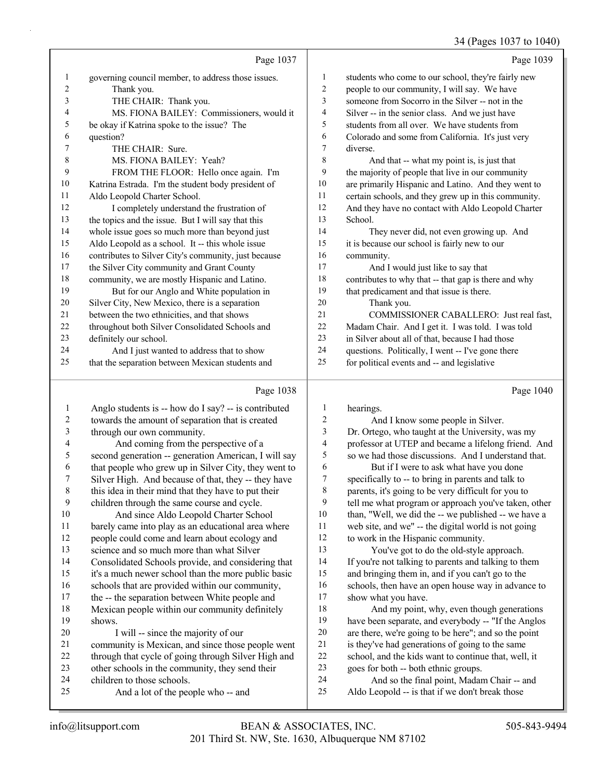## 34 (Pages 1037 to 1040)

|                          |                                                                                                          |                          | 54 (Pages 1057 to 1040)                                                                                    |
|--------------------------|----------------------------------------------------------------------------------------------------------|--------------------------|------------------------------------------------------------------------------------------------------------|
|                          | Page 1037                                                                                                |                          | Page 1039                                                                                                  |
| $\mathbf{1}$             | governing council member, to address those issues.                                                       | $\mathbf{1}$             | students who come to our school, they're fairly new                                                        |
| $\overline{c}$           | Thank you.                                                                                               | $\sqrt{2}$               | people to our community, I will say. We have                                                               |
| 3                        | THE CHAIR: Thank you.                                                                                    | 3                        | someone from Socorro in the Silver -- not in the                                                           |
| 4                        | MS. FIONA BAILEY: Commissioners, would it                                                                | $\overline{4}$           | Silver -- in the senior class. And we just have                                                            |
| 5                        | be okay if Katrina spoke to the issue? The                                                               | 5                        | students from all over. We have students from                                                              |
| 6                        | question?                                                                                                | 6                        | Colorado and some from California. It's just very                                                          |
| 7                        | THE CHAIR: Sure.                                                                                         | 7                        | diverse.                                                                                                   |
| $\,$ 8 $\,$              | MS. FIONA BAILEY: Yeah?                                                                                  | $\,$ $\,$                | And that -- what my point is, is just that                                                                 |
| 9                        | FROM THE FLOOR: Hello once again. I'm                                                                    | 9                        | the majority of people that live in our community                                                          |
| 10                       | Katrina Estrada. I'm the student body president of                                                       | 10                       | are primarily Hispanic and Latino. And they went to                                                        |
| 11                       | Aldo Leopold Charter School.                                                                             | 11                       | certain schools, and they grew up in this community.                                                       |
| 12                       | I completely understand the frustration of                                                               | 12                       | And they have no contact with Aldo Leopold Charter                                                         |
| 13                       | the topics and the issue. But I will say that this                                                       | 13                       | School.                                                                                                    |
| 14                       | whole issue goes so much more than beyond just                                                           | 14                       | They never did, not even growing up. And                                                                   |
| 15                       | Aldo Leopold as a school. It -- this whole issue                                                         | 15                       | it is because our school is fairly new to our                                                              |
| 16                       | contributes to Silver City's community, just because                                                     | 16                       | community.                                                                                                 |
| 17                       | the Silver City community and Grant County                                                               | 17                       | And I would just like to say that                                                                          |
| 18                       | community, we are mostly Hispanic and Latino.                                                            | 18                       | contributes to why that -- that gap is there and why                                                       |
| 19                       | But for our Anglo and White population in                                                                | 19                       | that predicament and that issue is there.                                                                  |
| 20                       | Silver City, New Mexico, there is a separation                                                           | 20                       | Thank you.                                                                                                 |
| 21                       | between the two ethnicities, and that shows                                                              | 21                       | COMMISSIONER CABALLERO: Just real fast,                                                                    |
| 22                       | throughout both Silver Consolidated Schools and                                                          | 22                       | Madam Chair. And I get it. I was told. I was told                                                          |
| 23                       | definitely our school.                                                                                   | 23                       | in Silver about all of that, because I had those                                                           |
| 24                       | And I just wanted to address that to show                                                                | 24                       | questions. Politically, I went -- I've gone there                                                          |
| 25                       | that the separation between Mexican students and                                                         | 25                       | for political events and -- and legislative                                                                |
|                          |                                                                                                          |                          |                                                                                                            |
|                          | Page 1038                                                                                                |                          | Page 1040                                                                                                  |
| $\mathbf{1}$             | Anglo students is -- how do I say? -- is contributed                                                     | 1                        | hearings.                                                                                                  |
| $\overline{c}$           | towards the amount of separation that is created                                                         | 2                        | And I know some people in Silver.                                                                          |
| 3                        | through our own community.                                                                               | 3                        | Dr. Ortego, who taught at the University, was my                                                           |
| $\overline{\mathcal{L}}$ | And coming from the perspective of a                                                                     |                          |                                                                                                            |
| 5                        |                                                                                                          | $\overline{\mathcal{A}}$ |                                                                                                            |
|                          |                                                                                                          | 5                        | professor at UTEP and became a lifelong friend. And<br>so we had those discussions. And I understand that. |
| 6                        | second generation -- generation American, I will say                                                     | $\epsilon$               |                                                                                                            |
| 7                        | that people who grew up in Silver City, they went to                                                     | $\tau$                   | But if I were to ask what have you done                                                                    |
|                          | Silver High. And because of that, they -- they have                                                      | $\,8\,$                  | specifically to -- to bring in parents and talk to<br>parents, it's going to be very difficult for you to  |
| 8<br>9                   | this idea in their mind that they have to put their                                                      | 9                        | tell me what program or approach you've taken, other                                                       |
| $10\,$                   | children through the same course and cycle.                                                              | $10\,$                   |                                                                                                            |
| 11                       | And since Aldo Leopold Charter School                                                                    | 11                       | than, "Well, we did the -- we published -- we have a                                                       |
| 12                       | barely came into play as an educational area where                                                       | 12                       | web site, and we" -- the digital world is not going                                                        |
| 13                       | people could come and learn about ecology and                                                            | 13                       | to work in the Hispanic community.                                                                         |
|                          | science and so much more than what Silver                                                                | 14                       | You've got to do the old-style approach.                                                                   |
| 14                       | Consolidated Schools provide, and considering that                                                       | 15                       | If you're not talking to parents and talking to them                                                       |
| 15<br>16                 | it's a much newer school than the more public basic                                                      | 16                       | and bringing them in, and if you can't go to the                                                           |
| 17                       | schools that are provided within our community,                                                          | 17                       | schools, then have an open house way in advance to<br>show what you have.                                  |
| 18                       | the -- the separation between White people and                                                           | 18                       |                                                                                                            |
| 19                       | Mexican people within our community definitely<br>shows.                                                 | 19                       | And my point, why, even though generations<br>have been separate, and everybody -- "If the Anglos          |
| $20\,$                   |                                                                                                          | $20\,$                   |                                                                                                            |
| $21\,$                   | I will -- since the majority of our                                                                      | 21                       | are there, we're going to be here"; and so the point<br>is they've had generations of going to the same    |
| $22\,$                   | community is Mexican, and since those people went<br>through that cycle of going through Silver High and | $22\,$                   | school, and the kids want to continue that, well, it                                                       |

- other schools in the community, they send their 24 And so the final point, Madam Chair -- and<br>25 Aldo Leopold -- is that if we don't break those
- children to those schools. 25 And a lot of the people who -- and
- 

Aldo Leopold -- is that if we don't break those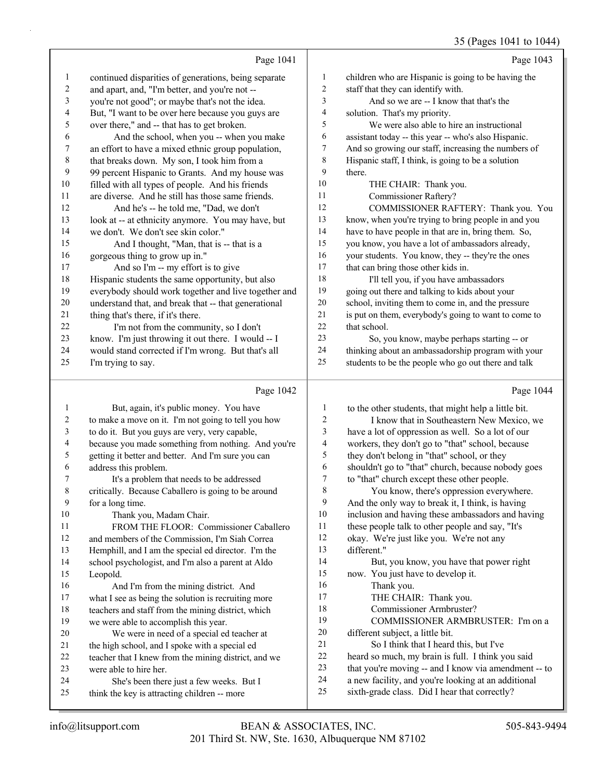#### 35 (Pages 1041 to 1044)

|                |                                                      |                         | 35 (Pages 1041 to 1044)                              |
|----------------|------------------------------------------------------|-------------------------|------------------------------------------------------|
|                | Page 1041                                            |                         | Page 1043                                            |
| 1              | continued disparities of generations, being separate | $\mathbf{1}$            | children who are Hispanic is going to be having the  |
| $\overline{c}$ | and apart, and, "I'm better, and you're not --       | $\overline{\mathbf{c}}$ | staff that they can identify with.                   |
| 3              | you're not good"; or maybe that's not the idea.      | 3                       | And so we are -- I know that that's the              |
| 4              | But, "I want to be over here because you guys are    | 4                       | solution. That's my priority.                        |
| 5              | over there," and -- that has to get broken.          | 5                       | We were also able to hire an instructional           |
| 6              | And the school, when you -- when you make            | 6                       | assistant today -- this year -- who's also Hispanic. |
| 7              | an effort to have a mixed ethnic group population,   | 7                       | And so growing our staff, increasing the numbers of  |
| $\,$ 8 $\,$    | that breaks down. My son, I took him from a          | 8                       | Hispanic staff, I think, is going to be a solution   |
| 9              | 99 percent Hispanic to Grants. And my house was      | 9                       | there.                                               |
| 10             | filled with all types of people. And his friends     | 10                      | THE CHAIR: Thank you.                                |
| 11             | are diverse. And he still has those same friends.    | 11                      | <b>Commissioner Raftery?</b>                         |
| 12             | And he's -- he told me, "Dad, we don't               | 12                      | COMMISSIONER RAFTERY: Thank you. You                 |
| 13             | look at -- at ethnicity anymore. You may have, but   | 13                      | know, when you're trying to bring people in and you  |
| 14             | we don't. We don't see skin color."                  | 14                      | have to have people in that are in, bring them. So,  |
| 15             | And I thought, "Man, that is -- that is a            | 15                      | you know, you have a lot of ambassadors already,     |
| 16             | gorgeous thing to grow up in."                       | 16                      | your students. You know, they -- they're the ones    |
| 17             | And so I'm -- my effort is to give                   | $17$                    | that can bring those other kids in.                  |
| 18             | Hispanic students the same opportunity, but also     | 18                      | I'll tell you, if you have ambassadors               |
| 19             | everybody should work together and live together and | 19                      | going out there and talking to kids about your       |
| 20             | understand that, and break that -- that generational | 20                      | school, inviting them to come in, and the pressure   |
| 21             | thing that's there, if it's there.                   | $21\,$                  | is put on them, everybody's going to want to come to |
| $22\,$         | I'm not from the community, so I don't               | 22                      | that school.                                         |
| 23             | know. I'm just throwing it out there. I would -- I   | 23                      | So, you know, maybe perhaps starting -- or           |
| 24             | would stand corrected if I'm wrong. But that's all   | 24                      | thinking about an ambassadorship program with your   |
| 25             | I'm trying to say.                                   | 25                      | students to be the people who go out there and talk  |
|                | Page 1042                                            |                         | Page 1044                                            |
| 1              | But, again, it's public money. You have              | $\mathbf{1}$            | to the other students, that might help a little bit. |
| 2              | to make a move on it. I'm not going to tell you how  | $\sqrt{2}$              | I know that in Southeastern New Mexico, we           |
| 3              | to do it. But you guys are very, very capable,       | 3                       | have a lot of oppression as well. So a lot of our    |
| 4              | because you made something from nothing. And you're  | $\overline{4}$          | workers, they don't go to "that" school, because     |
| 5              | getting it better and better. And I'm sure you can   | 5                       | they don't belong in "that" school, or they          |
| 6              | address this problem.                                | 6                       | shouldn't go to "that" church, because nobody goes   |
| 7              | It's a problem that needs to be addressed            | $\boldsymbol{7}$        | to "that" church except these other people.          |
| 8              | critically. Because Caballero is going to be around  | 8                       | You know, there's oppression everywhere.             |
| 9              | for a long time.                                     | 9                       | And the only way to break it, I think, is having     |
| 10             | Thank you, Madam Chair.                              | 10                      | inclusion and having these ambassadors and having    |
| 11             | FROM THE FLOOR: Commissioner Caballero               | 11                      | these people talk to other people and say, "It's     |
| 12             | and members of the Commission, I'm Siah Correa       | 12                      | okay. We're just like you. We're not any             |
| 13             | Hemphill, and I am the special ed director. I'm the  | 13                      | different."                                          |
| 14             | school psychologist, and I'm also a parent at Aldo   | 14                      | But, you know, you have that power right             |
| 15             | Leopold.                                             | 15                      | now. You just have to develop it.                    |
| 16             | And I'm from the mining district. And                | 16                      | Thank you.                                           |
| 17             | what I see as being the solution is recruiting more  | 17                      | THE CHAIR: Thank you.                                |
| 18             | teachers and staff from the mining district, which   | 18                      | Commissioner Armbruster?                             |
| 19             | we were able to accomplish this year.                | 19                      | COMMISSIONER ARMBRUSTER: I'm on a                    |
| 20             | We were in need of a special ed teacher at           | 20                      | different subject, a little bit.                     |
| 21             | the high school, and I spoke with a special ed       | 21                      | So I think that I heard this, but I've               |
| 22             | teacher that I knew from the mining district, and we | 22                      | heard so much, my brain is full. I think you said    |
| 23             | were able to hire her.                               | 23                      | that you're moving -- and I know via amendment -- to |

- 24 She's been there just a few weeks. But I
- think the key is attracting children -- more
- a new facility, and you're looking at an additional sixth-grade class. Did I hear that correctly?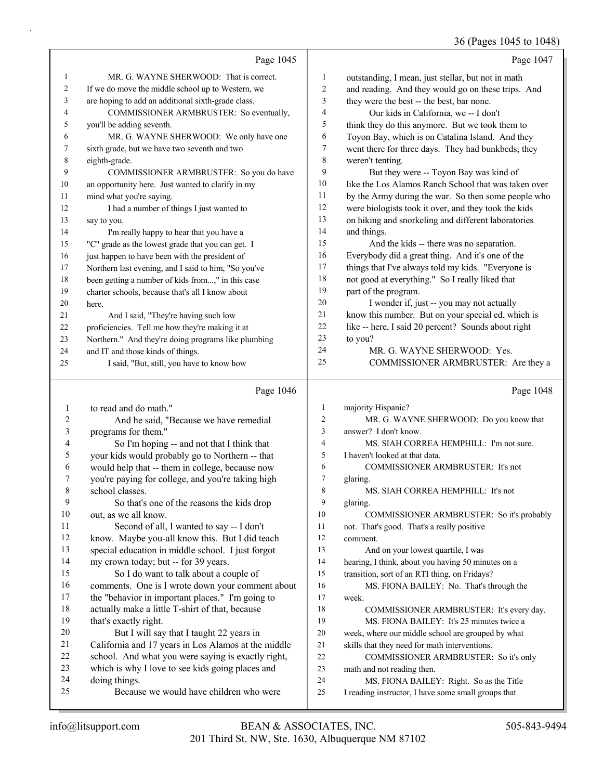#### 36 (Pages 1045 to 1048)

|                |                                                      |                | 36 (Pages 1045 to 1048)                              |
|----------------|------------------------------------------------------|----------------|------------------------------------------------------|
|                | Page 1045                                            |                | Page 1047                                            |
| $\mathbf{1}$   | MR. G. WAYNE SHERWOOD: That is correct.              | 1              | outstanding, I mean, just stellar, but not in math   |
| $\overline{c}$ | If we do move the middle school up to Western, we    | 2              | and reading. And they would go on these trips. And   |
| 3              | are hoping to add an additional sixth-grade class.   | 3              | they were the best -- the best, bar none.            |
| 4              | COMMISSIONER ARMBRUSTER: So eventually,              | 4              | Our kids in California, we -- I don't                |
| 5              | you'll be adding seventh.                            | 5              | think they do this anymore. But we took them to      |
| 6              | MR. G. WAYNE SHERWOOD: We only have one              | 6              | Toyon Bay, which is on Catalina Island. And they     |
| 7              | sixth grade, but we have two seventh and two         | 7              | went there for three days. They had bunkbeds; they   |
| 8              | eighth-grade.                                        | $\,$ $\,$      | weren't tenting.                                     |
| 9              | COMMISSIONER ARMBRUSTER: So you do have              | 9              | But they were -- Toyon Bay was kind of               |
| 10             | an opportunity here. Just wanted to clarify in my    | 10             | like the Los Alamos Ranch School that was taken over |
| 11             | mind what you're saying.                             | 11             | by the Army during the war. So then some people who  |
| 12             | I had a number of things I just wanted to            | 12             | were biologists took it over, and they took the kids |
| 13             | say to you.                                          | 13             | on hiking and snorkeling and different laboratories  |
| 14             | I'm really happy to hear that you have a             | 14             | and things.                                          |
| 15             | "C" grade as the lowest grade that you can get. I    | 15             | And the kids -- there was no separation.             |
| 16             | just happen to have been with the president of       | 16             | Everybody did a great thing. And it's one of the     |
| 17             | Northern last evening, and I said to him, "So you've | 17             | things that I've always told my kids. "Everyone is   |
| 18             | been getting a number of kids from," in this case    | 18             | not good at everything." So I really liked that      |
| 19             | charter schools, because that's all I know about     | 19             | part of the program.                                 |
| 20             | here.                                                | 20             | I wonder if, just -- you may not actually            |
| 21             | And I said, "They're having such low                 | 21             | know this number. But on your special ed, which is   |
| 22             | proficiencies. Tell me how they're making it at      | $22\,$         | like -- here, I said 20 percent? Sounds about right  |
| 23             | Northern." And they're doing programs like plumbing  | 23             | to you?                                              |
| 24             | and IT and those kinds of things.                    | 24             | MR. G. WAYNE SHERWOOD: Yes.                          |
| 25             | I said, "But, still, you have to know how            | 25             | COMMISSIONER ARMBRUSTER: Are they a                  |
|                | Page 1046                                            |                | Page 1048                                            |
| $\mathbf{1}$   | to read and do math."                                | $\mathbf{1}$   | majority Hispanic?                                   |
| 2              | And he said, "Because we have remedial               | $\overline{c}$ | MR. G. WAYNE SHERWOOD: Do you know that              |
| 3              | programs for them."                                  | 3              | answer? I don't know.                                |
| 4              | So I'm hoping -- and not that I think that           | $\overline{4}$ | MS. SIAH CORREA HEMPHILL: I'm not sure.              |
| 5              | your kids would probably go to Northern -- that      | 5              | I haven't looked at that data.                       |
| 6              | would help that -- them in college, because now      | 6              | COMMISSIONER ARMBRUSTER: It's not                    |
| 7              | you're paying for college, and you're taking high    | 7              | glaring.                                             |
| 8              | school classes.                                      | 8              | MS. SIAH CORREA HEMPHILL: It's not                   |
| 9              | So that's one of the reasons the kids drop           | 9              | glaring.                                             |
| 10             | out, as we all know.                                 | 10             | COMMISSIONER ARMBRUSTER: So it's probably            |
| 11             | Second of all, I wanted to say -- I don't            | 11             | not. That's good. That's a really positive           |
| 12             | know. Maybe you-all know this. But I did teach       | 12             | comment.                                             |
| 13             | special education in middle school. I just forgot    | 13             | And on your lowest quartile, I was                   |
| 14             | my crown today; but -- for 39 years.                 | 14             | hearing, I think, about you having 50 minutes on a   |
| 15             | So I do want to talk about a couple of               | 15             | transition, sort of an RTI thing, on Fridays?        |
| 16             | comments. One is I wrote down your comment about     | 16             | MS. FIONA BAILEY: No. That's through the             |
| 17             | the "behavior in important places." I'm going to     | 17             | week.                                                |
| 18             | actually make a little T-shirt of that, because      | 18             | COMMISSIONER ARMBRUSTER: It's every day.             |
| 19             | that's exactly right.                                | 19             | MS. FIONA BAILEY: It's 25 minutes twice a            |
| 20             | But I will say that I taught 22 years in             | 20             | week, where our middle school are grouped by what    |
| 21             | California and 17 years in Los Alamos at the middle  | 21             | skills that they need for math interventions.        |
| 22             | school. And what you were saying is exactly right,   | 22             | COMMISSIONER ARMBRUSTER: So it's only                |
| 23             | which is why I love to see kids going places and     | 23             | math and not reading then.                           |

23 math and not reading then.<br>24 MS. FIONA BAILE

MS. FIONA BAILEY: Right. So as the Title

I reading instructor, I have some small groups that

24 doing things.<br>25 Becaus

Because we would have children who were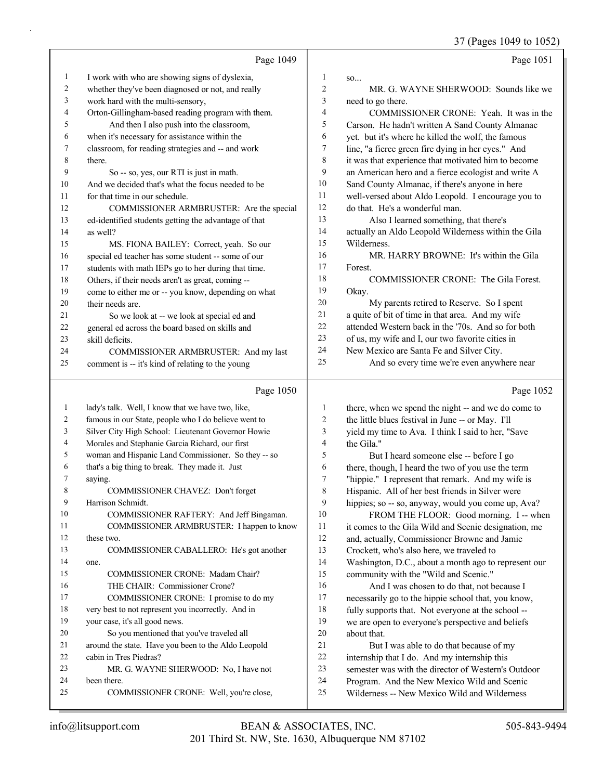|              |                                                      |                  | 37 (Pages 1049 to 1052)                              |
|--------------|------------------------------------------------------|------------------|------------------------------------------------------|
|              | Page 1049                                            |                  | Page 1051                                            |
| $\mathbf{1}$ | I work with who are showing signs of dyslexia,       | 1                | so                                                   |
| 2            | whether they've been diagnosed or not, and really    | $\overline{c}$   | MR. G. WAYNE SHERWOOD: Sounds like we                |
| 3            | work hard with the multi-sensory,                    | $\mathfrak{Z}$   | need to go there.                                    |
| 4            | Orton-Gillingham-based reading program with them.    | $\overline{4}$   | COMMISSIONER CRONE: Yeah. It was in the              |
| 5            | And then I also push into the classroom,             | 5                | Carson. He hadn't written A Sand County Almanac      |
| 6            | when it's necessary for assistance within the        | 6                | yet. but it's where he killed the wolf, the famous   |
| 7            | classroom, for reading strategies and -- and work    | 7                | line, "a fierce green fire dying in her eyes." And   |
| 8            | there.                                               | $\,$ 8 $\,$      | it was that experience that motivated him to become  |
| 9            | So -- so, yes, our RTI is just in math.              | 9                | an American hero and a fierce ecologist and write A  |
| 10           | And we decided that's what the focus needed to be    | 10               | Sand County Almanac, if there's anyone in here       |
| 11           | for that time in our schedule.                       | 11               | well-versed about Aldo Leopold. I encourage you to   |
| 12           | COMMISSIONER ARMBRUSTER: Are the special             | 12               | do that. He's a wonderful man.                       |
| 13           | ed-identified students getting the advantage of that | 13               | Also I learned something, that there's               |
| 14           | as well?                                             | 14               | actually an Aldo Leopold Wilderness within the Gila  |
| 15           | MS. FIONA BAILEY: Correct, yeah. So our              | 15               | Wilderness.                                          |
| 16           | special ed teacher has some student -- some of our   | 16               | MR. HARRY BROWNE: It's within the Gila               |
| 17           | students with math IEPs go to her during that time.  | 17               | Forest.                                              |
| 18           | Others, if their needs aren't as great, coming --    | 18               | COMMISSIONER CRONE: The Gila Forest.                 |
| 19           | come to either me or -- you know, depending on what  | 19               | Okay.                                                |
| 20           | their needs are.                                     | 20               | My parents retired to Reserve. So I spent            |
| 21           | So we look at -- we look at special ed and           | 21               | a quite of bit of time in that area. And my wife     |
| 22           | general ed across the board based on skills and      | 22               | attended Western back in the '70s. And so for both   |
| 23           | skill deficits.                                      | 23               | of us, my wife and I, our two favorite cities in     |
| 24           | COMMISSIONER ARMBRUSTER: And my last                 | 24               | New Mexico are Santa Fe and Silver City.             |
| 25           | comment is -- it's kind of relating to the young     | 25               | And so every time we're even anywhere near           |
|              |                                                      |                  |                                                      |
|              | Page 1050                                            |                  | Page 1052                                            |
| $\mathbf{1}$ | lady's talk. Well, I know that we have two, like,    | $\mathbf{1}$     | there, when we spend the night -- and we do come to  |
| 2            | famous in our State, people who I do believe went to | $\overline{2}$   | the little blues festival in June -- or May. I'll    |
| 3            | Silver City High School: Lieutenant Governor Howie   | $\mathfrak{Z}$   | yield my time to Ava. I think I said to her, "Save   |
| 4            | Morales and Stephanie Garcia Richard, our first      | $\overline{4}$   | the Gila."                                           |
| 5            | woman and Hispanic Land Commissioner. So they -- so  | 5                | But I heard someone else -- before I go              |
| 6            | that's a big thing to break. They made it. Just      | 6                | there, though, I heard the two of you use the term   |
| $\prime$     | saying.                                              | $\boldsymbol{7}$ | "hippie." I represent that remark. And my wife is    |
| 8            | COMMISSIONER CHAVEZ: Don't forget                    | 8                | Hispanic. All of her best friends in Silver were     |
| 9            | Harrison Schmidt.                                    | 9                | hippies; so -- so, anyway, would you come up, Ava?   |
| 10           | COMMISSIONER RAFTERY: And Jeff Bingaman.             | 10               | FROM THE FLOOR: Good morning. I -- when              |
| 11           | COMMISSIONER ARMBRUSTER: I happen to know            | 11               | it comes to the Gila Wild and Scenic designation, me |
| 12           | these two.                                           | 12               | and, actually, Commissioner Browne and Jamie         |
| 13           | COMMISSIONER CABALLERO: He's got another             | 13               | Crockett, who's also here, we traveled to            |
| 14           | one.                                                 | 14               | Washington, D.C., about a month ago to represent our |
| 15           | COMMISSIONER CRONE: Madam Chair?                     | 15               | community with the "Wild and Scenic."                |
| 16           | THE CHAIR: Commissioner Crone?                       | 16               | And I was chosen to do that, not because I           |
| 17           | COMMISSIONER CRONE: I promise to do my               | 17               | necessarily go to the hippie school that, you know,  |
| 18           | very best to not represent you incorrectly. And in   | 18               | fully supports that. Not everyone at the school --   |
| 19           | your case, it's all good news.                       | 19               | we are open to everyone's perspective and beliefs    |
| 20           | So you mentioned that you've traveled all            | $20\,$           | about that.                                          |
| 21           | around the state. Have you been to the Aldo Leopold  | 21               | But I was able to do that because of my              |
| 22           | cabin in Tres Piedras?                               | 22               | internship that I do. And my internship this         |
| 23           | MR. G. WAYNE SHERWOOD: No, I have not                | 23               | semester was with the director of Western's Outdoor  |
| 24           | been there.                                          | 24               | Program. And the New Mexico Wild and Scenic          |

Wilderness -- New Mexico Wild and Wilderness

25 COMMISSIONER CRONE: Well, you're close,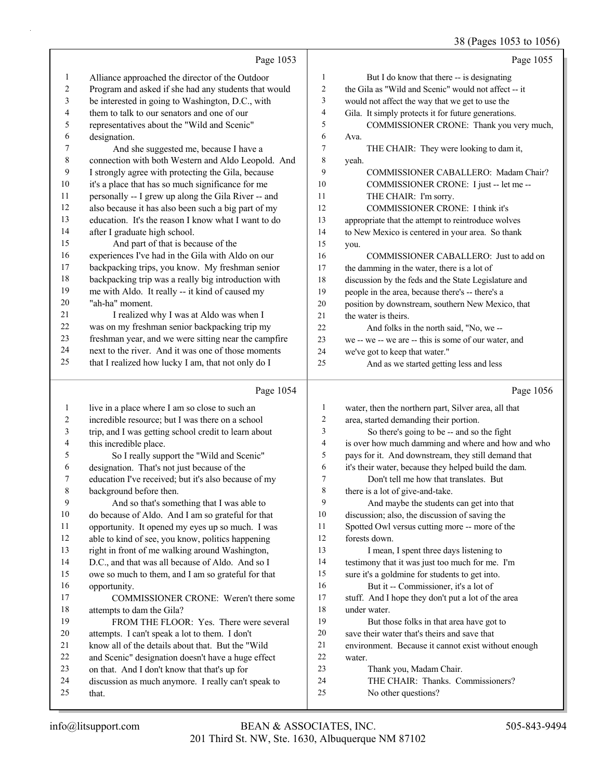## 38 (Pages 1053 to 1056)

|              |                                                      |                  | $30$ (1 ages 1033 to 1030)                           |
|--------------|------------------------------------------------------|------------------|------------------------------------------------------|
|              | Page 1053                                            |                  | Page 1055                                            |
| $\mathbf{1}$ | Alliance approached the director of the Outdoor      | $\mathbf{1}$     | But I do know that there -- is designating           |
| 2            | Program and asked if she had any students that would | 2                | the Gila as "Wild and Scenic" would not affect -- it |
| 3            | be interested in going to Washington, D.C., with     | 3                | would not affect the way that we get to use the      |
| 4            | them to talk to our senators and one of our          | $\overline{4}$   | Gila. It simply protects it for future generations.  |
| 5            | representatives about the "Wild and Scenic"          | 5                | COMMISSIONER CRONE: Thank you very much,             |
| 6            | designation.                                         | 6                | Ava.                                                 |
| 7            | And she suggested me, because I have a               | $\boldsymbol{7}$ | THE CHAIR: They were looking to dam it,              |
| $\,8\,$      | connection with both Western and Aldo Leopold. And   | 8                | yeah.                                                |
| 9            | I strongly agree with protecting the Gila, because   | 9                | COMMISSIONER CABALLERO: Madam Chair?                 |
| 10           | it's a place that has so much significance for me    | 10               | COMMISSIONER CRONE: I just -- let me --              |
| 11           | personally -- I grew up along the Gila River -- and  | 11               | THE CHAIR: I'm sorry.                                |
| 12           | also because it has also been such a big part of my  | 12               | COMMISSIONER CRONE: I think it's                     |
| 13           | education. It's the reason I know what I want to do  | 13               | appropriate that the attempt to reintroduce wolves   |
| 14           | after I graduate high school.                        | 14               | to New Mexico is centered in your area. So thank     |
| 15           | And part of that is because of the                   | 15               | you.                                                 |
| 16           | experiences I've had in the Gila with Aldo on our    | 16               | COMMISSIONER CABALLERO: Just to add on               |
| 17           | backpacking trips, you know. My freshman senior      | 17               | the damming in the water, there is a lot of          |
| 18           | backpacking trip was a really big introduction with  | $18\,$           | discussion by the feds and the State Legislature and |
| 19           | me with Aldo. It really -- it kind of caused my      | 19               | people in the area, because there's -- there's a     |
| 20           | "ah-ha" moment.                                      | $20\,$           | position by downstream, southern New Mexico, that    |
| 21           | I realized why I was at Aldo was when I              | 21               | the water is theirs.                                 |
| 22           | was on my freshman senior backpacking trip my        | 22               | And folks in the north said, "No, we --              |
| 23           | freshman year, and we were sitting near the campfire | 23               | we -- we -- we are -- this is some of our water, and |
| 24           | next to the river. And it was one of those moments   | 24               | we've got to keep that water."                       |
| 25           | that I realized how lucky I am, that not only do I   | 25               | And as we started getting less and less              |
|              | Page 1054                                            |                  | Page 1056                                            |
| $\mathbf{1}$ | live in a place where I am so close to such an       | 1                | water, then the northern part, Silver area, all that |
| 2            | incredible resource; but I was there on a school     | $\mathbf{2}$     | area, started demanding their portion.               |
| 3            | trip, and I was getting school credit to learn about | 3                | So there's going to be -- and so the fight           |
| 4            | this incredible place.                               | 4                | is over how much damming and where and how and who   |
| 5            | So I really support the "Wild and Scenic"            | 5                | pays for it. And downstream, they still demand that  |
| 6            | designation. That's not just because of the          | 6                | it's their water, because they helped build the dam. |
| 7            | education I've received; but it's also because of my | $\boldsymbol{7}$ | Don't tell me how that translates. But               |
| 8            | background before then.                              | 8                | there is a lot of give-and-take.                     |
| 9            | And so that's something that I was able to           | 9                | And maybe the students can get into that             |
| 10           | do because of Aldo. And I am so grateful for that    | 10               | discussion; also, the discussion of saving the       |
| 11           | opportunity. It opened my eyes up so much. I was     | 11               | Spotted Owl versus cutting more -- more of the       |
| 12           | able to kind of see, you know, politics happening    | 12               | forests down.                                        |
| 13           | right in front of me walking around Washington,      | 13               | I mean, I spent three days listening to              |
| 14           | D.C., and that was all because of Aldo. And so I     | 14               | testimony that it was just too much for me. I'm      |
| 15           | owe so much to them, and I am so grateful for that   | 15               | sure it's a goldmine for students to get into.       |

- owe so much to them, and I am so grateful for that opportunity.
- 17 COMMISSIONER CRONE: Weren't there some attempts to dam the Gila?
- 19 FROM THE FLOOR: Yes. There were several
- attempts. I can't speak a lot to them. I don't
- know all of the details about that. But the "Wild
- and Scenic" designation doesn't have a huge effect
- on that. And I don't know that that's up for
- discussion as much anymore. I really can't speak to that.
- 16 But it -- Commissioner, it's a lot of stuff. And I hope they don't put a lot of the area under water.
- 19 But those folks in that area have got to
- save their water that's theirs and save that
- environment. Because it cannot exist without enough
- water.
- 23 Thank you, Madam Chair.
- 24 THE CHAIR: Thanks. Commissioners?
- 25 No other questions?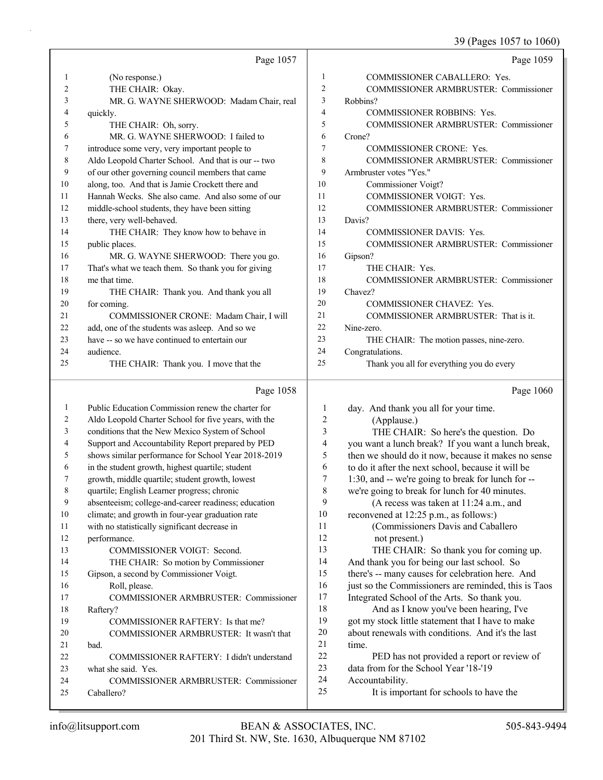# 39 (Pages 1057 to 1060)

|          | Page 1057                                            |                | Page 1059                                                  |
|----------|------------------------------------------------------|----------------|------------------------------------------------------------|
| 1        | (No response.)                                       | 1              | COMMISSIONER CABALLERO: Yes.                               |
| 2        | THE CHAIR: Okay.                                     | $\overline{c}$ | <b>COMMISSIONER ARMBRUSTER: Commissioner</b>               |
| 3        | MR. G. WAYNE SHERWOOD: Madam Chair, real             | 3              | Robbins?                                                   |
| 4        | quickly.                                             | $\overline{4}$ | <b>COMMISSIONER ROBBINS: Yes.</b>                          |
| 5        | THE CHAIR: Oh, sorry.                                | 5              | COMMISSIONER ARMBRUSTER: Commissioner                      |
| 6        | MR. G. WAYNE SHERWOOD: I failed to                   | 6              | Crone?                                                     |
| 7        | introduce some very, very important people to        | 7              | COMMISSIONER CRONE: Yes.                                   |
| 8        | Aldo Leopold Charter School. And that is our -- two  | 8              | COMMISSIONER ARMBRUSTER: Commissioner                      |
| 9        | of our other governing council members that came     | 9              | Armbruster votes "Yes."                                    |
| 10       | along, too. And that is Jamie Crockett there and     | 10             | Commissioner Voigt?                                        |
| 11       | Hannah Wecks. She also came. And also some of our    | 11             | COMMISSIONER VOIGT: Yes.                                   |
| 12       | middle-school students, they have been sitting       | 12             | COMMISSIONER ARMBRUSTER: Commissioner                      |
| 13       | there, very well-behaved.                            | 13             | Davis?                                                     |
| 14       | THE CHAIR: They know how to behave in                | 14             | COMMISSIONER DAVIS: Yes.                                   |
| 15       | public places.                                       | 15             | COMMISSIONER ARMBRUSTER: Commissioner                      |
| 16       | MR. G. WAYNE SHERWOOD: There you go.                 | 16             | Gipson?                                                    |
| 17       | That's what we teach them. So thank you for giving   | 17             | THE CHAIR: Yes.                                            |
| 18       | me that time.                                        | 18             | <b>COMMISSIONER ARMBRUSTER: Commissioner</b>               |
| 19       | THE CHAIR: Thank you. And thank you all              | 19             | Chavez?                                                    |
| 20       | for coming.                                          | 20             | COMMISSIONER CHAVEZ: Yes.                                  |
| 21       | COMMISSIONER CRONE: Madam Chair, I will              | 21             | COMMISSIONER ARMBRUSTER: That is it.                       |
| 22       | add, one of the students was asleep. And so we       | 22             | Nine-zero.                                                 |
| 23       | have -- so we have continued to entertain our        | 23             | THE CHAIR: The motion passes, nine-zero.                   |
| 24       | audience.                                            | 24             | Congratulations.                                           |
| 25       | THE CHAIR: Thank you. I move that the                | 25             | Thank you all for everything you do every                  |
|          |                                                      |                |                                                            |
|          | Page 1058                                            |                | Page 1060                                                  |
| 1        | Public Education Commission renew the charter for    | $\mathbf{1}$   |                                                            |
| 2        | Aldo Leopold Charter School for five years, with the | 2              | day. And thank you all for your time.<br>(Applause.)       |
| 3        | conditions that the New Mexico System of School      | 3              | THE CHAIR: So here's the question. Do                      |
| 4        | Support and Accountability Report prepared by PED    | 4              | you want a lunch break? If you want a lunch break,         |
| 5        | shows similar performance for School Year 2018-2019  | 5              | then we should do it now, because it makes no sense        |
| 6        | in the student growth, highest quartile; student     | 6              | to do it after the next school, because it will be         |
| 7        | growth, middle quartile; student growth, lowest      | 7              | 1:30, and -- we're going to break for lunch for --         |
| 8        | quartile; English Learner progress; chronic          | 8              | we're going to break for lunch for 40 minutes.             |
| 9        | absenteeism; college-and-career readiness; education | 9              | (A recess was taken at 11:24 a.m., and                     |
| 10       | climate; and growth in four-year graduation rate     | 10             | reconvened at 12:25 p.m., as follows:)                     |
| 11       | with no statistically significant decrease in        | 11             | (Commissioners Davis and Caballero                         |
| 12       | performance.                                         | 12             | not present.)                                              |
| 13       | COMMISSIONER VOIGT: Second.                          | 13             | THE CHAIR: So thank you for coming up.                     |
| 14       | THE CHAIR: So motion by Commissioner                 | 14             | And thank you for being our last school. So                |
| 15       | Gipson, a second by Commissioner Voigt.              | 15             | there's -- many causes for celebration here. And           |
| 16       | Roll, please.                                        | 16             | just so the Commissioners are reminded, this is Taos       |
| 17       | COMMISSIONER ARMBRUSTER: Commissioner                | 17             | Integrated School of the Arts. So thank you.               |
| 18       | Raftery?                                             | 18             | And as I know you've been hearing, I've                    |
| 19       | COMMISSIONER RAFTERY: Is that me?                    | 19             | got my stock little statement that I have to make          |
| 20       | COMMISSIONER ARMBRUSTER: It wasn't that              | 20             | about renewals with conditions. And it's the last          |
| 21       | bad.                                                 | 21             | time.                                                      |
| 22       | COMMISSIONER RAFTERY: I didn't understand            | 22             | PED has not provided a report or review of                 |
| 23       | what she said. Yes.                                  | 23             | data from for the School Year '18-'19                      |
| 24<br>25 | COMMISSIONER ARMBRUSTER: Commissioner<br>Caballero?  | 24<br>25       | Accountability.<br>It is important for schools to have the |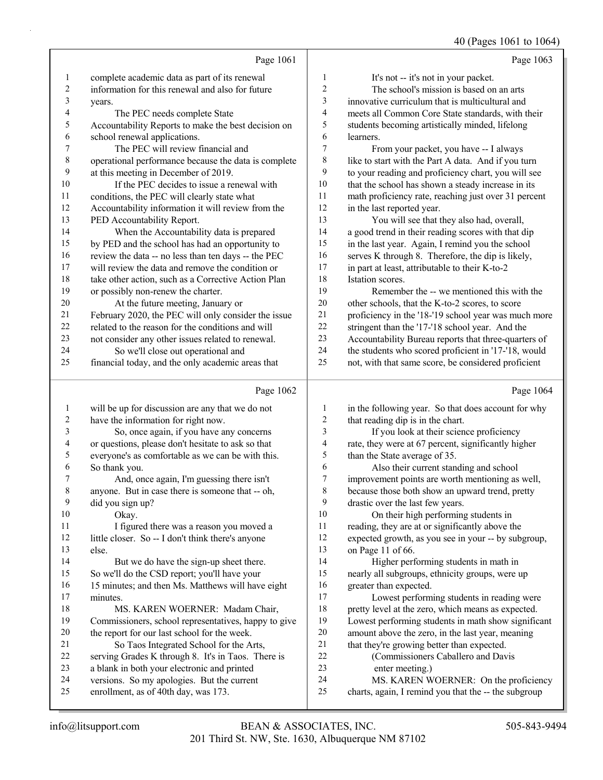40 (Pages 1061 to 1064)

|                  |                                                                                           |                         | ہے ہیں<br>$\cdots$                                       |
|------------------|-------------------------------------------------------------------------------------------|-------------------------|----------------------------------------------------------|
|                  | Page 1061                                                                                 |                         | Page 1063                                                |
| 1                | complete academic data as part of its renewal                                             | $\mathbf{1}$            | It's not -- it's not in your packet.                     |
| $\sqrt{2}$       | information for this renewal and also for future                                          | $\overline{c}$          | The school's mission is based on an arts                 |
| $\mathfrak{Z}$   | years.                                                                                    | 3                       | innovative curriculum that is multicultural and          |
| 4                | The PEC needs complete State                                                              | $\overline{4}$          | meets all Common Core State standards, with their        |
| 5                | Accountability Reports to make the best decision on                                       | 5                       | students becoming artistically minded, lifelong          |
| 6                | school renewal applications.                                                              | 6                       | learners.                                                |
| 7                | The PEC will review financial and                                                         | 7                       | From your packet, you have -- I always                   |
| $\,$ $\,$        | operational performance because the data is complete                                      | 8                       | like to start with the Part A data. And if you turn      |
| 9                |                                                                                           | 9                       |                                                          |
|                  | at this meeting in December of 2019.                                                      | 10                      | to your reading and proficiency chart, you will see      |
| 10               | If the PEC decides to issue a renewal with                                                |                         | that the school has shown a steady increase in its       |
| 11               | conditions, the PEC will clearly state what                                               | 11                      | math proficiency rate, reaching just over 31 percent     |
| 12               | Accountability information it will review from the                                        | 12                      | in the last reported year.                               |
| 13               | PED Accountability Report.                                                                | 13                      | You will see that they also had, overall,                |
| 14               | When the Accountability data is prepared                                                  | 14                      | a good trend in their reading scores with that dip       |
| 15               | by PED and the school has had an opportunity to                                           | 15                      | in the last year. Again, I remind you the school         |
| 16               | review the data -- no less than ten days -- the PEC                                       | 16                      | serves K through 8. Therefore, the dip is likely,        |
| 17               | will review the data and remove the condition or                                          | 17                      | in part at least, attributable to their K-to-2           |
| 18               | take other action, such as a Corrective Action Plan                                       | 18                      | Istation scores.                                         |
| 19               | or possibly non-renew the charter.                                                        | 19                      | Remember the -- we mentioned this with the               |
| 20               | At the future meeting, January or                                                         | 20                      | other schools, that the K-to-2 scores, to score          |
| 21               | February 2020, the PEC will only consider the issue                                       | 21                      | proficiency in the '18-'19 school year was much more     |
| 22               | related to the reason for the conditions and will                                         | 22                      | stringent than the '17-'18 school year. And the          |
| 23               | not consider any other issues related to renewal.                                         | 23                      | Accountability Bureau reports that three-quarters of     |
| 24               | So we'll close out operational and                                                        | 24                      | the students who scored proficient in '17-'18, would     |
| 25               | financial today, and the only academic areas that                                         | 25                      | not, with that same score, be considered proficient      |
|                  |                                                                                           |                         |                                                          |
|                  | Page 1062                                                                                 |                         | Page 1064                                                |
| $\mathbf{1}$     |                                                                                           | $\mathbf{1}$            |                                                          |
| $\boldsymbol{2}$ | will be up for discussion are any that we do not                                          | $\overline{2}$          | in the following year. So that does account for why      |
| 3                | have the information for right now.                                                       | $\mathfrak{Z}$          | that reading dip is in the chart.                        |
| 4                | So, once again, if you have any concerns                                                  | $\overline{\mathbf{4}}$ | If you look at their science proficiency                 |
| 5                | or questions, please don't hesitate to ask so that                                        | 5                       | rate, they were at 67 percent, significantly higher      |
| 6                | everyone's as comfortable as we can be with this.                                         | 6                       | than the State average of 35.                            |
| 7                | So thank you.                                                                             | 7                       | Also their current standing and school                   |
|                  | And, once again, I'm guessing there isn't                                                 |                         | improvement points are worth mentioning as well,         |
| $\,$ 8 $\,$<br>9 | anyone. But in case there is someone that -- oh,                                          | $\,$ 8 $\,$<br>9        | because those both show an upward trend, pretty          |
| 10               | did you sign up?                                                                          | $10\,$                  | drastic over the last few years.                         |
|                  | Okay.                                                                                     |                         | On their high performing students in                     |
| 11               | I figured there was a reason you moved a                                                  | 11                      | reading, they are at or significantly above the          |
| 12               | little closer. So -- I don't think there's anyone                                         | 12                      | expected growth, as you see in your -- by subgroup,      |
| 13               | else.                                                                                     | 13                      | on Page 11 of 66.                                        |
| 14               | But we do have the sign-up sheet there.                                                   | 14                      | Higher performing students in math in                    |
| 15<br>16         | So we'll do the CSD report; you'll have your                                              | 15<br>16                | nearly all subgroups, ethnicity groups, were up          |
| 17               | 15 minutes; and then Ms. Matthews will have eight<br>minutes.                             | 17                      | greater than expected.                                   |
| 18               |                                                                                           | 18                      | Lowest performing students in reading were               |
| 19               | MS. KAREN WOERNER: Madam Chair,                                                           | 19                      | pretty level at the zero, which means as expected.       |
| $20\,$           | Commissioners, school representatives, happy to give                                      | $20\,$                  | Lowest performing students in math show significant      |
| 21               | the report for our last school for the week.                                              | 21                      | amount above the zero, in the last year, meaning         |
| 22               | So Taos Integrated School for the Arts,                                                   | 22                      | that they're growing better than expected.               |
| 23               | serving Grades K through 8. It's in Taos. There is                                        | 23                      | (Commissioners Caballero and Davis                       |
| 24               | a blank in both your electronic and printed<br>versions. So my apologies. But the current | 24                      | enter meeting.)<br>MS. KAREN WOERNER: On the proficiency |
| 25               | enrollment, as of 40th day, was 173.                                                      | 25                      | charts, again, I remind you that the -- the subgroup     |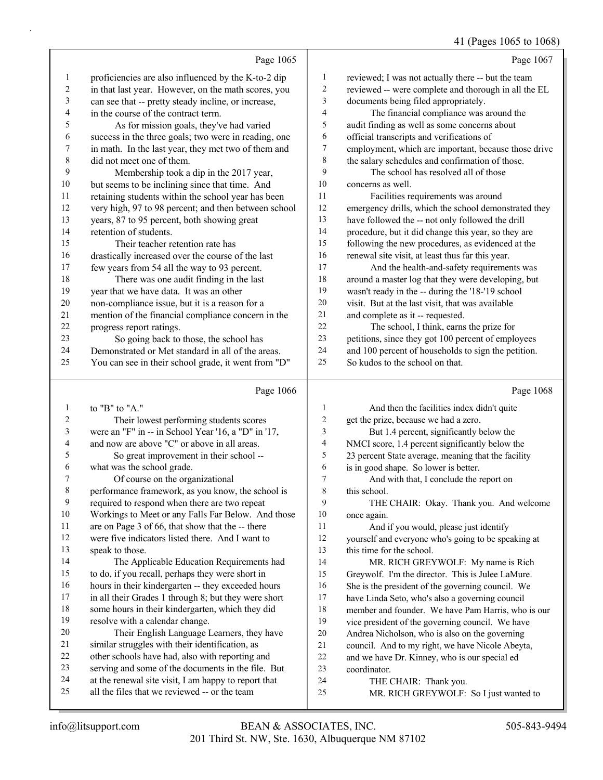## 41 (Pages 1065 to 1068)

|        |                                                      |    | <b>41 (Fages 1005 to 1006)</b>                       |
|--------|------------------------------------------------------|----|------------------------------------------------------|
|        | Page 1065                                            |    | Page 1067                                            |
| 1      | proficiencies are also influenced by the K-to-2 dip  | 1  | reviewed; I was not actually there -- but the team   |
| 2      | in that last year. However, on the math scores, you  | 2  | reviewed -- were complete and thorough in all the EL |
| 3      | can see that -- pretty steady incline, or increase,  | 3  | documents being filed appropriately.                 |
| 4      | in the course of the contract term.                  | 4  | The financial compliance was around the              |
| 5      | As for mission goals, they've had varied             | 5  | audit finding as well as some concerns about         |
| 6      | success in the three goals; two were in reading, one | 6  | official transcripts and verifications of            |
| 7      | in math. In the last year, they met two of them and  | 7  | employment, which are important, because those drive |
| 8      | did not meet one of them.                            | 8  | the salary schedules and confirmation of those.      |
| 9      | Membership took a dip in the 2017 year,              | 9  | The school has resolved all of those                 |
| 10     | but seems to be inclining since that time. And       | 10 | concerns as well.                                    |
| 11     | retaining students within the school year has been   | 11 | Facilities requirements was around                   |
| 12     | very high, 97 to 98 percent; and then between school | 12 | emergency drills, which the school demonstrated they |
| 13     | years, 87 to 95 percent, both showing great          | 13 | have followed the -- not only followed the drill     |
| 14     | retention of students.                               | 14 | procedure, but it did change this year, so they are  |
| 15     | Their teacher retention rate has                     | 15 | following the new procedures, as evidenced at the    |
| 16     | drastically increased over the course of the last    | 16 | renewal site visit, at least thus far this year.     |
| 17     | few years from 54 all the way to 93 percent.         | 17 | And the health-and-safety requirements was           |
| 18     | There was one audit finding in the last              | 18 | around a master log that they were developing, but   |
| 19     | year that we have data. It was an other              | 19 | wasn't ready in the -- during the '18-'19 school     |
| 20     | non-compliance issue, but it is a reason for a       | 20 | visit. But at the last visit, that was available     |
| 21     | mention of the financial compliance concern in the   | 21 | and complete as it -- requested.                     |
| $22\,$ | progress report ratings.                             | 22 | The school, I think, earns the prize for             |
| 23     | So going back to those, the school has               | 23 | petitions, since they got 100 percent of employees   |
| 24     | Demonstrated or Met standard in all of the areas.    | 24 | and 100 percent of households to sign the petition.  |
| 25     | You can see in their school grade, it went from "D"  | 25 | So kudos to the school on that.                      |
|        | Page 1066                                            |    | Page 1068                                            |
| 1      | to "B" to "A."                                       | 1  | And then the facilities index didn't quite           |
| 2      | Their lowest nerforming students scores              |    | get the prize, because we had a zero                 |

| $\mathbf{I}$   | 10 B 10 A.                                           | $\mathbf{r}$ | And then the facilities muex didn't quite           |
|----------------|------------------------------------------------------|--------------|-----------------------------------------------------|
| 2              | Their lowest performing students scores              | 2            | get the prize, because we had a zero.               |
| $\mathfrak{Z}$ | were an "F" in -- in School Year '16, a "D" in '17,  | 3            | But 1.4 percent, significantly below the            |
| 4              | and now are above "C" or above in all areas.         | 4            | NMCI score, 1.4 percent significantly below the     |
| 5              | So great improvement in their school --              | 5            | 23 percent State average, meaning that the facility |
| 6              | what was the school grade.                           | 6            | is in good shape. So lower is better.               |
| $\tau$         | Of course on the organizational                      | 7            | And with that, I conclude the report on             |
| $\,8\,$        | performance framework, as you know, the school is    | 8            | this school.                                        |
| $\overline{9}$ | required to respond when there are two repeat        | 9            | THE CHAIR: Okay. Thank you. And welcome             |
| 10             | Workings to Meet or any Falls Far Below. And those   | 10           | once again.                                         |
| 11             | are on Page 3 of 66, that show that the -- there     | 11           | And if you would, please just identify              |
| 12             | were five indicators listed there. And I want to     | 12           | yourself and everyone who's going to be speaking at |
| 13             | speak to those.                                      | 13           | this time for the school.                           |
| 14             | The Applicable Education Requirements had            | 14           | MR. RICH GREYWOLF: My name is Rich                  |
| 15             | to do, if you recall, perhaps they were short in     | 15           | Greywolf. I'm the director. This is Julee LaMure.   |
| 16             | hours in their kindergarten -- they exceeded hours   | 16           | She is the president of the governing council. We   |
| 17             | in all their Grades 1 through 8; but they were short | 17           | have Linda Seto, who's also a governing council     |
| 18             | some hours in their kindergarten, which they did     | 18           | member and founder. We have Pam Harris, who is our  |
| 19             | resolve with a calendar change.                      | 19           | vice president of the governing council. We have    |
| 20             | Their English Language Learners, they have           | 20           | Andrea Nicholson, who is also on the governing      |
| 21             | similar struggles with their identification, as      | 21           | council. And to my right, we have Nicole Abeyta,    |
| 22             | other schools have had, also with reporting and      | 22           | and we have Dr. Kinney, who is our special ed       |
| 23             | serving and some of the documents in the file. But   | 23           | coordinator.                                        |
| 24             | at the renewal site visit, I am happy to report that | 24           | THE CHAIR: Thank you.                               |
| 25             | all the files that we reviewed -- or the team        | 25           | MR. RICH GREYWOLF: So I just wanted to              |
|                |                                                      |              |                                                     |
|                |                                                      |              |                                                     |

 $\frac{13}{14}$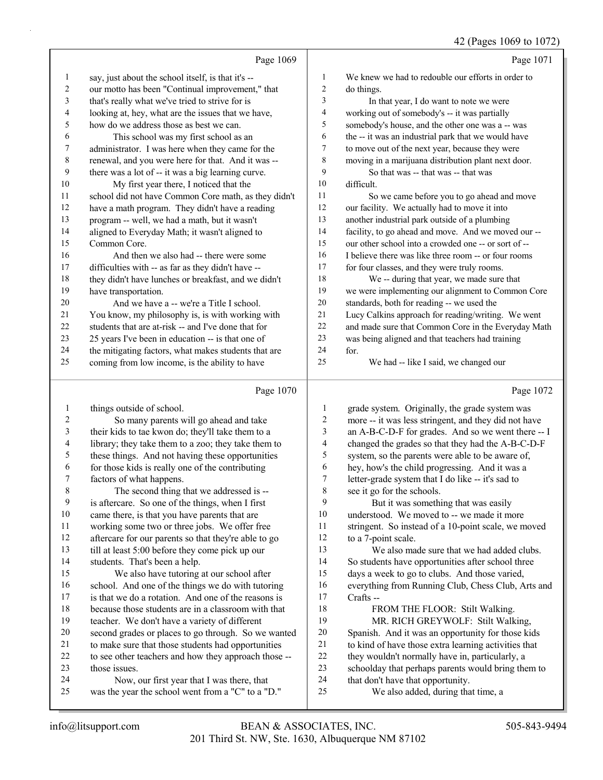|                |                                                      |                | 42 (Pages 1069 to 1072)                              |
|----------------|------------------------------------------------------|----------------|------------------------------------------------------|
|                | Page 1069                                            |                | Page 1071                                            |
| $\mathbf{1}$   | say, just about the school itself, is that it's --   | 1              | We knew we had to redouble our efforts in order to   |
| 2              | our motto has been "Continual improvement," that     | $\overline{c}$ | do things.                                           |
| 3              | that's really what we've tried to strive for is      | 3              | In that year, I do want to note we were              |
| 4              | looking at, hey, what are the issues that we have,   | 4              | working out of somebody's -- it was partially        |
| 5              | how do we address those as best we can.              | 5              | somebody's house, and the other one was a -- was     |
| 6              | This school was my first school as an                | 6              | the -- it was an industrial park that we would have  |
| 7              | administrator. I was here when they came for the     | 7              | to move out of the next year, because they were      |
| $\,8\,$        | renewal, and you were here for that. And it was --   | $\,8\,$        | moving in a marijuana distribution plant next door.  |
| 9              | there was a lot of -- it was a big learning curve.   | 9              | So that was -- that was -- that was                  |
| 10             | My first year there, I noticed that the              | 10             | difficult.                                           |
| 11             | school did not have Common Core math, as they didn't | 11             | So we came before you to go ahead and move           |
| 12             | have a math program. They didn't have a reading      | 12             | our facility. We actually had to move it into        |
| 13             | program -- well, we had a math, but it wasn't        | 13             | another industrial park outside of a plumbing        |
| 14             | aligned to Everyday Math; it wasn't aligned to       | 14             | facility, to go ahead and move. And we moved our --  |
| 15             | Common Core.                                         | 15             | our other school into a crowded one -- or sort of -- |
| 16             | And then we also had -- there were some              | 16             | I believe there was like three room -- or four rooms |
| 17             | difficulties with -- as far as they didn't have --   | 17             | for four classes, and they were truly rooms.         |
| 18             | they didn't have lunches or breakfast, and we didn't | 18             | We -- during that year, we made sure that            |
| 19             | have transportation.                                 | 19             | we were implementing our alignment to Common Core    |
| 20             | And we have a -- we're a Title I school.             | 20             | standards, both for reading -- we used the           |
| 21             | You know, my philosophy is, is with working with     | 21             | Lucy Calkins approach for reading/writing. We went   |
| 22             | students that are at-risk -- and I've done that for  | 22             | and made sure that Common Core in the Everyday Math  |
| 23             | 25 years I've been in education -- is that one of    | 23             | was being aligned and that teachers had training     |
| 24             | the mitigating factors, what makes students that are | 24             | for.                                                 |
| 25             | coming from low income, is the ability to have       | 25             | We had -- like I said, we changed our                |
|                | Page 1070                                            |                | Page 1072                                            |
| 1              | things outside of school.                            | 1              | grade system. Originally, the grade system was       |
| 2              | So many parents will go ahead and take               | $\sqrt{2}$     | more -- it was less stringent, and they did not have |
| 3              | their kids to tae kwon do; they'll take them to a    | $\mathfrak{Z}$ | an A-B-C-D-F for grades. And so we went there -- I   |
| 4              | library; they take them to a zoo; they take them to  | $\overline{4}$ | changed the grades so that they had the A-B-C-D-F    |
| 5              | these things. And not having these opportunities     | 5              | system, so the parents were able to be aware of,     |
| 6              | for those kids is really one of the contributing     | 6              | hey, how's the child progressing. And it was a       |
| Ί              | factors of what happens.                             | 7              | letter-grade system that I do like -- it's sad to    |
| $\,8\,$        | The second thing that we addressed is --             | 8              | see it go for the schools.                           |
| $\overline{9}$ | is aftercare. So one of the things, when I first     | 9              | But it was something that was easily                 |
| 10             | came there, is that you have parents that are        | $10\,$         | understood. We moved to -- we made it more           |
| 11             | working some two or three jobs. We offer free        | 11             | stringent. So instead of a 10-point scale, we moved  |
| 12             | aftercare for our parents so that they're able to go | 12             | to a 7-point scale.                                  |
| 13             | till at least 5:00 before they come pick up our      | 13             | We also made sure that we had added clubs.           |
| 14             | students. That's been a help.                        | 14             | So students have opportunities after school three    |
| 15             | We also have tutoring at our school after            | 15             | days a week to go to clubs. And those varied,        |
| 16             | school. And one of the things we do with tutoring    | 16             | everything from Running Club, Chess Club, Arts and   |
| 17             | is that we do a rotation. And one of the reasons is  | 17             | Crafts --                                            |
| 18             | because those students are in a classroom with that  | 18             | FROM THE FLOOR: Stilt Walking.                       |
| 19             | teacher. We don't have a variety of different        | 19             | MR. RICH GREYWOLF: Stilt Walking,                    |
| 20             | second grades or places to go through. So we wanted  | 20             | Spanish. And it was an opportunity for those kids    |
| 21             | to make sure that those students had opportunities   | 21             | to kind of have those extra learning activities that |

- to see other teachers and how they approach those -- those issues.
- 24 Now, our first year that I was there, that<br>25 was the vear the school went from a "C" to a "I
- was the year the school went from a "C" to a "D."
- 24 that don't have that opportunity.<br>25 We also added, during that We also added, during that time, a

schoolday that perhaps parents would bring them to

22 they wouldn't normally have in, particularly, a<br>23 schoolday that perhaps parents would bring the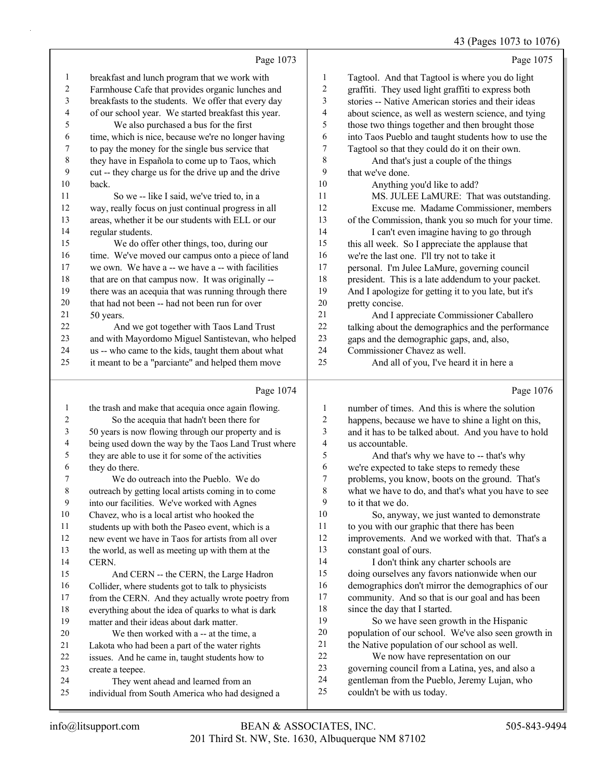43 (Pages 1073 to 1076)

|                | Page 1073                                                                               |                          | Page 1075                                                                               |
|----------------|-----------------------------------------------------------------------------------------|--------------------------|-----------------------------------------------------------------------------------------|
| $\mathbf{1}$   | breakfast and lunch program that we work with                                           | 1                        | Tagtool. And that Tagtool is where you do light                                         |
| 2              | Farmhouse Cafe that provides organic lunches and                                        | $\boldsymbol{2}$         | graffiti. They used light graffiti to express both                                      |
| 3              | breakfasts to the students. We offer that every day                                     | 3                        | stories -- Native American stories and their ideas                                      |
| 4              | of our school year. We started breakfast this year.                                     | $\overline{\mathcal{A}}$ | about science, as well as western science, and tying                                    |
| 5              | We also purchased a bus for the first                                                   | 5                        | those two things together and then brought those                                        |
| 6              | time, which is nice, because we're no longer having                                     | 6                        | into Taos Pueblo and taught students how to use the                                     |
| 7              | to pay the money for the single bus service that                                        | 7                        | Tagtool so that they could do it on their own.                                          |
| $\,$ 8 $\,$    | they have in Española to come up to Taos, which                                         | $\,$ $\,$                | And that's just a couple of the things                                                  |
| 9              | cut -- they charge us for the drive up and the drive                                    | 9                        | that we've done.                                                                        |
| 10             | back.                                                                                   | 10                       | Anything you'd like to add?                                                             |
| 11             | So we -- like I said, we've tried to, in a                                              | 11                       | MS. JULEE LaMURE: That was outstanding.                                                 |
| 12             | way, really focus on just continual progress in all                                     | 12                       | Excuse me. Madame Commissioner, members                                                 |
| 13             | areas, whether it be our students with ELL or our                                       | 13                       | of the Commission, thank you so much for your time.                                     |
| 14             | regular students.                                                                       | 14                       | I can't even imagine having to go through                                               |
| 15             | We do offer other things, too, during our                                               | 15                       | this all week. So I appreciate the applause that                                        |
| 16             | time. We've moved our campus onto a piece of land                                       | 16                       | we're the last one. I'll try not to take it                                             |
| 17             | we own. We have a -- we have a -- with facilities                                       | 17                       | personal. I'm Julee LaMure, governing council                                           |
| $18\,$         | that are on that campus now. It was originally --                                       | 18                       | president. This is a late addendum to your packet.                                      |
| 19             | there was an acequia that was running through there                                     | 19                       | And I apologize for getting it to you late, but it's                                    |
| 20             | that had not been -- had not been run for over                                          | $20\,$                   | pretty concise.                                                                         |
| 21             | 50 years.                                                                               | 21                       | And I appreciate Commissioner Caballero                                                 |
| 22             | And we got together with Taos Land Trust                                                | 22                       | talking about the demographics and the performance                                      |
| 23             | and with Mayordomo Miguel Santistevan, who helped                                       | 23                       | gaps and the demographic gaps, and, also,                                               |
| 24             | us -- who came to the kids, taught them about what                                      | 24                       | Commissioner Chavez as well.                                                            |
| 25             | it meant to be a "parciante" and helped them move                                       | 25                       | And all of you, I've heard it in here a                                                 |
|                | Page 1074                                                                               |                          | Page 1076                                                                               |
| $\mathbf{1}$   | the trash and make that acequia once again flowing.                                     | 1                        | number of times. And this is where the solution                                         |
| $\overline{c}$ | So the acequia that hadn't been there for                                               | $\boldsymbol{2}$         | happens, because we have to shine a light on this,                                      |
| 3              | 50 years is now flowing through our property and is                                     | 3                        |                                                                                         |
| 4              | being used down the way by the Taos Land Trust where                                    |                          |                                                                                         |
|                |                                                                                         | $\overline{\mathcal{A}}$ | and it has to be talked about. And you have to hold<br>us accountable.                  |
| 5              | they are able to use it for some of the activities                                      | 5                        |                                                                                         |
| 6              | they do there.                                                                          | 6                        | And that's why we have to -- that's why<br>we're expected to take steps to remedy these |
| 7              | We do outreach into the Pueblo. We do                                                   | 7                        | problems, you know, boots on the ground. That's                                         |
| $\,8\,$        | outreach by getting local artists coming in to come                                     | $\,$ $\,$                | what we have to do, and that's what you have to see                                     |
| 9              | into our facilities. We've worked with Agnes                                            | 9                        | to it that we do.                                                                       |
| 10             | Chavez, who is a local artist who hooked the                                            | 10                       | So, anyway, we just wanted to demonstrate                                               |
| 11             | students up with both the Paseo event, which is a                                       | 11                       | to you with our graphic that there has been                                             |
| 12             | new event we have in Taos for artists from all over                                     | 12                       | improvements. And we worked with that. That's a                                         |
| 13             | the world, as well as meeting up with them at the                                       | 13                       | constant goal of ours.                                                                  |
| 14             | CERN.                                                                                   | 14                       | I don't think any charter schools are                                                   |
| 15             | And CERN -- the CERN, the Large Hadron                                                  | 15                       | doing ourselves any favors nationwide when our                                          |
| 16             | Collider, where students got to talk to physicists                                      | 16                       | demographics don't mirror the demographics of our                                       |
| 17             | from the CERN. And they actually wrote poetry from                                      | 17                       | community. And so that is our goal and has been                                         |
| 18             | everything about the idea of quarks to what is dark                                     | 18                       | since the day that I started.                                                           |
| 19             | matter and their ideas about dark matter.                                               | 19                       | So we have seen growth in the Hispanic                                                  |
| 20             | We then worked with a -- at the time, a                                                 | $20\,$                   | population of our school. We've also seen growth in                                     |
| 21             | Lakota who had been a part of the water rights                                          | 21                       | the Native population of our school as well.                                            |
| 22             | issues. And he came in, taught students how to                                          | 22                       | We now have representation on our                                                       |
| 23             | create a teepee.                                                                        | 23                       | governing council from a Latina, yes, and also a                                        |
| 24<br>25       | They went ahead and learned from an<br>individual from South America who had designed a | 24<br>25                 | gentleman from the Pueblo, Jeremy Lujan, who<br>couldn't be with us today.              |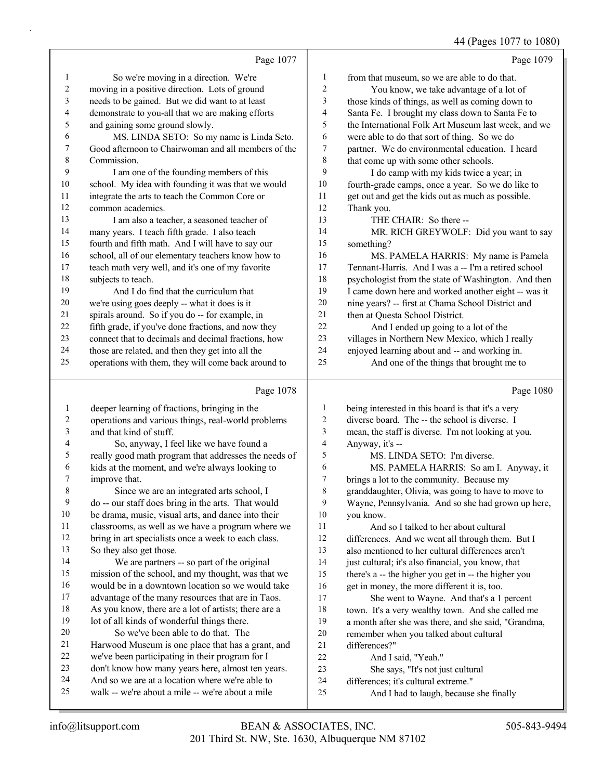44 (Pages 1077 to 1080)

|                |                                                                               |                | $\frac{1}{2}$ (1 ugus 1077 to 1000)                  |
|----------------|-------------------------------------------------------------------------------|----------------|------------------------------------------------------|
|                | Page 1077                                                                     |                | Page 1079                                            |
| 1              | So we're moving in a direction. We're                                         | 1              | from that museum, so we are able to do that.         |
| 2              | moving in a positive direction. Lots of ground                                | $\overline{c}$ | You know, we take advantage of a lot of              |
| 3              | needs to be gained. But we did want to at least                               | 3              | those kinds of things, as well as coming down to     |
| 4              | demonstrate to you-all that we are making efforts                             | 4              | Santa Fe. I brought my class down to Santa Fe to     |
| 5              | and gaining some ground slowly.                                               | 5              | the International Folk Art Museum last week, and we  |
| 6              | MS. LINDA SETO: So my name is Linda Seto.                                     | 6              | were able to do that sort of thing. So we do         |
| 7              | Good afternoon to Chairwoman and all members of the                           | 7              | partner. We do environmental education. I heard      |
| 8              | Commission.                                                                   | $\,$ $\,$      | that come up with some other schools.                |
| 9              | I am one of the founding members of this                                      | 9              | I do camp with my kids twice a year; in              |
| 10             | school. My idea with founding it was that we would                            | 10             | fourth-grade camps, once a year. So we do like to    |
| 11             | integrate the arts to teach the Common Core or                                | 11             | get out and get the kids out as much as possible.    |
| 12             | common academics.                                                             | 12             | Thank you.                                           |
| 13             | I am also a teacher, a seasoned teacher of                                    | 13             | THE CHAIR: So there --                               |
| 14             | many years. I teach fifth grade. I also teach                                 | 14             | MR. RICH GREYWOLF: Did you want to say               |
| 15             | fourth and fifth math. And I will have to say our                             | 15             | something?                                           |
| 16             | school, all of our elementary teachers know how to                            | 16             | MS. PAMELA HARRIS: My name is Pamela                 |
| 17             | teach math very well, and it's one of my favorite                             | 17             | Tennant-Harris. And I was a -- I'm a retired school  |
| 18             | subjects to teach.                                                            | 18             | psychologist from the state of Washington. And then  |
| 19             | And I do find that the curriculum that                                        | 19             | I came down here and worked another eight -- was it  |
| 20             | we're using goes deeply -- what it does is it                                 | 20             | nine years? -- first at Chama School District and    |
| 21             | spirals around. So if you do -- for example, in                               | 21             | then at Questa School District.                      |
| 22             | fifth grade, if you've done fractions, and now they                           | 22             | And I ended up going to a lot of the                 |
| 23             | connect that to decimals and decimal fractions, how                           | 23             | villages in Northern New Mexico, which I really      |
| 24             | those are related, and then they get into all the                             | 24             | enjoyed learning about and -- and working in.        |
| 25             | operations with them, they will come back around to                           | 25             | And one of the things that brought me to             |
|                |                                                                               |                |                                                      |
|                |                                                                               |                |                                                      |
|                | Page 1078                                                                     |                | Page 1080                                            |
| 1              |                                                                               | 1              | being interested in this board is that it's a very   |
| 2              | deeper learning of fractions, bringing in the                                 | $\overline{2}$ | diverse board. The -- the school is diverse. I       |
| $\mathfrak{Z}$ | operations and various things, real-world problems<br>and that kind of stuff. | 3              | mean, the staff is diverse. I'm not looking at you.  |
| 4              | So, anyway, I feel like we have found a                                       | $\overline{4}$ | Anyway, it's --                                      |
| 5              | really good math program that addresses the needs of                          | 5              | MS. LINDA SETO: I'm diverse.                         |
| 6              | kids at the moment, and we're always looking to                               | 6              | MS. PAMELA HARRIS: So am I. Anyway, it               |
| 7              | improve that.                                                                 | 7              | brings a lot to the community. Because my            |
| $\,$ $\,$      | Since we are an integrated arts school, I                                     | 8              | granddaughter, Olivia, was going to have to move to  |
| 9              | do -- our staff does bring in the arts. That would                            | 9              | Wayne, Pennsylvania. And so she had grown up here,   |
| 10             | be drama, music, visual arts, and dance into their                            | 10             | you know.                                            |
| 11             | classrooms, as well as we have a program where we                             | 11             | And so I talked to her about cultural                |
| 12             | bring in art specialists once a week to each class.                           | 12             | differences. And we went all through them. But I     |
| 13             | So they also get those.                                                       | 13             | also mentioned to her cultural differences aren't    |
| 14             | We are partners -- so part of the original                                    | 14             | just cultural; it's also financial, you know, that   |
| 15             | mission of the school, and my thought, was that we                            | 15             | there's a -- the higher you get in -- the higher you |
| 16             | would be in a downtown location so we would take                              | 16             | get in money, the more different it is, too.         |
| 17             | advantage of the many resources that are in Taos.                             | 17             | She went to Wayne. And that's a 1 percent            |
| 18             | As you know, there are a lot of artists; there are a                          | 18             | town. It's a very wealthy town. And she called me    |
| 19             | lot of all kinds of wonderful things there.                                   | 19             | a month after she was there, and she said, "Grandma, |
| 20             | So we've been able to do that. The                                            | $20\,$         | remember when you talked about cultural              |
| 21             | Harwood Museum is one place that has a grant, and                             | 21             | differences?"                                        |
| 22             | we've been participating in their program for I                               | 22             | And I said, "Yeah."                                  |
| 23             | don't know how many years here, almost ten years.                             | 23             | She says, "It's not just cultural                    |
| 24             | And so we are at a location where we're able to                               | $24\,$         | differences; it's cultural extreme."                 |
| 25             | walk -- we're about a mile -- we're about a mile                              | 25             | And I had to laugh, because she finally              |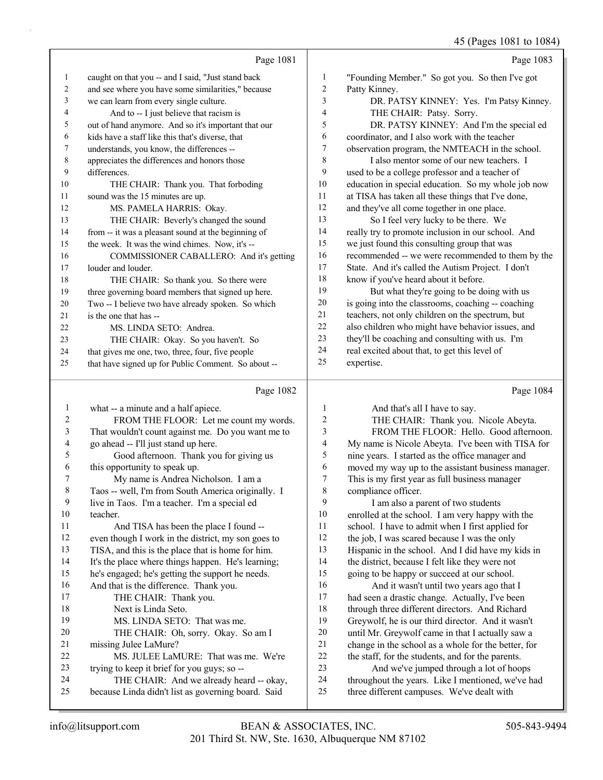|                          |                                                     |                          | 45 (Pages 1081 to 1084)                             |
|--------------------------|-----------------------------------------------------|--------------------------|-----------------------------------------------------|
|                          | Page 1081                                           |                          | Page 1083                                           |
| $\mathbf{1}$             | caught on that you -- and I said, "Just stand back  | $\mathbf{1}$             | "Founding Member." So got you. So then I've got     |
| 2                        | and see where you have some similarities," because  | 2                        | Patty Kinney.                                       |
| 3                        | we can learn from every single culture.             | 3                        | DR. PATSY KINNEY: Yes. I'm Patsy Kinney.            |
| 4                        | And to -- I just believe that racism is             | 4                        | THE CHAIR: Patsy. Sorry.                            |
| 5                        | out of hand anymore. And so it's important that our | 5                        | DR. PATSY KINNEY: And I'm the special ed            |
| 6                        | kids have a staff like this that's diverse, that    | 6                        | coordinator, and I also work with the teacher       |
| $\tau$                   | understands, you know, the differences --           | $\boldsymbol{7}$         | observation program, the NMTEACH in the school.     |
| 8                        | appreciates the differences and honors those        | 8                        | I also mentor some of our new teachers. I           |
| 9                        | differences.                                        | 9                        | used to be a college professor and a teacher of     |
| 10                       | THE CHAIR: Thank you. That forboding                | 10                       | education in special education. So my whole job now |
| 11                       | sound was the 15 minutes are up.                    | 11                       | at TISA has taken all these things that I've done,  |
| 12                       | MS. PAMELA HARRIS: Okay.                            | 12                       | and they've all come together in one place.         |
| 13                       | THE CHAIR: Beverly's changed the sound              | 13                       | So I feel very lucky to be there. We                |
| 14                       | from -- it was a pleasant sound at the beginning of | 14                       | really try to promote inclusion in our school. And  |
| 15                       | the week. It was the wind chimes. Now, it's --      | 15                       | we just found this consulting group that was        |
| 16                       | COMMISSIONER CABALLERO: And it's getting            | 16                       | recommended -- we were recommended to them by the   |
| 17                       | louder and louder.                                  | 17                       | State. And it's called the Autism Project. I don't  |
| 18                       | THE CHAIR: So thank you. So there were              | 18                       | know if you've heard about it before.               |
| 19                       | three governing board members that signed up here.  | 19                       | But what they're going to be doing with us          |
| 20                       | Two -- I believe two have already spoken. So which  | 20                       | is going into the classrooms, coaching -- coaching  |
| 21                       | is the one that has --                              | 21                       | teachers, not only children on the spectrum, but    |
| 22                       | MS. LINDA SETO: Andrea.                             | 22                       | also children who might have behavior issues, and   |
| 23                       | THE CHAIR: Okay. So you haven't. So                 | 23                       | they'll be coaching and consulting with us. I'm     |
| 24                       | that gives me one, two, three, four, five people    | 24                       | real excited about that, to get this level of       |
| 25                       | that have signed up for Public Comment. So about -- | 25                       | expertise.                                          |
|                          |                                                     |                          |                                                     |
|                          | Page 1082                                           |                          | Page 1084                                           |
| $\mathbf{1}$             | what -- a minute and a half apiece.                 | $\mathbf{1}$             | And that's all I have to say.                       |
| $\overline{c}$           | FROM THE FLOOR: Let me count my words.              | $\overline{c}$           | THE CHAIR: Thank you. Nicole Abeyta.                |
| 3                        | That wouldn't count against me. Do you want me to   | $\overline{\mathbf{3}}$  | FROM THE FLOOR: Hello. Good afternoon.              |
| $\overline{\mathcal{L}}$ | go ahead -- I'll just stand up here.                | $\overline{\mathcal{L}}$ | My name is Nicole Abeyta. I've been with TISA for   |
| 5                        | Good afternoon. Thank you for giving us             | 5                        | nine years. I started as the office manager and     |
| 6                        | this opportunity to speak up.                       | 6                        | moved my way up to the assistant business manager.  |
| $\tau$                   | My name is Andrea Nicholson. I am a                 | $\boldsymbol{7}$         | This is my first year as full business manager      |
| $\,$ $\,$                | Taos -- well, I'm from South America originally. I  | $\,$ $\,$                | compliance officer.                                 |
| 9                        | live in Taos. I'm a teacher. I'm a special ed       | 9                        | I am also a parent of two students                  |
| 10                       | teacher.                                            | 10                       | enrolled at the school. I am very happy with the    |
| 11                       | And TISA has been the place I found --              | 11                       | school. I have to admit when I first applied for    |

- even though I work in the district, my son goes to TISA, and this is the place that is home for him. It's the place where things happen. He's learning;
- he's engaged; he's getting the support he needs.
- And that is the difference. Thank you. 17 THE CHAIR: Thank you. 18 Next is Linda Seto. 19 MS. LINDA SETO: That was me. 20 THE CHAIR: Oh, sorry. Okay. So am I missing Julee LaMure? 22 MS. JULEE LaMURE: That was me. We're trying to keep it brief for you guys; so -- 24 THE CHAIR: And we already heard -- okay,
- because Linda didn't list as governing board. Said
- 12 the job, I was scared because I was the only Hispanic in the school. And I did have my kids in
- 14 the district, because I felt like they were not
- going to be happy or succeed at our school.
- 16 And it wasn't until two years ago that I had seen a drastic change. Actually, I've been through three different directors. And Richard Greywolf, he is our third director. And it wasn't until Mr. Greywolf came in that I actually saw a change in the school as a whole for the better, for the staff, for the students, and for the parents.
- 23 And we've jumped through a lot of hoops throughout the years. Like I mentioned, we've had three different campuses. We've dealt with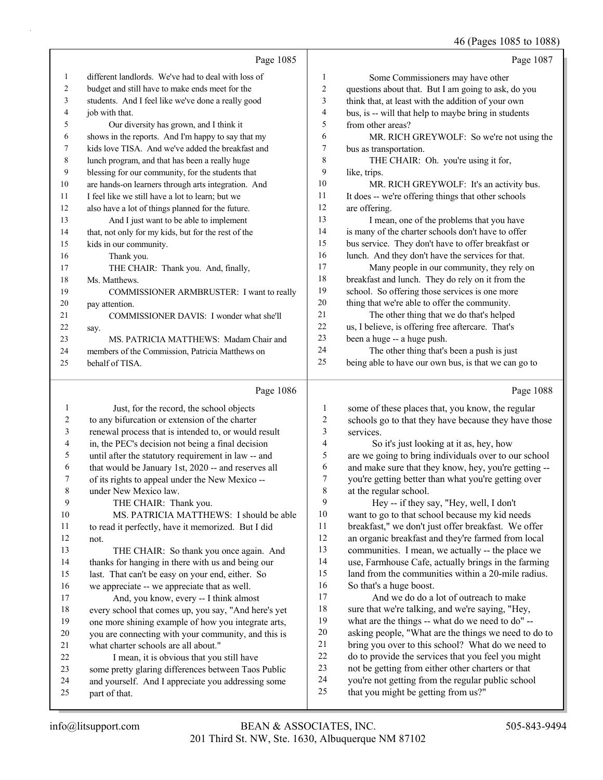## 46 (Pages 1085 to 1088)

|              | Page 1085                                                                                             |                         | Page 1087                                                                                                 |
|--------------|-------------------------------------------------------------------------------------------------------|-------------------------|-----------------------------------------------------------------------------------------------------------|
| $\mathbf{1}$ | different landlords. We've had to deal with loss of                                                   | $\mathbf{1}$            | Some Commissioners may have other                                                                         |
| 2            | budget and still have to make ends meet for the                                                       | $\overline{\mathbf{c}}$ | questions about that. But I am going to ask, do you                                                       |
| 3            | students. And I feel like we've done a really good                                                    | 3                       | think that, at least with the addition of your own                                                        |
| 4            | job with that.                                                                                        | 4                       | bus, is -- will that help to maybe bring in students                                                      |
| 5            | Our diversity has grown, and I think it                                                               | 5                       | from other areas?                                                                                         |
| 6            | shows in the reports. And I'm happy to say that my                                                    | 6                       | MR. RICH GREYWOLF: So we're not using the                                                                 |
| 7            | kids love TISA. And we've added the breakfast and                                                     | 7                       | bus as transportation.                                                                                    |
| 8            | lunch program, and that has been a really huge                                                        | 8                       | THE CHAIR: Oh. you're using it for,                                                                       |
| 9            | blessing for our community, for the students that                                                     | 9                       | like, trips.                                                                                              |
| 10           | are hands-on learners through arts integration. And                                                   | 10                      | MR. RICH GREYWOLF: It's an activity bus.                                                                  |
| 11           | I feel like we still have a lot to learn; but we                                                      | 11                      | It does -- we're offering things that other schools                                                       |
| 12           | also have a lot of things planned for the future.                                                     | 12                      | are offering.                                                                                             |
| 13           | And I just want to be able to implement                                                               | 13                      | I mean, one of the problems that you have                                                                 |
| 14           | that, not only for my kids, but for the rest of the                                                   | 14                      | is many of the charter schools don't have to offer                                                        |
| 15           | kids in our community.                                                                                | 15                      | bus service. They don't have to offer breakfast or                                                        |
| 16           | Thank you.                                                                                            | 16                      | lunch. And they don't have the services for that.                                                         |
| 17           | THE CHAIR: Thank you. And, finally,                                                                   | 17                      | Many people in our community, they rely on                                                                |
| 18           | Ms. Matthews.                                                                                         | 18                      | breakfast and lunch. They do rely on it from the                                                          |
| 19           | COMMISSIONER ARMBRUSTER: I want to really                                                             | 19                      | school. So offering those services is one more                                                            |
| 20           | pay attention.                                                                                        | 20                      | thing that we're able to offer the community.                                                             |
| 21           | COMMISSIONER DAVIS: I wonder what she'll                                                              | 21<br>22                | The other thing that we do that's helped                                                                  |
| 22           | say.                                                                                                  | 23                      | us, I believe, is offering free aftercare. That's                                                         |
| 23           | MS. PATRICIA MATTHEWS: Madam Chair and                                                                | 24                      | been a huge -- a huge push.<br>The other thing that's been a push is just                                 |
| 24<br>25     | members of the Commission, Patricia Matthews on<br>behalf of TISA.                                    | 25                      | being able to have our own bus, is that we can go to                                                      |
|              |                                                                                                       |                         |                                                                                                           |
|              |                                                                                                       |                         |                                                                                                           |
|              | Page 1086                                                                                             |                         | Page 1088                                                                                                 |
| 1            | Just, for the record, the school objects                                                              | 1                       | some of these places that, you know, the regular                                                          |
| 2            | to any bifurcation or extension of the charter                                                        | $\boldsymbol{2}$        | schools go to that they have because they have those                                                      |
| 3            | renewal process that is intended to, or would result                                                  | 3                       | services.                                                                                                 |
| 4            | in, the PEC's decision not being a final decision                                                     | 4                       | So it's just looking at it as, hey, how                                                                   |
| 5            | until after the statutory requirement in law -- and                                                   | 5                       | are we going to bring individuals over to our school                                                      |
| 6            | that would be January 1st, 2020 -- and reserves all                                                   | 6                       | and make sure that they know, hey, you're getting --                                                      |
| 7            | of its rights to appeal under the New Mexico --                                                       | 7                       | you're getting better than what you're getting over                                                       |
| 8            | under New Mexico law.                                                                                 | 8                       | at the regular school.                                                                                    |
| 9            | THE CHAIR: Thank you.                                                                                 | 9                       | Hey -- if they say, "Hey, well, I don't                                                                   |
| 10           | MS. PATRICIA MATTHEWS: I should be able                                                               | 10                      | want to go to that school because my kid needs                                                            |
| 11           | to read it perfectly, have it memorized. But I did                                                    | 11                      | breakfast," we don't just offer breakfast. We offer                                                       |
| 12           | not.                                                                                                  | 12<br>13                | an organic breakfast and they're farmed from local                                                        |
| 13<br>14     | THE CHAIR: So thank you once again. And                                                               | 14                      | communities. I mean, we actually -- the place we                                                          |
| 15           | thanks for hanging in there with us and being our<br>last. That can't be easy on your end, either. So | 15                      | use, Farmhouse Cafe, actually brings in the farming<br>land from the communities within a 20-mile radius. |
| 16           | we appreciate -- we appreciate that as well.                                                          | 16                      | So that's a huge boost.                                                                                   |
| 17           | And, you know, every -- I think almost                                                                | 17                      | And we do do a lot of outreach to make                                                                    |
| 18           | every school that comes up, you say, "And here's yet                                                  | 18                      | sure that we're talking, and we're saying, "Hey,                                                          |
| 19           | one more shining example of how you integrate arts,                                                   | 19                      | what are the things -- what do we need to do" --                                                          |
| 20           | you are connecting with your community, and this is                                                   | 20                      | asking people, "What are the things we need to do to                                                      |
| 21           | what charter schools are all about."                                                                  | 21                      | bring you over to this school? What do we need to                                                         |
| 22           | I mean, it is obvious that you still have                                                             | 22                      | do to provide the services that you feel you might                                                        |
| 23           | some pretty glaring differences between Taos Public                                                   | 23                      | not be getting from either other charters or that                                                         |
| 24<br>25     | and yourself. And I appreciate you addressing some<br>part of that.                                   | 24<br>25                | you're not getting from the regular public school<br>that you might be getting from us?"                  |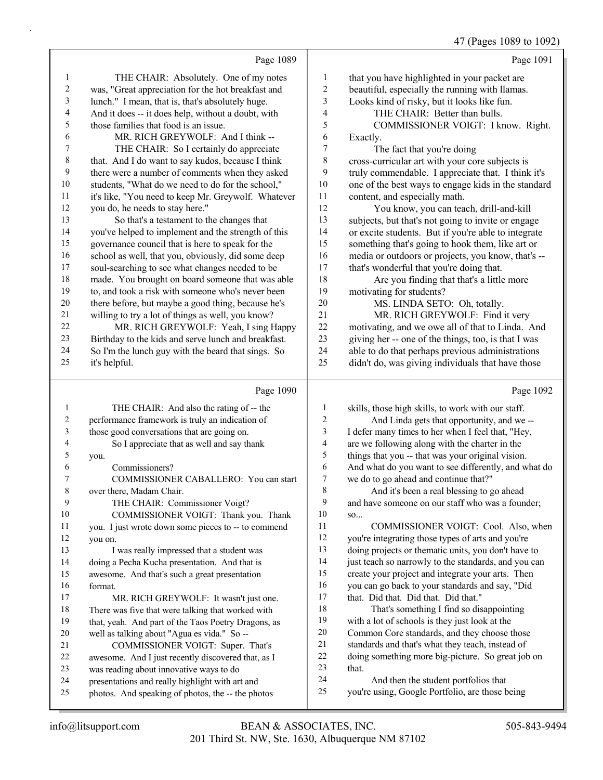# 47 (Pages 1089 to 1092)

|                          | Page 1089                                                                                            |                  | Page 1091                                                  |
|--------------------------|------------------------------------------------------------------------------------------------------|------------------|------------------------------------------------------------|
| $\mathbf{1}$             | THE CHAIR: Absolutely. One of my notes                                                               | $\mathbf{1}$     | that you have highlighted in your packet are               |
| $\boldsymbol{2}$         | was, "Great appreciation for the hot breakfast and                                                   | $\overline{c}$   | beautiful, especially the running with llamas.             |
| $\mathfrak{Z}$           | lunch." I mean, that is, that's absolutely huge.                                                     | 3                | Looks kind of risky, but it looks like fun.                |
| $\overline{\mathcal{A}}$ | And it does -- it does help, without a doubt, with                                                   | 4                | THE CHAIR: Better than bulls.                              |
| 5                        | those families that food is an issue.                                                                | 5                | COMMISSIONER VOIGT: I know. Right.                         |
| 6                        | MR. RICH GREYWOLF: And I think --                                                                    | 6                | Exactly.                                                   |
| 7                        | THE CHAIR: So I certainly do appreciate                                                              | 7                | The fact that you're doing                                 |
| $\,$ $\,$                | that. And I do want to say kudos, because I think                                                    | 8                | cross-curricular art with your core subjects is            |
| 9                        | there were a number of comments when they asked                                                      | 9                | truly commendable. I appreciate that. I think it's         |
| $10\,$                   | students, "What do we need to do for the school,"                                                    | $10\,$           | one of the best ways to engage kids in the standard        |
| 11                       | it's like, "You need to keep Mr. Greywolf. Whatever                                                  | 11               | content, and especially math.                              |
| 12                       | you do, he needs to stay here."                                                                      | 12               | You know, you can teach, drill-and-kill                    |
| 13                       | So that's a testament to the changes that                                                            | 13               | subjects, but that's not going to invite or engage         |
| 14                       | you've helped to implement and the strength of this                                                  | 14               | or excite students. But if you're able to integrate        |
| 15                       | governance council that is here to speak for the                                                     | 15               | something that's going to hook them, like art or           |
| 16                       | school as well, that you, obviously, did some deep                                                   | 16               | media or outdoors or projects, you know, that's --         |
| $17$                     | soul-searching to see what changes needed to be                                                      | 17               | that's wonderful that you're doing that.                   |
| 18                       | made. You brought on board someone that was able                                                     | 18               | Are you finding that that's a little more                  |
| 19                       | to, and took a risk with someone who's never been                                                    | 19               | motivating for students?                                   |
| $20\,$                   | there before, but maybe a good thing, because he's                                                   | 20               | MS. LINDA SETO: Oh, totally.                               |
| 21                       | willing to try a lot of things as well, you know?                                                    | 21               | MR. RICH GREYWOLF: Find it very                            |
| 22                       | MR. RICH GREYWOLF: Yeah, I sing Happy                                                                | 22               | motivating, and we owe all of that to Linda. And           |
| 23                       | Birthday to the kids and serve lunch and breakfast.                                                  | 23               | giving her -- one of the things, too, is that I was        |
| 24                       | So I'm the lunch guy with the beard that sings. So                                                   | 24               | able to do that perhaps previous administrations           |
| 25                       | it's helpful.                                                                                        | 25               | didn't do, was giving individuals that have those          |
|                          |                                                                                                      |                  |                                                            |
|                          | Page 1090                                                                                            |                  | Page 1092                                                  |
| $\mathbf{1}$             | THE CHAIR: And also the rating of -- the                                                             | 1                | skills, those high skills, to work with our staff.         |
| $\overline{\mathbf{c}}$  | performance framework is truly an indication of                                                      | $\boldsymbol{2}$ | And Linda gets that opportunity, and we --                 |
| 3                        | those good conversations that are going on.                                                          | 3                | I defer many times to her when I feel that, "Hey,          |
| 4                        | So I appreciate that as well and say thank                                                           | 4                | are we following along with the charter in the             |
| 5                        | you.                                                                                                 | 5                | things that you -- that was your original vision.          |
| 6                        | Commissioners?                                                                                       | 6                | And what do you want to see differently, and what do       |
| 7                        | COMMISSIONER CABALLERO: You can start                                                                | 7                | we do to go ahead and continue that?"                      |
| $\,$ $\,$                | over there, Madam Chair.                                                                             | 8                | And it's been a real blessing to go ahead                  |
| 9                        | THE CHAIR: Commissioner Voigt?                                                                       | 9                | and have someone on our staff who was a founder;           |
| 10                       | COMMISSIONER VOIGT: Thank you. Thank                                                                 | 10               | SO                                                         |
| 11                       | you. I just wrote down some pieces to -- to commend                                                  | 11               | COMMISSIONER VOIGT: Cool. Also, when                       |
| 12                       | you on.                                                                                              | 12               | you're integrating those types of arts and you're          |
| 13                       | I was really impressed that a student was                                                            | 13               | doing projects or thematic units, you don't have to        |
| 14                       | doing a Pecha Kucha presentation. And that is                                                        | 14               | just teach so narrowly to the standards, and you can       |
| 15                       | awesome. And that's such a great presentation                                                        | 15               | create your project and integrate your arts. Then          |
| 16                       | format.                                                                                              | 16               | you can go back to your standards and say, "Did            |
| 17                       | MR. RICH GREYWOLF: It wasn't just one.                                                               | $17$             | that. Did that. Did that. Did that."                       |
| 18                       | There was five that were talking that worked with                                                    | 18               | That's something I find so disappointing                   |
| 19                       | that, yeah. And part of the Taos Poetry Dragons, as                                                  | 19               | with a lot of schools is they just look at the             |
| $20\,$                   | well as talking about "Agua es vida." So --                                                          | $20\,$<br>21     | Common Core standards, and they choose those               |
| 21                       | COMMISSIONER VOIGT: Super. That's                                                                    | $22\,$           | standards and that's what they teach, instead of           |
| 22                       | awesome. And I just recently discovered that, as I                                                   | 23               | doing something more big-picture. So great job on<br>that. |
| 23<br>24                 | was reading about innovative ways to do                                                              | 24               | And then the student portfolios that                       |
| 25                       | presentations and really highlight with art and<br>photos. And speaking of photos, the -- the photos | 25               | you're using, Google Portfolio, are those being            |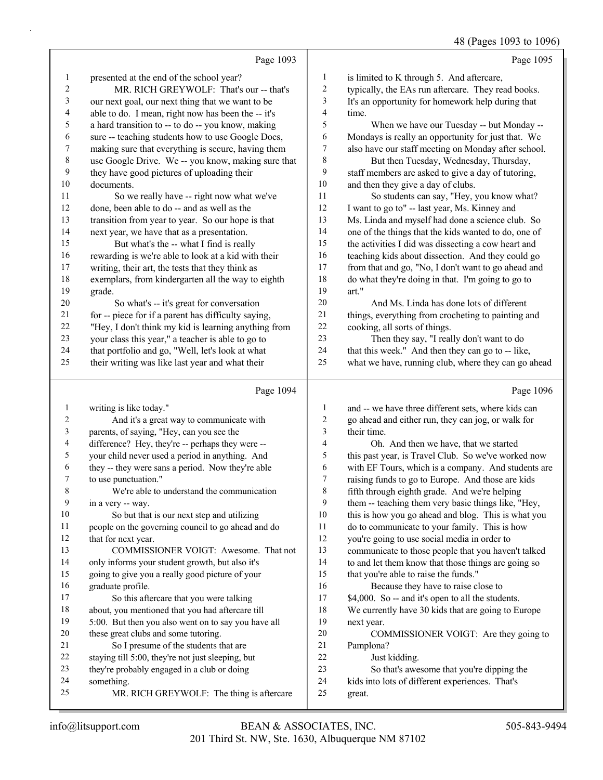48 (Pages 1093 to 1096)

Page 1095 is limited to K through 5. And aftercare, typically, the EAs run aftercare. They read books.

 It's an opportunity for homework help during that time.

5 When we have our Tuesday -- but Monday -- Mondays is really an opportunity for just that. We also have our staff meeting on Monday after school.

8 But then Tuesday, Wednesday, Thursday, staff members are asked to give a day of tutoring, and then they give a day of clubs.

11 So students can say, "Hey, you know what? 12 I want to go to" -- last year, Ms. Kinney and Ms. Linda and myself had done a science club. So 14 one of the things that the kids wanted to do, one of<br>15 the activities I did was dissecting a cow heart and the activities I did was dissecting a cow heart and teaching kids about dissection. And they could go from that and go, "No, I don't want to go ahead and do what they're doing in that. I'm going to go to art."

20 And Ms. Linda has done lots of different things, everything from crocheting to painting and cooking, all sorts of things.

23 Then they say, "I really don't want to do that this week." And then they can go to -- like, what we have, running club, where they can go ahead

Page 1093

presented at the end of the school year?

they have good pictures of uploading their

14 next year, we have that as a presentation.<br>15 But what's the -- what I find is real

20 So what's -- it's great for conversation for -- piece for if a parent has difficulty saying, "Hey, I don't think my kid is learning anything from your class this year," a teacher is able to go to that portfolio and go, "Well, let's look at what their writing was like last year and what their

11 So we really have -- right now what we've done, been able to do -- and as well as the transition from year to year. So our hope is that

But what's the -- what I find is really rewarding is we're able to look at a kid with their writing, their art, the tests that they think as exemplars, from kindergarten all the way to eighth

documents.

grade.

2 MR. RICH GREYWOLF: That's our -- that's our next goal, our next thing that we want to be able to do. I mean, right now has been the -- it's a hard transition to -- to do -- you know, making sure -- teaching students how to use Google Docs, making sure that everything is secure, having them use Google Drive. We -- you know, making sure that

|    | Page 1094                                           |    | Page 1096                                           |
|----|-----------------------------------------------------|----|-----------------------------------------------------|
| 1  | writing is like today."                             | 1  | and -- we have three different sets, where kids can |
| 2  | And it's a great way to communicate with            | 2  | go ahead and either run, they can jog, or walk for  |
| 3  | parents, of saying, "Hey, can you see the           | 3  | their time.                                         |
| 4  | difference? Hey, they're -- perhaps they were --    | 4  | Oh. And then we have, that we started               |
| 5  | your child never used a period in anything. And     | 5  | this past year, is Travel Club. So we've worked now |
| 6  | they -- they were sans a period. Now they're able   | 6  | with EF Tours, which is a company. And students are |
| 7  | to use punctuation."                                | 7  | raising funds to go to Europe. And those are kids   |
| 8  | We're able to understand the communication          | 8  | fifth through eighth grade. And we're helping       |
| 9  | in a very -- way.                                   | 9  | them -- teaching them very basic things like, "Hey, |
| 10 | So but that is our next step and utilizing          | 10 | this is how you go ahead and blog. This is what you |
| 11 | people on the governing council to go ahead and do  | 11 | do to communicate to your family. This is how       |
| 12 | that for next year.                                 | 12 | you're going to use social media in order to        |
| 13 | COMMISSIONER VOIGT: Awesome. That not               | 13 | communicate to those people that you haven't talked |
| 14 | only informs your student growth, but also it's     | 14 | to and let them know that those things are going so |
| 15 | going to give you a really good picture of your     | 15 | that you're able to raise the funds."               |
| 16 | graduate profile.                                   | 16 | Because they have to raise close to                 |
| 17 | So this aftercare that you were talking             | 17 | \$4,000. So -- and it's open to all the students.   |
| 18 | about, you mentioned that you had aftercare till    | 18 | We currently have 30 kids that are going to Europe  |
| 19 | 5:00. But then you also went on to say you have all | 19 | next year.                                          |
| 20 | these great clubs and some tutoring.                | 20 | COMMISSIONER VOIGT: Are they going to               |
| 21 | So I presume of the students that are               | 21 | Pamplona?                                           |
| 22 | staying till 5:00, they're not just sleeping, but   | 22 | Just kidding.                                       |
| 23 | they're probably engaged in a club or doing         | 23 | So that's awesome that you're dipping the           |
| 24 | something.                                          | 24 | kids into lots of different experiences. That's     |
| 25 | MR. RICH GREYWOLF: The thing is aftercare           | 25 | great.                                              |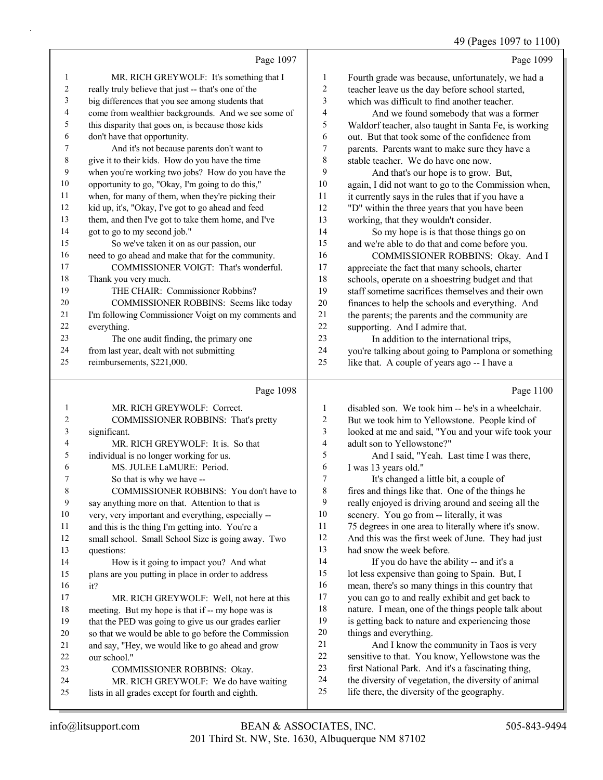## 49 (Pages 1097 to 1100)

|                | Page 1097                                           |                  | Page 1099                                            |
|----------------|-----------------------------------------------------|------------------|------------------------------------------------------|
| $\mathbf{1}$   | MR. RICH GREYWOLF: It's something that I            | $\mathbf{1}$     | Fourth grade was because, unfortunately, we had a    |
| $\overline{c}$ | really truly believe that just -- that's one of the | $\sqrt{2}$       | teacher leave us the day before school started,      |
| 3              | big differences that you see among students that    | $\overline{3}$   | which was difficult to find another teacher.         |
| 4              | come from wealthier backgrounds. And we see some of | 4                | And we found somebody that was a former              |
| 5              | this disparity that goes on, is because those kids  | 5                | Waldorf teacher, also taught in Santa Fe, is working |
| 6              | don't have that opportunity.                        | 6                | out. But that took some of the confidence from       |
| 7              | And it's not because parents don't want to          | $\boldsymbol{7}$ | parents. Parents want to make sure they have a       |
| $\,8\,$        | give it to their kids. How do you have the time     | 8                | stable teacher. We do have one now.                  |
| 9              | when you're working two jobs? How do you have the   | 9                | And that's our hope is to grow. But,                 |
| 10             | opportunity to go, "Okay, I'm going to do this,"    | 10               | again, I did not want to go to the Commission when,  |
| 11             | when, for many of them, when they're picking their  | 11               | it currently says in the rules that if you have a    |
| 12             | kid up, it's, "Okay, I've got to go ahead and feed  | 12               | "D" within the three years that you have been        |
| 13             | them, and then I've got to take them home, and I've | 13               | working, that they wouldn't consider.                |
| 14             | got to go to my second job."                        | 14               | So my hope is is that those things go on             |
| 15             | So we've taken it on as our passion, our            | 15               | and we're able to do that and come before you.       |
| 16             | need to go ahead and make that for the community.   | 16               | COMMISSIONER ROBBINS: Okay. And I                    |
| 17             | COMMISSIONER VOIGT: That's wonderful.               | 17               | appreciate the fact that many schools, charter       |
| 18             | Thank you very much.                                | 18               | schools, operate on a shoestring budget and that     |
| 19             | THE CHAIR: Commissioner Robbins?                    | 19               | staff sometime sacrifices themselves and their own   |
| 20             | COMMISSIONER ROBBINS: Seems like today              | $20\,$           | finances to help the schools and everything. And     |
| 21             | I'm following Commissioner Voigt on my comments and | 21               | the parents; the parents and the community are       |
| 22             | everything.                                         | 22               | supporting. And I admire that.                       |
| 23             | The one audit finding, the primary one              | 23               | In addition to the international trips,              |
| 24             | from last year, dealt with not submitting           | 24               | you're talking about going to Pamplona or something  |
| 25             | reimbursements, \$221,000.                          | 25               | like that. A couple of years ago -- I have a         |
|                | Page 1098                                           |                  | Page 1100                                            |
| $\mathbf{1}$   | MR. RICH GREYWOLF: Correct.                         | $\mathbf{1}$     | disabled son. We took him -- he's in a wheelchair.   |
| $\overline{c}$ | COMMISSIONER ROBBINS: That's pretty                 | $\sqrt{2}$       | But we took him to Yellowstone. People kind of       |
| 3              | significant.                                        | $\mathfrak{Z}$   | looked at me and said, "You and your wife took your  |
| 4              | MR. RICH GREYWOLF: It is. So that                   | $\overline{4}$   | adult son to Yellowstone?"                           |
| 5              | individual is no longer working for us.             | 5                | And I said, "Yeah. Last time I was there,            |
| 6              | MS. JULEE LaMURE: Period.                           | 6                | I was 13 years old."                                 |
| 7              | So that is why we have --                           | $\tau$           | It's changed a little bit, a couple of               |
| 8              | COMMISSIONER ROBBINS: You don't have to             | 8                | fires and things like that. One of the things he     |
| $\mathbf Q$    | say anything more on that Attention to that is      | $\mathbf Q$      | really enjoyed is driving around and seeing all the  |

| 1       | MR. RICH GREYWOLF: Correct.                          | 1              | disabled son. We took him -- he's in a wheelchair.   |
|---------|------------------------------------------------------|----------------|------------------------------------------------------|
| 2       | COMMISSIONER ROBBINS: That's pretty                  | 2              | But we took him to Yellowstone. People kind of       |
| 3       | significant.                                         | 3              | looked at me and said, "You and your wife took yo    |
| 4       | MR. RICH GREYWOLF: It is. So that                    | 4              | adult son to Yellowstone?"                           |
| 5       | individual is no longer working for us.              | 5              | And I said, "Yeah. Last time I was there,            |
| 6       | MS. JULEE LaMURE: Period.                            | 6              | I was 13 years old."                                 |
|         | So that is why we have --                            | $\overline{7}$ | It's changed a little bit, a couple of               |
| $\,8\,$ | COMMISSIONER ROBBINS: You don't have to              | 8              | fires and things like that. One of the things he     |
| 9       | say anything more on that. Attention to that is      | 9              | really enjoyed is driving around and seeing all the  |
| 10      | very, very important and everything, especially --   | 10             | scenery. You go from -- literally, it was            |
| 11      | and this is the thing I'm getting into. You're a     | 11             | 75 degrees in one area to literally where it's snow. |
| 12      | small school. Small School Size is going away. Two   | 12             | And this was the first week of June. They had just   |
| 13      | questions:                                           | 13             | had snow the week before.                            |
| 14      | How is it going to impact you? And what              | 14             | If you do have the ability -- and it's a             |
| 15      | plans are you putting in place in order to address   | 15             | lot less expensive than going to Spain. But, I       |
| 16      | it?                                                  | 16             | mean, there's so many things in this country that    |
| 17      | MR. RICH GREYWOLF: Well, not here at this            | 17             | you can go to and really exhibit and get back to     |
| 18      | meeting. But my hope is that if -- my hope was is    | 18             | nature. I mean, one of the things people talk about  |
| 19      | that the PED was going to give us our grades earlier | 19             | is getting back to nature and experiencing those     |
| 20      | so that we would be able to go before the Commission | 20             | things and everything.                               |
| 21      | and say, "Hey, we would like to go ahead and grow    | 21             | And I know the community in Taos is very             |
| 22      | our school."                                         | 22             | sensitive to that. You know, Yellowstone was the     |
| 23      | COMMISSIONER ROBBINS: Okay.                          | 23             | first National Park. And it's a fascinating thing,   |
| 24      | MR. RICH GREYWOLF: We do have waiting                | 24             | the diversity of vegetation, the diversity of animal |
| 25      | lists in all grades except for fourth and eighth.    | 25             | life there, the diversity of the geography.          |
|         |                                                      |                |                                                      |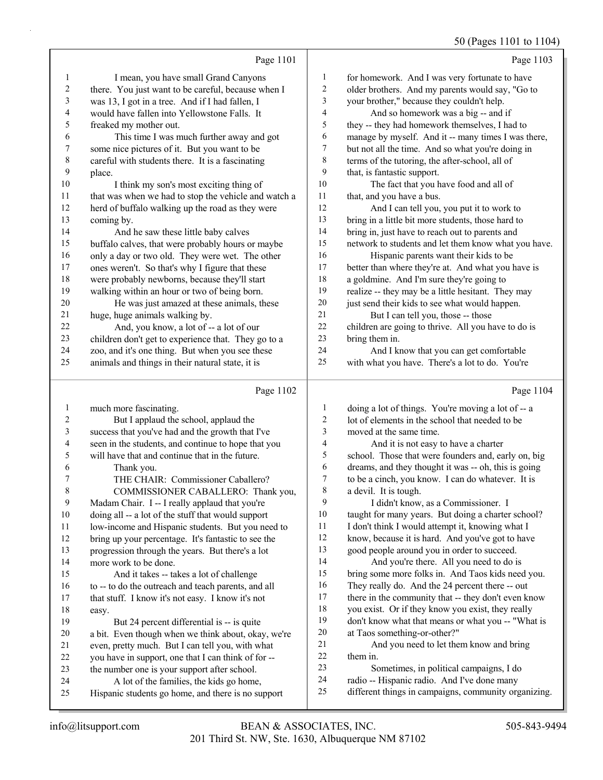50 (Pages 1101 to 1104)

|                         |                                                      |                          | 50 (Pages 1101 to 1104)                              |
|-------------------------|------------------------------------------------------|--------------------------|------------------------------------------------------|
|                         | Page 1101                                            |                          | Page 1103                                            |
| 1                       | I mean, you have small Grand Canyons                 | $\mathbf{1}$             | for homework. And I was very fortunate to have       |
| $\boldsymbol{2}$        | there. You just want to be careful, because when I   | $\sqrt{2}$               | older brothers. And my parents would say, "Go to     |
| 3                       | was 13, I got in a tree. And if I had fallen, I      | 3                        | your brother," because they couldn't help.           |
| 4                       | would have fallen into Yellowstone Falls. It         | $\overline{\mathcal{L}}$ | And so homework was a big -- and if                  |
| 5                       | freaked my mother out.                               | 5                        | they -- they had homework themselves, I had to       |
| 6                       | This time I was much further away and got            | 6                        | manage by myself. And it -- many times I was there,  |
| $\boldsymbol{7}$        | some nice pictures of it. But you want to be         | 7                        | but not all the time. And so what you're doing in    |
| $\,$ $\,$               | careful with students there. It is a fascinating     | $\,$ 8 $\,$              | terms of the tutoring, the after-school, all of      |
| $\mathbf{9}$            | place.                                               | 9                        | that, is fantastic support.                          |
| 10                      | I think my son's most exciting thing of              | 10                       | The fact that you have food and all of               |
| 11                      | that was when we had to stop the vehicle and watch a | 11                       | that, and you have a bus.                            |
| 12                      | herd of buffalo walking up the road as they were     | 12                       | And I can tell you, you put it to work to            |
| 13                      | coming by.                                           | 13                       | bring in a little bit more students, those hard to   |
| 14                      | And he saw these little baby calves                  | 14                       | bring in, just have to reach out to parents and      |
| 15                      | buffalo calves, that were probably hours or maybe    | 15                       | network to students and let them know what you have. |
| 16                      | only a day or two old. They were wet. The other      | 16                       | Hispanic parents want their kids to be               |
| 17                      | ones weren't. So that's why I figure that these      | 17                       | better than where they're at. And what you have is   |
| $18\,$                  | were probably newborns, because they'll start        | 18                       | a goldmine. And I'm sure they're going to            |
| 19                      | walking within an hour or two of being born.         | 19                       | realize -- they may be a little hesitant. They may   |
| 20                      | He was just amazed at these animals, these           | 20                       | just send their kids to see what would happen.       |
| 21                      | huge, huge animals walking by.                       | 21                       | But I can tell you, those -- those                   |
| 22                      | And, you know, a lot of -- a lot of our              | 22                       | children are going to thrive. All you have to do is  |
| 23                      | children don't get to experience that. They go to a  | 23                       | bring them in.                                       |
| 24                      | zoo, and it's one thing. But when you see these      | 24                       | And I know that you can get comfortable              |
| 25                      | animals and things in their natural state, it is     | 25                       | with what you have. There's a lot to do. You're      |
|                         |                                                      |                          |                                                      |
|                         | Page 1102                                            |                          | Page 1104                                            |
| $\mathbf{1}$            | much more fascinating.                               | $\mathbf{1}$             | doing a lot of things. You're moving a lot of -- a   |
| $\overline{\mathbf{c}}$ | But I applaud the school, applaud the                | $\overline{2}$           | lot of elements in the school that needed to be      |
| 3                       | success that you've had and the growth that I've     | 3                        | moved at the same time.                              |
| $\overline{4}$          | seen in the students, and continue to hope that you  | $\overline{\mathbf{4}}$  | And it is not easy to have a charter                 |
| 5                       | will have that and continue that in the future.      | 5                        | school. Those that were founders and, early on, big  |
| 6                       | Thank you.                                           | 6                        | dreams, and they thought it was -- oh, this is going |
| $\boldsymbol{7}$        | THE CHAIR: Commissioner Caballero?                   | $\boldsymbol{7}$         | to be a cinch, you know. I can do whatever. It is    |
| $\,$ $\,$               | COMMISSIONER CABALLERO: Thank you,                   | $\,$ $\,$                | a devil. It is tough.                                |
| 9                       | Madam Chair. I -- I really applaud that you're       | 9                        | I didn't know, as a Commissioner. I                  |
| 10                      | doing all -- a lot of the stuff that would support   | 10                       | taught for many years. But doing a charter school?   |
|                         |                                                      |                          |                                                      |

11 low-income and Hispanic students. But you need to bring up your percentage. It's fantastic to see the 11 I don't think I would attempt it, knowing what I

know, because it is hard. And you've got to have

 good people around you in order to succeed. 14 And you're there. All you need to do is bring some more folks in. And Taos kids need you. They really do. And the 24 percent there -- out 17 there in the community that -- they don't even know you exist. Or if they know you exist, they really

- don't know what that means or what you -- "What is at Taos something-or-other?"
- 21 And you need to let them know and bring them in.

| 23 | Sometimes, in political campaigns, I do |  |  |
|----|-----------------------------------------|--|--|
|    |                                         |  |  |

- radio -- Hispanic radio. And I've done many
- different things in campaigns, community organizing.

easy.

progression through the years. But there's a lot

15 And it takes -- takes a lot of challenge to -- to do the outreach and teach parents, and all that stuff. I know it's not easy. I know it's not

19 But 24 percent differential is -- is quite a bit. Even though when we think about, okay, we're even, pretty much. But I can tell you, with what you have in support, one that I can think of for -- the number one is your support after school. 24 A lot of the families, the kids go home, Hispanic students go home, and there is no support

more work to be done.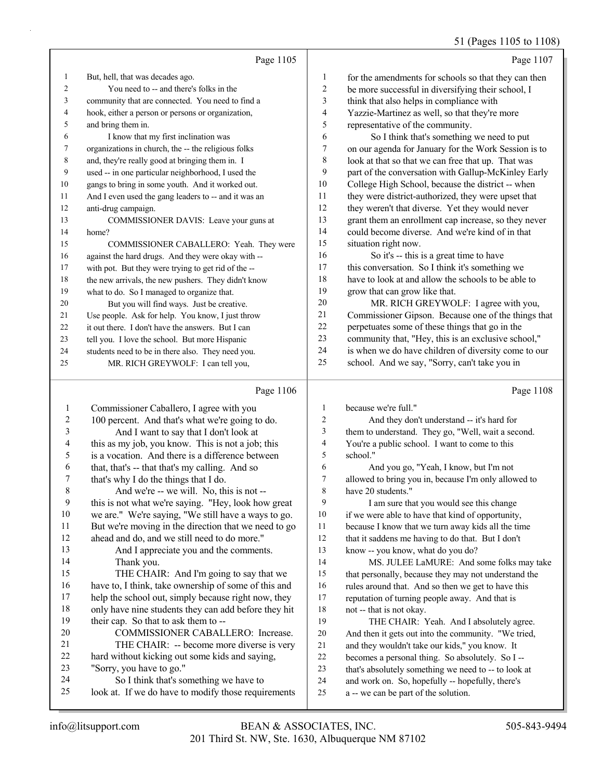# 51 (Pages 1105 to 1108)

|                | Page 1105                                            |                | Page 1107                                            |
|----------------|------------------------------------------------------|----------------|------------------------------------------------------|
| 1              | But, hell, that was decades ago.                     | 1              | for the amendments for schools so that they can then |
| $\mathfrak{D}$ | You need to -- and there's folks in the              | $\overline{c}$ | be more successful in diversifying their school, I   |
| 3              | community that are connected. You need to find a     | 3              | think that also helps in compliance with             |
| 4              | hook, either a person or persons or organization,    | 4              | Yazzie-Martinez as well, so that they're more        |
| 5              | and bring them in.                                   | 5              | representative of the community.                     |
| 6              | I know that my first inclination was                 | 6              | So I think that's something we need to put           |
| 7              | organizations in church, the -- the religious folks  | 7              | on our agenda for January for the Work Session is to |
| 8              | and, they're really good at bringing them in. I      | 8              | look at that so that we can free that up. That was   |
| 9              | used -- in one particular neighborhood, I used the   | 9              | part of the conversation with Gallup-McKinley Early  |
| 10             | gangs to bring in some youth. And it worked out.     | 10             | College High School, because the district -- when    |
| 11             | And I even used the gang leaders to -- and it was an | 11             | they were district-authorized, they were upset that  |
| 12             | anti-drug campaign.                                  | 12             | they weren't that diverse. Yet they would never      |
| 13             | COMMISSIONER DAVIS: Leave your guns at               | 13             | grant them an enrollment cap increase, so they never |
| 14             | home?                                                | 14             | could become diverse. And we're kind of in that      |
| 15             | COMMISSIONER CABALLERO: Yeah. They were              | 15             | situation right now.                                 |
| 16             | against the hard drugs. And they were okay with --   | 16             | So it's -- this is a great time to have              |
| 17             | with pot. But they were trying to get rid of the --  | 17             | this conversation. So I think it's something we      |
| 18             | the new arrivals, the new pushers. They didn't know  | 18             | have to look at and allow the schools to be able to  |
| 19             | what to do. So I managed to organize that.           | 19             | grow that can grow like that.                        |
| 20             | But you will find ways. Just be creative.            | 20             | MR. RICH GREYWOLF: I agree with you,                 |
| 21             | Use people. Ask for help. You know, I just throw     | 21             | Commissioner Gipson. Because one of the things that  |
| 22             | it out there. I don't have the answers. But I can    | 22             | perpetuates some of these things that go in the      |
| 23             | tell you. I love the school. But more Hispanic       | 23             | community that, "Hey, this is an exclusive school,"  |
| 24             | students need to be in there also. They need you.    | 24             | is when we do have children of diversity come to our |
| 25             | MR. RICH GREYWOLF: I can tell you,                   | 25             | school. And we say, "Sorry, can't take you in        |
|                | Page 1106                                            |                | Page 1108                                            |

| 1  | Commissioner Caballero, I agree with you             | 1  | because we're full."                                 |
|----|------------------------------------------------------|----|------------------------------------------------------|
| 2  | 100 percent. And that's what we're going to do.      | 2  | And they don't understand -- it's hard for           |
| 3  | And I want to say that I don't look at               | 3  | them to understand. They go, "Well, wait a second.   |
| 4  | this as my job, you know. This is not a job; this    | 4  | You're a public school. I want to come to this       |
| 5  | is a vocation. And there is a difference between     | 5  | school."                                             |
| 6  | that, that's -- that that's my calling. And so       | 6  | And you go, "Yeah, I know, but I'm not               |
| 7  | that's why I do the things that I do.                | 7  | allowed to bring you in, because I'm only allowed to |
| 8  | And we're -- we will. No, this is not --             | 8  | have 20 students."                                   |
| 9  | this is not what we're saying. "Hey, look how great  | 9  | I am sure that you would see this change             |
| 10 | we are." We're saying, "We still have a ways to go.  | 10 | if we were able to have that kind of opportunity,    |
| 11 | But we're moving in the direction that we need to go | 11 | because I know that we turn away kids all the time   |
| 12 | ahead and do, and we still need to do more."         | 12 | that it saddens me having to do that. But I don't    |
| 13 | And I appreciate you and the comments.               | 13 | know -- you know, what do you do?                    |
| 14 | Thank you.                                           | 14 | MS. JULEE LaMURE: And some folks may take            |
| 15 | THE CHAIR: And I'm going to say that we              | 15 | that personally, because they may not understand the |
| 16 | have to, I think, take ownership of some of this and | 16 | rules around that. And so then we get to have this   |
| 17 | help the school out, simply because right now, they  | 17 | reputation of turning people away. And that is       |
| 18 | only have nine students they can add before they hit | 18 | not -- that is not okay.                             |
| 19 | their cap. So that to ask them to --                 | 19 | THE CHAIR: Yeah. And I absolutely agree.             |
| 20 | COMMISSIONER CABALLERO: Increase.                    | 20 | And then it gets out into the community. "We tried,  |
| 21 | THE CHAIR: -- become more diverse is very            | 21 | and they wouldn't take our kids," you know. It       |
| 22 | hard without kicking out some kids and saying,       | 22 | becomes a personal thing. So absolutely. So I--      |
| 23 | "Sorry, you have to go."                             | 23 | that's absolutely something we need to -- to look at |
| 24 | So I think that's something we have to               | 24 | and work on. So, hopefully -- hopefully, there's     |
| 25 | look at. If we do have to modify those requirements  | 25 | a -- we can be part of the solution.                 |
|    |                                                      |    |                                                      |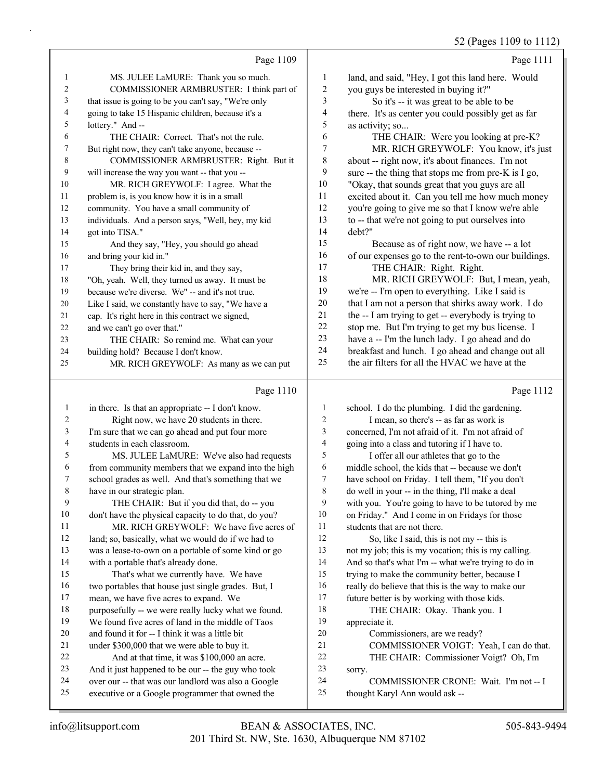$2 (P_{30} \text{eV} 1109 \text{ to } 1112)$ 

|    |                                                      |    | $52$ (Pages 1109 to 1112)                            |
|----|------------------------------------------------------|----|------------------------------------------------------|
|    | Page 1109                                            |    | Page 1111                                            |
| 1  | MS. JULEE LaMURE: Thank you so much.                 | 1  | land, and said, "Hey, I got this land here. Would    |
| 2  | COMMISSIONER ARMBRUSTER: I think part of             | 2  | you guys be interested in buying it?"                |
| 3  | that issue is going to be you can't say, "We're only | 3  | So it's -- it was great to be able to be             |
| 4  | going to take 15 Hispanic children, because it's a   | 4  | there. It's as center you could possibly get as far  |
| 5  | lottery." And --                                     | 5  | as activity; so                                      |
| 6  | THE CHAIR: Correct. That's not the rule.             | 6  | THE CHAIR: Were you looking at pre-K?                |
| 7  | But right now, they can't take anyone, because --    | 7  | MR. RICH GREYWOLF: You know, it's just               |
| 8  | COMMISSIONER ARMBRUSTER: Right. But it               | 8  | about -- right now, it's about finances. I'm not     |
| 9  | will increase the way you want -- that you --        | 9  | sure -- the thing that stops me from pre-K is I go,  |
| 10 | MR. RICH GREYWOLF: I agree. What the                 | 10 | "Okay, that sounds great that you guys are all       |
| 11 | problem is, is you know how it is in a small         | 11 | excited about it. Can you tell me how much money     |
| 12 | community. You have a small community of             | 12 | you're going to give me so that I know we're able    |
| 13 | individuals. And a person says, "Well, hey, my kid   | 13 | to -- that we're not going to put ourselves into     |
| 14 | got into TISA."                                      | 14 | debt?"                                               |
| 15 | And they say, "Hey, you should go ahead              | 15 | Because as of right now, we have -- a lot            |
| 16 | and bring your kid in."                              | 16 | of our expenses go to the rent-to-own our buildings. |
| 17 | They bring their kid in, and they say,               | 17 | THE CHAIR: Right. Right.                             |
| 18 | "Oh, yeah. Well, they turned us away. It must be     | 18 | MR. RICH GREYWOLF: But, I mean, yeah,                |
| 19 | because we're diverse. We" -- and it's not true.     | 19 | we're -- I'm open to everything. Like I said is      |
| 20 | Like I said, we constantly have to say, "We have a   | 20 | that I am not a person that shirks away work. I do   |
| 21 | cap. It's right here in this contract we signed,     | 21 | the -- I am trying to get -- everybody is trying to  |
| 22 | and we can't go over that."                          | 22 | stop me. But I'm trying to get my bus license. I     |
| 23 | THE CHAIR: So remind me. What can your               | 23 | have a -- I'm the lunch lady. I go ahead and do      |
| 24 | building hold? Because I don't know.                 | 24 | breakfast and lunch. I go ahead and change out all   |
| 25 | MR. RICH GREYWOLF: As many as we can put             | 25 | the air filters for all the HVAC we have at the      |
|    | Page 1110                                            |    | Page 1112                                            |
| 1  | in there. Is that an appropriate -- I don't know.    | 1  | school. I do the plumbing. I did the gardening.      |
|    |                                                      |    |                                                      |

| 2  | Right now, we have 20 students in there.             | 2  | I mean, so there's -- as far as work is              |
|----|------------------------------------------------------|----|------------------------------------------------------|
| 3  | I'm sure that we can go ahead and put four more      | 3  | concerned, I'm not afraid of it. I'm not afraid of   |
| 4  | students in each classroom.                          | 4  | going into a class and tutoring if I have to.        |
| 5  | MS. JULEE LaMURE: We've also had requests            | 5  | I offer all our athletes that go to the              |
| 6  | from community members that we expand into the high  | 6  | middle school, the kids that -- because we don't     |
| 7  | school grades as well. And that's something that we  | 7  | have school on Friday. I tell them, "If you don't    |
| 8  | have in our strategic plan.                          | 8  | do well in your -- in the thing, I'll make a deal    |
| 9  | THE CHAIR: But if you did that, do -- you            | 9  | with you. You're going to have to be tutored by me   |
| 10 | don't have the physical capacity to do that, do you? | 10 | on Friday." And I come in on Fridays for those       |
| 11 | MR. RICH GREYWOLF: We have five acres of             | 11 | students that are not there.                         |
| 12 | land; so, basically, what we would do if we had to   | 12 | So, like I said, this is not my -- this is           |
| 13 | was a lease-to-own on a portable of some kind or go  | 13 | not my job; this is my vocation; this is my calling. |
| 14 | with a portable that's already done.                 | 14 | And so that's what I'm -- what we're trying to do in |
| 15 | That's what we currently have. We have               | 15 | trying to make the community better, because I       |
| 16 | two portables that house just single grades. But, I  | 16 | really do believe that this is the way to make our   |
| 17 | mean, we have five acres to expand. We               | 17 | future better is by working with those kids.         |
| 18 | purposefully -- we were really lucky what we found.  | 18 | THE CHAIR: Okay. Thank you. I                        |
| 19 | We found five acres of land in the middle of Taos    | 19 | appreciate it.                                       |
| 20 | and found it for -- I think it was a little bit      | 20 | Commissioners, are we ready?                         |
| 21 | under \$300,000 that we were able to buy it.         | 21 | COMMISSIONER VOIGT: Yeah, I can do that.             |
| 22 | And at that time, it was \$100,000 an acre.          | 22 | THE CHAIR: Commissioner Voigt? Oh, I'm               |
| 23 | And it just happened to be our -- the guy who took   | 23 | sorry.                                               |
| 24 | over our -- that was our landlord was also a Google  | 24 | COMMISSIONER CRONE: Wait. I'm not -- I               |
| 25 | executive or a Google programmer that owned the      | 25 | thought Karyl Ann would ask --                       |
|    |                                                      |    |                                                      |
|    |                                                      |    |                                                      |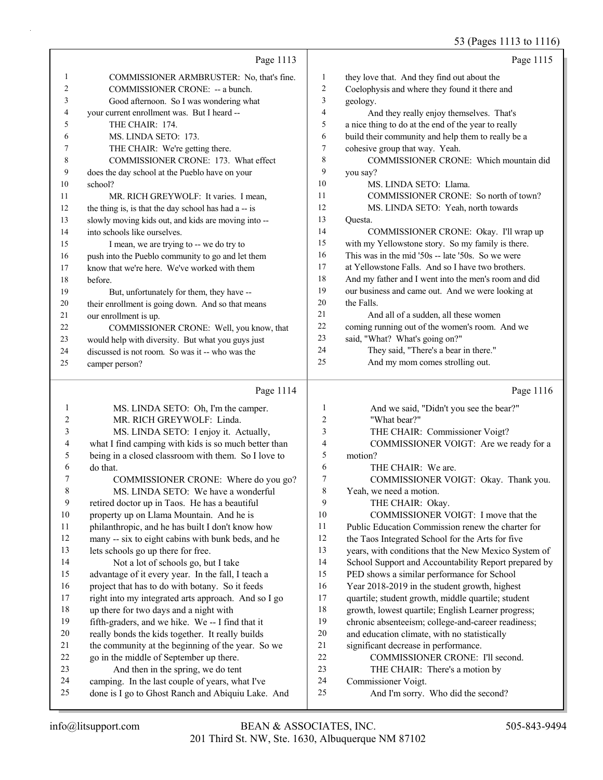|           |                                                      |                | 53 (Pages 1113 to 1116                               |
|-----------|------------------------------------------------------|----------------|------------------------------------------------------|
|           | Page 1113                                            |                | Page 1115                                            |
| 1         | COMMISSIONER ARMBRUSTER: No, that's fine.            | $\mathbf{1}$   | they love that. And they find out about the          |
| 2         | COMMISSIONER CRONE: -- a bunch.                      | $\overline{c}$ | Coelophysis and where they found it there and        |
| 3         | Good afternoon. So I was wondering what              | 3              | geology.                                             |
| 4         | your current enrollment was. But I heard --          | 4              | And they really enjoy themselves. That's             |
| 5         | THE CHAIR: 174.                                      | 5              | a nice thing to do at the end of the year to really  |
| 6         | MS. LINDA SETO: 173.                                 | 6              | build their community and help them to really be a   |
| 7         | THE CHAIR: We're getting there.                      | $\tau$         | cohesive group that way. Yeah.                       |
| 8         | COMMISSIONER CRONE: 173. What effect                 | 8              | COMMISSIONER CRONE: Which mountain did               |
| 9         | does the day school at the Pueblo have on your       | 9              | you say?                                             |
| 10        | school?                                              | 10             | MS. LINDA SETO: Llama.                               |
| 11        | MR. RICH GREYWOLF: It varies. I mean,                | 11             | COMMISSIONER CRONE: So north of town?                |
| 12        | the thing is, is that the day school has had a -- is | 12             | MS. LINDA SETO: Yeah, north towards                  |
| 13        | slowly moving kids out, and kids are moving into --  | 13             | Questa.                                              |
| 14        | into schools like ourselves.                         | 14             | COMMISSIONER CRONE: Okay. I'll wrap up               |
| 15        | I mean, we are trying to -- we do try to             | 15             | with my Yellowstone story. So my family is there.    |
| 16        | push into the Pueblo community to go and let them    | 16             | This was in the mid '50s -- late '50s. So we were    |
| 17        | know that we're here. We've worked with them         | 17             | at Yellowstone Falls. And so I have two brothers.    |
| 18        | before.                                              | 18             | And my father and I went into the men's room and did |
| 19        | But, unfortunately for them, they have --            | 19             | our business and came out. And we were looking at    |
| 20        | their enrollment is going down. And so that means    | 20             | the Falls.                                           |
| 21        | our enrollment is up.                                | 21             | And all of a sudden, all these women                 |
| 22        | COMMISSIONER CRONE: Well, you know, that             | 22             | coming running out of the women's room. And we       |
| 23        | would help with diversity. But what you guys just    | 23             | said, "What? What's going on?"                       |
| 24        | discussed is not room. So was it -- who was the      | 24             | They said, "There's a bear in there."                |
| 25        | camper person?                                       | 25             | And my mom comes strolling out.                      |
|           | Page 1114                                            |                | Page 1116                                            |
| 1         | MS. LINDA SETO: Oh, I'm the camper.                  | 1              | And we said, "Didn't you see the bear?"              |
| 2         | MR. RICH GREYWOLF: Linda.                            | $\overline{c}$ | "What bear?"                                         |
| 3         | MS. LINDA SETO: I enjoy it. Actually,                | 3              | THE CHAIR: Commissioner Voigt?                       |
| 4         | what I find camping with kids is so much better than | 4              | COMMISSIONER VOIGT: Are we ready for a               |
| 5         | being in a closed classroom with them. So I love to  | 5              | motion?                                              |
| 6         | do that.                                             | 6              | THE CHAIR: We are.                                   |
| 7         | COMMISSIONER CRONE: Where do you go?                 | 7              | COMMISSIONER VOIGT: Okay. Thank you.                 |
| $\,$ $\,$ | MS. LINDA SETO: We have a wonderful                  | 8              | Yeah, we need a motion.                              |
| 9         | retired doctor up in Taos. He has a beautiful        | 9              | THE CHAIR: Okay.                                     |
| $10\,$    | property up on Llama Mountain. And he is             | $10\,$         | COMMISSIONER VOIGT: I move that the                  |
| 11        | philanthropic, and he has built I don't know how     | 11             | Public Education Commission renew the charter for    |
| 12        | many -- six to eight cabins with bunk beds, and he   | $12\,$         | the Taos Integrated School for the Arts for five     |
| 13        | lets schools go up there for free.                   | 13             | years, with conditions that the New Mexico System of |
| 14        | Not a lot of schools go, but I take                  | 14             | School Support and Accountability Report prepared by |
| 15        | advantage of it every year. In the fall, I teach a   | 15             | PED shows a similar performance for School           |
| 16        | project that has to do with botany. So it feeds      | 16             | Year 2018-2019 in the student growth, highest        |
| 17        | right into my integrated arts approach. And so I go  | 17             | quartile; student growth, middle quartile; student   |
| $18\,$    | up there for two days and a night with               | $18\,$         | growth, lowest quartile; English Learner progress;   |

- 19 fifth-graders, and we hike. We -- I find that it
- 20 really bonds the kids together. It really builds
- 21 the community at the beginning of the year. So we
- 22 go in the middle of September up there.
- 23 And then in the spring, we do tent
- 24 camping. In the last couple of years, what I've
- 25 done is I go to Ghost Ranch and Abiquiu Lake. And
- 201 Third St. NW, Ste. 1630, Albuquerque NM 87102 info@litsupport.com BEAN & ASSOCIATES, INC. 505-843-9494

19 chronic absenteeism; college-and-career readiness; 20 and education climate, with no statistically 21 significant decrease in performance.

22 COMMISSIONER CRONE: I'll second. 23 THE CHAIR: There's a motion by

25 And I'm sorry. Who did the second?

24 Commissioner Voigt.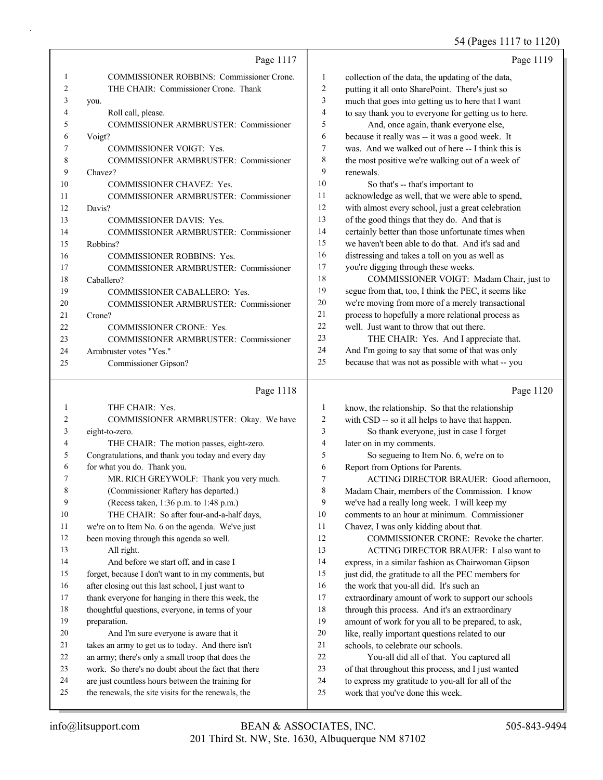54 (Pages 1117 to 1120)

|              |                                                        |                          | 54 (Pages 111/ to 1120)                                                                              |
|--------------|--------------------------------------------------------|--------------------------|------------------------------------------------------------------------------------------------------|
|              | Page 1117                                              |                          | Page 1119                                                                                            |
| $\mathbf{1}$ | <b>COMMISSIONER ROBBINS: Commissioner Crone.</b>       | 1                        | collection of the data, the updating of the data,                                                    |
| 2            | THE CHAIR: Commissioner Crone. Thank                   | $\overline{c}$           | putting it all onto SharePoint. There's just so                                                      |
| 3            | you.                                                   | 3                        | much that goes into getting us to here that I want                                                   |
| 4            | Roll call, please.                                     | 4                        | to say thank you to everyone for getting us to here.                                                 |
| 5            | COMMISSIONER ARMBRUSTER: Commissioner                  | 5                        | And, once again, thank everyone else,                                                                |
| 6            | Voigt?                                                 | 6                        | because it really was -- it was a good week. It                                                      |
| 7            | COMMISSIONER VOIGT: Yes.                               | 7                        | was. And we walked out of here -- I think this is                                                    |
| 8            | COMMISSIONER ARMBRUSTER: Commissioner                  | $\,$ 8 $\,$              | the most positive we're walking out of a week of                                                     |
| 9            | Chavez?                                                | 9                        | renewals.                                                                                            |
| 10           | COMMISSIONER CHAVEZ: Yes.                              | 10                       | So that's -- that's important to                                                                     |
| 11           | COMMISSIONER ARMBRUSTER: Commissioner                  | 11                       | acknowledge as well, that we were able to spend,                                                     |
| 12           | Davis?                                                 | 12                       | with almost every school, just a great celebration                                                   |
| 13           | COMMISSIONER DAVIS: Yes.                               | 13                       | of the good things that they do. And that is                                                         |
| 14           | COMMISSIONER ARMBRUSTER: Commissioner                  | 14                       | certainly better than those unfortunate times when                                                   |
| 15           | Robbins?                                               | 15                       | we haven't been able to do that. And it's sad and                                                    |
| 16           | <b>COMMISSIONER ROBBINS: Yes.</b>                      | 16                       | distressing and takes a toll on you as well as                                                       |
| 17           | COMMISSIONER ARMBRUSTER: Commissioner                  | 17                       | you're digging through these weeks.                                                                  |
| 18           | Caballero?                                             | 18                       | COMMISSIONER VOIGT: Madam Chair, just to                                                             |
| 19           | COMMISSIONER CABALLERO: Yes.                           | 19                       | segue from that, too, I think the PEC, it seems like                                                 |
| 20           | <b>COMMISSIONER ARMBRUSTER: Commissioner</b>           | 20                       | we're moving from more of a merely transactional                                                     |
| 21           | Crone?                                                 | 21                       | process to hopefully a more relational process as                                                    |
| 22           | COMMISSIONER CRONE: Yes.                               | 22<br>23                 | well. Just want to throw that out there.                                                             |
| 23           | COMMISSIONER ARMBRUSTER: Commissioner                  | 24                       | THE CHAIR: Yes. And I appreciate that.                                                               |
| 24           | Armbruster votes "Yes."                                | 25                       | And I'm going to say that some of that was only<br>because that was not as possible with what -- you |
| 25           | Commissioner Gipson?                                   |                          |                                                                                                      |
|              | Page 1118                                              |                          | Page 1120                                                                                            |
| $\mathbf{1}$ | THE CHAIR: Yes.                                        | $\mathbf{1}$             | know, the relationship. So that the relationship                                                     |
| 2            | COMMISSIONER ARMBRUSTER: Okay. We have                 | $\overline{c}$           | with CSD -- so it all helps to have that happen.                                                     |
| 3            | eight-to-zero.                                         | 3                        | So thank everyone, just in case I forget                                                             |
| 4            | THE CHAIR: The motion passes, eight-zero.              | $\overline{\mathcal{L}}$ | later on in my comments.                                                                             |
| 5            | Congratulations, and thank you today and every day     | 5                        | So segueing to Item No. 6, we're on to                                                               |
| 6            | for what you do. Thank you.                            | 6                        | Report from Options for Parents.                                                                     |
| 7            | MR. RICH GREYWOLF: Thank you very much.                | 7                        | ACTING DIRECTOR BRAUER: Good afternoon,                                                              |
| 8            | (Commissioner Raftery has departed.)                   | 8                        | Madam Chair, members of the Commission. I know                                                       |
| 9            | (Recess taken, 1:36 p.m. to 1:48 p.m.)                 | 9                        | we've had a really long week. I will keep my                                                         |
| 10           | THE CHAIR: So after four-and-a-half days,              | 10                       | comments to an hour at minimum. Commissioner                                                         |
| 11           | we're on to Item No. 6 on the agenda. We've just       | 11                       | Chavez, I was only kidding about that.                                                               |
| 12           | been moving through this agenda so well.               | 12                       | COMMISSIONER CRONE: Revoke the charter.                                                              |
| 13           | All right.                                             | 13                       | ACTING DIRECTOR BRAUER: I also want to                                                               |
| 14           | And before we start off, and in case I                 | 14                       | express, in a similar fashion as Chairwoman Gipson                                                   |
| 15           | forget, because I don't want to in my comments, but    | 15                       | just did, the gratitude to all the PEC members for                                                   |
| 16           | after closing out this last school, I just want to     | 16<br>17                 | the work that you-all did. It's such an                                                              |
| 17           | thank everyone for hanging in there this week, the     |                          | extraordinary amount of work to support our schools                                                  |
| 18<br>19     | thoughtful questions, everyone, in terms of your       | 18<br>19                 | through this process. And it's an extraordinary                                                      |
| 20           | preparation.<br>And I'm sure everyone is aware that it | 20                       | amount of work for you all to be prepared, to ask,                                                   |
| 21           | takes an army to get us to today. And there isn't      | 21                       | like, really important questions related to our<br>schools, to celebrate our schools.                |
| 22           | an army; there's only a small troop that does the      | 22                       | You-all did all of that. You captured all                                                            |
|              |                                                        |                          |                                                                                                      |

23 work. So there's no doubt about the fact that there 24 are just countless hours between the training for 25 the renewals, the site visits for the renewals, the

<sup>24</sup> to express my gratitude to you-all for all of the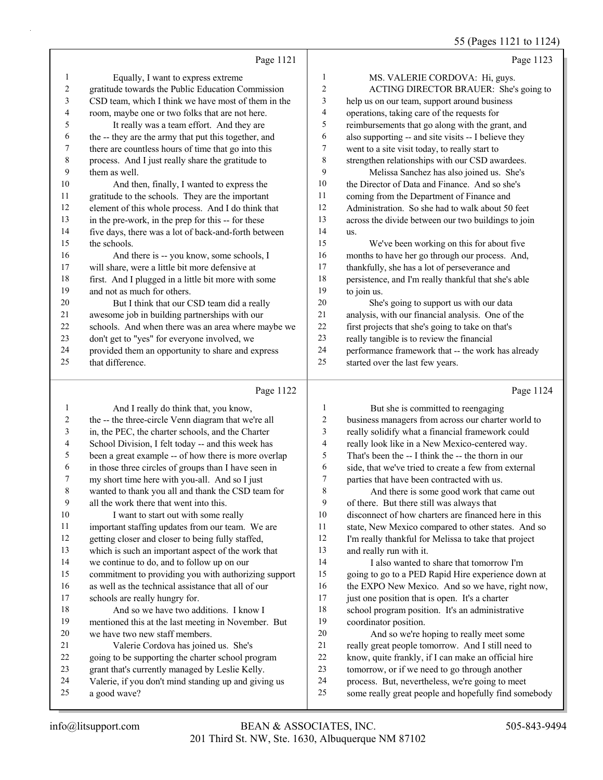# 55 (Pages 1121 to 1124)

|    | Page 1121                                            |                | Page 1123                                            |
|----|------------------------------------------------------|----------------|------------------------------------------------------|
|    | Equally, I want to express extreme                   | 1              | MS. VALERIE CORDOVA: Hi, guys.                       |
| 2  | gratitude towards the Public Education Commission    | 2              | ACTING DIRECTOR BRAUER: She's going to               |
| 3  | CSD team, which I think we have most of them in the  | 3              | help us on our team, support around business         |
| 4  | room, maybe one or two folks that are not here.      | $\overline{4}$ | operations, taking care of the requests for          |
| 5  | It really was a team effort. And they are            | 5              | reimbursements that go along with the grant, and     |
| 6  | the -- they are the army that put this together, and | 6              | also supporting -- and site visits -- I believe they |
| 7  | there are countless hours of time that go into this  | 7              | went to a site visit today, to really start to       |
| 8  | process. And I just really share the gratitude to    | 8              | strengthen relationships with our CSD awardees.      |
| 9  | them as well.                                        | 9              | Melissa Sanchez has also joined us. She's            |
| 10 | And then, finally, I wanted to express the           | 10             | the Director of Data and Finance. And so she's       |
| 11 | gratitude to the schools. They are the important     | 11             | coming from the Department of Finance and            |
| 12 | element of this whole process. And I do think that   | 12             | Administration. So she had to walk about 50 feet     |
| 13 | in the pre-work, in the prep for this -- for these   | 13             | across the divide between our two buildings to join  |
| 14 | five days, there was a lot of back-and-forth between | 14             | us.                                                  |
| 15 | the schools.                                         | 15             | We've been working on this for about five            |
| 16 | And there is -- you know, some schools, I            | 16             | months to have her go through our process. And,      |
| 17 | will share, were a little bit more defensive at      | 17             | thankfully, she has a lot of perseverance and        |
| 18 | first. And I plugged in a little bit more with some  | 18             | persistence, and I'm really thankful that she's able |
| 19 | and not as much for others.                          | 19             | to join us.                                          |
| 20 | But I think that our CSD team did a really           | 20             | She's going to support us with our data              |
| 21 | awesome job in building partnerships with our        | 21             | analysis, with our financial analysis. One of the    |
| 22 | schools. And when there was an area where maybe we   | 22             | first projects that she's going to take on that's    |
| 23 | don't get to "yes" for everyone involved, we         | 23             | really tangible is to review the financial           |
| 24 | provided them an opportunity to share and express    | 24             | performance framework that -- the work has already   |
| 25 | that difference.                                     | 25             | started over the last few years.                     |
|    | Page 1122                                            |                | Page 1124                                            |

## Page 1122 |

|    | And I really do think that, you know,                |    | But she is committed to reengaging                   |
|----|------------------------------------------------------|----|------------------------------------------------------|
| 2  | the -- the three-circle Venn diagram that we're all  | 2  | business managers from across our charter world to   |
| 3  | in, the PEC, the charter schools, and the Charter    | 3  | really solidify what a financial framework could     |
| 4  | School Division, I felt today -- and this week has   | 4  | really look like in a New Mexico-centered way.       |
| 5  | been a great example -- of how there is more overlap | 5  | That's been the -- I think the -- the thorn in our   |
| 6  | in those three circles of groups than I have seen in | 6  | side, that we've tried to create a few from external |
| 7  | my short time here with you-all. And so I just       | 7  | parties that have been contracted with us.           |
| 8  | wanted to thank you all and thank the CSD team for   | 8  | And there is some good work that came out            |
| 9  | all the work there that went into this.              | 9  | of there. But there still was always that            |
| 10 | I want to start out with some really                 | 10 | disconnect of how charters are financed here in this |
| 11 | important staffing updates from our team. We are     | 11 | state, New Mexico compared to other states. And so   |
| 12 | getting closer and closer to being fully staffed,    | 12 | I'm really thankful for Melissa to take that project |
| 13 | which is such an important aspect of the work that   | 13 | and really run with it.                              |
| 14 | we continue to do, and to follow up on our           | 14 | I also wanted to share that tomorrow I'm             |
| 15 | commitment to providing you with authorizing support | 15 | going to go to a PED Rapid Hire experience down at   |
| 16 | as well as the technical assistance that all of our  | 16 | the EXPO New Mexico. And so we have, right now,      |
| 17 | schools are really hungry for.                       | 17 | just one position that is open. It's a charter       |
| 18 | And so we have two additions. I know I               | 18 | school program position. It's an administrative      |
| 19 | mentioned this at the last meeting in November. But  | 19 | coordinator position.                                |
| 20 | we have two new staff members.                       | 20 | And so we're hoping to really meet some              |
| 21 | Valerie Cordova has joined us. She's                 | 21 | really great people tomorrow. And I still need to    |
| 22 | going to be supporting the charter school program    | 22 | know, quite frankly, if I can make an official hire  |
| 23 | grant that's currently managed by Leslie Kelly.      | 23 | tomorrow, or if we need to go through another        |
| 24 | Valerie, if you don't mind standing up and giving us | 24 | process. But, nevertheless, we're going to meet      |
| 25 | a good wave?                                         | 25 | some really great people and hopefully find somebody |
|    |                                                      |    |                                                      |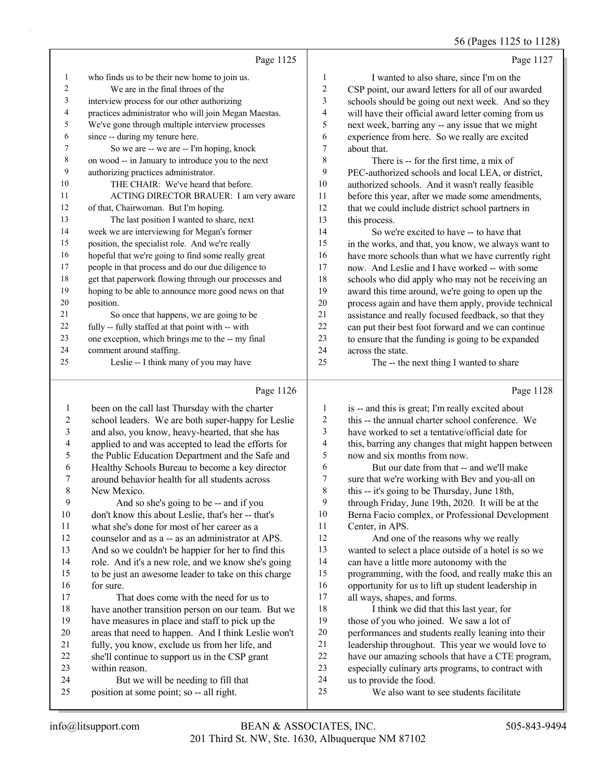# 56 (Pages 1125 to 1128)

|    | Page 1125                                            |                | Page 1127                                            |
|----|------------------------------------------------------|----------------|------------------------------------------------------|
| 1  | who finds us to be their new home to join us.        | 1              | I wanted to also share, since I'm on the             |
| 2  | We are in the final throes of the                    | $\overline{2}$ | CSP point, our award letters for all of our awarded  |
| 3  | interview process for our other authorizing          | 3              | schools should be going out next week. And so they   |
| 4  | practices administrator who will join Megan Maestas. | $\overline{4}$ | will have their official award letter coming from us |
| 5  | We've gone through multiple interview processes      | 5              | next week, barring any -- any issue that we might    |
| 6  | since -- during my tenure here.                      | 6              | experience from here. So we really are excited       |
| 7  | So we are -- we are -- I'm hoping, knock             | 7              | about that.                                          |
| 8  | on wood -- in January to introduce you to the next   | 8              | There is -- for the first time, a mix of             |
| 9  | authorizing practices administrator.                 | 9              | PEC-authorized schools and local LEA, or district,   |
| 10 | THE CHAIR: We've heard that before.                  | 10             | authorized schools. And it wasn't really feasible    |
| 11 | ACTING DIRECTOR BRAUER: I am very aware              | 11             | before this year, after we made some amendments,     |
| 12 | of that, Chairwoman. But I'm hoping.                 | 12             | that we could include district school partners in    |
| 13 | The last position I wanted to share, next            | 13             | this process.                                        |
| 14 | week we are interviewing for Megan's former          | 14             | So we're excited to have -- to have that             |
| 15 | position, the specialist role. And we're really      | 15             | in the works, and that, you know, we always want to  |
| 16 | hopeful that we're going to find some really great   | 16             | have more schools than what we have currently right  |
| 17 | people in that process and do our due diligence to   | 17             | now. And Leslie and I have worked -- with some       |
| 18 | get that paperwork flowing through our processes and | 18             | schools who did apply who may not be receiving an    |
| 19 | hoping to be able to announce more good news on that | 19             | award this time around, we're going to open up the   |
| 20 | position.                                            | 20             | process again and have them apply, provide technical |
| 21 | So once that happens, we are going to be             | 21             | assistance and really focused feedback, so that they |
| 22 | fully -- fully staffed at that point with -- with    | 22             | can put their best foot forward and we can continue  |
| 23 | one exception, which brings me to the -- my final    | 23             | to ensure that the funding is going to be expanded   |
| 24 | comment around staffing.                             | 24             | across the state.                                    |
| 25 | Leslie -- I think many of you may have               | 25             | The -- the next thing I wanted to share              |
|    | Page 1126                                            |                | Page 1128                                            |

#### Page 1126

|    | been on the call last Thursday with the charter     | 1                | is -- and this is great; I'm really excited about    |
|----|-----------------------------------------------------|------------------|------------------------------------------------------|
| 2  | school leaders. We are both super-happy for Leslie  | $\overline{c}$   | this -- the annual charter school conference. We     |
| 3  | and also, you know, heavy-hearted, that she has     | 3                | have worked to set a tentative/official date for     |
| 4  | applied to and was accepted to lead the efforts for | 4                | this, barring any changes that might happen between  |
| 5  | the Public Education Department and the Safe and    | 5                | now and six months from now.                         |
| 6  | Healthy Schools Bureau to become a key director     | 6                | But our date from that -- and we'll make             |
| 7  | around behavior health for all students across      | $\boldsymbol{7}$ | sure that we're working with Bev and you-all on      |
| 8  | New Mexico.                                         | $\,$ 8 $\,$      | this -- it's going to be Thursday, June 18th,        |
| 9  | And so she's going to be -- and if you              | 9                | through Friday, June 19th, 2020. It will be at the   |
| 10 | don't know this about Leslie, that's her -- that's  | 10               | Berna Facio complex, or Professional Development     |
| 11 | what she's done for most of her career as a         | 11               | Center, in APS.                                      |
| 12 | counselor and as a -- as an administrator at APS.   | 12               | And one of the reasons why we really                 |
| 13 | And so we couldn't be happier for her to find this  | 13               | wanted to select a place outside of a hotel is so we |
| 14 | role. And it's a new role, and we know she's going  | 14               | can have a little more autonomy with the             |
| 15 | to be just an awesome leader to take on this charge | 15               | programming, with the food, and really make this an  |
| 16 | for sure.                                           | 16               | opportunity for us to lift up student leadership in  |
| 17 | That does come with the need for us to              | 17               | all ways, shapes, and forms.                         |
| 18 | have another transition person on our team. But we  | 18               | I think we did that this last year, for              |
| 19 | have measures in place and staff to pick up the     | 19               | those of you who joined. We saw a lot of             |
| 20 | areas that need to happen. And I think Leslie won't | 20               | performances and students really leaning into their  |
| 21 | fully, you know, exclude us from her life, and      | 21               | leadership throughout. This year we would love to    |
| 22 | she'll continue to support us in the CSP grant      | 22               | have our amazing schools that have a CTE program,    |
| 23 | within reason.                                      | 23               | especially culinary arts programs, to contract with  |
| 24 | But we will be needing to fill that                 | 24               | us to provide the food.                              |
| 25 | position at some point; so -- all right.            | 25               | We also want to see students facilitate              |
|    |                                                     |                  |                                                      |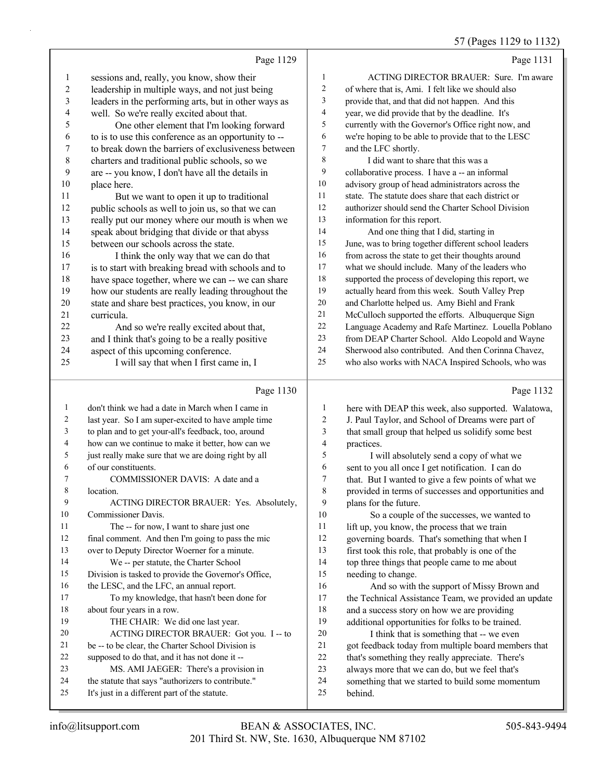57 (Pages 1129 to 1132)

|                  | Page 1129                                            |                         | Page 1131                                            |
|------------------|------------------------------------------------------|-------------------------|------------------------------------------------------|
| $\mathbf{1}$     | sessions and, really, you know, show their           | $\mathbf{1}$            | ACTING DIRECTOR BRAUER: Sure. I'm aware              |
| $\sqrt{2}$       | leadership in multiple ways, and not just being      | $\sqrt{2}$              | of where that is, Ami. I felt like we should also    |
| $\sqrt{3}$       | leaders in the performing arts, but in other ways as | $\overline{\mathbf{3}}$ | provide that, and that did not happen. And this      |
| 4                | well. So we're really excited about that.            | $\overline{4}$          | year, we did provide that by the deadline. It's      |
| 5                | One other element that I'm looking forward           | 5                       | currently with the Governor's Office right now, and  |
| 6                | to is to use this conference as an opportunity to -- | 6                       | we're hoping to be able to provide that to the LESC  |
| $\boldsymbol{7}$ | to break down the barriers of exclusiveness between  | $\boldsymbol{7}$        | and the LFC shortly.                                 |
| $\,$ $\,$        | charters and traditional public schools, so we       | $\,$ 8 $\,$             | I did want to share that this was a                  |
| 9                | are -- you know, I don't have all the details in     | 9                       | collaborative process. I have a -- an informal       |
| 10               | place here.                                          | $10\,$                  | advisory group of head administrators across the     |
| 11               | But we want to open it up to traditional             | $11\,$                  | state. The statute does share that each district or  |
| 12               | public schools as well to join us, so that we can    | 12                      | authorizer should send the Charter School Division   |
| 13               | really put our money where our mouth is when we      | 13                      | information for this report.                         |
| 14               | speak about bridging that divide or that abyss       | 14                      | And one thing that I did, starting in                |
| 15               | between our schools across the state.                | 15                      | June, was to bring together different school leaders |
| 16               | I think the only way that we can do that             | 16                      | from across the state to get their thoughts around   |
| 17               | is to start with breaking bread with schools and to  | 17                      | what we should include. Many of the leaders who      |
| 18               | have space together, where we can -- we can share    | 18                      | supported the process of developing this report, we  |
| 19               | how our students are really leading throughout the   | 19                      | actually heard from this week. South Valley Prep     |
| 20               | state and share best practices, you know, in our     | 20                      | and Charlotte helped us. Amy Biehl and Frank         |
| 21               | curricula.                                           | 21                      | McCulloch supported the efforts. Albuquerque Sign    |
| 22               | And so we're really excited about that,              | 22                      | Language Academy and Rafe Martinez. Louella Poblano  |
| 23               | and I think that's going to be a really positive     | 23                      | from DEAP Charter School. Aldo Leopold and Wayne     |
| 24               | aspect of this upcoming conference.                  | 24                      | Sherwood also contributed. And then Corinna Chavez,  |
| 25               | I will say that when I first came in, I              | 25                      | who also works with NACA Inspired Schools, who was   |
|                  | Page 1130                                            |                         | Page 1132                                            |
| $\mathbf{1}$     | don't think we had a date in March when I came in    | $\mathbf{1}$            | here with DEAP this week, also supported. Walatowa,  |
| 2                | last year. So I am super-excited to have ample time  | $\sqrt{2}$              | J. Paul Taylor, and School of Dreams were part of    |
| 3                | to plan and to get your-all's feedback, too, around  | $\mathfrak{Z}$          | that small group that helped us solidify some best   |
| 4                | how can we continue to make it better, how can we    | $\overline{4}$          | practices.                                           |
| 5                | just really make sure that we are doing right by all | 5                       | I will absolutely send a copy of what we             |
| 6                | of our constituents.                                 | 6                       | sent to you all once I get notification. I can do    |
| 7                | COMMISSIONER DAVIS: A date and a                     | $\boldsymbol{7}$        | that. But I wanted to give a few points of what we   |
| $\,$ 8 $\,$      | location.                                            | $\,$ $\,$               | provided in terms of successes and opportunities and |
| 9                | ACTING DIRECTOR BRAUER: Yes. Absolutely,             | 9                       | plans for the future.                                |
| 10               | Commissioner Davis.                                  | 10                      | So a couple of the successes, we wanted to           |
| 11               | The -- for now, I want to share just one             | 11                      | lift up, you know, the process that we train         |
| 12               | final comment. And then I'm going to pass the mic    | 12                      | governing boards. That's something that when I       |
| 13               | over to Deputy Director Woerner for a minute.        | 13                      | first took this role, that probably is one of the    |
| 14               | We -- per statute, the Charter School                | 14                      | top three things that people came to me about        |
| 15               | Division is tasked to provide the Governor's Office, | 15                      | needing to change.                                   |
| 16               | the LESC, and the LFC, an annual report.             | 16                      | And so with the support of Missy Brown and           |
| 17               | To my knowledge, that hasn't been done for           | 17                      | the Technical Assistance Team, we provided an update |
| 18               | about four years in a row.                           | $18\,$                  | and a success story on how we are providing          |
| 19               | THE CHAIR: We did one last year.                     | 19                      | additional opportunities for folks to be trained.    |
| 20               | ACTING DIRECTOR BRAUER: Got you. I -- to             | $20\,$                  | I think that is something that -- we even            |
| 21               | be -- to be clear, the Charter School Division is    | 21                      | got feedback today from multiple board members that  |
| 22               | supposed to do that, and it has not done it --       | $22\,$                  | that's something they really appreciate. There's     |
| 23               | MS. AMI JAEGER: There's a provision in               | 23                      | always more that we can do, but we feel that's       |
| 24               | the statute that says "authorizers to contribute."   | 24                      | something that we started to build some momentum     |
| 25               | It's just in a different part of the statute.        | 25                      | behind.                                              |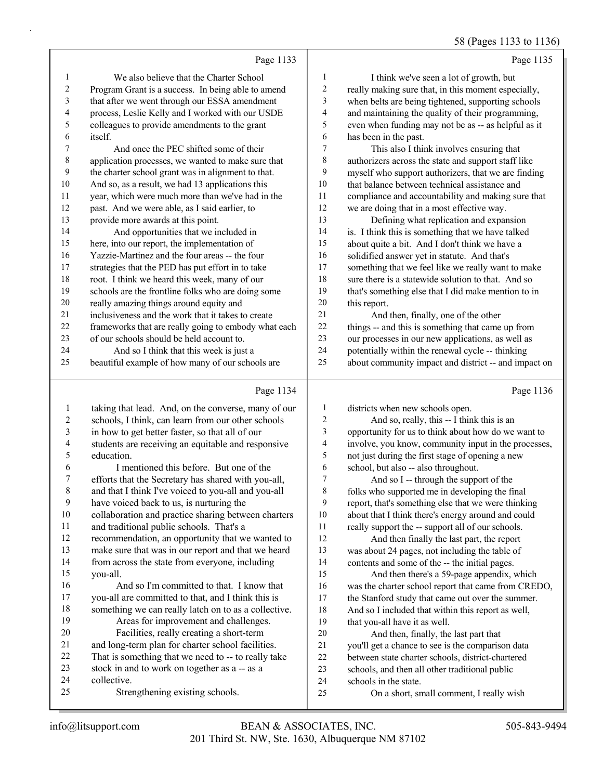# 58 (Pages 1133 to 1136)

|    | Page 1133                                            |                | Page 1135                                            |
|----|------------------------------------------------------|----------------|------------------------------------------------------|
| 1  | We also believe that the Charter School              | 1              | I think we've seen a lot of growth, but              |
| 2  | Program Grant is a success. In being able to amend   | $\overline{c}$ | really making sure that, in this moment especially,  |
| 3  | that after we went through our ESSA amendment        | 3              | when belts are being tightened, supporting schools   |
| 4  | process, Leslie Kelly and I worked with our USDE     | 4              | and maintaining the quality of their programming,    |
| 5  | colleagues to provide amendments to the grant        | 5              | even when funding may not be as -- as helpful as it  |
| 6  | <i>itself.</i>                                       | 6              | has been in the past.                                |
| 7  | And once the PEC shifted some of their               | $\tau$         | This also I think involves ensuring that             |
| 8  | application processes, we wanted to make sure that   | 8              | authorizers across the state and support staff like  |
| 9  | the charter school grant was in alignment to that.   | 9              | myself who support authorizers, that we are finding  |
| 10 | And so, as a result, we had 13 applications this     | 10             | that balance between technical assistance and        |
| 11 | year, which were much more than we've had in the     | 11             | compliance and accountability and making sure that   |
| 12 | past. And we were able, as I said earlier, to        | 12             | we are doing that in a most effective way.           |
| 13 | provide more awards at this point.                   | 13             | Defining what replication and expansion              |
| 14 | And opportunities that we included in                | 14             | is. I think this is something that we have talked    |
| 15 | here, into our report, the implementation of         | 15             | about quite a bit. And I don't think we have a       |
| 16 | Yazzie-Martinez and the four areas -- the four       | 16             | solidified answer yet in statute. And that's         |
| 17 | strategies that the PED has put effort in to take    | 17             | something that we feel like we really want to make   |
| 18 | root. I think we heard this week, many of our        | 18             | sure there is a statewide solution to that. And so   |
| 19 | schools are the frontline folks who are doing some   | 19             | that's something else that I did make mention to in  |
| 20 | really amazing things around equity and              | 20             | this report.                                         |
| 21 | inclusiveness and the work that it takes to create   | 21             | And then, finally, one of the other                  |
| 22 | frameworks that are really going to embody what each | 22             | things -- and this is something that came up from    |
| 23 | of our schools should be held account to.            | 23             | our processes in our new applications, as well as    |
| 24 | And so I think that this week is just a              | 24             | potentially within the renewal cycle -- thinking     |
| 25 | beautiful example of how many of our schools are     | 25             | about community impact and district -- and impact on |
|    | Page 1134                                            |                | Page 1136                                            |

| 1  | taking that lead. And, on the converse, many of our  | 1  | districts when new schools open.                     |
|----|------------------------------------------------------|----|------------------------------------------------------|
| 2  | schools, I think, can learn from our other schools   | 2  | And so, really, this -- I think this is an           |
| 3  | in how to get better faster, so that all of our      | 3  | opportunity for us to think about how do we want to  |
| 4  | students are receiving an equitable and responsive   | 4  | involve, you know, community input in the processes, |
| 5  | education.                                           | 5  | not just during the first stage of opening a new     |
| 6  | I mentioned this before. But one of the              | 6  | school, but also -- also throughout.                 |
| 7  | efforts that the Secretary has shared with you-all,  | 7  | And so I -- through the support of the               |
| 8  | and that I think I've voiced to you-all and you-all  | 8  | folks who supported me in developing the final       |
| 9  | have voiced back to us, is nurturing the             | 9  | report, that's something else that we were thinking  |
| 10 | collaboration and practice sharing between charters  | 10 | about that I think there's energy around and could   |
| 11 | and traditional public schools. That's a             | 11 | really support the -- support all of our schools.    |
| 12 | recommendation, an opportunity that we wanted to     | 12 | And then finally the last part, the report           |
| 13 | make sure that was in our report and that we heard   | 13 | was about 24 pages, not including the table of       |
| 14 | from across the state from everyone, including       | 14 | contents and some of the -- the initial pages.       |
| 15 | you-all.                                             | 15 | And then there's a 59-page appendix, which           |
| 16 | And so I'm committed to that. I know that            | 16 | was the charter school report that came from CREDO,  |
| 17 | you-all are committed to that, and I think this is   | 17 | the Stanford study that came out over the summer.    |
| 18 | something we can really latch on to as a collective. | 18 | And so I included that within this report as well,   |
| 19 | Areas for improvement and challenges.                | 19 | that you-all have it as well.                        |
| 20 | Facilities, really creating a short-term             | 20 | And then, finally, the last part that                |
| 21 | and long-term plan for charter school facilities.    | 21 | you'll get a chance to see is the comparison data    |
| 22 | That is something that we need to -- to really take  | 22 | between state charter schools, district-chartered    |
| 23 | stock in and to work on together as a -- as a        | 23 | schools, and then all other traditional public       |
| 24 | collective.                                          | 24 | schools in the state.                                |
| 25 | Strengthening existing schools.                      | 25 | On a short, small comment, I really wish             |
|    |                                                      |    |                                                      |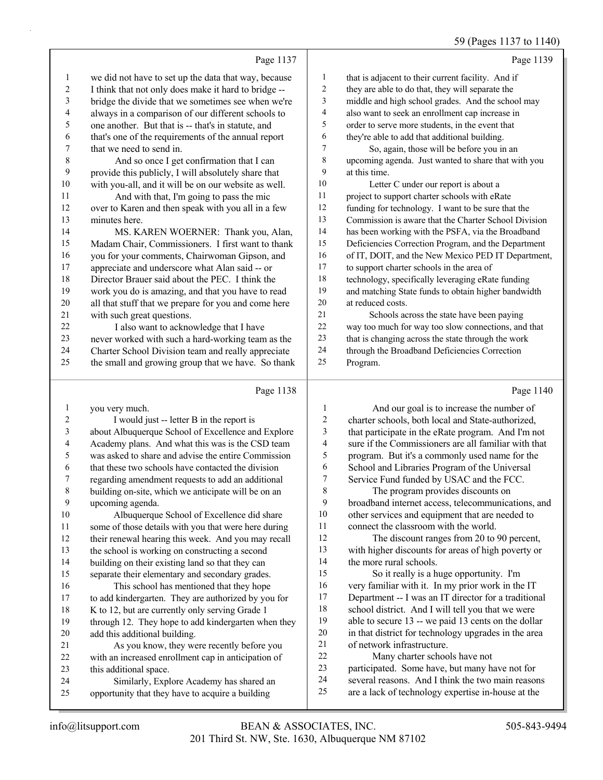#### 59 (Pages 1137 to 1140)

|                | Page 1137                                            |                | Page 1139                                            |
|----------------|------------------------------------------------------|----------------|------------------------------------------------------|
| $\mathbf{1}$   | we did not have to set up the data that way, because | 1              | that is adjacent to their current facility. And if   |
| $\overline{2}$ | I think that not only does make it hard to bridge -- | $\overline{2}$ | they are able to do that, they will separate the     |
| $\mathfrak{Z}$ | bridge the divide that we sometimes see when we're   | 3              | middle and high school grades. And the school may    |
| 4              | always in a comparison of our different schools to   | $\overline{4}$ | also want to seek an enrollment cap increase in      |
| 5              | one another. But that is -- that's in statute, and   | 5              | order to serve more students, in the event that      |
| 6              | that's one of the requirements of the annual report  | 6              | they're able to add that additional building.        |
| 7              | that we need to send in.                             | 7              | So, again, those will be before you in an            |
| 8              | And so once I get confirmation that I can            | 8              | upcoming agenda. Just wanted to share that with you  |
| 9              | provide this publicly, I will absolutely share that  | 9              | at this time.                                        |
| 10             | with you-all, and it will be on our website as well. | 10             | Letter C under our report is about a                 |
| 11             | And with that, I'm going to pass the mic             | 11             | project to support charter schools with eRate        |
| 12             | over to Karen and then speak with you all in a few   | 12             | funding for technology. I want to be sure that the   |
| 13             | minutes here.                                        | 13             | Commission is aware that the Charter School Division |
| 14             | MS. KAREN WOERNER: Thank you, Alan,                  | 14             | has been working with the PSFA, via the Broadband    |
| 15             | Madam Chair, Commissioners. I first want to thank    | 15             | Deficiencies Correction Program, and the Department  |
| 16             | you for your comments, Chairwoman Gipson, and        | 16             | of IT, DOIT, and the New Mexico PED IT Department,   |
| 17             | appreciate and underscore what Alan said -- or       | 17             | to support charter schools in the area of            |
| 18             | Director Brauer said about the PEC. I think the      | 18             | technology, specifically leveraging eRate funding    |
| 19             | work you do is amazing, and that you have to read    | 19             | and matching State funds to obtain higher bandwidth  |
| 20             | all that stuff that we prepare for you and come here | 20             | at reduced costs.                                    |
| 21             | with such great questions.                           | 21             | Schools across the state have been paying            |
| 22             | I also want to acknowledge that I have               | 22             | way too much for way too slow connections, and that  |
| 23             | never worked with such a hard-working team as the    | 23             | that is changing across the state through the work   |
| 24             | Charter School Division team and really appreciate   | 24             | through the Broadband Deficiencies Correction        |
| 25             | the small and growing group that we have. So thank   | 25             | Program.                                             |
|                | Page 1138                                            |                | Page 1140                                            |
| 1              | you very much.                                       | 1              | And our goal is to increase the number of            |

1 And our goal is to increase the number of charter schools, both local and State-authorized, that participate in the eRate program. And I'm not sure if the Commissioners are all familiar with that program. But it's a commonly used name for the School and Libraries Program of the Universal 7 Service Fund funded by USAC and the FCC.

8 The program provides discounts on broadband internet access, telecommunications, and other services and equipment that are needed to connect the classroom with the world.

12 The discount ranges from 20 to 90 percent, with higher discounts for areas of high poverty or the more rural schools.

15 So it really is a huge opportunity. I'm very familiar with it. In my prior work in the IT Department -- I was an IT director for a traditional school district. And I will tell you that we were able to secure 13 -- we paid 13 cents on the dollar in that district for technology upgrades in the area of network infrastructure.

22 Many charter schools have not participated. Some have, but many have not for several reasons. And I think the two main reasons are a lack of technology expertise in-house at the

upcoming agenda.

add this additional building.

this additional space.

2 I would just -- letter B in the report is

 about Albuquerque School of Excellence and Explore Academy plans. And what this was is the CSD team was asked to share and advise the entire Commission that these two schools have contacted the division regarding amendment requests to add an additional building on-site, which we anticipate will be on an

10 Albuquerque School of Excellence did share some of those details with you that were here during their renewal hearing this week. And you may recall the school is working on constructing a second building on their existing land so that they can separate their elementary and secondary grades. 16 This school has mentioned that they hope to add kindergarten. They are authorized by you for 18 K to 12, but are currently only serving Grade 1 through 12. They hope to add kindergarten when they

21 As you know, they were recently before you with an increased enrollment cap in anticipation of

24 Similarly, Explore Academy has shared an opportunity that they have to acquire a building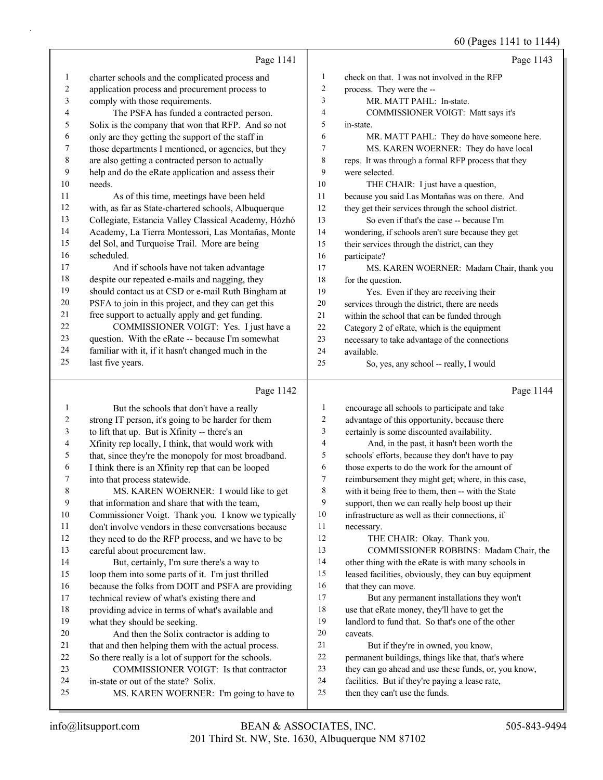# 60 (Pages 1141 to 1144)

| check on that. I was not involved in the RFP<br>charter schools and the complicated process and<br>$\mathbf{1}$<br>$\mathbf{1}$<br>$\overline{c}$<br>2<br>process. They were the --<br>application process and procurement process to |           |
|---------------------------------------------------------------------------------------------------------------------------------------------------------------------------------------------------------------------------------------|-----------|
|                                                                                                                                                                                                                                       |           |
|                                                                                                                                                                                                                                       |           |
| 3<br>comply with those requirements.<br>3<br>MR. MATT PAHL: In-state.                                                                                                                                                                 |           |
| The PSFA has funded a contracted person.<br>4<br>4<br>COMMISSIONER VOIGT: Matt says it's                                                                                                                                              |           |
| 5<br>5<br>Solix is the company that won that RFP. And so not<br>in-state.                                                                                                                                                             |           |
| only are they getting the support of the staff in<br>6<br>6<br>MR. MATT PAHL: They do have someone here.                                                                                                                              |           |
| 7<br>those departments I mentioned, or agencies, but they<br>MS. KAREN WOERNER: They do have local<br>7                                                                                                                               |           |
| $\,$ 8 $\,$<br>are also getting a contracted person to actually<br>8<br>reps. It was through a formal RFP process that they                                                                                                           |           |
| help and do the eRate application and assess their<br>9<br>9<br>were selected.                                                                                                                                                        |           |
| 10<br>10<br>needs.<br>THE CHAIR: I just have a question,                                                                                                                                                                              |           |
| 11<br>11<br>because you said Las Montañas was on there. And<br>As of this time, meetings have been held                                                                                                                               |           |
| $12\,$<br>with, as far as State-chartered schools, Albuquerque<br>$12\,$<br>they get their services through the school district.                                                                                                      |           |
| 13<br>Collegiate, Estancia Valley Classical Academy, Hózhó<br>13<br>So even if that's the case -- because I'm                                                                                                                         |           |
| 14<br>Academy, La Tierra Montessori, Las Montañas, Monte<br>14<br>wondering, if schools aren't sure because they get                                                                                                                  |           |
| 15<br>del Sol, and Turquoise Trail. More are being<br>15<br>their services through the district, can they                                                                                                                             |           |
| 16<br>scheduled.<br>16<br>participate?                                                                                                                                                                                                |           |
| 17<br>17<br>And if schools have not taken advantage<br>MS. KAREN WOERNER: Madam Chair, thank you                                                                                                                                      |           |
| $18\,$<br>despite our repeated e-mails and nagging, they<br>18<br>for the question.                                                                                                                                                   |           |
| 19<br>should contact us at CSD or e-mail Ruth Bingham at<br>19<br>Yes. Even if they are receiving their                                                                                                                               |           |
| $20\,$<br>PSFA to join in this project, and they can get this<br>20<br>services through the district, there are needs                                                                                                                 |           |
| 21<br>free support to actually apply and get funding.<br>within the school that can be funded through<br>21                                                                                                                           |           |
| 22<br>COMMISSIONER VOIGT: Yes. I just have a<br>22<br>Category 2 of eRate, which is the equipment                                                                                                                                     |           |
| 23<br>question. With the eRate -- because I'm somewhat<br>23<br>necessary to take advantage of the connections                                                                                                                        |           |
| 24<br>familiar with it, if it hasn't changed much in the<br>24<br>available.                                                                                                                                                          |           |
| 25<br>last five years.<br>25<br>So, yes, any school -- really, I would                                                                                                                                                                |           |
| Page 1142                                                                                                                                                                                                                             | Page 1144 |
| But the schools that don't have a really<br>1<br>encourage all schools to participate and take<br>1                                                                                                                                   |           |
| 2<br>2<br>strong IT person, it's going to be harder for them<br>advantage of this opportunity, because there                                                                                                                          |           |
| 3<br>3<br>certainly is some discounted availability.<br>to lift that up. But is Xfinity -- there's an                                                                                                                                 |           |
| 4<br>4<br>Xfinity rep locally, I think, that would work with<br>And, in the past, it hasn't been worth the                                                                                                                            |           |
| 5<br>that, since they're the monopoly for most broadband.<br>5<br>schools' efforts, because they don't have to pay                                                                                                                    |           |
| 6<br>those experts to do the work for the amount of<br>I think there is an Xfinity rep that can be looped<br>6                                                                                                                        |           |
| 7<br>into that process statewide.<br>7<br>reimbursement they might get; where, in this case,                                                                                                                                          |           |
| 8<br>8<br>MS. KAREN WOERNER: I would like to get<br>with it being free to them, then -- with the State                                                                                                                                |           |
| 9<br>9<br>support, then we can really help boost up their<br>that information and share that with the team,                                                                                                                           |           |
| 10<br>10<br>infrastructure as well as their connections, if<br>Commissioner Voigt. Thank you. I know we typically                                                                                                                     |           |
| 11<br>11<br>don't involve vendors in these conversations because<br>necessary.                                                                                                                                                        |           |
| $12\,$<br>12<br>they need to do the RFP process, and we have to be<br>THE CHAIR: Okay. Thank you.<br>13<br>13<br>COMMISSIONER ROBBINS: Madam Chair, the                                                                               |           |
| careful about procurement law.<br>14<br>14<br>But, certainly, I'm sure there's a way to<br>other thing with the eRate is with many schools in                                                                                         |           |
| 15<br>15<br>loop them into some parts of it. I'm just thrilled<br>leased facilities, obviously, they can buy equipment                                                                                                                |           |
| 16<br>16<br>because the folks from DOIT and PSFA are providing<br>that they can move.                                                                                                                                                 |           |
| $17\,$<br>17<br>technical review of what's existing there and<br>But any permanent installations they won't                                                                                                                           |           |
| $18\,$<br>providing advice in terms of what's available and<br>18<br>use that eRate money, they'll have to get the                                                                                                                    |           |
| 19<br>19<br>what they should be seeking.<br>landlord to fund that. So that's one of the other                                                                                                                                         |           |
| $20\,$<br>20<br>And then the Solix contractor is adding to<br>caveats.                                                                                                                                                                |           |
|                                                                                                                                                                                                                                       |           |
| 21<br>21                                                                                                                                                                                                                              |           |
| that and then helping them with the actual process.<br>But if they're in owned, you know,<br>$22\,$<br>22                                                                                                                             |           |
| So there really is a lot of support for the schools.<br>permanent buildings, things like that, that's where<br>23<br>23<br>COMMISSIONER VOIGT: Is that contractor<br>they can go ahead and use these funds, or, you know,             |           |
| 24<br>24<br>facilities. But if they're paying a lease rate,<br>in-state or out of the state? Solix.                                                                                                                                   |           |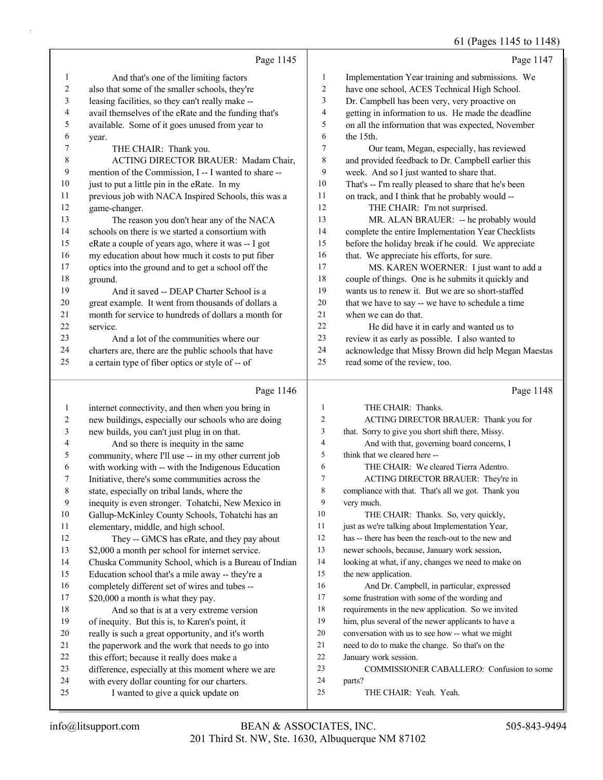|                |                                                                                                        |              | 61 (Pages 1145 to 1148)                                                                                 |
|----------------|--------------------------------------------------------------------------------------------------------|--------------|---------------------------------------------------------------------------------------------------------|
|                | Page 1145                                                                                              |              | Page 1147                                                                                               |
| 1              | And that's one of the limiting factors                                                                 | $\mathbf{1}$ | Implementation Year training and submissions. We                                                        |
| 2              | also that some of the smaller schools, they're                                                         | 2            | have one school, ACES Technical High School.                                                            |
| $\mathfrak{Z}$ | leasing facilities, so they can't really make --                                                       | 3            | Dr. Campbell has been very, very proactive on                                                           |
| 4              | avail themselves of the eRate and the funding that's                                                   | 4            | getting in information to us. He made the deadline                                                      |
| 5              | available. Some of it goes unused from year to                                                         | 5            | on all the information that was expected, November                                                      |
| 6              | year.                                                                                                  | 6            | the 15th.                                                                                               |
| 7              | THE CHAIR: Thank you.                                                                                  | 7            | Our team, Megan, especially, has reviewed                                                               |
| $\,$ 8 $\,$    | ACTING DIRECTOR BRAUER: Madam Chair,                                                                   | $\,$ $\,$    | and provided feedback to Dr. Campbell earlier this                                                      |
| $\mathbf{9}$   | mention of the Commission, I -- I wanted to share --                                                   | 9            | week. And so I just wanted to share that.                                                               |
| 10             | just to put a little pin in the eRate. In my                                                           | 10           | That's -- I'm really pleased to share that he's been                                                    |
| 11             | previous job with NACA Inspired Schools, this was a                                                    | 11           | on track, and I think that he probably would --                                                         |
| 12             | game-changer.                                                                                          | 12           | THE CHAIR: I'm not surprised.                                                                           |
| 13             | The reason you don't hear any of the NACA                                                              | 13           | MR. ALAN BRAUER: -- he probably would                                                                   |
| 14             | schools on there is we started a consortium with                                                       | 14           | complete the entire Implementation Year Checklists                                                      |
| 15             | eRate a couple of years ago, where it was -- I got                                                     | 15           | before the holiday break if he could. We appreciate                                                     |
| 16             | my education about how much it costs to put fiber                                                      | 16           | that. We appreciate his efforts, for sure.                                                              |
| 17             | optics into the ground and to get a school off the                                                     | 17           | MS. KAREN WOERNER: I just want to add a                                                                 |
| 18             | ground.                                                                                                | 18           | couple of things. One is he submits it quickly and                                                      |
| 19             | And it saved -- DEAP Charter School is a                                                               | 19           | wants us to renew it. But we are so short-staffed                                                       |
| 20             | great example. It went from thousands of dollars a                                                     | 20           | that we have to say -- we have to schedule a time                                                       |
| 21             | month for service to hundreds of dollars a month for                                                   | 21           | when we can do that.                                                                                    |
| 22             | service.                                                                                               | 22           | He did have it in early and wanted us to                                                                |
| 23             | And a lot of the communities where our                                                                 | 23           | review it as early as possible. I also wanted to                                                        |
| 24             | charters are, there are the public schools that have                                                   | 24           | acknowledge that Missy Brown did help Megan Maestas                                                     |
| 25             | a certain type of fiber optics or style of -- of                                                       | 25           | read some of the review, too.                                                                           |
|                | Page 1146                                                                                              |              | Page 1148                                                                                               |
| $\mathbf{1}$   | internet connectivity, and then when you bring in                                                      | 1            | THE CHAIR: Thanks.                                                                                      |
| 2              | new buildings, especially our schools who are doing                                                    | 2            | ACTING DIRECTOR BRAUER: Thank you for                                                                   |
| $\mathfrak z$  | new builds, you can't just plug in on that.                                                            | 3            | that. Sorry to give you short shift there, Missy.                                                       |
| 4              | And so there is inequity in the same                                                                   | 4            | And with that, governing board concerns, I                                                              |
| 5              | community, where I'll use -- in my other current job                                                   | 5            | think that we cleared here --                                                                           |
| 6              | with working with -- with the Indigenous Education                                                     | 6            | THE CHAIR: We cleared Tierra Adentro.                                                                   |
| 7              | Initiative, there's some communities across the                                                        | 7            | ACTING DIRECTOR BRAUER: They're in                                                                      |
| $\,$ 8 $\,$    | state, especially on tribal lands, where the                                                           | 8            | compliance with that. That's all we got. Thank you                                                      |
| 9              | inequity is even stronger. Tohatchi, New Mexico in                                                     | 9            | very much.                                                                                              |
| 10             | Gallup-McKinley County Schools, Tohatchi has an                                                        | $10\,$       | THE CHAIR: Thanks. So, very quickly,                                                                    |
| 11             | elementary, middle, and high school.                                                                   | 11           | just as we're talking about Implementation Year,                                                        |
| 12             | They -- GMCS has eRate, and they pay about                                                             | 12           | has -- there has been the reach-out to the new and                                                      |
| 13             | \$2,000 a month per school for internet service.                                                       | 13           | newer schools, because, January work session,                                                           |
| 14             | Chuska Community School, which is a Bureau of Indian                                                   | 14           | looking at what, if any, changes we need to make on                                                     |
| 15             | Education school that's a mile away -- they're a                                                       | 15           | the new application.                                                                                    |
| 16             | completely different set of wires and tubes --                                                         | 16           | And Dr. Campbell, in particular, expressed                                                              |
| 17             | \$20,000 a month is what they pay.                                                                     | 17<br>18     | some frustration with some of the wording and                                                           |
| 18<br>19       | And so that is at a very extreme version                                                               | 19           | requirements in the new application. So we invited                                                      |
| 20             | of inequity. But this is, to Karen's point, it                                                         | 20           | him, plus several of the newer applicants to have a<br>conversation with us to see how -- what we might |
| 21             | really is such a great opportunity, and it's worth<br>the paperwork and the work that needs to go into | 21           | need to do to make the change. So that's on the                                                         |
| 22             | this effort; because it really does make a                                                             | 22           | January work session.                                                                                   |
| 23             | difference, especially at this moment where we are                                                     | 23           | COMMISSIONER CABALLERO: Confusion to some                                                               |
| 24             | with every dollar counting for our charters.                                                           | 24           | parts?                                                                                                  |
| 25             | I wanted to give a quick update on                                                                     | 25           | THE CHAIR: Yeah. Yeah.                                                                                  |
|                |                                                                                                        |              |                                                                                                         |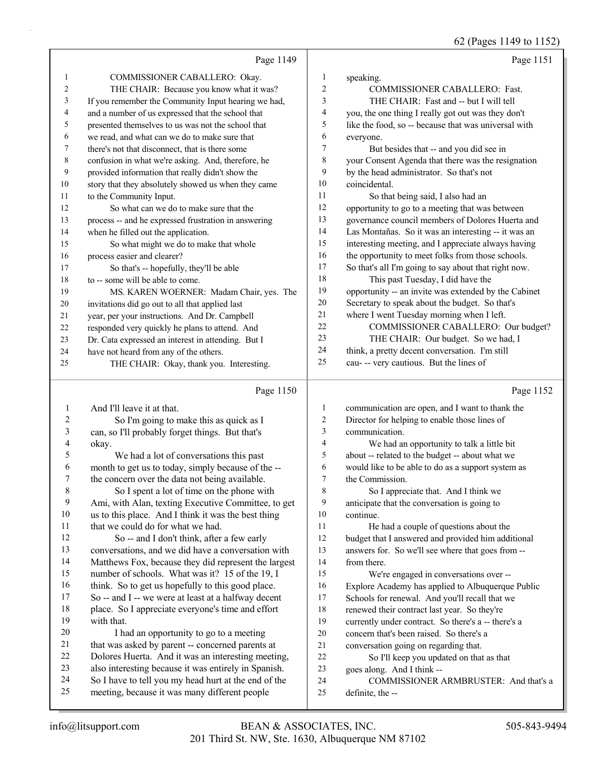|    |                                                      |    | 62 (Pages 1149 to 1152)                              |
|----|------------------------------------------------------|----|------------------------------------------------------|
|    | Page 1149                                            |    | Page 1151                                            |
| 1  | COMMISSIONER CABALLERO: Okay.                        | 1  | speaking.                                            |
| 2  | THE CHAIR: Because you know what it was?             | 2  | COMMISSIONER CABALLERO: Fast.                        |
| 3  | If you remember the Community Input hearing we had,  | 3  | THE CHAIR: Fast and -- but I will tell               |
| 4  | and a number of us expressed that the school that    | 4  | you, the one thing I really got out was they don't   |
| 5  | presented themselves to us was not the school that   | 5  | like the food, so -- because that was universal with |
| 6  | we read, and what can we do to make sure that        | 6  | everyone.                                            |
| 7  | there's not that disconnect, that is there some      | 7  | But besides that -- and you did see in               |
| 8  | confusion in what we're asking. And, therefore, he   | 8  | your Consent Agenda that there was the resignation   |
| 9  | provided information that really didn't show the     | 9  | by the head administrator. So that's not             |
| 10 | story that they absolutely showed us when they came  | 10 | coincidental.                                        |
| 11 | to the Community Input.                              | 11 | So that being said, I also had an                    |
| 12 | So what can we do to make sure that the              | 12 | opportunity to go to a meeting that was between      |
| 13 | process -- and he expressed frustration in answering | 13 | governance council members of Dolores Huerta and     |
| 14 | when he filled out the application.                  | 14 | Las Montañas. So it was an interesting -- it was an  |
| 15 | So what might we do to make that whole               | 15 | interesting meeting, and I appreciate always having  |
| 16 | process easier and clearer?                          | 16 | the opportunity to meet folks from those schools.    |
| 17 | So that's -- hopefully, they'll be able              | 17 | So that's all I'm going to say about that right now. |
| 18 | to -- some will be able to come.                     | 18 | This past Tuesday, I did have the                    |
| 19 | MS. KAREN WOERNER: Madam Chair, yes. The             | 19 | opportunity -- an invite was extended by the Cabinet |
| 20 | invitations did go out to all that applied last      | 20 | Secretary to speak about the budget. So that's       |
| 21 | year, per your instructions. And Dr. Campbell        | 21 | where I went Tuesday morning when I left.            |
| 22 | responded very quickly he plans to attend. And       | 22 | COMMISSIONER CABALLERO: Our budget?                  |
| 23 | Dr. Cata expressed an interest in attending. But I   | 23 | THE CHAIR: Our budget. So we had, I                  |
| 24 | have not heard from any of the others.               | 24 | think, a pretty decent conversation. I'm still       |
| 25 | THE CHAIR: Okay, thank you. Interesting.             | 25 | cau- -- very cautious. But the lines of              |
|    | Page 1150                                            |    | Page 1152                                            |
| 1  | And I'll leave it at that.                           | 1  | communication are open, and I want to thank the      |
| 2  | So I'm going to make this as quick as I              | 2  | Director for helping to enable those lines of        |
| 3  | can, so I'll probably forget things. But that's      | 3  | communication.                                       |
| 4  | okay.                                                | 4  | We had an opportunity to talk a little bit           |
| 5  | We had a lot of conversations this past              | 5  | about -- related to the budget -- about what we      |
| 6  | month to get us to today, simply because of the --   | 6  | would like to be able to do as a support system as   |
| 7  | the concern over the data not being available.       | 7  | the Commission.                                      |
| 8  | So I spent a lot of time on the phone with           | 8  | So I appreciate that. And I think we                 |
| 9  | Ami, with Alan, texting Executive Committee, to get  | 9  | anticipate that the conversation is going to         |
| 10 | us to this place. And I think it was the best thing  | 10 | continue.                                            |
| 11 | that we could do for what we had.                    | 11 | He had a couple of questions about the               |
| 12 | So -- and I don't think, after a few early           | 12 | budget that I answered and provided him additional   |
| 13 | conversations, and we did have a conversation with   | 13 | answers for. So we'll see where that goes from --    |
| 14 | Matthews Fox, because they did represent the largest | 14 | from there.                                          |
| 15 | number of schools. What was it? 15 of the 19, I      | 15 | We're engaged in conversations over --               |
| 16 | think. So to get us hopefully to this good place.    | 16 | Explore Academy has applied to Albuquerque Public    |
| 17 | So -- and I -- we were at least at a halfway decent  | 17 | Schools for renewal. And you'll recall that we       |
| 18 | place. So I appreciate everyone's time and effort    | 18 | renewed their contract last year. So they're         |
| 19 | with that.                                           | 19 | currently under contract. So there's a -- there's a  |

- 20 I had an opportunity to go to a meeting that was asked by parent -- concerned parents at
- 22 Dolores Huerta. And it was an interesting meeting,<br>23 also interesting because it was entirely in Spanish. also interesting because it was entirely in Spanish.
- So I have to tell you my head hurt at the end of the
- meeting, because it was many different people
- concern that's been raised. So there's a
- 21 conversation going on regarding that.<br>22 So I'll keep you updated on that

So I'll keep you updated on that as that

- goes along. And I think --
- 24 COMMISSIONER ARMBRUSTER: And that's a
- definite, the --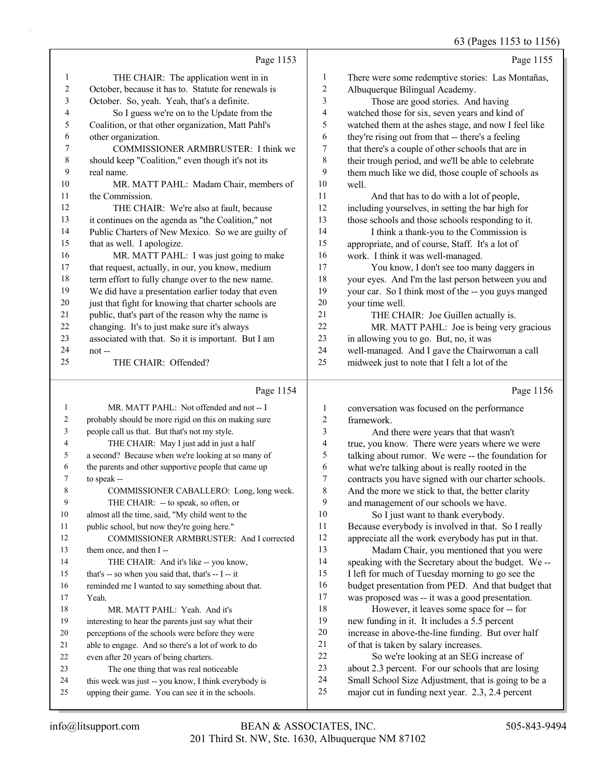#### 63 (Pages 1153 to 1156)

|              |                                                      |                          | 03 (Pages 1133 to 1130                               |
|--------------|------------------------------------------------------|--------------------------|------------------------------------------------------|
|              | Page 1153                                            |                          | Page 1155                                            |
| $\mathbf{1}$ | THE CHAIR: The application went in in                | $\mathbf{1}$             | There were some redemptive stories: Las Montañas,    |
| $\sqrt{2}$   | October, because it has to. Statute for renewals is  | $\overline{c}$           | Albuquerque Bilingual Academy.                       |
| 3            | October. So, yeah. Yeah, that's a definite.          | $\mathfrak{Z}$           | Those are good stories. And having                   |
| 4            | So I guess we're on to the Update from the           | $\overline{\mathbf{4}}$  | watched those for six, seven years and kind of       |
| 5            | Coalition, or that other organization, Matt Pahl's   | 5                        | watched them at the ashes stage, and now I feel like |
| 6            | other organization.                                  | 6                        | they're rising out from that -- there's a feeling    |
| 7            | COMMISSIONER ARMBRUSTER: I think we                  | 7                        | that there's a couple of other schools that are in   |
| $\,8\,$      | should keep "Coalition," even though it's not its    | $\,$ $\,$                | their trough period, and we'll be able to celebrate  |
| 9            | real name.                                           | 9                        | them much like we did, those couple of schools as    |
| $10\,$       | MR. MATT PAHL: Madam Chair, members of               | 10                       | well.                                                |
| 11           | the Commission.                                      | 11                       | And that has to do with a lot of people,             |
| 12           | THE CHAIR: We're also at fault, because              | 12                       | including yourselves, in setting the bar high for    |
| 13           | it continues on the agenda as "the Coalition," not   | 13                       | those schools and those schools responding to it.    |
| 14           | Public Charters of New Mexico. So we are guilty of   | 14                       | I think a thank-you to the Commission is             |
| 15           | that as well. I apologize.                           | 15                       | appropriate, and of course, Staff. It's a lot of     |
| 16           | MR. MATT PAHL: I was just going to make              | 16                       | work. I think it was well-managed.                   |
| 17           | that request, actually, in our, you know, medium     | 17                       | You know, I don't see too many daggers in            |
| $18\,$       | term effort to fully change over to the new name.    | 18                       | your eyes. And I'm the last person between you and   |
| 19           | We did have a presentation earlier today that even   | 19                       | your car. So I think most of the -- you guys manged  |
| $20\,$       | just that fight for knowing that charter schools are | $20\,$                   | your time well.                                      |
| 21           | public, that's part of the reason why the name is    | 21                       | THE CHAIR: Joe Guillen actually is.                  |
| $22\,$       | changing. It's to just make sure it's always         | 22                       | MR. MATT PAHL: Joe is being very gracious            |
| 23           | associated with that. So it is important. But I am   | 23                       | in allowing you to go. But, no, it was               |
| 24           | $not$ --                                             | 24                       | well-managed. And I gave the Chairwoman a call       |
| 25           | THE CHAIR: Offended?                                 | 25                       | midweek just to note that I felt a lot of the        |
|              | Page 1154                                            |                          | Page 1156                                            |
| 1            | MR. MATT PAHL: Not offended and not -- I             | $\mathbf{1}$             | conversation was focused on the performance          |
| 2            | probably should be more rigid on this on making sure | $\overline{c}$           | framework.                                           |
| 3            | people call us that. But that's not my style.        | $\mathfrak{Z}$           | And there were years that that wasn't                |
| 4            | THE CHAIR: May I just add in just a half             | $\overline{\mathcal{L}}$ | true, you know. There were years where we were       |
| 5            | a second? Because when we're looking at so many of   | 5                        | talking about rumor. We were -- the foundation for   |
| 6            | the parents and other supportive people that came up | 6                        | what we're talking about is really rooted in the     |
| 7            | to speak --                                          | $\tau$                   | contracts you have signed with our charter schools.  |
| 8            | COMMISSIONER CABALLERO: Long, long week.             | 8                        | And the more we stick to that, the better clarity    |
| 9            | THE CHAIR: -- to speak, so often, or                 | 9                        | and management of our schools we have.               |
| 10           | almost all the time, said, "My child went to the     | $10\,$                   | So I just want to thank everybody.                   |
| 11           | public school, but now they're going here."          | 11                       | Because everybody is involved in that. So I really   |
| 12           | COMMISSIONER ARMBRUSTER: And I corrected             | 12                       | appreciate all the work everybody has put in that.   |
| 13           | them once, and then I--                              | 13                       | Madam Chair, you mentioned that you were             |
| 14           | THE CHAIR: And it's like -- you know,                | 14                       | speaking with the Secretary about the budget. We --  |
| 15           | that's -- so when you said that, that's -- I -- it   | 15                       | I left for much of Tuesday morning to go see the     |

 reminded me I wanted to say something about that. Yeah.

18 MR. MATT PAHL: Yeah. And it's

interesting to hear the parents just say what their

perceptions of the schools were before they were

able to engage. And so there's a lot of work to do

even after 20 years of being charters.

23 The one thing that was real noticeable

 this week was just -- you know, I think everybody is upping their game. You can see it in the schools.

 budget presentation from PED. And that budget that was proposed was -- it was a good presentation.

18 However, it leaves some space for -- for new funding in it. It includes a 5.5 percent increase in above-the-line funding. But over half of that is taken by salary increases.

22 So we're looking at an SEG increase of about 2.3 percent. For our schools that are losing

Small School Size Adjustment, that is going to be a

major cut in funding next year. 2.3, 2.4 percent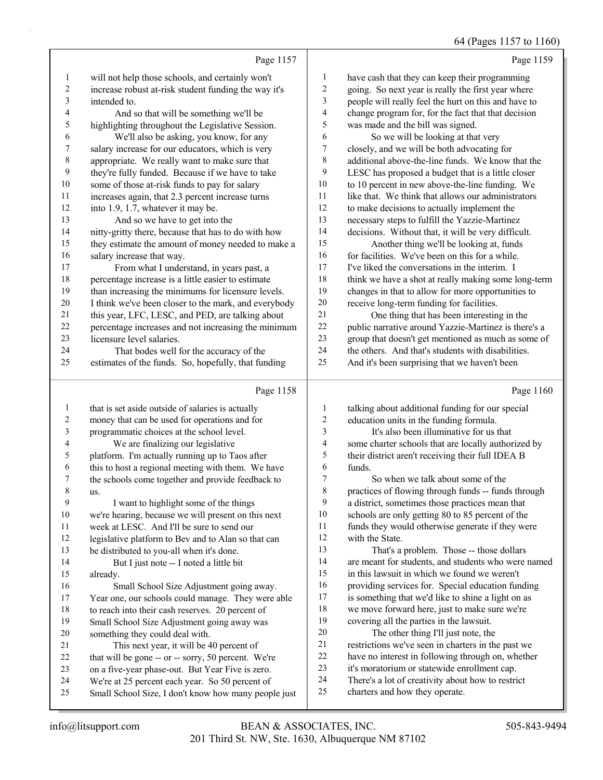64 (Pages 1157 to 1160)

|                |                                                                                                |                          | 64 (Pages 1157 to 1160)                                                                         |
|----------------|------------------------------------------------------------------------------------------------|--------------------------|-------------------------------------------------------------------------------------------------|
|                | Page 1157                                                                                      |                          | Page 1159                                                                                       |
| $\mathbf{1}$   | will not help those schools, and certainly won't                                               | $\mathbf{1}$             | have cash that they can keep their programming                                                  |
| $\overline{c}$ | increase robust at-risk student funding the way it's                                           | $\overline{c}$           | going. So next year is really the first year where                                              |
| 3              | intended to.                                                                                   | 3                        | people will really feel the hurt on this and have to                                            |
| 4              | And so that will be something we'll be                                                         | $\overline{\mathcal{L}}$ | change program for, for the fact that that decision                                             |
| 5              | highlighting throughout the Legislative Session.                                               | 5                        | was made and the bill was signed.                                                               |
| 6              | We'll also be asking, you know, for any                                                        | 6                        | So we will be looking at that very                                                              |
| 7              | salary increase for our educators, which is very                                               | $\boldsymbol{7}$         | closely, and we will be both advocating for                                                     |
| 8              | appropriate. We really want to make sure that                                                  | 8                        | additional above-the-line funds. We know that the                                               |
| 9              | they're fully funded. Because if we have to take                                               | 9                        | LESC has proposed a budget that is a little closer                                              |
| 10             | some of those at-risk funds to pay for salary                                                  | 10                       | to 10 percent in new above-the-line funding. We                                                 |
| 11             | increases again, that 2.3 percent increase turns                                               | 11                       | like that. We think that allows our administrators                                              |
| 12             | into 1.9, 1.7, whatever it may be.                                                             | 12                       | to make decisions to actually implement the                                                     |
| 13             | And so we have to get into the                                                                 | 13                       | necessary steps to fulfill the Yazzie-Martinez                                                  |
| 14             | nitty-gritty there, because that has to do with how                                            | 14                       | decisions. Without that, it will be very difficult.                                             |
| 15             | they estimate the amount of money needed to make a                                             | 15                       | Another thing we'll be looking at, funds                                                        |
| 16             | salary increase that way.                                                                      | 16                       | for facilities. We've been on this for a while.                                                 |
| 17             | From what I understand, in years past, a                                                       | $17\,$                   | I've liked the conversations in the interim. I                                                  |
| 18             | percentage increase is a little easier to estimate                                             | 18                       | think we have a shot at really making some long-term                                            |
| 19             | than increasing the minimums for licensure levels.                                             | 19                       | changes in that to allow for more opportunities to                                              |
| 20             | I think we've been closer to the mark, and everybody                                           | $20\,$                   | receive long-term funding for facilities.                                                       |
| 21             | this year, LFC, LESC, and PED, are talking about                                               | 21                       | One thing that has been interesting in the                                                      |
| 22             | percentage increases and not increasing the minimum                                            | $22\,$                   | public narrative around Yazzie-Martinez is there's a                                            |
| 23             | licensure level salaries.                                                                      | 23<br>24                 | group that doesn't get mentioned as much as some of                                             |
| 24<br>25       | That bodes well for the accuracy of the                                                        | 25                       | the others. And that's students with disabilities.                                              |
|                | estimates of the funds. So, hopefully, that funding                                            |                          | And it's been surprising that we haven't been                                                   |
|                | Page 1158                                                                                      |                          | Page 1160                                                                                       |
| $\mathbf{1}$   | that is set aside outside of salaries is actually                                              | $\mathbf{1}$             | talking about additional funding for our special                                                |
| 2              | money that can be used for operations and for                                                  | $\boldsymbol{2}$         | education units in the funding formula.                                                         |
| 3              | programmatic choices at the school level.                                                      | $\mathfrak{Z}$           | It's also been illuminative for us that                                                         |
| 4              | We are finalizing our legislative                                                              | 4                        | some charter schools that are locally authorized by                                             |
| 5              | platform. I'm actually running up to Taos after                                                | 5                        | their district aren't receiving their full IDEA B                                               |
| 6              | this to host a regional meeting with them. We have                                             | 6                        | funds.                                                                                          |
| 7              | the schools come together and provide feedback to                                              | 7                        | So when we talk about some of the                                                               |
| 8              | us.                                                                                            | 8                        | practices of flowing through funds -- funds through                                             |
| 9              | I want to highlight some of the things                                                         | 9                        | a district, sometimes those practices mean that                                                 |
| 10             | we're hearing, because we will present on this next                                            | 10                       | schools are only getting 80 to 85 percent of the                                                |
| 11             | week at LESC. And I'll be sure to send our                                                     | 11                       | funds they would otherwise generate if they were                                                |
| 12             | legislative platform to Bev and to Alan so that can                                            | 12                       | with the State.                                                                                 |
| 13             | be distributed to you-all when it's done.                                                      | 13<br>14                 | That's a problem. Those -- those dollars<br>are meant for students, and students who were named |
| 14             | But I just note -- I noted a little bit                                                        | 15                       | in this lawsuit in which we found we weren't                                                    |
| 15<br>16       | already.                                                                                       | 16                       | providing services for. Special education funding                                               |
| 17             | Small School Size Adjustment going away.<br>Year one, our schools could manage. They were able | 17                       | is something that we'd like to shine a light on as                                              |
| 18             | to reach into their cash reserves. 20 percent of                                               | 18                       | we move forward here, just to make sure we're                                                   |
| 19             | Small School Size Adjustment going away was                                                    | 19                       | covering all the parties in the lawsuit.                                                        |
| 20             | something they could deal with.                                                                | 20                       | The other thing I'll just note, the                                                             |
| 21             | This next year, it will be 40 percent of                                                       | 21                       | restrictions we've seen in charters in the past we                                              |
| 22             | that will be gone -- or -- sorry, 50 percent. We're                                            | 22                       | have no interest in following through on, whether                                               |
| 23             | on a five-year phase-out. But Year Five is zero.                                               | 23                       | it's moratorium or statewide enrollment cap.                                                    |
| 24             | We're at 25 percent each year. So 50 percent of                                                | 24                       | There's a lot of creativity about how to restrict                                               |
|                |                                                                                                |                          |                                                                                                 |
| 25             | Small School Size, I don't know how many people just                                           | 25                       | charters and how they operate.                                                                  |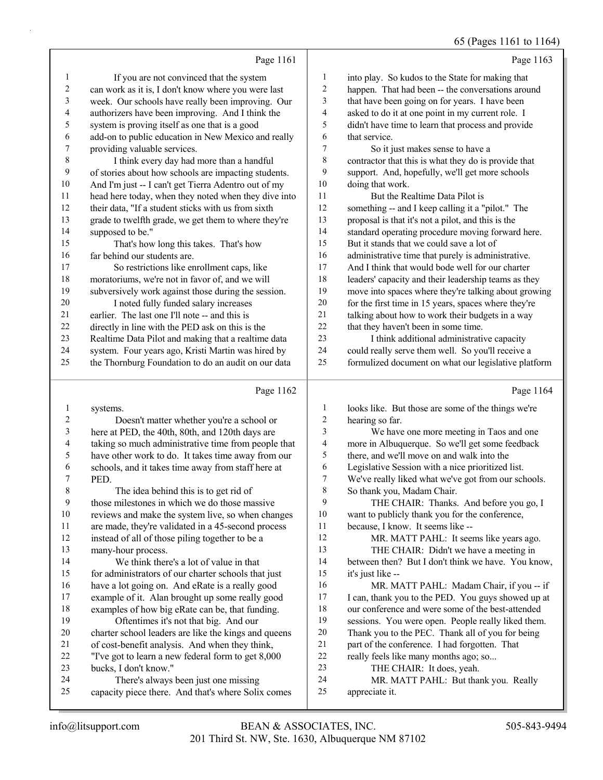#### 65 (Pages 1161 to 1164)

|                  | Page 1161                                            |                | Page 1163                                            |
|------------------|------------------------------------------------------|----------------|------------------------------------------------------|
| 1                | If you are not convinced that the system             | 1              | into play. So kudos to the State for making that     |
| 2                | can work as it is, I don't know where you were last  | $\overline{c}$ | happen. That had been -- the conversations around    |
| 3                | week. Our schools have really been improving. Our    | 3              | that have been going on for years. I have been       |
| 4                | authorizers have been improving. And I think the     | 4              | asked to do it at one point in my current role. I    |
| 5                | system is proving itself as one that is a good       | 5              | didn't have time to learn that process and provide   |
| 6                | add-on to public education in New Mexico and really  | 6              | that service.                                        |
| $\boldsymbol{7}$ | providing valuable services.                         | 7              | So it just makes sense to have a                     |
| 8                | I think every day had more than a handful            | 8              | contractor that this is what they do is provide that |
| 9                | of stories about how schools are impacting students. | 9              | support. And, hopefully, we'll get more schools      |
| $10\,$           | And I'm just -- I can't get Tierra Adentro out of my | 10             | doing that work.                                     |
| 11               | head here today, when they noted when they dive into | 11             | But the Realtime Data Pilot is                       |
| 12               | their data, "If a student sticks with us from sixth  | 12             | something -- and I keep calling it a "pilot." The    |
| 13               | grade to twelfth grade, we get them to where they're | 13             | proposal is that it's not a pilot, and this is the   |
| 14               | supposed to be."                                     | 14             | standard operating procedure moving forward here.    |
| 15               | That's how long this takes. That's how               | 15             | But it stands that we could save a lot of            |
| 16               | far behind our students are.                         | 16             | administrative time that purely is administrative.   |
| 17               | So restrictions like enrollment caps, like           | 17             | And I think that would bode well for our charter     |
| $18\,$           | moratoriums, we're not in favor of, and we will      | 18             | leaders' capacity and their leadership teams as they |
| 19               | subversively work against those during the session.  | 19             | move into spaces where they're talking about growing |
| 20               | I noted fully funded salary increases                | 20             | for the first time in 15 years, spaces where they're |
| 21               | earlier. The last one I'll note -- and this is       | 21             | talking about how to work their budgets in a way     |
| $22\,$           | directly in line with the PED ask on this is the     | 22             | that they haven't been in some time.                 |
| 23               | Realtime Data Pilot and making that a realtime data  | 23             | I think additional administrative capacity           |
| 24               | system. Four years ago, Kristi Martin was hired by   | 24             | could really serve them well. So you'll receive a    |
| 25               | the Thornburg Foundation to do an audit on our data  | 25             | formulized document on what our legislative platform |
|                  | Page 1162                                            |                | Page 1164                                            |
| 1                | systems.                                             | 1              | looks like. But those are some of the things we're   |
| $\overline{c}$   | Doesn't matter whether you're a school or            | $\overline{c}$ | hearing so far.                                      |
| 3                | here at PED, the 40th, 80th, and 120th days are      | 3              | We have one more meeting in Taos and one             |
| 4                | taking so much administrative time from people that  | 4              | more in Albuquerque. So we'll get some feedback      |
| 5                | have other work to do. It takes time away from our   | 5              | there, and we'll move on and walk into the           |
| 6                | schools, and it takes time away from staff here at   | 6              | Legislative Session with a nice prioritized list.    |
| 7                | PED.                                                 | $\tau$         | We've really liked what we've got from our schools.  |
| 8                | The idea behind this is to get rid of                | 8              | So thank you, Madam Chair.                           |
| 9                | those milestones in which we do those massive        | 9              | THE CHAIR: Thanks. And before you go, I              |
| $10\,$           | reviews and make the system live, so when changes    | $10\,$         | want to publicly thank you for the conference,       |
| 11               | are made, they're validated in a 45-second process   | 11             | because, I know. It seems like --                    |
| $12\,$           | instead of all of those piling together to be a      | 12             | MR. MATT PAHL: It seems like years ago.              |
| 13               | many-hour process.                                   | 13             | THE CHAIR: Didn't we have a meeting in               |
| 14               | We think there's a lot of value in that              | 14             | between then? But I don't think we have. You know.   |

 between then? But I don't think we have. You know, it's just like --

16 MR. MATT PAHL: Madam Chair, if you -- if I can, thank you to the PED. You guys showed up at our conference and were some of the best-attended

- sessions. You were open. People really liked them.
- Thank you to the PEC. Thank all of you for being
- part of the conference. I had forgotten. That

really feels like many months ago; so...

23 THE CHAIR: It does, yeah.

24 MR. MATT PAHL: But thank you. Really appreciate it.

bucks, I don't know."

 for administrators of our charter schools that just have a lot going on. And eRate is a really good example of it. Alan brought up some really good examples of how big eRate can be, that funding. 19 Oftentimes it's not that big. And our

 charter school leaders are like the kings and queens of cost-benefit analysis. And when they think, "I've got to learn a new federal form to get 8,000

capacity piece there. And that's where Solix comes

24 There's always been just one missing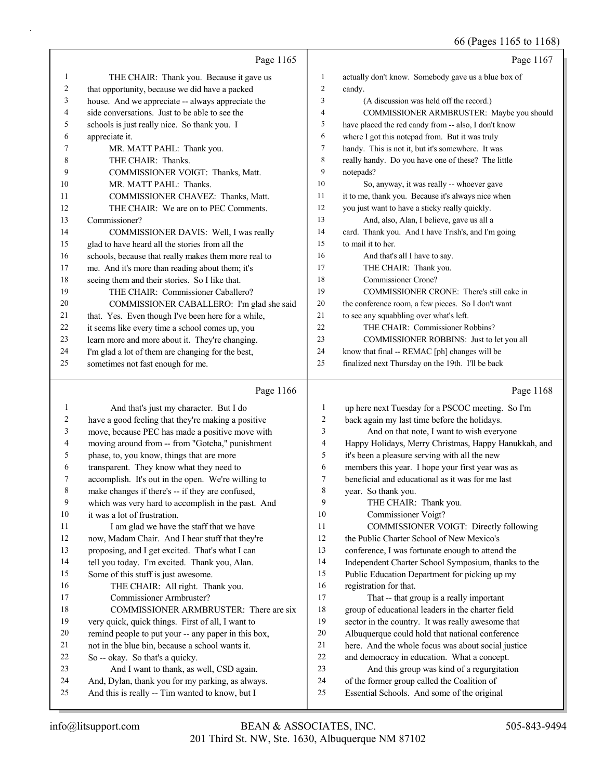|              |                                                      |                  | 66 (Pages 1165 to 1168)                              |
|--------------|------------------------------------------------------|------------------|------------------------------------------------------|
|              | Page 1165                                            |                  | Page 1167                                            |
| 1            | THE CHAIR: Thank you. Because it gave us             | $\mathbf{1}$     | actually don't know. Somebody gave us a blue box of  |
| 2            | that opportunity, because we did have a packed       | $\overline{c}$   | candy.                                               |
| 3            | house. And we appreciate -- always appreciate the    | 3                | (A discussion was held off the record.)              |
| 4            | side conversations. Just to be able to see the       | 4                | COMMISSIONER ARMBRUSTER: Maybe you should            |
| 5            | schools is just really nice. So thank you. I         | 5                | have placed the red candy from -- also, I don't know |
| 6            | appreciate it.                                       | 6                | where I got this notepad from. But it was truly      |
| 7            | MR. MATT PAHL: Thank you.                            | $\tau$           | handy. This is not it, but it's somewhere. It was    |
| 8            | THE CHAIR: Thanks.                                   | 8                | really handy. Do you have one of these? The little   |
| 9            | COMMISSIONER VOIGT: Thanks, Matt.                    | 9                | notepads?                                            |
| 10           | MR. MATT PAHL: Thanks.                               | 10               | So, anyway, it was really -- whoever gave            |
| 11           | COMMISSIONER CHAVEZ: Thanks, Matt.                   | 11               | it to me, thank you. Because it's always nice when   |
| 12           | THE CHAIR: We are on to PEC Comments.                | 12               | you just want to have a sticky really quickly.       |
| 13           | Commissioner?                                        | 13               | And, also, Alan, I believe, gave us all a            |
| 14           | COMMISSIONER DAVIS: Well, I was really               | 14               | card. Thank you. And I have Trish's, and I'm going   |
| 15           | glad to have heard all the stories from all the      | 15               | to mail it to her.                                   |
| 16           | schools, because that really makes them more real to | 16               | And that's all I have to say.                        |
| 17           | me. And it's more than reading about them; it's      | 17               | THE CHAIR: Thank you.                                |
| 18           | seeing them and their stories. So I like that.       | 18               | Commissioner Crone?                                  |
| 19           | THE CHAIR: Commissioner Caballero?                   | 19               | COMMISSIONER CRONE: There's still cake in            |
| 20           | COMMISSIONER CABALLERO: I'm glad she said            | 20               | the conference room, a few pieces. So I don't want   |
| 21           | that. Yes. Even though I've been here for a while,   | 21               | to see any squabbling over what's left.              |
| 22           | it seems like every time a school comes up, you      | 22               | THE CHAIR: Commissioner Robbins?                     |
| 23           | learn more and more about it. They're changing.      | 23               | COMMISSIONER ROBBINS: Just to let you all            |
| 24           | I'm glad a lot of them are changing for the best,    | 24               | know that final -- REMAC [ph] changes will be        |
| 25           | sometimes not fast enough for me.                    | 25               | finalized next Thursday on the 19th. I'll be back    |
|              |                                                      |                  |                                                      |
|              | Page 1166                                            |                  | Page 1168                                            |
| $\mathbf{1}$ | And that's just my character. But I do               | $\mathbf{1}$     | up here next Tuesday for a PSCOC meeting. So I'm     |
| $\sqrt{2}$   | have a good feeling that they're making a positive   | $\overline{2}$   | back again my last time before the holidays.         |
| 3            | move, because PEC has made a positive move with      | 3                | And on that note, I want to wish everyone            |
| 4            | moving around from -- from "Gotcha," punishment      | 4                | Happy Holidays, Merry Christmas, Happy Hanukkah, and |
| 5            | phase, to, you know, things that are more            | 5                | it's been a pleasure serving with all the new        |
| 6            | transparent. They know what they need to             | 6                | members this year. I hope your first year was as     |
| 7            | accomplish. It's out in the open. We're willing to   | $\boldsymbol{7}$ | beneficial and educational as it was for me last     |
| $\,$ 8 $\,$  | make changes if there's -- if they are confused,     | $\,$ 8 $\,$      | year. So thank you.                                  |
| 9            | which was very hard to accomplish in the past. And   | 9                | THE CHAIR: Thank you.                                |
| 10           | it was a lot of frustration.                         | 10               | Commissioner Voigt?                                  |
| 11           | I am glad we have the staff that we have             | 11               | COMMISSIONER VOIGT: Directly following               |
| 12           | now, Madam Chair. And I hear stuff that they're      | 12               | the Public Charter School of New Mexico's            |
| 13           | proposing, and I get excited. That's what I can      | 13               | conference, I was fortunate enough to attend the     |

- tell you today. I'm excited. Thank you, Alan. Some of this stuff is just awesome. 16 THE CHAIR: All right. Thank you.
- 17 Commissioner Armbruster? 18 COMMISSIONER ARMBRUSTER: There are six very quick, quick things. First of all, I want to remind people to put your -- any paper in this box, not in the blue bin, because a school wants it. So -- okay. So that's a quicky. 23 And I want to thank, as well, CSD again. And, Dylan, thank you for my parking, as always. And this is really -- Tim wanted to know, but I
- Independent Charter School Symposium, thanks to the
- Public Education Department for picking up my
- registration for that.
- 17 That -- that group is a really important group of educational leaders in the charter field sector in the country. It was really awesome that Albuquerque could hold that national conference here. And the whole focus was about social justice and democracy in education. What a concept.
- 23 And this group was kind of a regurgitation
- of the former group called the Coalition of
- Essential Schools. And some of the original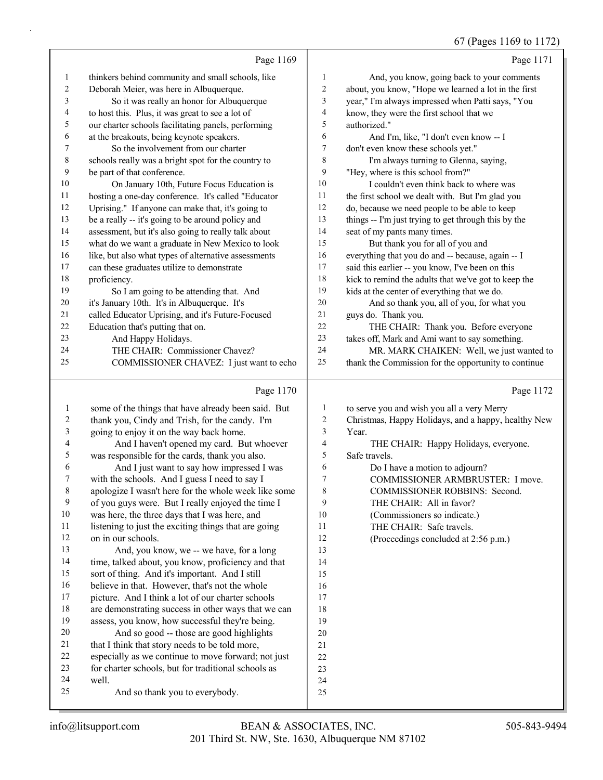#### 67 (Pages 1169 to 1172)

|                | Page 1169                                            |                  | Page 1171                                            |
|----------------|------------------------------------------------------|------------------|------------------------------------------------------|
| 1              | thinkers behind community and small schools, like    | 1                | And, you know, going back to your comments           |
| $\overline{c}$ | Deborah Meier, was here in Albuquerque.              | $\overline{c}$   | about, you know, "Hope we learned a lot in the first |
| 3              | So it was really an honor for Albuquerque            | 3                | year," I'm always impressed when Patti says, "You    |
| 4              | to host this. Plus, it was great to see a lot of     | 4                | know, they were the first school that we             |
| 5              | our charter schools facilitating panels, performing  | 5                | authorized."                                         |
| 6              | at the breakouts, being keynote speakers.            | 6                | And I'm, like, "I don't even know -- I               |
| 7              | So the involvement from our charter                  | $\boldsymbol{7}$ | don't even know these schools yet."                  |
| $\,8\,$        | schools really was a bright spot for the country to  | $\,$ 8 $\,$      | I'm always turning to Glenna, saying,                |
| 9              | be part of that conference.                          | 9                | "Hey, where is this school from?"                    |
| 10             | On January 10th, Future Focus Education is           | 10               | I couldn't even think back to where was              |
| 11             | hosting a one-day conference. It's called "Educator  | 11               | the first school we dealt with. But I'm glad you     |
| 12             | Uprising." If anyone can make that, it's going to    | 12               | do, because we need people to be able to keep        |
| 13             | be a really -- it's going to be around policy and    | 13               | things -- I'm just trying to get through this by the |
| 14             | assessment, but it's also going to really talk about | 14               | seat of my pants many times.                         |
| 15             | what do we want a graduate in New Mexico to look     | 15               | But thank you for all of you and                     |
| 16             | like, but also what types of alternative assessments | 16               | everything that you do and -- because, again -- I    |
| 17             | can these graduates utilize to demonstrate           | 17               | said this earlier -- you know, I've been on this     |
| 18             | proficiency.                                         | 18               | kick to remind the adults that we've got to keep the |
| 19             | So I am going to be attending that. And              | 19               | kids at the center of everything that we do.         |
| 20             | it's January 10th. It's in Albuquerque. It's         | 20               | And so thank you, all of you, for what you           |
| 21             | called Educator Uprising, and it's Future-Focused    | 21               | guys do. Thank you.                                  |
| 22             | Education that's putting that on.                    | 22               | THE CHAIR: Thank you. Before everyone                |
| 23             | And Happy Holidays.                                  | 23               | takes off, Mark and Ami want to say something.       |
| 24             | THE CHAIR: Commissioner Chavez?                      | 24               | MR. MARK CHAIKEN: Well, we just wanted to            |
| 25             | COMMISSIONER CHAVEZ: I just want to echo             | 25               | thank the Commission for the opportunity to continue |
|                | Page 1170                                            |                  | Page 1172                                            |
| 1              | some of the things that have already been said. But  | 1                | to serve you and wish you all a very Merry           |
| 2              | thank you, Cindy and Trish, for the candy. I'm       | $\overline{c}$   | Christmas, Happy Holidays, and a happy, healthy New  |
| $\mathfrak{Z}$ | going to enjoy it on the way back home.              | 3                | Year.                                                |
| 4              | And I haven't opened my card. But whoever            | 4                | THE CHAIR: Happy Holidays, everyone.                 |
| 5              | was responsible for the cards, thank you also.       | 5                | Safe travels.                                        |
| 6              | And I just want to say how impressed I was           | 6                | Do I have a motion to adjourn?                       |

 with the schools. And I guess I need to say I apologize I wasn't here for the whole week like some 7 COMMISSIONER ARMBRUSTER: I move.

- 8 COMMISSIONER ROBBINS: Second.
- 9 THE CHAIR: All in favor?
- 10 (Commissioners so indicate.)
- 12 (Proceedings concluded at 2:56 p.m.)
- 11 listening to just the exciting things that are going on in our schools. 13 And, you know, we -- we have, for a long 14 time, talked about, you know, proficiency and that sort of thing. And it's important. And I still believe in that. However, that's not the whole picture. And I think a lot of our charter schools are demonstrating success in other ways that we can assess, you know, how successful they're being. 20 And so good -- those are good highlights 21 that I think that story needs to be told more, especially as we continue to move forward; not just for charter schools, but for traditional schools as well. 25 And so thank you to everybody. 11 THE CHAIR: Safe travels.

 of you guys were. But I really enjoyed the time I was here, the three days that I was here, and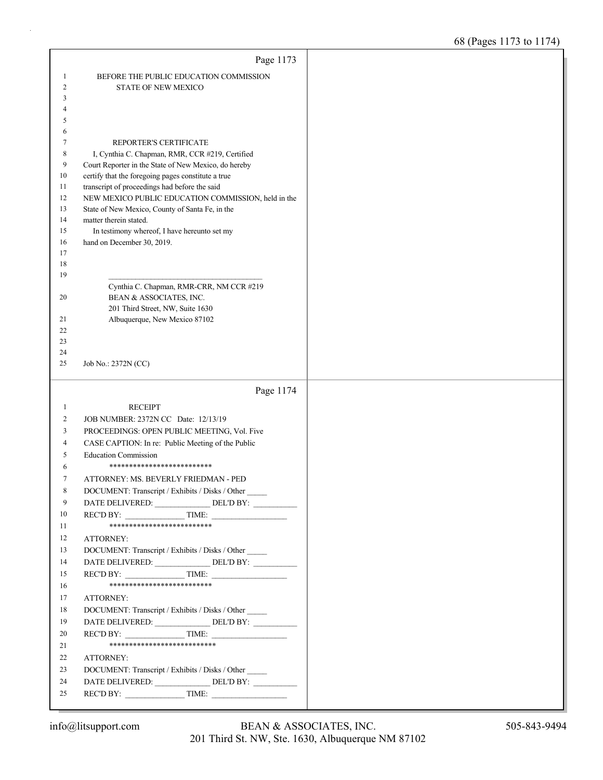|          | Page 1173                                                                                               |  |
|----------|---------------------------------------------------------------------------------------------------------|--|
| 1        | BEFORE THE PUBLIC EDUCATION COMMISSION                                                                  |  |
| 2        | <b>STATE OF NEW MEXICO</b>                                                                              |  |
| 3        |                                                                                                         |  |
| 4        |                                                                                                         |  |
| 5        |                                                                                                         |  |
| 6        |                                                                                                         |  |
| 7<br>8   | REPORTER'S CERTIFICATE                                                                                  |  |
| 9        | I, Cynthia C. Chapman, RMR, CCR #219, Certified<br>Court Reporter in the State of New Mexico, do hereby |  |
| 10       | certify that the foregoing pages constitute a true                                                      |  |
| 11       | transcript of proceedings had before the said                                                           |  |
| 12       | NEW MEXICO PUBLIC EDUCATION COMMISSION, held in the                                                     |  |
| 13       | State of New Mexico, County of Santa Fe, in the                                                         |  |
| 14       | matter therein stated.                                                                                  |  |
| 15       | In testimony whereof, I have hereunto set my                                                            |  |
| 16       | hand on December 30, 2019.                                                                              |  |
| 17<br>18 |                                                                                                         |  |
| 19       |                                                                                                         |  |
|          | Cynthia C. Chapman, RMR-CRR, NM CCR #219                                                                |  |
| 20       | BEAN & ASSOCIATES, INC.                                                                                 |  |
|          | 201 Third Street, NW, Suite 1630                                                                        |  |
| 21       | Albuquerque, New Mexico 87102                                                                           |  |
| 22       |                                                                                                         |  |
| 23<br>24 |                                                                                                         |  |
| 25       | Job No.: 2372N (CC)                                                                                     |  |
|          |                                                                                                         |  |
|          |                                                                                                         |  |
|          | Page 1174                                                                                               |  |
| 1        | <b>RECEIPT</b>                                                                                          |  |
| 2        | JOB NUMBER: 2372N CC Date: 12/13/19                                                                     |  |
| 3        | PROCEEDINGS: OPEN PUBLIC MEETING, Vol. Five                                                             |  |
| 4        | CASE CAPTION: In re: Public Meeting of the Public                                                       |  |
| 5        | <b>Education Commission</b>                                                                             |  |
| 6        | **************************                                                                              |  |
| 7        | ATTORNEY: MS. BEVERLY FRIEDMAN - PED                                                                    |  |
| 8        | DOCUMENT: Transcript / Exhibits / Disks / Other                                                         |  |
| 9        | DATE DELIVERED: ________________ DEL'D BY: __________                                                   |  |
| 10       | REC'D BY: TIME:<br>***************************                                                          |  |
| 11<br>12 |                                                                                                         |  |
| 13       | ATTORNEY:                                                                                               |  |
| 14       | DOCUMENT: Transcript / Exhibits / Disks / Other                                                         |  |
| 15       | $\text{RECD BY:}\n\qquad \qquad \text{TIME:}\n\qquad \qquad$                                            |  |
| 16       | **************************                                                                              |  |
| 17       | ATTORNEY:                                                                                               |  |
| 18       | DOCUMENT: Transcript / Exhibits / Disks / Other                                                         |  |
| 19       |                                                                                                         |  |
| 20       | $\text{RECD BY:}\n\qquad \qquad \text{TIME:}\n\qquad \qquad$                                            |  |
| 21       | ***************************                                                                             |  |
| 22       | ATTORNEY:                                                                                               |  |
| 23       | DOCUMENT: Transcript / Exhibits / Disks / Other                                                         |  |
| 24<br>25 | DATE DELIVERED: ________________ DEL'D BY: __________<br>REC'D BY: $\qquad \qquad \qquad$ TIME:         |  |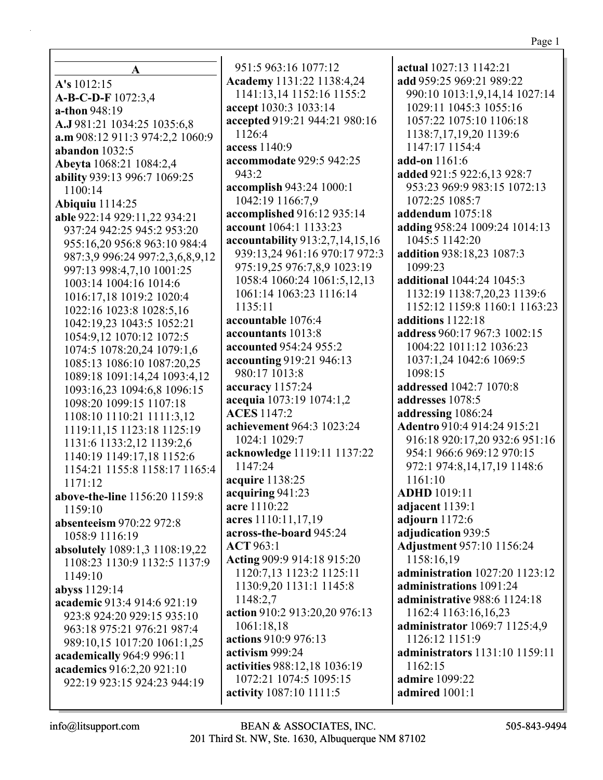#### Page 1

**A A's** 1012:15 **A-B-C-D-F** 1072:3,4 **a-thon** 948:19 **A.J** 981:21 1034:25 1035:6,8 **a.m** 908:12 911:3 974:2,2 1060:9 **abandon** 1032:5 **Abeyta** 1068:21 1084:2,4 **ability** 939:13 996:7 1069:25 1100:14 **Abiquiu** 1114:25 **able** 922:14 929:11,22 934:21 937:24 942:25 945:2 953:20 955:16,20 956:8 963:10 984:4 987:3,9 996:24 997:2,3,6,8,9,12 997:13 998:4,7,10 1001:25 1003:14 1004:16 1014:6 1016:17,18 1019:2 1020:4 1022:16 1023:8 1028:5,16 1042:19,23 1043:5 1052:21 1054:9,12 1070:12 1072:5 1074:5 1078:20,24 1079:1,6 1085:13 1086:10 1087:20,25 1089:18 1091:14,24 1093:4,12 1093:16,23 1094:6,8 1096:15 1098:20 1099:15 1107:18 1108:10 1110:21 1111:3,12 1119:11,15 1123:18 1125:19 1131:6 1133:2,12 1139:2,6 1140:19 1149:17,18 1152:6 1154:21 1155:8 1158:17 1165:4 1171:12 **above-the-line** 1156:20 1159:8 1159:10 **absenteeism** 970:22 972:8 1058:9 1116:19 **absolutely** 1089:1,3 1108:19,22 1108:23 1130:9 1132:5 1137:9 1149:10 **abyss** 1129:14 **academic** 913:4 914:6 921:19 923:8 924:20 929:15 935:10 963:18 975:21 976:21 987:4 989:10,15 1017:20 1061:1,25 **academically** 964:9 996:11 **academics** 916:2,20 921:10 922:19 923:15 924:23 944:19

951:5 963:16 1077:12 **Academy** 1131:22 1138:4,24 1141:13,14 1152:16 1155:2 **accept** 1030:3 1033:14 **accepted** 919:21 944:21 980:16 1126:4 **access** 1140:9 **accommodate** 929:5 942:25 943:2 **accomplish** 943:24 1000:1 1042:19 1166:7,9 **accomplished** 916:12 935:14 **account** 1064:1 1133:23 **accountability** 913:2,7,14,15,16 939:13,24 961:16 970:17 972:3 975:19,25 976:7,8,9 1023:19 1058:4 1060:24 1061:5,12,13 1061:14 1063:23 1116:14 1135:11 **accountable** 1076:4 **accountants** 1013:8 **accounted** 954:24 955:2 **accounting** 919:21 946:13 980:17 1013:8 **accuracy** 1157:24 **acequia** 1073:19 1074:1,2 **ACES** 1147:2 **achievement** 964:3 1023:24 1024:1 1029:7 **acknowledge** 1119:11 1137:22 1147:24 **acquire** 1138:25 **acquiring** 941:23 **acre** 1110:22 **acres** 1110:11,17,19 **across-the-board** 945:24 **ACT** 963:1 **Acting** 909:9 914:18 915:20 1120:7,13 1123:2 1125:11 1130:9,20 1131:1 1145:8 1148:2,7 **action** 910:2 913:20,20 976:13 1061:18,18 **actions** 910:9 976:13 **activism** 999:24 **activities** 988:12,18 1036:19 1072:21 1074:5 1095:15 **activity** 1087:10 1111:5

**actual** 1027:13 1142:21 **add** 959:25 969:21 989:22 990:10 1013:1,9,14,14 1027:14 1029:11 1045:3 1055:16 1057:22 1075:10 1106:18 1138:7,17,19,20 1139:6 1147:17 1154:4 **add-on** 1161:6 **added** 921:5 922:6,13 928:7 953:23 969:9 983:15 1072:13 1072:25 1085:7 **addendum** 1075:18 **adding** 958:24 1009:24 1014:13 1045:5 1142:20 **addition** 938:18,23 1087:3 1099:23 **additional** 1044:24 1045:3 1132:19 1138:7,20,23 1139:6 1152:12 1159:8 1160:1 1163:23 **additions** 1122:18 **address** 960:17 967:3 1002:15 1004:22 1011:12 1036:23 1037:1,24 1042:6 1069:5 1098:15 **addressed** 1042:7 1070:8 **addresses** 1078:5 **addressing** 1086:24 **Adentro** 910:4 914:24 915:21 916:18 920:17,20 932:6 951:16 954:1 966:6 969:12 970:15 972:1 974:8,14,17,19 1148:6 1161:10 **ADHD** 1019:11 **adjacent** 1139:1 **adjourn** 1172:6 **adjudication** 939:5 **Adjustment** 957:10 1156:24 1158:16,19 **administration** 1027:20 1123:12 **administrations** 1091:24 **administrative** 988:6 1124:18 1162:4 1163:16,16,23 **administrator** 1069:7 1125:4,9 1126:12 1151:9 **administrators** 1131:10 1159:11 1162:15 **admire** 1099:22 **admired** 1001:1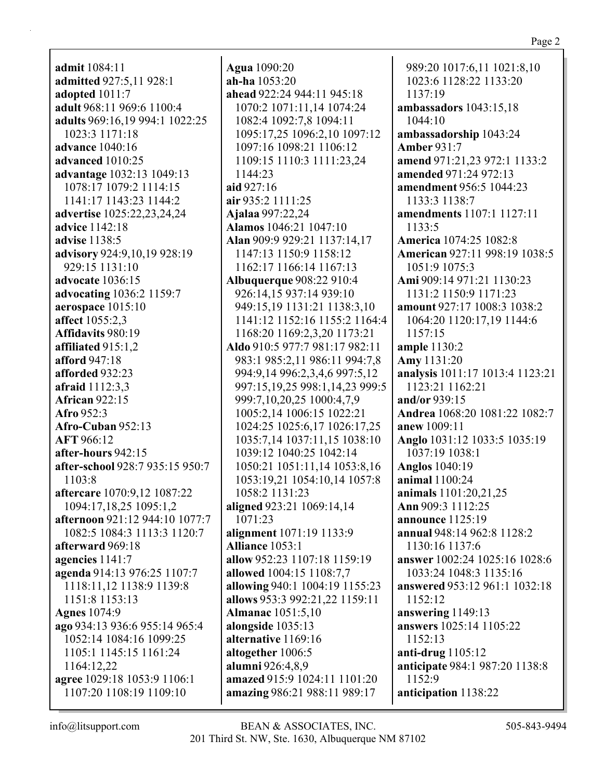**admit** 1084:11 **admitted** 927:5,11 928:1 **adopted** 1011:7 **adult** 968:11 969:6 1100:4 **adults** 969:16,19 994:1 1022:25 1023:3 1171:18 **advance** 1040:16 **advanced** 1010:25 **advantage** 1032:13 1049:13 1078:17 1079:2 1114:15 1141:17 1143:23 1144:2 **advertise** 1025:22,23,24,24 **advice** 1142:18 **advise** 1138:5 **advisory** 924:9,10,19 928:19 929:15 1131:10 **advocate** 1036:15 **advocating** 1036:2 1159:7 **aerospace** 1015:10 **affect** 1055:2,3 **Affidavits** 980:19 **affiliated** 915:1,2 **afford** 947:18 **afforded** 932:23 **afraid** 1112:3,3 **African** 922:15 **Afro** 952:3 **Afro-Cuban** 952:13 **AFT** 966:12 **after-hours** 942:15 **after-school** 928:7 935:15 950:7 1103:8 **aftercare** 1070:9,12 1087:22 1094:17,18,25 1095:1,2 **afternoon** 921:12 944:10 1077:7 1082:5 1084:3 1113:3 1120:7 **afterward** 969:18 **agencies** 1141:7 **agenda** 914:13 976:25 1107:7 1118:11,12 1138:9 1139:8 1151:8 1153:13 **Agnes** 1074:9 **ago** 934:13 936:6 955:14 965:4 1052:14 1084:16 1099:25 1105:1 1145:15 1161:24 1164:12,22 **agree** 1029:18 1053:9 1106:1 1107:20 1108:19 1109:10

**Agua** 1090:20 **ah-ha** 1053:20 **ahead** 922:24 944:11 945:18 1070:2 1071:11,14 1074:24 1082:4 1092:7,8 1094:11 1095:17,25 1096:2,10 1097:12 1097:16 1098:21 1106:12 1109:15 1110:3 1111:23,24 1144:23 **aid** 927:16 **air** 935:2 1111:25 **Ajalaa** 997:22,24 **Alamos** 1046:21 1047:10 **Alan** 909:9 929:21 1137:14,17 1147:13 1150:9 1158:12 1162:17 1166:14 1167:13 **Albuquerque** 908:22 910:4 926:14,15 937:14 939:10 949:15,19 1131:21 1138:3,10 1141:12 1152:16 1155:2 1164:4 1168:20 1169:2,3,20 1173:21 **Aldo** 910:5 977:7 981:17 982:11 983:1 985:2,11 986:11 994:7,8 994:9,14 996:2,3,4,6 997:5,12 997:15,19,25 998:1,14,23 999:5 999:7,10,20,25 1000:4,7,9 1005:2,14 1006:15 1022:21 1024:25 1025:6,17 1026:17,25 1035:7,14 1037:11,15 1038:10 1039:12 1040:25 1042:14 1050:21 1051:11,14 1053:8,16 1053:19,21 1054:10,14 1057:8 1058:2 1131:23 **aligned** 923:21 1069:14,14 1071:23 **alignment** 1071:19 1133:9 **Alliance** 1053:1 **allow** 952:23 1107:18 1159:19 **allowed** 1004:15 1108:7,7 **allowing** 940:1 1004:19 1155:23 **allows** 953:3 992:21,22 1159:11 **Almanac** 1051:5,10 **alongside** 1035:13 **alternative** 1169:16 **altogether** 1006:5 **alumni** 926:4,8,9 **amazed** 915:9 1024:11 1101:20 **amazing** 986:21 988:11 989:17

989:20 1017:6,11 1021:8,10 1023:6 1128:22 1133:20 1137:19 **ambassadors** 1043:15,18 1044:10 **ambassadorship** 1043:24 **Amber** 931:7 **amend** 971:21,23 972:1 1133:2 **amended** 971:24 972:13 **amendment** 956:5 1044:23 1133:3 1138:7 **amendments** 1107:1 1127:11 1133:5 **America** 1074:25 1082:8 **American** 927:11 998:19 1038:5 1051:9 1075:3 **Ami** 909:14 971:21 1130:23 1131:2 1150:9 1171:23 **amount** 927:17 1008:3 1038:2 1064:20 1120:17,19 1144:6 1157:15 **ample** 1130:2 **Amy** 1131:20 **analysis** 1011:17 1013:4 1123:21 1123:21 1162:21 **and/or** 939:15 **Andrea** 1068:20 1081:22 1082:7 **anew** 1009:11 **Anglo** 1031:12 1033:5 1035:19 1037:19 1038:1 **Anglos** 1040:19 **animal** 1100:24 **animals** 1101:20,21,25 **Ann** 909:3 1112:25 **announce** 1125:19 **annual** 948:14 962:8 1128:2 1130:16 1137:6 **answer** 1002:24 1025:16 1028:6 1033:24 1048:3 1135:16 **answered** 953:12 961:1 1032:18 1152:12 **answering** 1149:13 **answers** 1025:14 1105:22 1152:13 **anti-drug** 1105:12 **anticipate** 984:1 987:20 1138:8 1152:9 **anticipation** 1138:22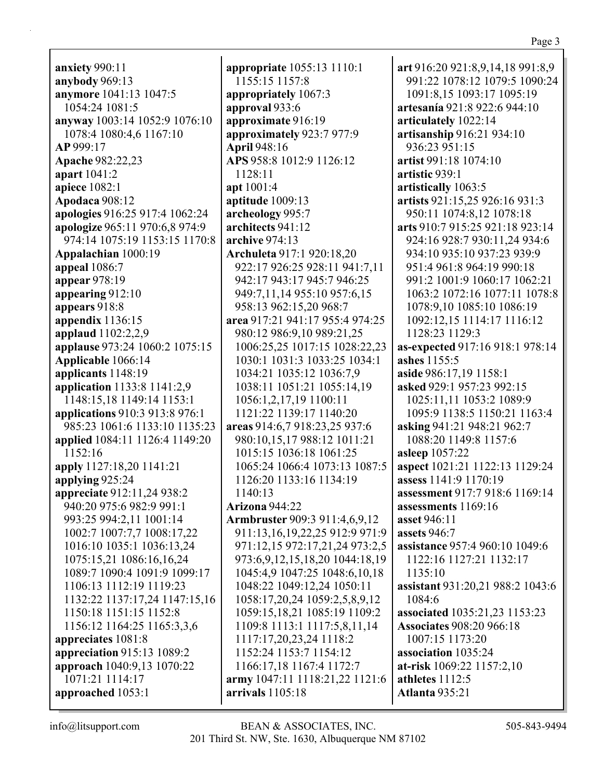**anxiety** 990:11 **anybody** 969:13 **anymore** 1041:13 1047:5 1054:24 1081:5 **anyway** 1003:14 1052:9 1076:10 1078:4 1080:4,6 1167:10 **AP** 999:17 **Apache** 982:22,23 **apart** 1041:2 **apiece** 1082:1 **Apodaca** 908:12 **apologies** 916:25 917:4 1062:24 **apologize** 965:11 970:6,8 974:9 974:14 1075:19 1153:15 1170:8 **Appalachian** 1000:19 **appeal** 1086:7 **appear** 978:19 **appearing** 912:10 **appears** 918:8 **appendix** 1136:15 **applaud** 1102:2,2,9 **applause** 973:24 1060:2 1075:15 **Applicable** 1066:14 **applicants** 1148:19 **application** 1133:8 1141:2,9 1148:15,18 1149:14 1153:1 **applications** 910:3 913:8 976:1 985:23 1061:6 1133:10 1135:23 **applied** 1084:11 1126:4 1149:20 1152:16 **apply** 1127:18,20 1141:21 **applying** 925:24 **appreciate** 912:11,24 938:2 940:20 975:6 982:9 991:1 993:25 994:2,11 1001:14 1002:7 1007:7,7 1008:17,22 1016:10 1035:1 1036:13,24 1075:15,21 1086:16,16,24 1089:7 1090:4 1091:9 1099:17 1106:13 1112:19 1119:23 1132:22 1137:17,24 1147:15,16 1150:18 1151:15 1152:8 1156:12 1164:25 1165:3,3,6 **appreciates** 1081:8 **appreciation** 915:13 1089:2 **approach** 1040:9,13 1070:22 1071:21 1114:17 **approached** 1053:1

**appropriate** 1055:13 1110:1 1155:15 1157:8 **appropriately** 1067:3 **approval** 933:6 **approximate** 916:19 **approximately** 923:7 977:9 **April** 948:16 **APS** 958:8 1012:9 1126:12 1128:11 **apt** 1001:4 **aptitude** 1009:13 **archeology** 995:7 **architects** 941:12 **archive** 974:13 **Archuleta** 917:1 920:18,20 922:17 926:25 928:11 941:7,11 942:17 943:17 945:7 946:25 949:7,11,14 955:10 957:6,15 958:13 962:15,20 968:7 **area** 917:21 941:17 955:4 974:25 980:12 986:9,10 989:21,25 1006:25,25 1017:15 1028:22,23 1030:1 1031:3 1033:25 1034:1 1034:21 1035:12 1036:7,9 1038:11 1051:21 1055:14,19 1056:1,2,17,19 1100:11 1121:22 1139:17 1140:20 **areas** 914:6,7 918:23,25 937:6 980:10,15,17 988:12 1011:21 1015:15 1036:18 1061:25 1065:24 1066:4 1073:13 1087:5 1126:20 1133:16 1134:19 1140:13 **Arizona** 944:22 **Armbruster** 909:3 911:4,6,9,12 911:13,16,19,22,25 912:9 971:9 971:12,15 972:17,21,24 973:2,5 973:6,9,12,15,18,20 1044:18,19 1045:4,9 1047:25 1048:6,10,18 1048:22 1049:12,24 1050:11 1058:17,20,24 1059:2,5,8,9,12 1059:15,18,21 1085:19 1109:2 1109:8 1113:1 1117:5,8,11,14 1117:17,20,23,24 1118:2 1152:24 1153:7 1154:12 1166:17,18 1167:4 1172:7 **army** 1047:11 1118:21,22 1121:6 **arrivals** 1105:18

**art** 916:20 921:8,9,14,18 991:8,9 991:22 1078:12 1079:5 1090:24 1091:8,15 1093:17 1095:19 **artesanía** 921:8 922:6 944:10 **articulately** 1022:14 **artisanship** 916:21 934:10 936:23 951:15 **artist** 991:18 1074:10 **artistic** 939:1 **artistically** 1063:5 **artists** 921:15,25 926:16 931:3 950:11 1074:8,12 1078:18 **arts** 910:7 915:25 921:18 923:14 924:16 928:7 930:11,24 934:6 934:10 935:10 937:23 939:9 951:4 961:8 964:19 990:18 991:2 1001:9 1060:17 1062:21 1063:2 1072:16 1077:11 1078:8 1078:9,10 1085:10 1086:19 1092:12,15 1114:17 1116:12 1128:23 1129:3 **as-expected** 917:16 918:1 978:14 **ashes** 1155:5 **aside** 986:17,19 1158:1 **asked** 929:1 957:23 992:15 1025:11,11 1053:2 1089:9 1095:9 1138:5 1150:21 1163:4 **asking** 941:21 948:21 962:7 1088:20 1149:8 1157:6 **asleep** 1057:22 **aspect** 1021:21 1122:13 1129:24 **assess** 1141:9 1170:19 **assessment** 917:7 918:6 1169:14 **assessments** 1169:16 **asset** 946:11 **assets** 946:7 **assistance** 957:4 960:10 1049:6 1122:16 1127:21 1132:17 1135:10 **assistant** 931:20,21 988:2 1043:6 1084:6 **associated** 1035:21,23 1153:23 **Associates** 908:20 966:18 1007:15 1173:20 **association** 1035:24 **at-risk** 1069:22 1157:2,10 **athletes** 1112:5 **Atlanta** 935:21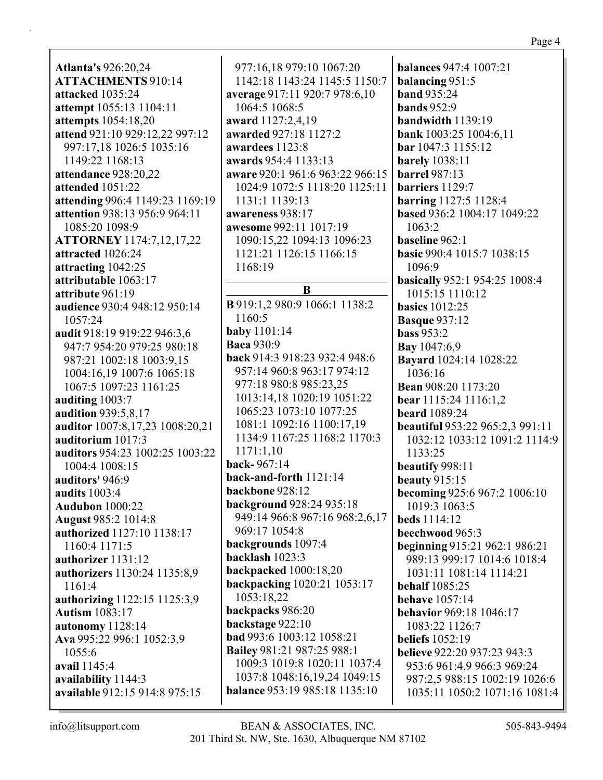**Atlanta's** 926:20,24 **ATTACHMENTS** 910:14 **attacked** 1035:24 **attempt** 1055:13 1104:11 **attempts** 1054:18,20 **attend** 921:10 929:12,22 997:12 997:17,18 1026:5 1035:16 1149:22 1168:13 **attendance** 928:20,22 **attended** 1051:22 **attending** 996:4 1149:23 1169:19 **attention** 938:13 956:9 964:11 1085:20 1098:9 **ATTORNEY** 1174:7,12,17,22 **attracted** 1026:24 **attracting** 1042:25 **attributable** 1063:17 **attribute** 961:19 **audience** 930:4 948:12 950:14 1057:24 **audit** 918:19 919:22 946:3,6 947:7 954:20 979:25 980:18 987:21 1002:18 1003:9,15 1004:16,19 1007:6 1065:18 1067:5 1097:23 1161:25 **auditing** 1003:7 **audition** 939:5,8,17 **auditor** 1007:8,17,23 1008:20,21 **auditorium** 1017:3 **auditors** 954:23 1002:25 1003:22 1004:4 1008:15 **auditors'** 946:9 **audits** 1003:4 **Audubon** 1000:22 **August** 985:2 1014:8 **authorized** 1127:10 1138:17 1160:4 1171:5 **authorizer** 1131:12 **authorizers** 1130:24 1135:8,9 1161:4 **authorizing** 1122:15 1125:3,9 **Autism** 1083:17 **autonomy** 1128:14 **Ava** 995:22 996:1 1052:3,9 1055:6 **avail** 1145:4 **availability** 1144:3 **available** 912:15 914:8 975:15

977:16,18 979:10 1067:20 1142:18 1143:24 1145:5 1150:7 **average** 917:11 920:7 978:6,10 1064:5 1068:5 **award** 1127:2,4,19 **awarded** 927:18 1127:2 **awardees** 1123:8 **awards** 954:4 1133:13 **aware** 920:1 961:6 963:22 966:15 1024:9 1072:5 1118:20 1125:11 1131:1 1139:13 **awareness** 938:17 **awesome** 992:11 1017:19 1090:15,22 1094:13 1096:23 1121:21 1126:15 1166:15 1168:19 **B B** 919:1,2 980:9 1066:1 1138:2 1160:5 **baby** 1101:14 **Baca** 930:9 **back** 914:3 918:23 932:4 948:6 957:14 960:8 963:17 974:12 977:18 980:8 985:23,25 1013:14,18 1020:19 1051:22 1065:23 1073:10 1077:25 1081:1 1092:16 1100:17,19 1134:9 1167:25 1168:2 1170:3 1171:1,10 **back-** 967:14 **back-and-forth** 1121:14 **backbone** 928:12 **background** 928:24 935:18 949:14 966:8 967:16 968:2,6,17 969:17 1054:8 **backgrounds** 1097:4 **backlash** 1023:3 **backpacked** 1000:18,20 **backpacking** 1020:21 1053:17 1053:18,22 **backpacks** 986:20 **backstage** 922:10 **bad** 993:6 1003:12 1058:21 **Bailey** 981:21 987:25 988:1 1009:3 1019:8 1020:11 1037:4 1037:8 1048:16,19,24 1049:15 **balance** 953:19 985:18 1135:10

**balances** 947:4 1007:21 **balancing** 951:5 **band** 935:24 **bands** 952:9 **bandwidth** 1139:19 **bank** 1003:25 1004:6,11 **bar** 1047:3 1155:12 **barely** 1038:11 **barrel** 987:13 **barriers** 1129:7 **barring** 1127:5 1128:4 **based** 936:2 1004:17 1049:22 1063:2 **baseline** 962:1 **basic** 990:4 1015:7 1038:15 1096:9 **basically** 952:1 954:25 1008:4 1015:15 1110:12 **basics** 1012:25 **Basque** 937:12 **bass** 953:2 **Bay** 1047:6,9 **Bayard** 1024:14 1028:22 1036:16 **Bean** 908:20 1173:20 **bear** 1115:24 1116:1,2 **beard** 1089:24 **beautiful** 953:22 965:2,3 991:11 1032:12 1033:12 1091:2 1114:9 1133:25 **beautify** 998:11 **beauty** 915:15 **becoming** 925:6 967:2 1006:10 1019:3 1063:5 **beds** 1114:12 **beechwood** 965:3 **beginning** 915:21 962:1 986:21 989:13 999:17 1014:6 1018:4 1031:11 1081:14 1114:21 **behalf** 1085:25 **behave** 1057:14 **behavior** 969:18 1046:17 1083:22 1126:7 **beliefs** 1052:19 **believe** 922:20 937:23 943:3 953:6 961:4,9 966:3 969:24 987:2,5 988:15 1002:19 1026:6 1035:11 1050:2 1071:16 1081:4

Page 4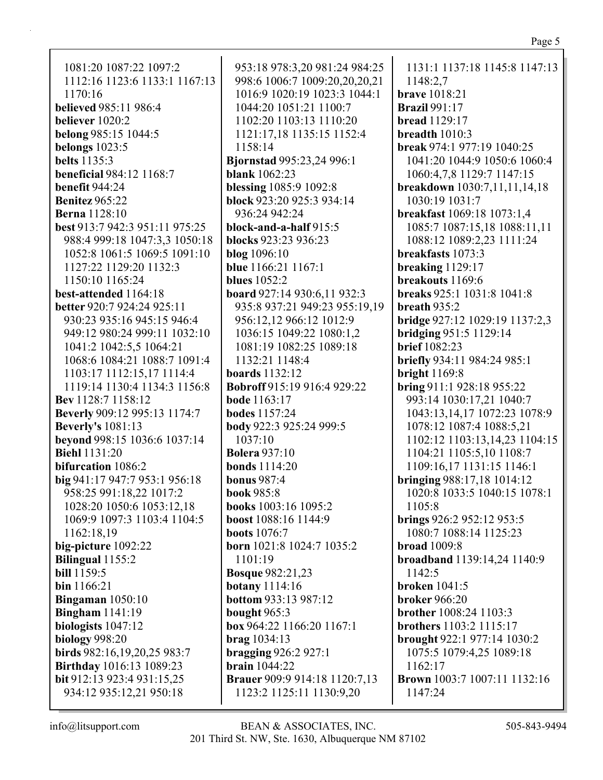## 1081:20 1087:22 1097:2 1112:16 1123:6 1133:1 1167:13 1170:16 **believed** 985:11 986:4 **believer** 1020:2 **belong** 985:15 1044:5 **belongs** 1023:5 **belts** 1135:3 **beneficial** 984:12 1168:7 **benefit** 944:24 **Benitez** 965:22 **Berna** 1128:10 **best** 913:7 942:3 951:11 975:25 988:4 999:18 1047:3,3 1050:18 1052:8 1061:5 1069:5 1091:10 1127:22 1129:20 1132:3 1150:10 1165:24 **best-attended** 1164:18 **better** 920:7 924:24 925:11 930:23 935:16 945:15 946:4 949:12 980:24 999:11 1032:10 1041:2 1042:5,5 1064:21 1068:6 1084:21 1088:7 1091:4 1103:17 1112:15,17 1114:4 1119:14 1130:4 1134:3 1156:8 **Bev** 1128:7 1158:12 **Beverly** 909:12 995:13 1174:7 **Beverly's** 1081:13 **beyond** 998:15 1036:6 1037:14 **Biehl** 1131:20 **bifurcation** 1086:2 **big** 941:17 947:7 953:1 956:18 958:25 991:18,22 1017:2 1028:20 1050:6 1053:12,18 1069:9 1097:3 1103:4 1104:5 1162:18,19 **big-picture** 1092:22 **Bilingual** 1155:2 **bill** 1159:5 **bin** 1166:21 **Bingaman** 1050:10 **Bingham** 1141:19 **biologists** 1047:12 **biology** 998:20 **birds** 982:16,19,20,25 983:7 **Birthday** 1016:13 1089:23 **bit** 912:13 923:4 931:15,25 934:12 935:12,21 950:18

953:18 978:3,20 981:24 984:25 998:6 1006:7 1009:20,20,20,21 1016:9 1020:19 1023:3 1044:1 1044:20 1051:21 1100:7 1102:20 1103:13 1110:20 1121:17,18 1135:15 1152:4 1158:14 **Bjornstad** 995:23,24 996:1 **blank** 1062:23 **blessing** 1085:9 1092:8 **block** 923:20 925:3 934:14 936:24 942:24 **block-and-a-half** 915:5 **blocks** 923:23 936:23 **blog** 1096:10 **blue** 1166:21 1167:1 **blues** 1052:2 **board** 927:14 930:6,11 932:3 935:8 937:21 949:23 955:19,19 956:12,12 966:12 1012:9 1036:15 1049:22 1080:1,2 1081:19 1082:25 1089:18 1132:21 1148:4 **boards** 1132:12 **Bobroff** 915:19 916:4 929:22 **bode** 1163:17 **bodes** 1157:24 **body** 922:3 925:24 999:5 1037:10 **Bolera** 937:10 **bonds** 1114:20 **bonus** 987:4 **book** 985:8 **books** 1003:16 1095:2 **boost** 1088:16 1144:9 **boots** 1076:7 **born** 1021:8 1024:7 1035:2 1101:19 **Bosque** 982:21,23 **botany** 1114:16 **bottom** 933:13 987:12 **bought** 965:3 **box** 964:22 1166:20 1167:1 **brag** 1034:13 **bragging** 926:2 927:1 **brain** 1044:22 **Brauer** 909:9 914:18 1120:7,13 1123:2 1125:11 1130:9,20

1131:1 1137:18 1145:8 1147:13 1148:2,7 **brave** 1018:21 **Brazil** 991:17 **bread** 1129:17 **breadth** 1010:3 **break** 974:1 977:19 1040:25 1041:20 1044:9 1050:6 1060:4 1060:4,7,8 1129:7 1147:15 **breakdown** 1030:7,11,11,14,18 1030:19 1031:7 **breakfast** 1069:18 1073:1,4 1085:7 1087:15,18 1088:11,11 1088:12 1089:2,23 1111:24 **breakfasts** 1073:3 **breaking** 1129:17 **breakouts** 1169:6 **breaks** 925:1 1031:8 1041:8 **breath** 935:2 **bridge** 927:12 1029:19 1137:2,3 **bridging** 951:5 1129:14 **brief** 1082:23 **briefly** 934:11 984:24 985:1 **bright** 1169:8 **bring** 911:1 928:18 955:22 993:14 1030:17,21 1040:7 1043:13,14,17 1072:23 1078:9 1078:12 1087:4 1088:5,21 1102:12 1103:13,14,23 1104:15 1104:21 1105:5,10 1108:7 1109:16,17 1131:15 1146:1 **bringing** 988:17,18 1014:12 1020:8 1033:5 1040:15 1078:1 1105:8 **brings** 926:2 952:12 953:5 1080:7 1088:14 1125:23 **broad** 1009:8 **broadband** 1139:14,24 1140:9 1142:5 **broken** 1041:5 **broker** 966:20 **brother** 1008:24 1103:3 **brothers** 1103:2 1115:17 **brought** 922:1 977:14 1030:2 1075:5 1079:4,25 1089:18 1162:17 **Brown** 1003:7 1007:11 1132:16 1147:24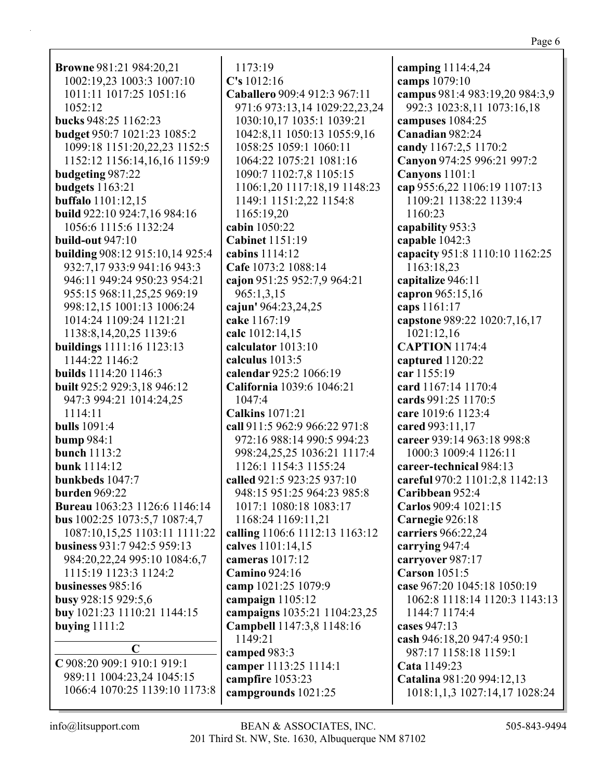| <b>Browne</b> 981:21 984:20,21      |
|-------------------------------------|
| 1002:19,23 1003:3 1007:10           |
| 1011:11 1017:25 1051:16             |
| 1052:12                             |
|                                     |
| bucks 948:25 1162:23                |
| budget 950:7 1021:23 1085:2         |
| 1099:18 1151:20,22,23 1152:5        |
| 1152:12 1156:14,16,16 1159:9        |
| budgeting 987:22                    |
| <b>budgets</b> 1163:21              |
| <b>buffalo</b> 1101:12,15           |
| <b>build</b> 922:10 924:7,16 984:16 |
|                                     |
| 1056:6 1115:6 1132:24               |
| build-out 947:10                    |
| building 908:12 915:10,14 925:4     |
| 932:7,17 933:9 941:16 943:3         |
| 946:11 949:24 950:23 954:21         |
| 955:15 968:11,25,25 969:19          |
| 998:12,15 1001:13 1006:24           |
|                                     |
| 1014:24 1109:24 1121:21             |
| 1138:8, 14, 20, 25 1139:6           |
| buildings 1111:16 1123:13           |
| 1144:22 1146:2                      |
| <b>builds</b> 1114:20 1146:3        |
| built 925:2 929:3,18 946:12         |
| 947:3 994:21 1014:24,25             |
| 1114:11                             |
|                                     |
| <b>bulls</b> 1091:4                 |
| <b>bump</b> 984:1                   |
| bunch 1113:2                        |
| <b>bunk</b> 1114:12                 |
| bunkbeds 1047:7                     |
| burden 969:22                       |
| Bureau 1063:23 1126:6 1146:14       |
| bus 1002:25 1073:5,7 1087:4,7       |
| 1087:10,15,25 1103:11 1111:22       |
|                                     |
| business 931:7 942:5 959:13         |
| 984:20,22,24 995:10 1084:6,7        |
| 1115:19 1123:3 1124:2               |
| businesses 985:16                   |
| busy 928:15 929:5,6                 |
| buy 1021:23 1110:21 1144:15         |
| buying $1111:2$                     |
|                                     |
| $\mathbf C$                         |
| C 908:20 909:1 910:1 919:1          |
| 989:11 1004:23,24 1045:15           |
| 1066:4 1070:25 1139:10 1173:8       |
|                                     |

1173:19 **C's** 1012:16 **Caballero** 909:4 912:3 967:11 971:6 973:13,14 1029:22,23,24 1030:10,17 1035:1 1039:21 1042:8,11 1050:13 1055:9,16 1058:25 1059:1 1060:11 1064:22 1075:21 1081:16 1090:7 1102:7,8 1105:15 1106:1,20 1117:18,19 1148:23 1149:1 1151:2,22 1154:8 1165:19,20 **cabin** 1050:22 **Cabinet** 1151:19 **cabins** 1114:12 **Cafe** 1073:2 1088:14 **cajon** 951:25 952:7,9 964:21 965:1,3,15 **cajun'** 964:23,24,25 **cake** 1167:19 **calc** 1012:14,15 **calculator** 1013:10 **calculus** 1013:5 **calendar** 925:2 1066:19 **California** 1039:6 1046:21 1047:4 **Calkins** 1071:21 **call** 911:5 962:9 966:22 971:8 972:16 988:14 990:5 994:23 998:24,25,25 1036:21 1117:4 1126:1 1154:3 1155:24 **called** 921:5 923:25 937:10 948:15 951:25 964:23 985:8 1017:1 1080:18 1083:17 1168:24 1169:11,21 **calling** 1106:6 1112:13 1163:12 **calves** 1101:14,15 **cameras** 1017:12 **Camino** 924:16 **camp** 1021:25 1079:9 **campaign** 1105:12 **campaigns** 1035:21 1104:23,25 **Campbell** 1147:3,8 1148:16 1149:21 **camped** 983:3 **camper** 1113:25 1114:1 **campfire** 1053:23 **campgrounds** 1021:25

**camping** 1114:4,24 **camps** 1079:10 **campus** 981:4 983:19,20 984:3,9 992:3 1023:8,11 1073:16,18 **campuses** 1084:25 **Canadian** 982:24 **candy** 1167:2,5 1170:2 **Canyon** 974:25 996:21 997:2 **Canyons** 1101:1 **cap** 955:6,22 1106:19 1107:13 1109:21 1138:22 1139:4 1160:23 **capability** 953:3 **capable** 1042:3 **capacity** 951:8 1110:10 1162:25 1163:18,23 **capitalize** 946:11 **capron** 965:15,16 **caps** 1161:17 **capstone** 989:22 1020:7,16,17 1021:12,16 **CAPTION** 1174:4 **captured** 1120:22 **car** 1155:19 **card** 1167:14 1170:4 **cards** 991:25 1170:5 **care** 1019:6 1123:4 **cared** 993:11,17 **career** 939:14 963:18 998:8 1000:3 1009:4 1126:11 **career-technical** 984:13 **careful** 970:2 1101:2,8 1142:13 **Caribbean** 952:4 **Carlos** 909:4 1021:15 **Carnegie** 926:18 **carriers** 966:22,24 **carrying** 947:4 **carryover** 987:17 **Carson** 1051:5 **case** 967:20 1045:18 1050:19 1062:8 1118:14 1120:3 1143:13 1144:7 1174:4 **cases** 947:13 **cash** 946:18,20 947:4 950:1 987:17 1158:18 1159:1 **Cata** 1149:23 **Catalina** 981:20 994:12,13 1018:1,1,3 1027:14,17 1028:24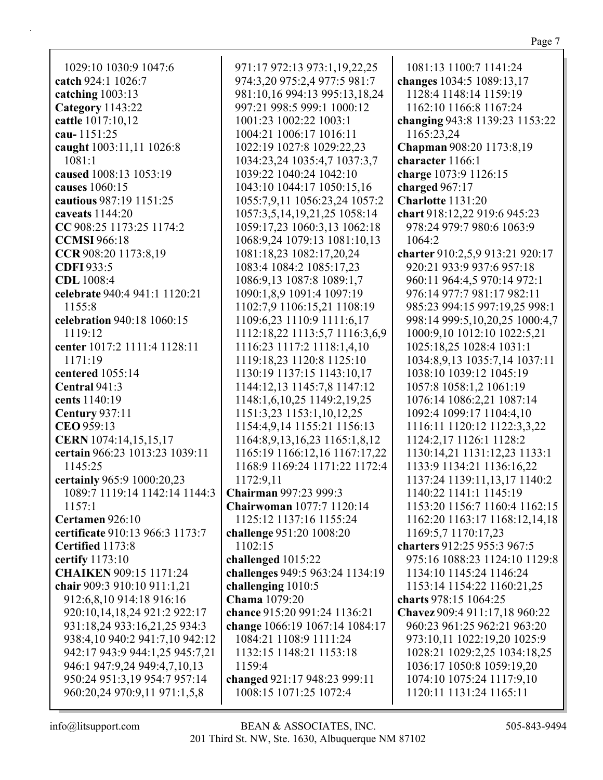| 1029:10 1030:9 1047:6                                 | 971:17 972:13 973:1,19,22,25      | 1081:13 1100:7 1141:24          |
|-------------------------------------------------------|-----------------------------------|---------------------------------|
| catch 924:1 1026:7                                    | 974:3,20 975:2,4 977:5 981:7      | changes 1034:5 1089:13,17       |
| catching $1003:13$                                    | 981:10,16 994:13 995:13,18,24     | 1128:4 1148:14 1159:19          |
| Category 1143:22                                      | 997:21 998:5 999:1 1000:12        | 1162:10 1166:8 1167:24          |
| cattle 1017:10,12                                     | 1001:23 1002:22 1003:1            | changing 943:8 1139:23 1153:22  |
| cau-1151:25                                           | 1004:21 1006:17 1016:11           | 1165:23,24                      |
| caught 1003:11,11 1026:8                              | 1022:19 1027:8 1029:22,23         | Chapman 908:20 1173:8,19        |
| 1081:1                                                | 1034:23,24 1035:4,7 1037:3,7      | character 1166:1                |
| caused 1008:13 1053:19                                | 1039:22 1040:24 1042:10           | charge 1073:9 1126:15           |
| causes 1060:15                                        | 1043:10 1044:17 1050:15,16        | charged 967:17                  |
| cautious 987:19 1151:25                               | 1055:7,9,11 1056:23,24 1057:2     | Charlotte 1131:20               |
| caveats 1144:20                                       | 1057:3,5,14,19,21,25 1058:14      | chart 918:12,22 919:6 945:23    |
| CC 908:25 1173:25 1174:2                              | 1059:17,23 1060:3,13 1062:18      | 978:24 979:7 980:6 1063:9       |
| <b>CCMSI</b> 966:18                                   | 1068:9,24 1079:13 1081:10,13      | 1064:2                          |
| CCR 908:20 1173:8,19                                  | 1081:18,23 1082:17,20,24          | charter 910:2,5,9 913:21 920:17 |
| <b>CDFI</b> 933:5                                     | 1083:4 1084:2 1085:17,23          | 920:21 933:9 937:6 957:18       |
| <b>CDL</b> 1008:4                                     | 1086:9,13 1087:8 1089:1,7         | 960:11 964:4,5 970:14 972:1     |
| celebrate 940:4 941:1 1120:21                         | 1090:1,8,9 1091:4 1097:19         | 976:14 977:7 981:17 982:11      |
| 1155:8                                                | 1102:7,9 1106:15,21 1108:19       | 985:23 994:15 997:19,25 998:1   |
| celebration 940:18 1060:15                            | 1109:6,23 1110:9 1111:6,17        | 998:14 999:5,10,20,25 1000:4,7  |
| 1119:12                                               | 1112:18,22 1113:5,7 1116:3,6,9    | 1000:9,10 1012:10 1022:5,21     |
| center 1017:2 1111:4 1128:11                          | 1116:23 1117:2 1118:1,4,10        | 1025:18,25 1028:4 1031:1        |
| 1171:19                                               | 1119:18,23 1120:8 1125:10         | 1034:8,9,13 1035:7,14 1037:11   |
| centered 1055:14                                      | 1130:19 1137:15 1143:10,17        | 1038:10 1039:12 1045:19         |
| Central 941:3                                         | 1144:12,13 1145:7,8 1147:12       | 1057:8 1058:1,2 1061:19         |
| cents 1140:19                                         | 1148:1,6,10,25 1149:2,19,25       | 1076:14 1086:2,21 1087:14       |
| <b>Century 937:11</b>                                 | 1151:3,23 1153:1,10,12,25         | 1092:4 1099:17 1104:4,10        |
| CEO 959:13                                            | 1154:4,9,14 1155:21 1156:13       | 1116:11 1120:12 1122:3,3,22     |
| CERN 1074:14,15,15,17                                 | 1164:8,9,13,16,23 1165:1,8,12     | 1124:2,17 1126:1 1128:2         |
| certain 966:23 1013:23 1039:11                        | 1165:19 1166:12,16 1167:17,22     | 1130:14,21 1131:12,23 1133:1    |
| 1145:25                                               | 1168:9 1169:24 1171:22 1172:4     | 1133:9 1134:21 1136:16,22       |
| certainly 965:9 1000:20,23                            | 1172:9,11                         | 1137:24 1139:11,13,17 1140:2    |
| 1089:7 1119:14 1142:14 1144:3   Chairman 997:23 999:3 |                                   | 1140:22 1141:1 1145:19          |
| 1157:1                                                | Chairwoman 1077:7 1120:14         | 1153:20 1156:7 1160:4 1162:15   |
| Certamen 926:10                                       | 1125:12 1137:16 1155:24           | 1162:20 1163:17 1168:12,14,18   |
| certificate 910:13 966:3 1173:7                       | challenge 951:20 1008:20          | 1169:5,7 1170:17,23             |
| Certified 1173:8                                      | 1102:15                           | charters 912:25 955:3 967:5     |
| certify 1173:10                                       | challenged 1015:22                | 975:16 1088:23 1124:10 1129:8   |
| <b>CHAIKEN 909:15 1171:24</b>                         | challenges 949:5 963:24 1134:19   | 1134:10 1145:24 1146:24         |
| chair 909:3 910:10 911:1,21                           | challenging 1010:5                | 1153:14 1154:22 1160:21,25      |
| 912:6,8,10 914:18 916:16                              | Chama 1079:20                     | charts 978:15 1064:25           |
| 920:10,14,18,24 921:2 922:17                          | chance 915:20 991:24 1136:21      | Chavez 909:4 911:17,18 960:22   |
| 931:18,24 933:16,21,25 934:3                          | change 1066:19 1067:14 1084:17    | 960:23 961:25 962:21 963:20     |
| 938:4,10 940:2 941:7,10 942:12                        | 1084:21 1108:9 1111:24            | 973:10,11 1022:19,20 1025:9     |
| 942:17 943:9 944:1,25 945:7,21                        | 1132:15 1148:21 1153:18<br>1159:4 | 1028:21 1029:2,25 1034:18,25    |
| 946:1 947:9,24 949:4,7,10,13                          |                                   | 1036:17 1050:8 1059:19,20       |
| 950:24 951:3,19 954:7 957:14                          | changed 921:17 948:23 999:11      | 1074:10 1075:24 1117:9,10       |
| 960:20,24 970:9,11 971:1,5,8                          | 1008:15 1071:25 1072:4            | 1120:11 1131:24 1165:11         |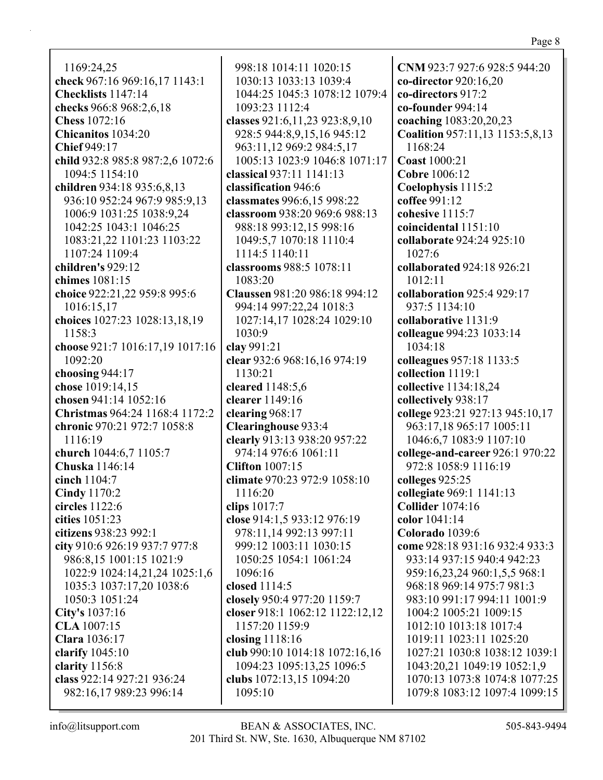1169:24,25 **check** 967:16 969:16,17 1143:1 **Checklists** 1147:14 **checks** 966:8 968:2,6,18 **Chess** 1072:16 **Chicanitos** 1034:20 **Chief** 949:17 **child** 932:8 985:8 987:2,6 1072:6 1094:5 1154:10 **children** 934:18 935:6,8,13 936:10 952:24 967:9 985:9,13 1006:9 1031:25 1038:9,24 1042:25 1043:1 1046:25 1083:21,22 1101:23 1103:22 1107:24 1109:4 **children's** 929:12 **chimes** 1081:15 **choice** 922:21,22 959:8 995:6 1016:15,17 **choices** 1027:23 1028:13,18,19 1158:3 **choose** 921:7 1016:17,19 1017:16 1092:20 **choosing** 944:17 **chose** 1019:14,15 **chosen** 941:14 1052:16 **Christmas** 964:24 1168:4 1172:2 **chronic** 970:21 972:7 1058:8 1116:19 **church** 1044:6,7 1105:7 **Chuska** 1146:14 **cinch** 1104:7 **Cindy** 1170:2 **circles** 1122:6 **cities** 1051:23 **citizens** 938:23 992:1 **city** 910:6 926:19 937:7 977:8 986:8,15 1001:15 1021:9 1022:9 1024:14,21,24 1025:1,6 1035:3 1037:17,20 1038:6 1050:3 1051:24 **City's** 1037:16 **CLA** 1007:15 **Clara** 1036:17 **clarify** 1045:10 **clarity** 1156:8 **class** 922:14 927:21 936:24 982:16,17 989:23 996:14

998:18 1014:11 1020:15 1030:13 1033:13 1039:4 1044:25 1045:3 1078:12 1079:4 1093:23 1112:4 **classes** 921:6,11,23 923:8,9,10 928:5 944:8,9,15,16 945:12 963:11,12 969:2 984:5,17 1005:13 1023:9 1046:8 1071:17 **classical** 937:11 1141:13 **classification** 946:6 **classmates** 996:6,15 998:22 **classroom** 938:20 969:6 988:13 988:18 993:12,15 998:16 1049:5,7 1070:18 1110:4 1114:5 1140:11 **classrooms** 988:5 1078:11 1083:20 **Claussen** 981:20 986:18 994:12 994:14 997:22,24 1018:3 1027:14,17 1028:24 1029:10 1030:9 **clay** 991:21 **clear** 932:6 968:16,16 974:19 1130:21 **cleared** 1148:5,6 **clearer** 1149:16 **clearing** 968:17 **Clearinghouse** 933:4 **clearly** 913:13 938:20 957:22 974:14 976:6 1061:11 **Clifton** 1007:15 **climate** 970:23 972:9 1058:10 1116:20 **clips** 1017:7 **close** 914:1,5 933:12 976:19 978:11,14 992:13 997:11 999:12 1003:11 1030:15 1050:25 1054:1 1061:24 1096:16 **closed** 1114:5 **closely** 950:4 977:20 1159:7 **closer** 918:1 1062:12 1122:12,12 1157:20 1159:9 **closing** 1118:16 **club** 990:10 1014:18 1072:16,16 1094:23 1095:13,25 1096:5 **clubs** 1072:13,15 1094:20 1095:10

**CNM** 923:7 927:6 928:5 944:20 **co-director** 920:16,20 **co-directors** 917:2 **co-founder** 994:14 **coaching** 1083:20,20,23 **Coalition** 957:11,13 1153:5,8,13 1168:24 **Coast** 1000:21 **Cobre** 1006:12 **Coelophysis** 1115:2 **coffee** 991:12 **cohesive** 1115:7 **coincidental** 1151:10 **collaborate** 924:24 925:10 1027:6 **collaborated** 924:18 926:21 1012:11 **collaboration** 925:4 929:17 937:5 1134:10 **collaborative** 1131:9 **colleague** 994:23 1033:14 1034:18 **colleagues** 957:18 1133:5 **collection** 1119:1 **collective** 1134:18,24 **collectively** 938:17 **college** 923:21 927:13 945:10,17 963:17,18 965:17 1005:11 1046:6,7 1083:9 1107:10 **college-and-career** 926:1 970:22 972:8 1058:9 1116:19 **colleges** 925:25 **collegiate** 969:1 1141:13 **Collider** 1074:16 **color** 1041:14 **Colorado** 1039:6 **come** 928:18 931:16 932:4 933:3 933:14 937:15 940:4 942:23 959:16,23,24 960:1,5,5 968:1 968:18 969:14 975:7 981:3 983:10 991:17 994:11 1001:9 1004:2 1005:21 1009:15 1012:10 1013:18 1017:4 1019:11 1023:11 1025:20 1027:21 1030:8 1038:12 1039:1 1043:20,21 1049:19 1052:1,9 1070:13 1073:8 1074:8 1077:25 1079:8 1083:12 1097:4 1099:15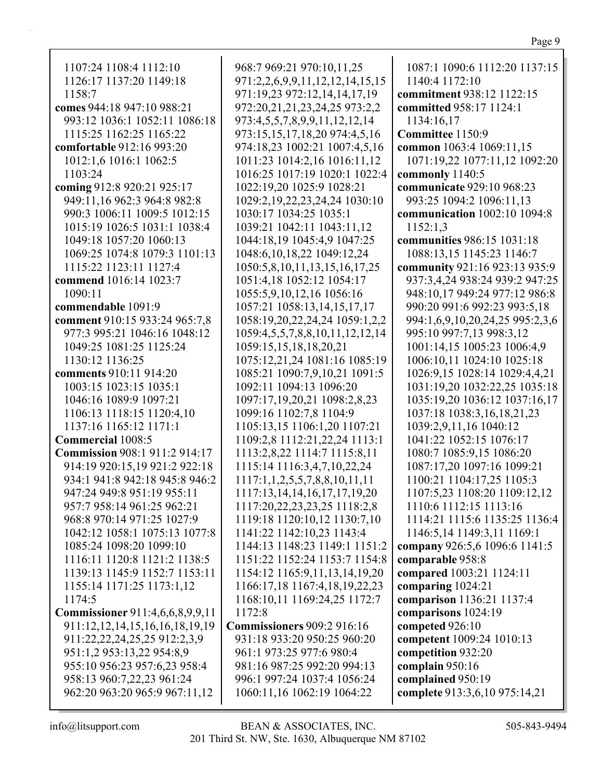| 1107:24 1108:4 1112:10                 | 968:7 969:21 970:10,11,25                 | 1087:1 1090:6 1112:20 1137:15   |
|----------------------------------------|-------------------------------------------|---------------------------------|
| 1126:17 1137:20 1149:18                | 971:2,2,6,9,9,11,12,12,14,15,15           | 1140:4 1172:10                  |
| 1158:7                                 | 971:19,23 972:12,14,14,17,19              | commitment 938:12 1122:15       |
| comes 944:18 947:10 988:21             | 972:20,21,21,23,24,25 973:2,2             | committed 958:17 1124:1         |
| 993:12 1036:1 1052:11 1086:18          | 973:4,5,5,7,8,9,9,11,12,12,14             | 1134:16,17                      |
| 1115:25 1162:25 1165:22                | 973:15,15,17,18,20 974:4,5,16             | Committee 1150:9                |
| comfortable 912:16 993:20              | 974:18,23 1002:21 1007:4,5,16             | common 1063:4 1069:11,15        |
| 1012:1,6 1016:1 1062:5                 | 1011:23 1014:2,16 1016:11,12              | 1071:19,22 1077:11,12 1092:20   |
| 1103:24                                | 1016:25 1017:19 1020:1 1022:4             | commonly 1140:5                 |
| coming 912:8 920:21 925:17             | 1022:19,20 1025:9 1028:21                 | communicate 929:10 968:23       |
| 949:11,16 962:3 964:8 982:8            | 1029:2,19,22,23,24,24 1030:10             | 993:25 1094:2 1096:11,13        |
| 990:3 1006:11 1009:5 1012:15           | 1030:17 1034:25 1035:1                    | communication 1002:10 1094:8    |
| 1015:19 1026:5 1031:1 1038:4           | 1039:21 1042:11 1043:11,12                | 1152:1,3                        |
| 1049:18 1057:20 1060:13                | 1044:18,19 1045:4,9 1047:25               | communities 986:15 1031:18      |
| 1069:25 1074:8 1079:3 1101:13          | 1048:6,10,18,22 1049:12,24                | 1088:13,15 1145:23 1146:7       |
| 1115:22 1123:11 1127:4                 | 1050:5,8,10,11,13,15,16,17,25             | community 921:16 923:13 935:9   |
| commend 1016:14 1023:7                 | 1051:4,18 1052:12 1054:17                 | 937:3,4,24 938:24 939:2 947:25  |
| 1090:11                                | 1055:5,9,10,12,16 1056:16                 | 948:10,17 949:24 977:12 986:8   |
| commendable 1091:9                     | 1057:21 1058:13,14,15,17,17               | 990:20 991:6 992:23 993:5,18    |
| comment 910:15 933:24 965:7,8          | 1058:19,20,22,24,24 1059:1,2,2            | 994:1,6,9,10,20,24,25 995:2,3,6 |
| 977:3 995:21 1046:16 1048:12           | 1059:4,5,5,7,8,8,10,11,12,12,14           | 995:10 997:7,13 998:3,12        |
| 1049:25 1081:25 1125:24                | 1059:15,15,18,18,20,21                    | 1001:14,15 1005:23 1006:4,9     |
| 1130:12 1136:25                        | 1075:12,21,24 1081:16 1085:19             | 1006:10,11 1024:10 1025:18      |
| comments 910:11 914:20                 | 1085:21 1090:7,9,10,21 1091:5             | 1026:9,15 1028:14 1029:4,4,21   |
| 1003:15 1023:15 1035:1                 | 1092:11 1094:13 1096:20                   | 1031:19,20 1032:22,25 1035:18   |
| 1046:16 1089:9 1097:21                 | 1097:17,19,20,21 1098:2,8,23              | 1035:19,20 1036:12 1037:16,17   |
| 1106:13 1118:15 1120:4,10              | 1099:16 1102:7,8 1104:9                   | 1037:18 1038:3,16,18,21,23      |
| 1137:16 1165:12 1171:1                 | 1105:13,15 1106:1,20 1107:21              | 1039:2,9,11,16 1040:12          |
| <b>Commercial 1008:5</b>               | 1109:2,8 1112:21,22,24 1113:1             | 1041:22 1052:15 1076:17         |
| <b>Commission 908:1 911:2 914:17</b>   | 1113:2,8,22 1114:7 1115:8,11              | 1080:7 1085:9,15 1086:20        |
| 914:19 920:15,19 921:2 922:18          | 1115:14 1116:3,4,7,10,22,24               | 1087:17,20 1097:16 1099:21      |
| 934:1 941:8 942:18 945:8 946:2         | $1117:1, 1, 2, 5, 5, 7, 8, 8, 10, 11, 11$ | 1100:21 1104:17,25 1105:3       |
| 947:24 949:8 951:19 955:11             | 1117:13, 14, 14, 16, 17, 17, 19, 20       | 1107:5,23 1108:20 1109:12,12    |
| 957:7 958:14 961:25 962:21             | 1117:20,22,23,23,25 1118:2,8              | 1110:6 1112:15 1113:16          |
| 968:8 970:14 971:25 1027:9             | 1119:18 1120:10,12 1130:7,10              | 1114:21 1115:6 1135:25 1136:4   |
| 1042:12 1058:1 1075:13 1077:8          | 1141:22 1142:10,23 1143:4                 | 1146:5,14 1149:3,11 1169:1      |
| 1085:24 1098:20 1099:10                | 1144:13 1148:23 1149:1 1151:2             | company 926:5,6 1096:6 1141:5   |
| 1116:11 1120:8 1121:2 1138:5           | 1151:22 1152:24 1153:7 1154:8             | comparable 958:8                |
| 1139:13 1145:9 1152:7 1153:11          | 1154:12 1165:9,11,13,14,19,20             | compared 1003:21 1124:11        |
| 1155:14 1171:25 1173:1,12              | 1166:17,18 1167:4,18,19,22,23             | comparing 1024:21               |
| 1174:5                                 | 1168:10,11 1169:24,25 1172:7              | comparison 1136:21 1137:4       |
| <b>Commissioner</b> 911:4,6,6,8,9,9,11 | 1172:8                                    | comparisons 1024:19             |
| 911:12, 12, 14, 15, 16, 16, 18, 19, 19 | <b>Commissioners 909:2 916:16</b>         | competed 926:10                 |
| 911:22,22,24,25,25 912:2,3,9           | 931:18 933:20 950:25 960:20               | competent 1009:24 1010:13       |
| 951:1,2 953:13,22 954:8,9              | 961:1 973:25 977:6 980:4                  | competition 932:20              |
| 955:10 956:23 957:6,23 958:4           | 981:16 987:25 992:20 994:13               | complain 950:16                 |
| 958:13 960:7,22,23 961:24              | 996:1 997:24 1037:4 1056:24               | complained 950:19               |
| 962:20 963:20 965:9 967:11,12          | 1060:11,16 1062:19 1064:22                | complete 913:3,6,10 975:14,21   |
|                                        |                                           |                                 |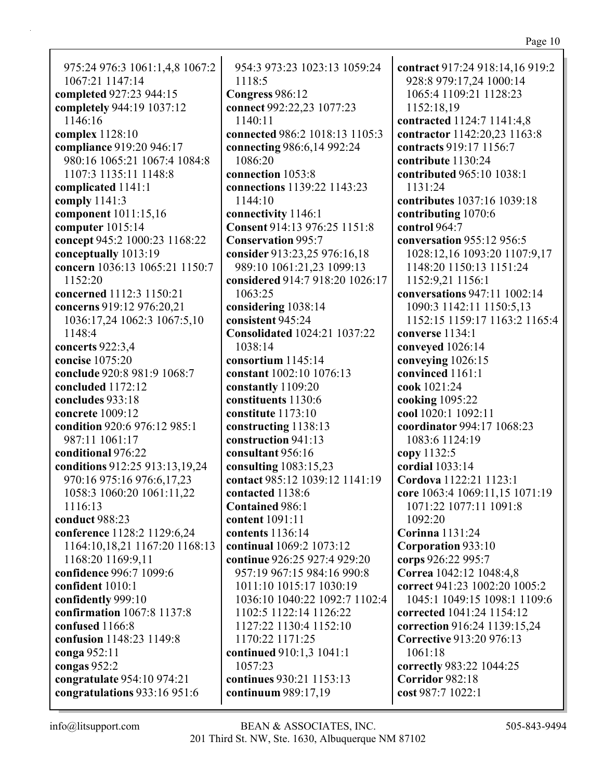975:24 976:3 1061:1,4,8 1067:2 1067:21 1147:14 **completed** 927:23 944:15 **completely** 944:19 1037:12 1146:16 **complex** 1128:10 **compliance** 919:20 946:17 980:16 1065:21 1067:4 1084:8 1107:3 1135:11 1148:8 **complicated** 1141:1 **comply** 1141:3 **component** 1011:15,16 **computer** 1015:14 **concept** 945:2 1000:23 1168:22 **conceptually** 1013:19 **concern** 1036:13 1065:21 1150:7 1152:20 **concerned** 1112:3 1150:21 **concerns** 919:12 976:20,21 1036:17,24 1062:3 1067:5,10 1148:4 **concerts** 922:3,4 **concise** 1075:20 **conclude** 920:8 981:9 1068:7 **concluded** 1172:12 **concludes** 933:18 **concrete** 1009:12 **condition** 920:6 976:12 985:1 987:11 1061:17 **conditional** 976:22 **conditions** 912:25 913:13,19,24 970:16 975:16 976:6,17,23 1058:3 1060:20 1061:11,22 1116:13 **conduct** 988:23 **conference** 1128:2 1129:6,24 1164:10,18,21 1167:20 1168:13 1168:20 1169:9,11 **confidence** 996:7 1099:6 **confident** 1010:1 **confidently** 999:10 **confirmation** 1067:8 1137:8 **confused** 1166:8 **confusion** 1148:23 1149:8 **conga** 952:11 **congas** 952:2 **congratulate** 954:10 974:21 **congratulations** 933:16 951:6

954:3 973:23 1023:13 1059:24 1118:5 **Congress** 986:12 **connect** 992:22,23 1077:23 1140:11 **connected** 986:2 1018:13 1105:3 **connecting** 986:6,14 992:24 1086:20 **connection** 1053:8 **connections** 1139:22 1143:23 1144:10 **connectivity** 1146:1 **Consent** 914:13 976:25 1151:8 **Conservation** 995:7 **consider** 913:23,25 976:16,18 989:10 1061:21,23 1099:13 **considered** 914:7 918:20 1026:17 1063:25 **considering** 1038:14 **consistent** 945:24 **Consolidated** 1024:21 1037:22 1038:14 **consortium** 1145:14 **constant** 1002:10 1076:13 **constantly** 1109:20 **constituents** 1130:6 **constitute** 1173:10 **constructing** 1138:13 **construction** 941:13 **consultant** 956:16 **consulting** 1083:15,23 **contact** 985:12 1039:12 1141:19 **contacted** 1138:6 **Contained** 986:1 **content** 1091:11 **contents** 1136:14 **continual** 1069:2 1073:12 **continue** 926:25 927:4 929:20 957:19 967:15 984:16 990:8 1011:10 1015:17 1030:19 1036:10 1040:22 1092:7 1102:4 1102:5 1122:14 1126:22 1127:22 1130:4 1152:10 1170:22 1171:25 **continued** 910:1,3 1041:1 1057:23 **continues** 930:21 1153:13 **continuum** 989:17,19

**contract** 917:24 918:14,16 919:2 928:8 979:17,24 1000:14 1065:4 1109:21 1128:23 1152:18,19 **contracted** 1124:7 1141:4,8 **contractor** 1142:20,23 1163:8 **contracts** 919:17 1156:7 **contribute** 1130:24 **contributed** 965:10 1038:1 1131:24 **contributes** 1037:16 1039:18 **contributing** 1070:6 **control** 964:7 **conversation** 955:12 956:5 1028:12,16 1093:20 1107:9,17 1148:20 1150:13 1151:24 1152:9,21 1156:1 **conversations** 947:11 1002:14 1090:3 1142:11 1150:5,13 1152:15 1159:17 1163:2 1165:4 **converse** 1134:1 **conveyed** 1026:14 **conveying** 1026:15 **convinced** 1161:1 **cook** 1021:24 **cooking** 1095:22 **cool** 1020:1 1092:11 **coordinator** 994:17 1068:23 1083:6 1124:19 **copy** 1132:5 **cordial** 1033:14 **Cordova** 1122:21 1123:1 **core** 1063:4 1069:11,15 1071:19 1071:22 1077:11 1091:8 1092:20 **Corinna** 1131:24 **Corporation** 933:10 **corps** 926:22 995:7 **Correa** 1042:12 1048:4,8 **correct** 941:23 1002:20 1005:2 1045:1 1049:15 1098:1 1109:6 **corrected** 1041:24 1154:12 **correction** 916:24 1139:15,24 **Corrective** 913:20 976:13 1061:18 **correctly** 983:22 1044:25 **Corridor** 982:18 **cost** 987:7 1022:1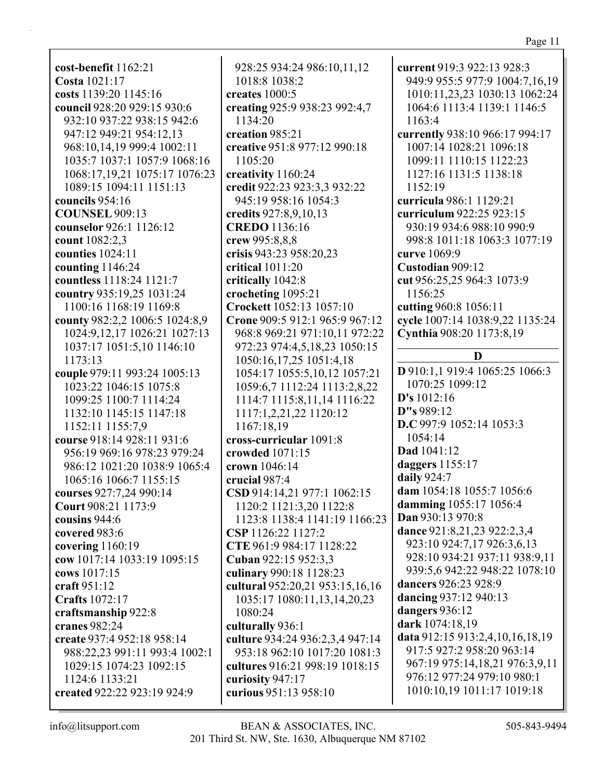**cost-benefit** 1162:21 **Costa** 1021:17 **costs** 1139:20 1145:16 **council** 928:20 929:15 930:6 932:10 937:22 938:15 942:6 947:12 949:21 954:12,13 968:10,14,19 999:4 1002:11 1035:7 1037:1 1057:9 1068:16 1068:17,19,21 1075:17 1076:23 1089:15 1094:11 1151:13 **councils** 954:16 **COUNSEL** 909:13 **counselor** 926:1 1126:12 **count** 1082:2,3 **counties** 1024:11 **counting** 1146:24 **countless** 1118:24 1121:7 **country** 935:19,25 1031:24 1100:16 1168:19 1169:8 **county** 982:2,2 1006:5 1024:8,9 1024:9,12,17 1026:21 1027:13 1037:17 1051:5,10 1146:10 1173:13 **couple** 979:11 993:24 1005:13 1023:22 1046:15 1075:8 1099:25 1100:7 1114:24 1132:10 1145:15 1147:18 1152:11 1155:7,9 **course** 918:14 928:11 931:6 956:19 969:16 978:23 979:24 986:12 1021:20 1038:9 1065:4 1065:16 1066:7 1155:15 **courses** 927:7,24 990:14 **Court** 908:21 1173:9 **cousins** 944:6 **covered** 983:6 **covering** 1160:19 **cow** 1017:14 1033:19 1095:15 **cows** 1017:15 **craft** 951:12 **Crafts** 1072:17 **craftsmanship** 922:8 **cranes** 982:24 **create** 937:4 952:18 958:14 988:22,23 991:11 993:4 1002:1 1029:15 1074:23 1092:15 1124:6 1133:21 **created** 922:22 923:19 924:9

928:25 934:24 986:10,11,12 1018:8 1038:2 **creates** 1000:5 **creating** 925:9 938:23 992:4,7 1134:20 **creation** 985:21 **creative** 951:8 977:12 990:18 1105:20 **creativity** 1160:24 **credit** 922:23 923:3,3 932:22 945:19 958:16 1054:3 **credits** 927:8,9,10,13 **CREDO** 1136:16 **crew** 995:8,8,8 **crisis** 943:23 958:20,23 **critical** 1011:20 **critically** 1042:8 **crocheting** 1095:21 **Crockett** 1052:13 1057:10 **Crone** 909:5 912:1 965:9 967:12 968:8 969:21 971:10,11 972:22 972:23 974:4,5,18,23 1050:15 1050:16,17,25 1051:4,18 1054:17 1055:5,10,12 1057:21 1059:6,7 1112:24 1113:2,8,22 1114:7 1115:8,11,14 1116:22 1117:1,2,21,22 1120:12 1167:18,19 **cross-curricular** 1091:8 **crowded** 1071:15 **crown** 1046:14 **crucial** 987:4 **CSD** 914:14,21 977:1 1062:15 1120:2 1121:3,20 1122:8 1123:8 1138:4 1141:19 1166:23 **CSP** 1126:22 1127:2 **CTE** 961:9 984:17 1128:22 **Cuban** 922:15 952:3,3 **culinary** 990:18 1128:23 **cultural** 952:20,21 953:15,16,16 1035:17 1080:11,13,14,20,23 1080:24 **culturally** 936:1 **culture** 934:24 936:2,3,4 947:14 953:18 962:10 1017:20 1081:3 **cultures** 916:21 998:19 1018:15 **curiosity** 947:17 **curious** 951:13 958:10

**current** 919:3 922:13 928:3 949:9 955:5 977:9 1004:7,16,19 1010:11,23,23 1030:13 1062:24 1064:6 1113:4 1139:1 1146:5 1163:4 **currently** 938:10 966:17 994:17 1007:14 1028:21 1096:18 1099:11 1110:15 1122:23 1127:16 1131:5 1138:18 1152:19 **curricula** 986:1 1129:21 **curriculum** 922:25 923:15 930:19 934:6 988:10 990:9 998:8 1011:18 1063:3 1077:19 **curve** 1069:9 **Custodian** 909:12 **cut** 956:25,25 964:3 1073:9 1156:25 **cutting** 960:8 1056:11 **cycle** 1007:14 1038:9,22 1135:24 **Cynthia** 908:20 1173:8,19 **D D** 910:1,1 919:4 1065:25 1066:3 1070:25 1099:12 **D's** 1012:16 **D"s** 989:12 **D.C** 997:9 1052:14 1053:3 1054:14 **Dad** 1041:12 **daggers** 1155:17 **daily** 924:7 **dam** 1054:18 1055:7 1056:6 **damming** 1055:17 1056:4 **Dan** 930:13 970:8 **dance** 921:8,21,23 922:2,3,4 923:10 924:7,17 926:3,6,13 928:10 934:21 937:11 938:9,11 939:5,6 942:22 948:22 1078:10 **dancers** 926:23 928:9 **dancing** 937:12 940:13 **dangers** 936:12 **dark** 1074:18,19 **data** 912:15 913:2,4,10,16,18,19 917:5 927:2 958:20 963:14 967:19 975:14,18,21 976:3,9,11 976:12 977:24 979:10 980:1 1010:10,19 1011:17 1019:18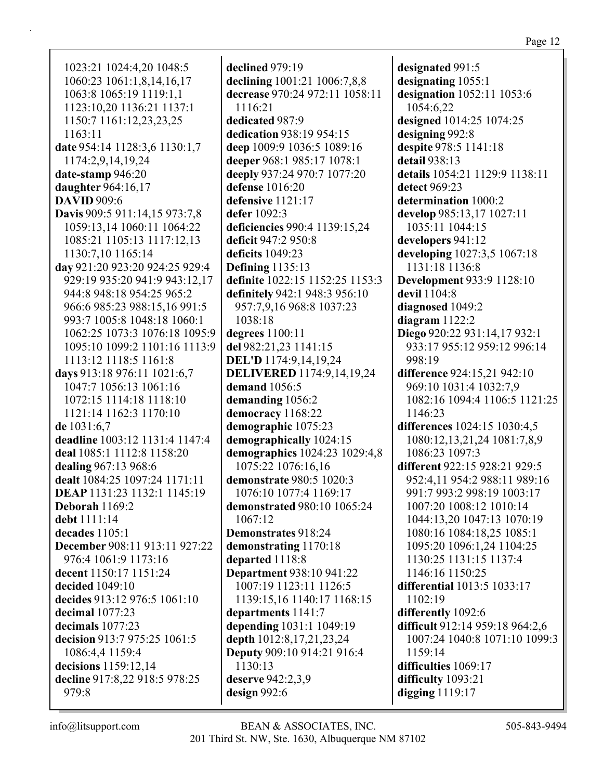1023:21 1024:4,20 1048:5 1060:23 1061:1,8,14,16,17 1063:8 1065:19 1119:1,1 1123:10,20 1136:21 1137:1 1150:7 1161:12,23,23,25 1163:11 **date** 954:14 1128:3,6 1130:1,7 1174:2,9,14,19,24 **date-stamp** 946:20 **daughter** 964:16,17 **DAVID** 909:6 **Davis** 909:5 911:14,15 973:7,8 1059:13,14 1060:11 1064:22 1085:21 1105:13 1117:12,13 1130:7,10 1165:14 **day** 921:20 923:20 924:25 929:4 929:19 935:20 941:9 943:12,17 944:8 948:18 954:25 965:2 966:6 985:23 988:15,16 991:5 993:7 1005:8 1048:18 1060:1 1062:25 1073:3 1076:18 1095:9 1095:10 1099:2 1101:16 1113:9 1113:12 1118:5 1161:8 **days** 913:18 976:11 1021:6,7 1047:7 1056:13 1061:16 1072:15 1114:18 1118:10 1121:14 1162:3 1170:10 **de** 1031:6,7 **deadline** 1003:12 1131:4 1147:4 **deal** 1085:1 1112:8 1158:20 **dealing** 967:13 968:6 **dealt** 1084:25 1097:24 1171:11 **DEAP** 1131:23 1132:1 1145:19 **Deborah** 1169:2 **debt** 1111:14 **decades** 1105:1 **December** 908:11 913:11 927:22 976:4 1061:9 1173:16 **decent** 1150:17 1151:24 **decided** 1049:10 **decides** 913:12 976:5 1061:10 **decimal** 1077:23 **decimals** 1077:23 **decision** 913:7 975:25 1061:5 1086:4,4 1159:4 **decisions** 1159:12,14 **decline** 917:8,22 918:5 978:25 979:8

**declined** 979:19 **declining** 1001:21 1006:7,8,8 **decrease** 970:24 972:11 1058:11 1116:21 **dedicated** 987:9 **dedication** 938:19 954:15 **deep** 1009:9 1036:5 1089:16 **deeper** 968:1 985:17 1078:1 **deeply** 937:24 970:7 1077:20 **defense** 1016:20 **defensive** 1121:17 **defer** 1092:3 **deficiencies** 990:4 1139:15,24 **deficit** 947:2 950:8 **deficits** 1049:23 **Defining** 1135:13 **definite** 1022:15 1152:25 1153:3 **definitely** 942:1 948:3 956:10 957:7,9,16 968:8 1037:23 1038:18 **degrees** 1100:11 **del** 982:21,23 1141:15 **DEL'D** 1174:9,14,19,24 **DELIVERED** 1174:9,14,19,24 **demand** 1056:5 **demanding** 1056:2 **democracy** 1168:22 **demographic** 1075:23 **demographically** 1024:15 **demographics** 1024:23 1029:4,8 1075:22 1076:16,16 **demonstrate** 980:5 1020:3 1076:10 1077:4 1169:17 **demonstrated** 980:10 1065:24 1067:12 **Demonstrates** 918:24 **demonstrating** 1170:18 **departed** 1118:8 **Department** 938:10 941:22 1007:19 1123:11 1126:5 1139:15,16 1140:17 1168:15 **departments** 1141:7 **depending** 1031:1 1049:19 **depth** 1012:8,17,21,23,24 **Deputy** 909:10 914:21 916:4 1130:13 **deserve** 942:2,3,9 **design** 992:6

**designated** 991:5 **designating** 1055:1 **designation** 1052:11 1053:6 1054:6,22 **designed** 1014:25 1074:25 **designing** 992:8 **despite** 978:5 1141:18 **detail** 938:13 **details** 1054:21 1129:9 1138:11 **detect** 969:23 **determination** 1000:2 **develop** 985:13,17 1027:11 1035:11 1044:15 **developers** 941:12 **developing** 1027:3,5 1067:18 1131:18 1136:8 **Development** 933:9 1128:10 **devil** 1104:8 **diagnosed** 1049:2 **diagram** 1122:2 **Diego** 920:22 931:14,17 932:1 933:17 955:12 959:12 996:14 998:19 **difference** 924:15,21 942:10 969:10 1031:4 1032:7,9 1082:16 1094:4 1106:5 1121:25 1146:23 **differences** 1024:15 1030:4,5 1080:12,13,21,24 1081:7,8,9 1086:23 1097:3 **different** 922:15 928:21 929:5 952:4,11 954:2 988:11 989:16 991:7 993:2 998:19 1003:17 1007:20 1008:12 1010:14 1044:13,20 1047:13 1070:19 1080:16 1084:18,25 1085:1 1095:20 1096:1,24 1104:25 1130:25 1131:15 1137:4 1146:16 1150:25 **differential** 1013:5 1033:17 1102:19 **differently** 1092:6 **difficult** 912:14 959:18 964:2,6 1007:24 1040:8 1071:10 1099:3 1159:14 **difficulties** 1069:17 **difficulty** 1093:21 **digging** 1119:17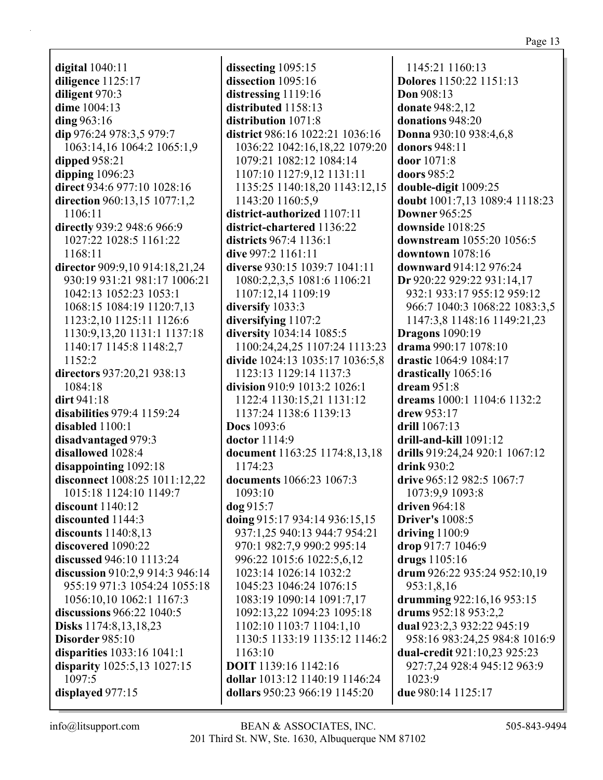**digital** 1040:11 **diligence** 1125:17 **diligent** 970:3 **dime** 1004:13 **ding** 963:16 **dip** 976:24 978:3,5 979:7 1063:14,16 1064:2 1065:1,9 **dipped** 958:21 **dipping** 1096:23 **direct** 934:6 977:10 1028:16 **direction** 960:13,15 1077:1,2 1106:11 **directly** 939:2 948:6 966:9 1027:22 1028:5 1161:22 1168:11 **director** 909:9,10 914:18,21,24 930:19 931:21 981:17 1006:21 1042:13 1052:23 1053:1 1068:15 1084:19 1120:7,13 1123:2,10 1125:11 1126:6 1130:9,13,20 1131:1 1137:18 1140:17 1145:8 1148:2,7 1152:2 **directors** 937:20,21 938:13 1084:18 **dirt** 941:18 **disabilities** 979:4 1159:24 **disabled** 1100:1 **disadvantaged** 979:3 **disallowed** 1028:4 **disappointing** 1092:18 **disconnect** 1008:25 1011:12,22 1015:18 1124:10 1149:7 **discount** 1140:12 **discounted** 1144:3 **discounts** 1140:8,13 **discovered** 1090:22 **discussed** 946:10 1113:24 **discussion** 910:2,9 914:3 946:14 955:19 971:3 1054:24 1055:18 1056:10,10 1062:1 1167:3 **discussions** 966:22 1040:5 **Disks** 1174:8,13,18,23 **Disorder** 985:10 **disparities** 1033:16 1041:1 **disparity** 1025:5,13 1027:15 1097:5 **displayed** 977:15

**dissecting** 1095:15 **dissection** 1095:16 **distressing** 1119:16 **distributed** 1158:13 **distribution** 1071:8 **district** 986:16 1022:21 1036:16 1036:22 1042:16,18,22 1079:20 1079:21 1082:12 1084:14 1107:10 1127:9,12 1131:11 1135:25 1140:18,20 1143:12,15 1143:20 1160:5,9 **district-authorized** 1107:11 **district-chartered** 1136:22 **districts** 967:4 1136:1 **dive** 997:2 1161:11 **diverse** 930:15 1039:7 1041:11 1080:2,2,3,5 1081:6 1106:21 1107:12,14 1109:19 **diversify** 1033:3 **diversifying** 1107:2 **diversity** 1034:14 1085:5 1100:24,24,25 1107:24 1113:23 **divide** 1024:13 1035:17 1036:5,8 1123:13 1129:14 1137:3 **division** 910:9 1013:2 1026:1 1122:4 1130:15,21 1131:12 1137:24 1138:6 1139:13 **Docs** 1093:6 **doctor** 1114:9 **document** 1163:25 1174:8,13,18 1174:23 **documents** 1066:23 1067:3 1093:10 **dog** 915:7 **doing** 915:17 934:14 936:15,15 937:1,25 940:13 944:7 954:21 970:1 982:7,9 990:2 995:14 996:22 1015:6 1022:5,6,12 1023:14 1026:14 1032:2 1045:23 1046:24 1076:15 1083:19 1090:14 1091:7,17 1092:13,22 1094:23 1095:18 1102:10 1103:7 1104:1,10 1130:5 1133:19 1135:12 1146:2 1163:10 **DOIT** 1139:16 1142:16 **dollar** 1013:12 1140:19 1146:24 **dollars** 950:23 966:19 1145:20

1145:21 1160:13 **Dolores** 1150:22 1151:13 **Don** 908:13 **donate** 948:2,12 **donations** 948:20 **Donna** 930:10 938:4,6,8 **donors** 948:11 **door** 1071:8 **doors** 985:2 **double-digit** 1009:25 **doubt** 1001:7,13 1089:4 1118:23 **Downer** 965:25 **downside** 1018:25 **downstream** 1055:20 1056:5 **downtown** 1078:16 **downward** 914:12 976:24 **Dr** 920:22 929:22 931:14,17 932:1 933:17 955:12 959:12 966:7 1040:3 1068:22 1083:3,5 1147:3,8 1148:16 1149:21,23 **Dragons** 1090:19 **drama** 990:17 1078:10 **drastic** 1064:9 1084:17 **drastically** 1065:16 **dream** 951:8 **dreams** 1000:1 1104:6 1132:2 **drew** 953:17 **drill** 1067:13 **drill-and-kill** 1091:12 **drills** 919:24,24 920:1 1067:12 **drink** 930:2 **drive** 965:12 982:5 1067:7 1073:9,9 1093:8 **driven** 964:18 **Driver's** 1008:5 **driving** 1100:9 **drop** 917:7 1046:9 **drugs** 1105:16 **drum** 926:22 935:24 952:10,19 953:1,8,16 **drumming** 922:16,16 953:15 **drums** 952:18 953:2,2 **dual** 923:2,3 932:22 945:19 958:16 983:24,25 984:8 1016:9 **dual-credit** 921:10,23 925:23 927:7,24 928:4 945:12 963:9 1023:9 **due** 980:14 1125:17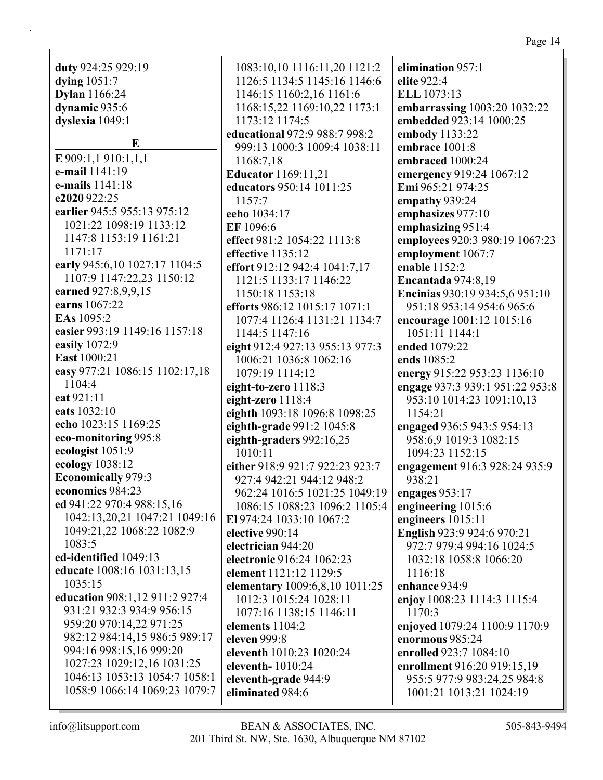**duty** 924:25 929:19 **dying** 1051:7 **Dylan** 1166:24 **dynamic** 935:6 **dyslexia** 1049:1 **E E** 909:1,1 910:1,1,1 **e-mail** 1141:19 **e-mails** 1141:18 **e2020** 922:25 **earlier** 945:5 955:13 975:12 1021:22 1098:19 1133:12 1147:8 1153:19 1161:21 1171:17 **early** 945:6,10 1027:17 1104:5 1107:9 1147:22,23 1150:12 **earned** 927:8,9,9,15 **earns** 1067:22 **EAs** 1095:2 **easier** 993:19 1149:16 1157:18 **easily** 1072:9 **East** 1000:21 **easy** 977:21 1086:15 1102:17,18 1104:4 **eat** 921:11 **eats** 1032:10 **echo** 1023:15 1169:25 **eco-monitoring** 995:8 **ecologist** 1051:9 **ecology** 1038:12 **Economically** 979:3 **economics** 984:23 **ed** 941:22 970:4 988:15,16 1042:13,20,21 1047:21 1049:16 1049:21,22 1068:22 1082:9 1083:5 **ed-identified** 1049:13 **educate** 1008:16 1031:13,15 1035:15 **education** 908:1,12 911:2 927:4 931:21 932:3 934:9 956:15 959:20 970:14,22 971:25 982:12 984:14,15 986:5 989:17 994:16 998:15,16 999:20 1027:23 1029:12,16 1031:25 1046:13 1053:13 1054:7 1058:1 1058:9 1066:14 1069:23 1079:7

1083:10,10 1116:11,20 1121:2 1126:5 1134:5 1145:16 1146:6 1146:15 1160:2,16 1161:6 1168:15,22 1169:10,22 1173:1 1173:12 1174:5 **educational** 972:9 988:7 998:2 999:13 1000:3 1009:4 1038:11 1168:7,18 **Educator** 1169:11,21 **educators** 950:14 1011:25 1157:7 **eeho** 1034:17 **EF** 1096:6 **effect** 981:2 1054:22 1113:8 **effective** 1135:12 **effort** 912:12 942:4 1041:7,17 1121:5 1133:17 1146:22 1150:18 1153:18 **efforts** 986:12 1015:17 1071:1 1077:4 1126:4 1131:21 1134:7 1144:5 1147:16 **eight** 912:4 927:13 955:13 977:3 1006:21 1036:8 1062:16 1079:19 1114:12 **eight-to-zero** 1118:3 **eight-zero** 1118:4 **eighth** 1093:18 1096:8 1098:25 **eighth-grade** 991:2 1045:8 **eighth-graders** 992:16,25 1010:11 **either** 918:9 921:7 922:23 923:7 927:4 942:21 944:12 948:2 962:24 1016:5 1021:25 1049:19 1086:15 1088:23 1096:2 1105:4 **El** 974:24 1033:10 1067:2 **elective** 990:14 **electrician** 944:20 **electronic** 916:24 1062:23 **element** 1121:12 1129:5 **elementary** 1009:6,8,10 1011:25 1012:3 1015:24 1028:11 1077:16 1138:15 1146:11 **elements** 1104:2 **eleven** 999:8 **eleventh** 1010:23 1020:24 **eleventh-** 1010:24 **eleventh-grade** 944:9 **eliminated** 984:6

**elimination** 957:1 **elite** 922:4 **ELL** 1073:13 **embarrassing** 1003:20 1032:22 **embedded** 923:14 1000:25 **embody** 1133:22 **embrace** 1001:8 **embraced** 1000:24 **emergency** 919:24 1067:12 **Emi** 965:21 974:25 **empathy** 939:24 **emphasizes** 977:10 **emphasizing** 951:4 **employees** 920:3 980:19 1067:23 **employment** 1067:7 **enable** 1152:2 **Encantada** 974:8,19 **Encinias** 930:19 934:5,6 951:10 951:18 953:14 954:6 965:6 **encourage** 1001:12 1015:16 1051:11 1144:1 **ended** 1079:22 **ends** 1085:2 **energy** 915:22 953:23 1136:10 **engage** 937:3 939:1 951:22 953:8 953:10 1014:23 1091:10,13 1154:21 **engaged** 936:5 943:5 954:13 958:6,9 1019:3 1082:15 1094:23 1152:15 **engagement** 916:3 928:24 935:9 938:21 **engages** 953:17 **engineering** 1015:6 **engineers** 1015:11 **English** 923:9 924:6 970:21 972:7 979:4 994:16 1024:5 1032:18 1058:8 1066:20 1116:18 **enhance** 934:9 **enjoy** 1008:23 1114:3 1115:4 1170:3 **enjoyed** 1079:24 1100:9 1170:9 **enormous** 985:24 **enrolled** 923:7 1084:10 **enrollment** 916:20 919:15,19 955:5 977:9 983:24,25 984:8 1001:21 1013:21 1024:19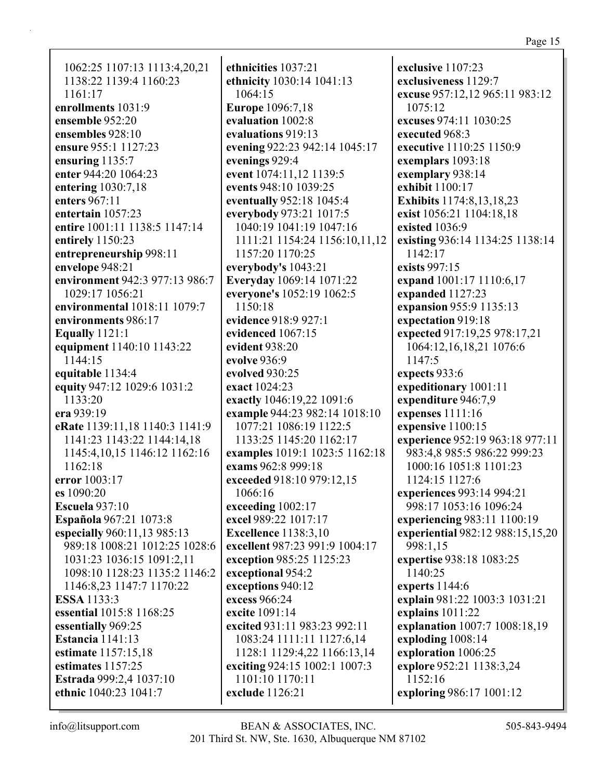1062:25 1107:13 1113:4,20,21 1138:22 1139:4 1160:23 1161:17 **enrollments** 1031:9 **ensemble** 952:20 **ensembles** 928:10 **ensure** 955:1 1127:23 **ensuring** 1135:7 **enter** 944:20 1064:23 **entering** 1030:7,18 **enters** 967:11 **entertain** 1057:23 **entire** 1001:11 1138:5 1147:14 **entirely** 1150:23 **entrepreneurship** 998:11 **envelope** 948:21 **environment** 942:3 977:13 986:7 1029:17 1056:21 **environmental** 1018:11 1079:7 **environments** 986:17 **Equally** 1121:1 **equipment** 1140:10 1143:22 1144:15 **equitable** 1134:4 **equity** 947:12 1029:6 1031:2 1133:20 **era** 939:19 **eRate** 1139:11,18 1140:3 1141:9 1141:23 1143:22 1144:14,18 1145:4,10,15 1146:12 1162:16 1162:18 **error** 1003:17 **es** 1090:20 **Escuela** 937:10 **Española** 967:21 1073:8 **especially** 960:11,13 985:13 989:18 1008:21 1012:25 1028:6 1031:23 1036:15 1091:2,11 1098:10 1128:23 1135:2 1146:2 1146:8,23 1147:7 1170:22 **ESSA** 1133:3 **essential** 1015:8 1168:25 **essentially** 969:25 **Estancia** 1141:13 **estimate** 1157:15,18 **estimates** 1157:25 **Estrada** 999:2,4 1037:10 **ethnic** 1040:23 1041:7

**ethnicities** 1037:21 **ethnicity** 1030:14 1041:13 1064:15 **Europe** 1096:7,18 **evaluation** 1002:8 **evaluations** 919:13 **evening** 922:23 942:14 1045:17 **evenings** 929:4 **event** 1074:11,12 1139:5 **events** 948:10 1039:25 **eventually** 952:18 1045:4 **everybody** 973:21 1017:5 1040:19 1041:19 1047:16 1111:21 1154:24 1156:10,11,12 1157:20 1170:25 **everybody's** 1043:21 **Everyday** 1069:14 1071:22 **everyone's** 1052:19 1062:5 1150:18 **evidence** 918:9 927:1 **evidenced** 1067:15 **evident** 938:20 **evolve** 936:9 **evolved** 930:25 **exact** 1024:23 **exactly** 1046:19,22 1091:6 **example** 944:23 982:14 1018:10 1077:21 1086:19 1122:5 1133:25 1145:20 1162:17 **examples** 1019:1 1023:5 1162:18 **exams** 962:8 999:18 **exceeded** 918:10 979:12,15 1066:16 **exceeding** 1002:17 **excel** 989:22 1017:17 **Excellence** 1138:3,10 **excellent** 987:23 991:9 1004:17 **exception** 985:25 1125:23 **exceptional** 954:2 **exceptions** 940:12 **excess** 966:24 **excite** 1091:14 **excited** 931:11 983:23 992:11 1083:24 1111:11 1127:6,14 1128:1 1129:4,22 1166:13,14 **exciting** 924:15 1002:1 1007:3 1101:10 1170:11 **exclude** 1126:21

**exclusive** 1107:23 **exclusiveness** 1129:7 **excuse** 957:12,12 965:11 983:12 1075:12 **excuses** 974:11 1030:25 **executed** 968:3 **executive** 1110:25 1150:9 **exemplars** 1093:18 **exemplary** 938:14 **exhibit** 1100:17 **Exhibits** 1174:8,13,18,23 **exist** 1056:21 1104:18,18 **existed** 1036:9 **existing** 936:14 1134:25 1138:14 1142:17 **exists** 997:15 **expand** 1001:17 1110:6,17 **expanded** 1127:23 **expansion** 955:9 1135:13 **expectation** 919:18 **expected** 917:19,25 978:17,21 1064:12,16,18,21 1076:6 1147:5 **expects** 933:6 **expeditionary** 1001:11 **expenditure** 946:7,9 **expenses** 1111:16 **expensive** 1100:15 **experience** 952:19 963:18 977:11 983:4,8 985:5 986:22 999:23 1000:16 1051:8 1101:23 1124:15 1127:6 **experiences** 993:14 994:21 998:17 1053:16 1096:24 **experiencing** 983:11 1100:19 **experiential** 982:12 988:15,15,20 998:1,15 **expertise** 938:18 1083:25 1140:25 **experts** 1144:6 **explain** 981:22 1003:3 1031:21 **explains** 1011:22 **explanation** 1007:7 1008:18,19 **exploding** 1008:14 **exploration** 1006:25 **explore** 952:21 1138:3,24 1152:16 **exploring** 986:17 1001:12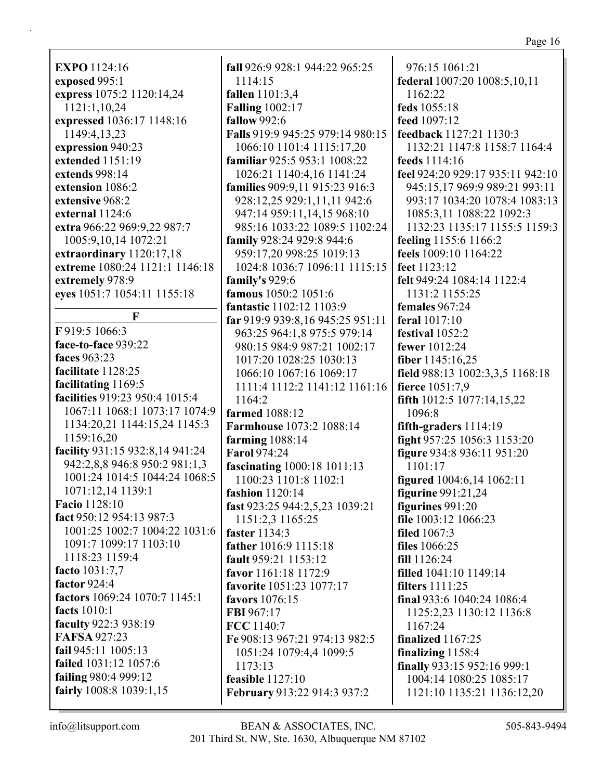**EXPO** 1124:16 **exposed** 995:1 **express** 1075:2 1120:14,24 1121:1,10,24 **expressed** 1036:17 1148:16 1149:4,13,23 **expression** 940:23 **extended** 1151:19 **extends** 998:14 **extension** 1086:2 **extensive** 968:2 **external** 1124:6 **extra** 966:22 969:9,22 987:7 1005:9,10,14 1072:21 **extraordinary** 1120:17,18 **extreme** 1080:24 1121:1 1146:18 **extremely** 978:9 **eyes** 1051:7 1054:11 1155:18 **F F** 919:5 1066:3 **face-to-face** 939:22 **faces** 963:23 **facilitate** 1128:25 **facilitating** 1169:5 **facilities** 919:23 950:4 1015:4 1067:11 1068:1 1073:17 1074:9 1134:20,21 1144:15,24 1145:3 1159:16,20 **facility** 931:15 932:8,14 941:24 942:2,8,8 946:8 950:2 981:1,3 1001:24 1014:5 1044:24 1068:5 1071:12,14 1139:1 **Facio** 1128:10 **fact** 950:12 954:13 987:3 1001:25 1002:7 1004:22 1031:6 1091:7 1099:17 1103:10 1118:23 1159:4 **facto** 1031:7,7 **factor** 924:4 **factors** 1069:24 1070:7 1145:1 **facts** 1010:1 **faculty** 922:3 938:19 **FAFSA** 927:23 **fail** 945:11 1005:13 **failed** 1031:12 1057:6 **failing** 980:4 999:12 **fairly** 1008:8 1039:1,15

**fall** 926:9 928:1 944:22 965:25 1114:15 **fallen** 1101:3,4 **Falling** 1002:17 **fallow** 992:6 **Falls** 919:9 945:25 979:14 980:15 1066:10 1101:4 1115:17,20 **familiar** 925:5 953:1 1008:22 1026:21 1140:4,16 1141:24 **families** 909:9,11 915:23 916:3 928:12,25 929:1,11,11 942:6 947:14 959:11,14,15 968:10 985:16 1033:22 1089:5 1102:24 **family** 928:24 929:8 944:6 959:17,20 998:25 1019:13 1024:8 1036:7 1096:11 1115:15 **family's** 929:6 **famous** 1050:2 1051:6 **fantastic** 1102:12 1103:9 **far** 919:9 939:8,16 945:25 951:11 963:25 964:1,8 975:5 979:14 980:15 984:9 987:21 1002:17 1017:20 1028:25 1030:13 1066:10 1067:16 1069:17 1111:4 1112:2 1141:12 1161:16 1164:2 **farmed** 1088:12 **Farmhouse** 1073:2 1088:14 **farming** 1088:14 **Farol** 974:24 **fascinating** 1000:18 1011:13 1100:23 1101:8 1102:1 **fashion** 1120:14 **fast** 923:25 944:2,5,23 1039:21 1151:2,3 1165:25 **faster** 1134:3 **father** 1016:9 1115:18 **fault** 959:21 1153:12 **favor** 1161:18 1172:9 **favorite** 1051:23 1077:17 **favors** 1076:15 **FBI** 967:17 **FCC** 1140:7 **Fe** 908:13 967:21 974:13 982:5 1051:24 1079:4,4 1099:5 1173:13 **feasible** 1127:10 **February** 913:22 914:3 937:2

976:15 1061:21 **federal** 1007:20 1008:5,10,11 1162:22 **feds** 1055:18 **feed** 1097:12 **feedback** 1127:21 1130:3 1132:21 1147:8 1158:7 1164:4 **feeds** 1114:16 **feel** 924:20 929:17 935:11 942:10 945:15,17 969:9 989:21 993:11 993:17 1034:20 1078:4 1083:13 1085:3,11 1088:22 1092:3 1132:23 1135:17 1155:5 1159:3 **feeling** 1155:6 1166:2 **feels** 1009:10 1164:22 **feet** 1123:12 **felt** 949:24 1084:14 1122:4 1131:2 1155:25 **females** 967:24 **feral** 1017:10 **festival** 1052:2 **fewer** 1012:24 **fiber** 1145:16,25 **field** 988:13 1002:3,3,5 1168:18 **fierce** 1051:7,9 **fifth** 1012:5 1077:14,15,22 1096:8 **fifth-graders** 1114:19 **fight** 957:25 1056:3 1153:20 **figure** 934:8 936:11 951:20 1101:17 **figured** 1004:6,14 1062:11 **figurine** 991:21,24 **figurines** 991:20 **file** 1003:12 1066:23 **filed** 1067:3 **files** 1066:25 **fill** 1126:24 **filled** 1041:10 1149:14 **filters** 1111:25 **final** 933:6 1040:24 1086:4 1125:2,23 1130:12 1136:8 1167:24 **finalized** 1167:25 **finalizing** 1158:4 **finally** 933:15 952:16 999:1 1004:14 1080:25 1085:17 1121:10 1135:21 1136:12,20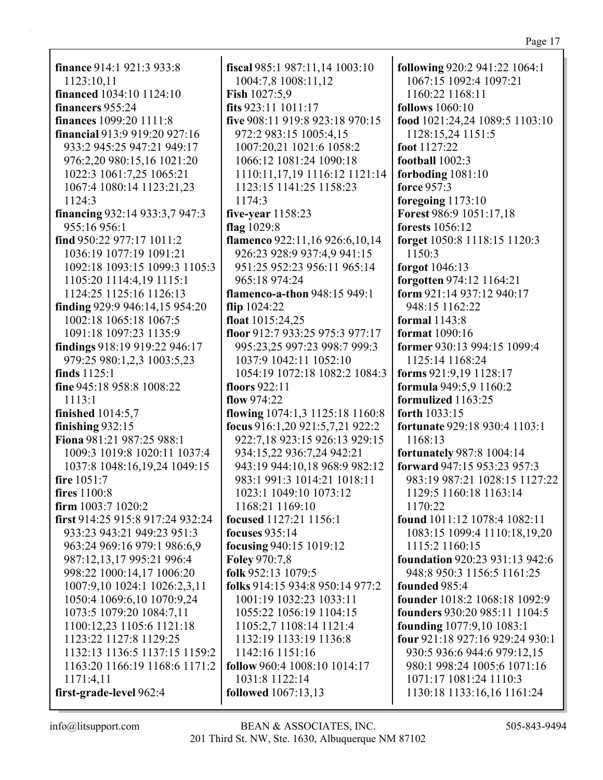**finance** 914:1 921:3 933:8 1123:10,11 **financed** 1034:10 1124:10 **financers** 955:24 **finances** 1099:20 1111:8 **financial** 913:9 919:20 927:16 933:2 945:25 947:21 949:17 976:2,20 980:15,16 1021:20 1022:3 1061:7,25 1065:21 1067:4 1080:14 1123:21,23 1124:3 **financing** 932:14 933:3,7 947:3 955:16 956:1 **find** 950:22 977:17 1011:2 1036:19 1077:19 1091:21 1092:18 1093:15 1099:3 1105:3 1105:20 1114:4,19 1115:1 1124:25 1125:16 1126:13 **finding** 929:9 946:14,15 954:20 1002:18 1065:18 1067:5 1091:18 1097:23 1135:9 **findings** 918:19 919:22 946:17 979:25 980:1,2,3 1003:5,23 **finds** 1125:1 **fine** 945:18 958:8 1008:22 1113:1 **finished** 1014:5,7 **finishing** 932:15 **Fiona** 981:21 987:25 988:1 1009:3 1019:8 1020:11 1037:4 1037:8 1048:16,19,24 1049:15 **fire** 1051:7 **fires** 1100:8 **firm** 1003:7 1020:2 **first** 914:25 915:8 917:24 932:24 933:23 943:21 949:23 951:3 963:24 969:16 979:1 986:6,9 987:12,13,17 995:21 996:4 998:22 1000:14,17 1006:20 1007:9,10 1024:1 1026:2,3,11 1050:4 1069:6,10 1070:9,24 1073:5 1079:20 1084:7,11 1100:12,23 1105:6 1121:18 1123:22 1127:8 1129:25 1132:13 1136:5 1137:15 1159:2 1163:20 1166:19 1168:6 1171:2 1171:4,11 **first-grade-level** 962:4

**fiscal** 985:1 987:11,14 1003:10 1004:7,8 1008:11,12 **Fish** 1027:5,9 **fits** 923:11 1011:17 **five** 908:11 919:8 923:18 970:15 972:2 983:15 1005:4,15 1007:20,21 1021:6 1058:2 1066:12 1081:24 1090:18 1110:11,17,19 1116:12 1121:14 1123:15 1141:25 1158:23 1174:3 **five-year** 1158:23 **flag** 1029:8 **flamenco** 922:11,16 926:6,10,14 926:23 928:9 937:4,9 941:15 951:25 952:23 956:11 965:14 965:18 974:24 **flamenco-a-thon** 948:15 949:1 **flip** 1024:22 **float** 1015:24,25 **floor** 912:7 933:25 975:3 977:17 995:23,25 997:23 998:7 999:3 1037:9 1042:11 1052:10 1054:19 1072:18 1082:2 1084:3 **floors** 922:11 **flow** 974:22 **flowing** 1074:1,3 1125:18 1160:8 **focus** 916:1,20 921:5,7,21 922:2 922:7,18 923:15 926:13 929:15 934:15,22 936:7,24 942:21 943:19 944:10,18 968:9 982:12 983:1 991:3 1014:21 1018:11 1023:1 1049:10 1073:12 1168:21 1169:10 **focused** 1127:21 1156:1 **focuses** 935:14 **focusing** 940:15 1019:12 **Foley** 970:7,8 **folk** 952:13 1079:5 **folks** 914:15 934:8 950:14 977:2 1001:19 1032:23 1033:11 1055:22 1056:19 1104:15 1105:2,7 1108:14 1121:4 1132:19 1133:19 1136:8 1142:16 1151:16 **follow** 960:4 1008:10 1014:17 1031:8 1122:14 **followed** 1067:13,13

**following** 920:2 941:22 1064:1 1067:15 1092:4 1097:21 1160:22 1168:11 **follows** 1060:10 **food** 1021:24,24 1089:5 1103:10 1128:15,24 1151:5 **foot** 1127:22 **football** 1002:3 **forboding** 1081:10 **force** 957:3 **foregoing** 1173:10 **Forest** 986:9 1051:17,18 **forests** 1056:12 **forget** 1050:8 1118:15 1120:3 1150:3 **forgot** 1046:13 **forgotten** 974:12 1164:21 **form** 921:14 937:12 940:17 948:15 1162:22 **formal** 1143:8 **format** 1090:16 **former** 930:13 994:15 1099:4 1125:14 1168:24 **forms** 921:9,19 1128:17 **formula** 949:5,9 1160:2 **formulized** 1163:25 **forth** 1033:15 **fortunate** 929:18 930:4 1103:1 1168:13 **fortunately** 987:8 1004:14 **forward** 947:15 953:23 957:3 983:19 987:21 1028:15 1127:22 1129:5 1160:18 1163:14 1170:22 **found** 1011:12 1078:4 1082:11 1083:15 1099:4 1110:18,19,20 1115:2 1160:15 **foundation** 920:23 931:13 942:6 948:8 950:3 1156:5 1161:25 **founded** 985:4 **founder** 1018:2 1068:18 1092:9 **founders** 930:20 985:11 1104:5 **founding** 1077:9,10 1083:1 **four** 921:18 927:16 929:24 930:1 930:5 936:6 944:6 979:12,15 980:1 998:24 1005:6 1071:16 1071:17 1081:24 1110:3 1130:18 1133:16,16 1161:24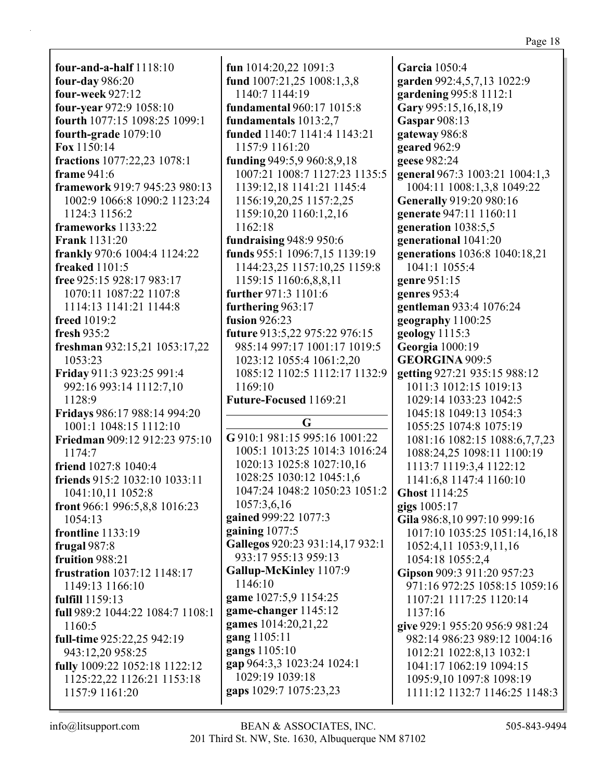**four-and-a-half** 1118:10 **four-day** 986:20 **four-week** 927:12 **four-year** 972:9 1058:10 **fourth** 1077:15 1098:25 1099:1 **fourth-grade** 1079:10 **Fox** 1150:14 **fractions** 1077:22,23 1078:1 **frame** 941:6 **framework** 919:7 945:23 980:13 1002:9 1066:8 1090:2 1123:24 1124:3 1156:2 **frameworks** 1133:22 **Frank** 1131:20 **frankly** 970:6 1004:4 1124:22 **freaked** 1101:5 **free** 925:15 928:17 983:17 1070:11 1087:22 1107:8 1114:13 1141:21 1144:8 **freed** 1019:2 **fresh** 935:2 **freshman** 932:15,21 1053:17,22 1053:23 **Friday** 911:3 923:25 991:4 992:16 993:14 1112:7,10 1128:9 **Fridays** 986:17 988:14 994:20 1001:1 1048:15 1112:10 **Friedman** 909:12 912:23 975:10 1174:7 **friend** 1027:8 1040:4 **friends** 915:2 1032:10 1033:11 1041:10,11 1052:8 **front** 966:1 996:5,8,8 1016:23 1054:13 **frontline** 1133:19 **frugal** 987:8 **fruition** 988:21 **frustration** 1037:12 1148:17 1149:13 1166:10 **fulfill** 1159:13 **full** 989:2 1044:22 1084:7 1108:1 1160:5 **full-time** 925:22,25 942:19 943:12,20 958:25 **fully** 1009:22 1052:18 1122:12 1125:22,22 1126:21 1153:18 1157:9 1161:20

**fun** 1014:20,22 1091:3 **fund** 1007:21,25 1008:1,3,8 1140:7 1144:19 **fundamental** 960:17 1015:8 **fundamentals** 1013:2,7 **funded** 1140:7 1141:4 1143:21 1157:9 1161:20 **funding** 949:5,9 960:8,9,18 1007:21 1008:7 1127:23 1135:5 1139:12,18 1141:21 1145:4 1156:19,20,25 1157:2,25 1159:10,20 1160:1,2,16 1162:18 **fundraising** 948:9 950:6 **funds** 955:1 1096:7,15 1139:19 1144:23,25 1157:10,25 1159:8 1159:15 1160:6,8,8,11 **further** 971:3 1101:6 **furthering** 963:17 **fusion** 926:23 **future** 913:5,22 975:22 976:15 985:14 997:17 1001:17 1019:5 1023:12 1055:4 1061:2,20 1085:12 1102:5 1112:17 1132:9 1169:10 **Future-Focused** 1169:21 **G G** 910:1 981:15 995:16 1001:22 1005:1 1013:25 1014:3 1016:24 1020:13 1025:8 1027:10,16 1028:25 1030:12 1045:1,6 1047:24 1048:2 1050:23 1051:2 1057:3,6,16 **gained** 999:22 1077:3 **gaining** 1077:5 **Gallegos** 920:23 931:14,17 932:1 933:17 955:13 959:13 **Gallup-McKinley** 1107:9 1146:10 **game** 1027:5,9 1154:25 **game-changer** 1145:12

**gardening** 995:8 1112:1 **Gary** 995:15,16,18,19 **Gaspar** 908:13 **gateway** 986:8 **geared** 962:9 **geese** 982:24 **general** 967:3 1003:21 1004:1,3 1004:11 1008:1,3,8 1049:22 **Generally** 919:20 980:16 **generate** 947:11 1160:11 **generation** 1038:5,5 **generational** 1041:20 **generations** 1036:8 1040:18,21 1041:1 1055:4 **genre** 951:15 **genres** 953:4 **gentleman** 933:4 1076:24 **geography** 1100:25 **geology** 1115:3 **Georgia** 1000:19 **GEORGINA** 909:5 **getting** 927:21 935:15 988:12 1011:3 1012:15 1019:13 1029:14 1033:23 1042:5 1045:18 1049:13 1054:3 1055:25 1074:8 1075:19 1081:16 1082:15 1088:6,7,7,23 1088:24,25 1098:11 1100:19 1113:7 1119:3,4 1122:12 1141:6,8 1147:4 1160:10 **Ghost** 1114:25 **gigs** 1005:17 **Gila** 986:8,10 997:10 999:16 1017:10 1035:25 1051:14,16,18 1052:4,11 1053:9,11,16 1054:18 1055:2,4 **Gipson** 909:3 911:20 957:23 971:16 972:25 1058:15 1059:16 1107:21 1117:25 1120:14 1137:16 **give** 929:1 955:20 956:9 981:24 982:14 986:23 989:12 1004:16 1012:21 1022:8,13 1032:1 1041:17 1062:19 1094:15 1095:9,10 1097:8 1098:19 1111:12 1132:7 1146:25 1148:3

**Garcia** 1050:4

**garden** 992:4,5,7,13 1022:9

**games** 1014:20,21,22

1029:19 1039:18 **gaps** 1029:7 1075:23,23

**gap** 964:3,3 1023:24 1024:1

**gang** 1105:11 **gangs** 1105:10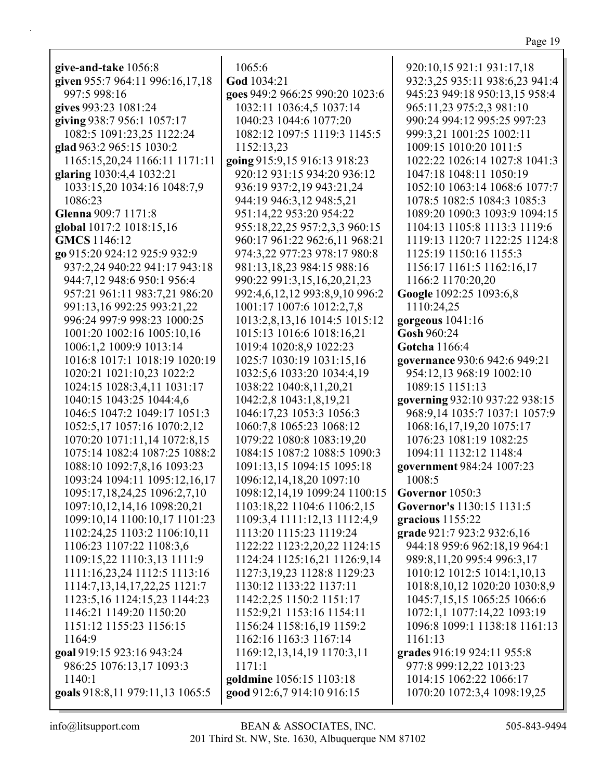| п |  |
|---|--|
|   |  |

| give-and-take 1056:8            | 1065:6                          | 920:10,15 921:1 931:17,18          |
|---------------------------------|---------------------------------|------------------------------------|
| given 955:7 964:11 996:16,17,18 | God 1034:21                     | 932:3,25 935:11 938:6,23 941:4     |
| 997:5 998:16                    | goes 949:2 966:25 990:20 1023:6 | 945:23 949:18 950:13,15 958:4      |
| gives 993:23 1081:24            | 1032:11 1036:4,5 1037:14        | 965:11,23 975:2,3 981:10           |
| giving 938:7 956:1 1057:17      | 1040:23 1044:6 1077:20          | 990:24 994:12 995:25 997:23        |
| 1082:5 1091:23,25 1122:24       | 1082:12 1097:5 1119:3 1145:5    | 999:3,21 1001:25 1002:11           |
| glad 963:2 965:15 1030:2        | 1152:13,23                      | 1009:15 1010:20 1011:5             |
| 1165:15,20,24 1166:11 1171:11   | going 915:9,15 916:13 918:23    | 1022:22 1026:14 1027:8 1041:3      |
| glaring 1030:4,4 1032:21        | 920:12 931:15 934:20 936:12     | 1047:18 1048:11 1050:19            |
| 1033:15,20 1034:16 1048:7,9     | 936:19 937:2,19 943:21,24       | 1052:10 1063:14 1068:6 1077:7      |
| 1086:23                         | 944:19 946:3,12 948:5,21        | 1078:5 1082:5 1084:3 1085:3        |
| Glenna 909:7 1171:8             | 951:14,22 953:20 954:22         | 1089:20 1090:3 1093:9 1094:15      |
| global 1017:2 1018:15,16        | 955:18,22,25 957:2,3,3 960:15   | 1104:13 1105:8 1113:3 1119:6       |
| <b>GMCS</b> 1146:12             | 960:17 961:22 962:6,11 968:21   | 1119:13 1120:7 1122:25 1124:8      |
| go 915:20 924:12 925:9 932:9    | 974:3,22 977:23 978:17 980:8    | 1125:19 1150:16 1155:3             |
| 937:2,24 940:22 941:17 943:18   | 981:13,18,23 984:15 988:16      | 1156:17 1161:5 1162:16,17          |
| 944:7,12 948:6 950:1 956:4      | 990:22 991:3,15,16,20,21,23     | 1166:2 1170:20,20                  |
| 957:21 961:11 983:7,21 986:20   | 992:4,6,12,12 993:8,9,10 996:2  | Google 1092:25 1093:6,8            |
| 991:13,16 992:25 993:21,22      | 1001:17 1007:6 1012:2,7,8       | 1110:24,25                         |
| 996:24 997:9 998:23 1000:25     | 1013:2,8,13,16 1014:5 1015:12   | gorgeous 1041:16                   |
| 1001:20 1002:16 1005:10,16      | 1015:13 1016:6 1018:16,21       | Gosh 960:24                        |
| 1006:1,2 1009:9 1013:14         | 1019:4 1020:8,9 1022:23         | Gotcha 1166:4                      |
| 1016:8 1017:1 1018:19 1020:19   | 1025:7 1030:19 1031:15,16       | governance 930:6 942:6 949:21      |
| 1020:21 1021:10,23 1022:2       | 1032:5,6 1033:20 1034:4,19      | 954:12,13 968:19 1002:10           |
| 1024:15 1028:3,4,11 1031:17     | 1038:22 1040:8,11,20,21         | 1089:15 1151:13                    |
| 1040:15 1043:25 1044:4,6        | 1042:2,8 1043:1,8,19,21         | governing 932:10 937:22 938:15     |
| 1046:5 1047:2 1049:17 1051:3    | 1046:17,23 1053:3 1056:3        | 968:9,14 1035:7 1037:1 1057:9      |
| 1052:5,17 1057:16 1070:2,12     | 1060:7,8 1065:23 1068:12        | 1068:16,17,19,20 1075:17           |
| 1070:20 1071:11,14 1072:8,15    | 1079:22 1080:8 1083:19,20       | 1076:23 1081:19 1082:25            |
| 1075:14 1082:4 1087:25 1088:2   | 1084:15 1087:2 1088:5 1090:3    | 1094:11 1132:12 1148:4             |
| 1088:10 1092:7,8,16 1093:23     | 1091:13,15 1094:15 1095:18      | government 984:24 1007:23          |
| 1093:24 1094:11 1095:12,16,17   | 1096:12,14,18,20 1097:10        | 1008:5                             |
| 1095:17,18,24,25 1096:2,7,10    | 1098:12,14,19 1099:24 1100:15   | Governor 1050:3                    |
| 1097:10,12,14,16 1098:20,21     | 1103:18,22 1104:6 1106:2,15     | Governor's 1130:15 1131:5          |
| 1099:10,14 1100:10,17 1101:23   | 1109:3,4 1111:12,13 1112:4,9    | gracious 1155:22                   |
| 1102:24,25 1103:2 1106:10,11    | 1113:20 1115:23 1119:24         | grade 921:7 923:2 932:6,16         |
| 1106:23 1107:22 1108:3,6        | 1122:22 1123:2,20,22 1124:15    | 944:18 959:6 962:18,19 964:1       |
| 1109:15,22 1110:3,13 1111:9     | 1124:24 1125:16,21 1126:9,14    | 989:8,11,20 995:4 996:3,17         |
| 1111:16,23,24 1112:5 1113:16    | 1127:3,19,23 1128:8 1129:23     | 1010:12 1012:5 1014:1,10,13        |
| 1114:7,13,14,17,22,25 1121:7    | 1130:12 1133:22 1137:11         | 1018:8, 10, 12 1020: 20 1030: 8, 9 |
| 1123:5, 16 1124:15, 23 1144: 23 | 1142:2,25 1150:2 1151:17        | 1045:7,15,15 1065:25 1066:6        |
| 1146:21 1149:20 1150:20         | 1152:9,21 1153:16 1154:11       | 1072:1,1 1077:14,22 1093:19        |
| 1151:12 1155:23 1156:15         | 1156:24 1158:16,19 1159:2       | 1096:8 1099:1 1138:18 1161:13      |
| 1164:9                          | 1162:16 1163:3 1167:14          | 1161:13                            |
| goal 919:15 923:16 943:24       | 1169:12,13,14,19 1170:3,11      | grades 916:19 924:11 955:8         |
| 986:25 1076:13,17 1093:3        | 1171:1                          | 977:8 999:12,22 1013:23            |
| 1140:1                          | goldmine 1056:15 1103:18        | 1014:15 1062:22 1066:17            |
| goals 918:8,11 979:11,13 1065:5 | good 912:6,7 914:10 916:15      | 1070:20 1072:3,4 1098:19,25        |
|                                 |                                 |                                    |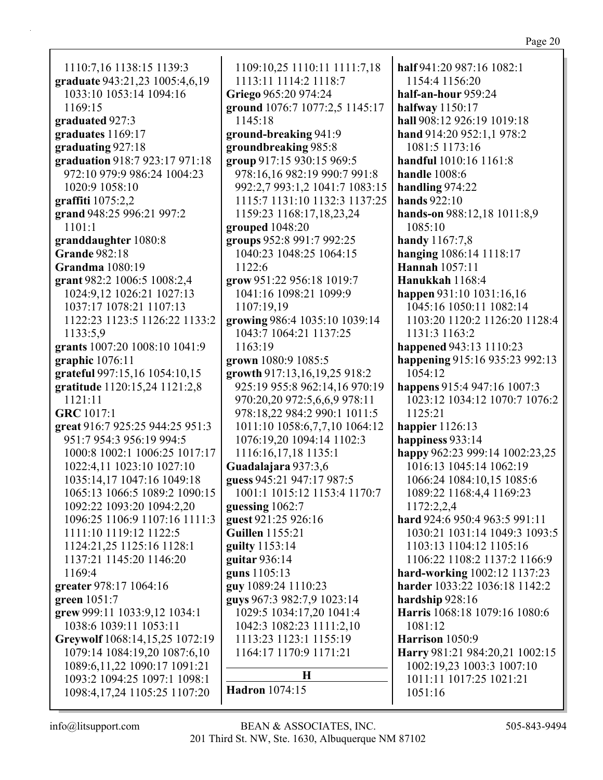| c |  |
|---|--|
|   |  |

1110:7,16 1138:15 1139:3 **graduate** 943:21,23 1005:4,6,19 1033:10 1053:14 1094:16 1169:15 **graduated** 927:3 **graduates** 1169:17 **graduating** 927:18 **graduation** 918:7 923:17 971:18 972:10 979:9 986:24 1004:23 1020:9 1058:10 **graffiti** 1075:2,2 **grand** 948:25 996:21 997:2 1101:1 **granddaughter** 1080:8 **Grande** 982:18 **Grandma** 1080:19 **grant** 982:2 1006:5 1008:2,4 1024:9,12 1026:21 1027:13 1037:17 1078:21 1107:13 1122:23 1123:5 1126:22 1133:2 1133:5,9 **grants** 1007:20 1008:10 1041:9 **graphic** 1076:11 **grateful** 997:15,16 1054:10,15 **gratitude** 1120:15,24 1121:2,8 1121:11 **GRC** 1017:1 **great** 916:7 925:25 944:25 951:3 951:7 954:3 956:19 994:5 1000:8 1002:1 1006:25 1017:17 1022:4,11 1023:10 1027:10 1035:14,17 1047:16 1049:18 1065:13 1066:5 1089:2 1090:15 1092:22 1093:20 1094:2,20 1096:25 1106:9 1107:16 1111:3 1111:10 1119:12 1122:5 1124:21,25 1125:16 1128:1 1137:21 1145:20 1146:20 1169:4 **greater** 978:17 1064:16 **green** 1051:7 **grew** 999:11 1033:9,12 1034:1 1038:6 1039:11 1053:11 **Greywolf** 1068:14,15,25 1072:19 1079:14 1084:19,20 1087:6,10 1089:6,11,22 1090:17 1091:21 1093:2 1094:25 1097:1 1098:1 1098:4,17,24 1105:25 1107:20 1122:6 **Hadron** 1074:15

1109:10,25 1110:11 1111:7,18 1113:11 1114:2 1118:7 **Griego** 965:20 974:24 **ground** 1076:7 1077:2,5 1145:17 1145:18 **ground-breaking** 941:9 **groundbreaking** 985:8 **group** 917:15 930:15 969:5 978:16,16 982:19 990:7 991:8 992:2,7 993:1,2 1041:7 1083:15 1115:7 1131:10 1132:3 1137:25 1159:23 1168:17,18,23,24 **grouped** 1048:20 **groups** 952:8 991:7 992:25 1040:23 1048:25 1064:15 **grow** 951:22 956:18 1019:7 1041:16 1098:21 1099:9 1107:19,19 **growing** 986:4 1035:10 1039:14 1043:7 1064:21 1137:25 1163:19 **grown** 1080:9 1085:5 **growth** 917:13,16,19,25 918:2 925:19 955:8 962:14,16 970:19 970:20,20 972:5,6,6,9 978:11 978:18,22 984:2 990:1 1011:5 1011:10 1058:6,7,7,10 1064:12 1076:19,20 1094:14 1102:3 1116:16,17,18 1135:1 **Guadalajara** 937:3,6 **guess** 945:21 947:17 987:5 1001:1 1015:12 1153:4 1170:7 **guessing** 1062:7 **guest** 921:25 926:16 **Guillen** 1155:21 **guilty** 1153:14 **guitar** 936:14 **guns** 1105:13 **guy** 1089:24 1110:23 **guys** 967:3 982:7,9 1023:14 1029:5 1034:17,20 1041:4 1042:3 1082:23 1111:2,10 1113:23 1123:1 1155:19 1164:17 1170:9 1171:21 **H**

1154:4 1156:20 **half-an-hour** 959:24 **halfway** 1150:17 **hall** 908:12 926:19 1019:18 **hand** 914:20 952:1,1 978:2 1081:5 1173:16 **handful** 1010:16 1161:8 **handle** 1008:6 **handling** 974:22 **hands** 922:10 **hands-on** 988:12,18 1011:8,9 1085:10 **handy** 1167:7,8 **hanging** 1086:14 1118:17 **Hannah** 1057:11 **Hanukkah** 1168:4 **happen** 931:10 1031:16,16 1045:16 1050:11 1082:14 1103:20 1120:2 1126:20 1128:4 1131:3 1163:2 **happened** 943:13 1110:23 **happening** 915:16 935:23 992:13 1054:12 **happens** 915:4 947:16 1007:3 1023:12 1034:12 1070:7 1076:2 1125:21 **happier** 1126:13 **happiness** 933:14 **happy** 962:23 999:14 1002:23,25 1016:13 1045:14 1062:19 1066:24 1084:10,15 1085:6 1089:22 1168:4,4 1169:23 1172:2,2,4 **hard** 924:6 950:4 963:5 991:11 1030:21 1031:14 1049:3 1093:5 1103:13 1104:12 1105:16 1106:22 1108:2 1137:2 1166:9 **hard-working** 1002:12 1137:23 **harder** 1033:22 1036:18 1142:2 **hardship** 928:16 **Harris** 1068:18 1079:16 1080:6 1081:12 **Harrison** 1050:9 **Harry** 981:21 984:20,21 1002:15 1002:19,23 1003:3 1007:10 1011:11 1017:25 1021:21

**half** 941:20 987:16 1082:1

1051:16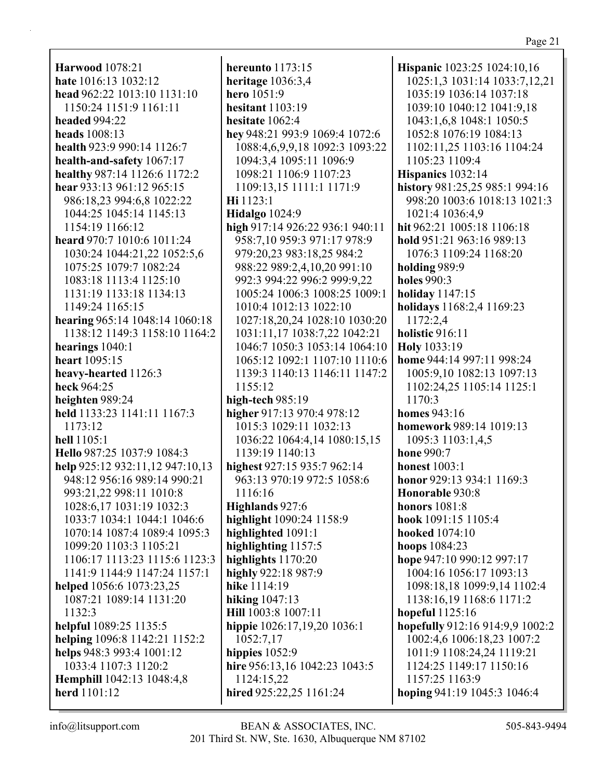**Harwood** 1078:21 **hate** 1016:13 1032:12 **head** 962:22 1013:10 1131:10 1150:24 1151:9 1161:11 **headed** 994:22 **heads** 1008:13 **health** 923:9 990:14 1126:7 **health-and-safety** 1067:17 **healthy** 987:14 1126:6 1172:2 **hear** 933:13 961:12 965:15 986:18,23 994:6,8 1022:22 1044:25 1045:14 1145:13 1154:19 1166:12 **heard** 970:7 1010:6 1011:24 1030:24 1044:21,22 1052:5,6 1075:25 1079:7 1082:24 1083:18 1113:4 1125:10 1131:19 1133:18 1134:13 1149:24 1165:15 **hearing** 965:14 1048:14 1060:18 1138:12 1149:3 1158:10 1164:2 **hearings** 1040:1 **heart** 1095:15 **heavy-hearted** 1126:3 **heck** 964:25 **heighten** 989:24 **held** 1133:23 1141:11 1167:3 1173:12 **hell** 1105:1 **Hello** 987:25 1037:9 1084:3 **help** 925:12 932:11,12 947:10,13 948:12 956:16 989:14 990:21 993:21,22 998:11 1010:8 1028:6,17 1031:19 1032:3 1033:7 1034:1 1044:1 1046:6 1070:14 1087:4 1089:4 1095:3 1099:20 1103:3 1105:21 1106:17 1113:23 1115:6 1123:3 1141:9 1144:9 1147:24 1157:1 **helped** 1056:6 1073:23,25 1087:21 1089:14 1131:20 1132:3 **helpful** 1089:25 1135:5 **helping** 1096:8 1142:21 1152:2 **helps** 948:3 993:4 1001:12 1033:4 1107:3 1120:2 **Hemphill** 1042:13 1048:4,8 **herd** 1101:12

**hereunto** 1173:15 **heritage** 1036:3,4 **hero** 1051:9 **hesitant** 1103:19 **hesitate** 1062:4 **hey** 948:21 993:9 1069:4 1072:6 1088:4,6,9,9,18 1092:3 1093:22 1094:3,4 1095:11 1096:9 1098:21 1106:9 1107:23 1109:13,15 1111:1 1171:9 **Hi** 1123:1 **Hidalgo** 1024:9 **high** 917:14 926:22 936:1 940:11 958:7,10 959:3 971:17 978:9 979:20,23 983:18,25 984:2 988:22 989:2,4,10,20 991:10 992:3 994:22 996:2 999:9,22 1005:24 1006:3 1008:25 1009:1 1010:4 1012:13 1022:10 1027:18,20,24 1028:10 1030:20 1031:11,17 1038:7,22 1042:21 1046:7 1050:3 1053:14 1064:10 1065:12 1092:1 1107:10 1110:6 1139:3 1140:13 1146:11 1147:2 1155:12 **high-tech** 985:19 **higher** 917:13 970:4 978:12 1015:3 1029:11 1032:13 1036:22 1064:4,14 1080:15,15 1139:19 1140:13 **highest** 927:15 935:7 962:14 963:13 970:19 972:5 1058:6 1116:16 **Highlands** 927:6 **highlight** 1090:24 1158:9 **highlighted** 1091:1 **highlighting** 1157:5 **highlights** 1170:20 **highly** 922:18 987:9 **hike** 1114:19 **hiking** 1047:13 **Hill** 1003:8 1007:11 **hippie** 1026:17,19,20 1036:1 1052:7,17 **hippies** 1052:9 **hire** 956:13,16 1042:23 1043:5 1124:15,22 **hired** 925:22,25 1161:24

**Hispanic** 1023:25 1024:10,16 1025:1,3 1031:14 1033:7,12,21 1035:19 1036:14 1037:18 1039:10 1040:12 1041:9,18 1043:1,6,8 1048:1 1050:5 1052:8 1076:19 1084:13 1102:11,25 1103:16 1104:24 1105:23 1109:4 **Hispanics** 1032:14 **history** 981:25,25 985:1 994:16 998:20 1003:6 1018:13 1021:3 1021:4 1036:4,9 **hit** 962:21 1005:18 1106:18 **hold** 951:21 963:16 989:13 1076:3 1109:24 1168:20 **holding** 989:9 **holes** 990:3 **holiday** 1147:15 **holidays** 1168:2,4 1169:23 1172:2,4 **holistic** 916:11 **Holy** 1033:19 **home** 944:14 997:11 998:24 1005:9,10 1082:13 1097:13 1102:24,25 1105:14 1125:1 1170:3 **homes** 943:16 **homework** 989:14 1019:13 1095:3 1103:1,4,5 **hone** 990:7 **honest** 1003:1 **honor** 929:13 934:1 1169:3 **Honorable** 930:8 **honors** 1081:8 **hook** 1091:15 1105:4 **hooked** 1074:10 **hoops** 1084:23 **hope** 947:10 990:12 997:17 1004:16 1056:17 1093:13 1098:18,18 1099:9,14 1102:4 1138:16,19 1168:6 1171:2 **hopeful** 1125:16 **hopefully** 912:16 914:9,9 1002:2 1002:4,6 1006:18,23 1007:2 1011:9 1108:24,24 1119:21 1124:25 1149:17 1150:16 1157:25 1163:9 **hoping** 941:19 1045:3 1046:4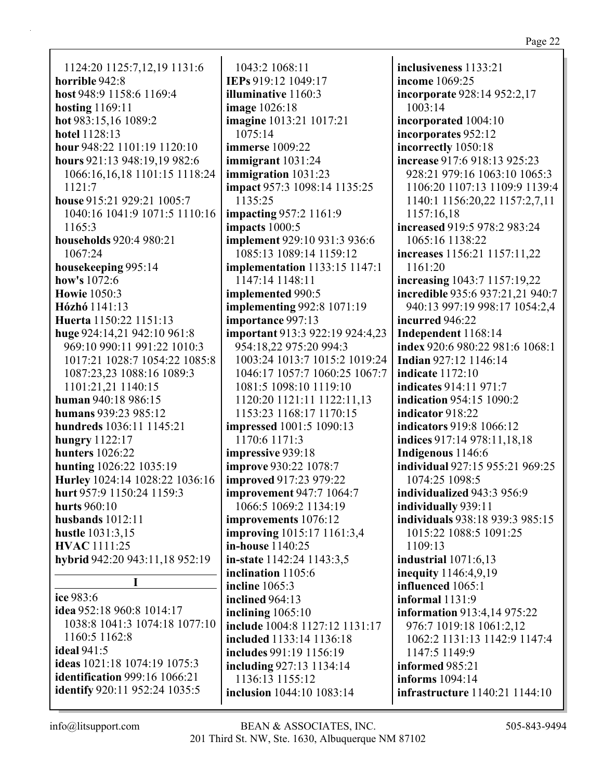| 1124:20 1125:7,12,19 1131:6         |
|-------------------------------------|
| horrible 942:8                      |
| host 948:9 1158:6 1169:4            |
| <b>hosting</b> 1169:11              |
| hot 983:15,16 1089:2                |
| hotel 1128:13                       |
| hour 948:22 1101:19 1120:10         |
| hours 921:13 948:19,19 982:6        |
| 1066:16,16,18 1101:15 1118:24       |
| 1121:7                              |
|                                     |
| house 915:21 929:21 1005:7          |
| 1040:16 1041:9 1071:5 1110:16       |
| 1165:3                              |
| households 920:4 980:21             |
| 1067:24                             |
| housekeeping 995:14                 |
| how's 1072:6                        |
| <b>Howie</b> 1050:3                 |
| Hózhó 1141:13                       |
| Huerta 1150:22 1151:13              |
| huge 924:14,21 942:10 961:8         |
| 969:10 990:11 991:22 1010:3         |
| 1017:21 1028:7 1054:22 1085:8       |
| 1087:23,23 1088:16 1089:3           |
| 1101:21,21 1140:15                  |
| human 940:18 986:15                 |
| humans 939:23 985:12                |
| hundreds 1036:11 1145:21            |
| hungry 1122:17                      |
|                                     |
| <b>hunters</b> 1026:22              |
| hunting 1026:22 1035:19             |
| Hurley 1024:14 1028:22 1036:16      |
| hurt 957:9 1150:24 1159:3           |
| <b>hurts</b> 960:10                 |
| husbands $1012:11$                  |
| hustle 1031:3,15                    |
| <b>HVAC</b> 1111:25                 |
| hybrid 942:20 943:11,18 952:19      |
| I                                   |
| ice 983:6                           |
|                                     |
| <b>idea</b> 952:18 960:8 1014:17    |
| 1038:8 1041:3 1074:18 1077:10       |
| 1160:5 1162:8                       |
| ideal 941:5                         |
| <b>ideas</b> 1021:18 1074:19 1075:3 |
| identification 999:16 1066:21       |
| identify 920:11 952:24 1035:5       |

1043:2 1068:11 **IEPs** 919:12 1049:17 **illuminative** 1160:3 **image** 1026:18 **imagine** 1013:21 1017:21 1075:14 **immerse** 1009:22 **immigrant** 1031:24 **immigration** 1031:23 **impact** 957:3 1098:14 1135:25 1135:25 **impacting** 957:2 1161:9 **impacts** 1000:5 **implement** 929:10 931:3 936:6 1085:13 1089:14 1159:12 **implementation** 1133:15 1147:1 1147:14 1148:11 **implemented** 990:5 **implementing** 992:8 1071:19 **importance** 997:13 **important** 913:3 922:19 924:4,23 954:18,22 975:20 994:3 1003:24 1013:7 1015:2 1019:24 1046:17 1057:7 1060:25 1067:7 1081:5 1098:10 1119:10 1120:20 1121:11 1122:11,13 1153:23 1168:17 1170:15 **impressed** 1001:5 1090:13 1170:6 1171:3 **impressive** 939:18 **improve** 930:22 1078:7 **improved** 917:23 979:22 **improvement** 947:7 1064:7 1066:5 1069:2 1134:19 **improvements** 1076:12 **improving** 1015:17 1161:3,4 **in-house** 1140:25 **in-state** 1142:24 1143:3,5 **inclination** 1105:6 **incline** 1065:3 **inclined** 964:13 **inclining** 1065:10 **include** 1004:8 1127:12 1131:17 **included** 1133:14 1136:18 **includes** 991:19 1156:19 **including** 927:13 1134:14 1136:13 1155:12 **inclusion** 1044:10 1083:14

**inclusiveness** 1133:21 **income** 1069:25 **incorporate** 928:14 952:2,17 1003:14 **incorporated** 1004:10 **incorporates** 952:12 **incorrectly** 1050:18 **increase** 917:6 918:13 925:23 928:21 979:16 1063:10 1065:3 1106:20 1107:13 1109:9 1139:4 1140:1 1156:20,22 1157:2,7,11 1157:16,18 **increased** 919:5 978:2 983:24 1065:16 1138:22 **increases** 1156:21 1157:11,22 1161:20 **increasing** 1043:7 1157:19,22 **incredible** 935:6 937:21,21 940:7 940:13 997:19 998:17 1054:2,4 **incurred** 946:22 **Independent** 1168:14 **index** 920:6 980:22 981:6 1068:1 **Indian** 927:12 1146:14 **indicate** 1172:10 **indicates** 914:11 971:7 **indication** 954:15 1090:2 **indicator** 918:22 **indicators** 919:8 1066:12 **indices** 917:14 978:11,18,18 **Indigenous** 1146:6 **individual** 927:15 955:21 969:25 1074:25 1098:5 **individualized** 943:3 956:9 **individually** 939:11 **individuals** 938:18 939:3 985:15 1015:22 1088:5 1091:25 1109:13 **industrial** 1071:6,13 **inequity** 1146:4,9,19 **influenced** 1065:1 **informal** 1131:9 **information** 913:4,14 975:22 976:7 1019:18 1061:2,12 1062:2 1131:13 1142:9 1147:4 1147:5 1149:9 **informed** 985:21 **informs** 1094:14 **infrastructure** 1140:21 1144:10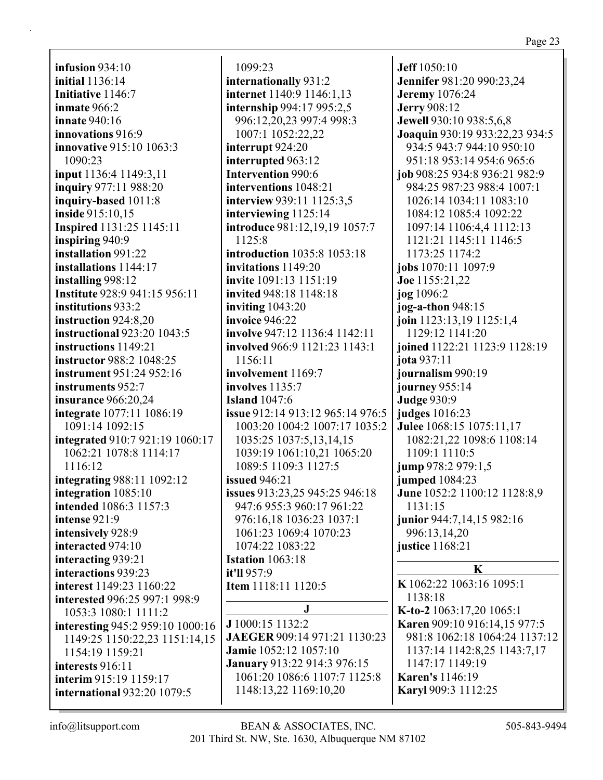**infusion** 934:10 **initial** 1136:14 **Initiative** 1146:7 **inmate** 966:2 **innate** 940:16 **innovations** 916:9 **innovative** 915:10 1063:3 1090:23 **input** 1136:4 1149:3,11 **inquiry** 977:11 988:20 **inquiry-based** 1011:8 **inside** 915:10,15 **Inspired** 1131:25 1145:11 **inspiring** 940:9 **installation** 991:22 **installations** 1144:17 **installing** 998:12 **Institute** 928:9 941:15 956:11 **institutions** 933:2 **instruction** 924:8,20 **instructional** 923:20 1043:5 **instructions** 1149:21 **instructor** 988:2 1048:25 **instrument** 951:24 952:16 **instruments** 952:7 **insurance** 966:20,24 **integrate** 1077:11 1086:19 1091:14 1092:15 **integrated** 910:7 921:19 1060:17 1062:21 1078:8 1114:17 1116:12 **integrating** 988:11 1092:12 **integration** 1085:10 **intended** 1086:3 1157:3 **intense** 921:9 **intensively** 928:9 **interacted** 974:10 **interacting** 939:21 **interactions** 939:23 **interest** 1149:23 1160:22 **interested** 996:25 997:1 998:9 1053:3 1080:1 1111:2 **interesting** 945:2 959:10 1000:16 1149:25 1150:22,23 1151:14,15 1154:19 1159:21 **interests** 916:11 **interim** 915:19 1159:17 **international** 932:20 1079:5

1099:23 **internationally** 931:2 **internet** 1140:9 1146:1,13 **internship** 994:17 995:2,5 996:12,20,23 997:4 998:3 1007:1 1052:22,22 **interrupt** 924:20 **interrupted** 963:12 **Intervention** 990:6 **interventions** 1048:21 **interview** 939:11 1125:3,5 **interviewing** 1125:14 **introduce** 981:12,19,19 1057:7 1125:8 **introduction** 1035:8 1053:18 **invitations** 1149:20 **invite** 1091:13 1151:19 **invited** 948:18 1148:18 **inviting** 1043:20 **invoice** 946:22 **involve** 947:12 1136:4 1142:11 **involved** 966:9 1121:23 1143:1 1156:11 **involvement** 1169:7 **involves** 1135:7 **Island** 1047:6 **issue** 912:14 913:12 965:14 976:5 1003:20 1004:2 1007:17 1035:2 1035:25 1037:5,13,14,15 1039:19 1061:10,21 1065:20 1089:5 1109:3 1127:5 **issued** 946:21 **issues** 913:23,25 945:25 946:18 947:6 955:3 960:17 961:22 976:16,18 1036:23 1037:1 1061:23 1069:4 1070:23 1074:22 1083:22 **Istation** 1063:18 **it'll** 957:9 **Item** 1118:11 1120:5 **J J** 1000:15 1132:2 **JAEGER** 909:14 971:21 1130:23 **Jamie** 1052:12 1057:10 **January** 913:22 914:3 976:15

**Jeff** 1050:10 **Jennifer** 981:20 990:23,24 **Jeremy** 1076:24 **Jerry** 908:12 **Jewell** 930:10 938:5,6,8 **Joaquin** 930:19 933:22,23 934:5 934:5 943:7 944:10 950:10 951:18 953:14 954:6 965:6 **job** 908:25 934:8 936:21 982:9 984:25 987:23 988:4 1007:1 1026:14 1034:11 1083:10 1084:12 1085:4 1092:22 1097:14 1106:4,4 1112:13 1121:21 1145:11 1146:5 1173:25 1174:2 **jobs** 1070:11 1097:9 **Joe** 1155:21,22 **jog** 1096:2 **jog-a-thon** 948:15 **join** 1123:13,19 1125:1,4 1129:12 1141:20 **joined** 1122:21 1123:9 1128:19 **jota** 937:11 **journalism** 990:19 **journey** 955:14 **Judge** 930:9 **judges** 1016:23 **Julee** 1068:15 1075:11,17 1082:21,22 1098:6 1108:14 1109:1 1110:5 **jump** 978:2 979:1,5 **jumped** 1084:23 **June** 1052:2 1100:12 1128:8,9 1131:15 **junior** 944:7,14,15 982:16 996:13,14,20 **justice** 1168:21 **K K** 1062:22 1063:16 1095:1 1138:18 **K-to-2** 1063:17,20 1065:1 **Karen** 909:10 916:14,15 977:5 981:8 1062:18 1064:24 1137:12 1137:14 1142:8,25 1143:7,17 1147:17 1149:19

**Karen's** 1146:19 **Karyl** 909:3 1112:25

1061:20 1086:6 1107:7 1125:8

1148:13,22 1169:10,20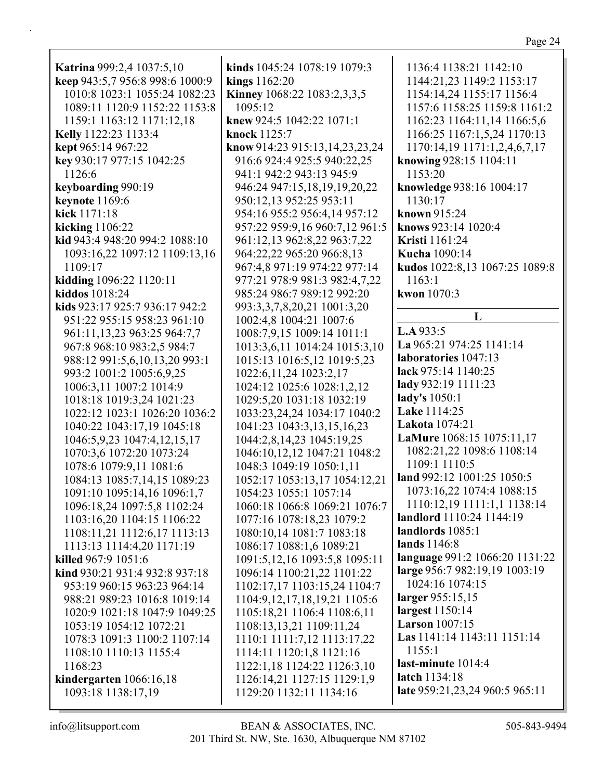| ١ |  |  |
|---|--|--|
|---|--|--|

| Katrina 999:2,4 1037:5,10       | kinds 1045:24 1078:19 1079:3       |
|---------------------------------|------------------------------------|
| keep 943:5,7 956:8 998:6 1000:9 | kings 1162:20                      |
| 1010:8 1023:1 1055:24 1082:23   | Kinney 1068:22 1083:2,3,3,5        |
| 1089:11 1120:9 1152:22 1153:8   | 1095:12                            |
| 1159:1 1163:12 1171:12,18       | knew 924:5 1042:22 1071:1          |
| Kelly 1122:23 1133:4            | knock 1125:7                       |
| kept 965:14 967:22              | know 914:23 915:13,14,23,23,24     |
| key 930:17 977:15 1042:25       | 916:6 924:4 925:5 940:22,25        |
| 1126:6                          | 941:1 942:2 943:13 945:9           |
| keyboarding 990:19              | 946:24 947:15,18,19,19,20,22       |
| <b>keynote</b> 1169:6           | 950:12,13 952:25 953:11            |
| kick 1171:18                    | 954:16 955:2 956:4,14 957:12       |
| kicking $1106:22$               | 957:22 959:9,16 960:7,12 961:      |
| kid 943:4 948:20 994:2 1088:10  | 961:12,13 962:8,22 963:7,22        |
| 1093:16,22 1097:12 1109:13,16   | 964:22,22 965:20 966:8,13          |
| 1109:17                         | 967:4,8 971:19 974:22 977:14       |
| kidding 1096:22 1120:11         | 977:21 978:9 981:3 982:4,7,22      |
| kiddos 1018:24                  | 985:24 986:7 989:12 992:20         |
| kids 923:17 925:7 936:17 942:2  | 993:3,3,7,8,20,21 1001:3,20        |
| 951:22 955:15 958:23 961:10     | 1002:4,8 1004:21 1007:6            |
| 961:11,13,23 963:25 964:7,7     | 1008:7,9,15 1009:14 1011:1         |
| 967:8 968:10 983:2,5 984:7      | 1013:3,6,11 1014:24 1015:3,10      |
| 988:12 991:5,6,10,13,20 993:1   | 1015:13 1016:5,12 1019:5,23        |
| 993:2 1001:2 1005:6,9,25        | 1022:6, 11, 24 1023:2, 17          |
| 1006:3,11 1007:2 1014:9         | 1024:12 1025:6 1028:1,2,12         |
| 1018:18 1019:3,24 1021:23       | 1029:5,20 1031:18 1032:19          |
| 1022:12 1023:1 1026:20 1036:2   | 1033:23,24,24 1034:17 1040:2       |
| 1040:22 1043:17,19 1045:18      | 1041:23 1043:3,13,15,16,23         |
| 1046:5,9,23 1047:4,12,15,17     | 1044:2,8,14,23 1045:19,25          |
| 1070:3,6 1072:20 1073:24        | 1046:10,12,12 1047:21 1048:2       |
| 1078:6 1079:9,11 1081:6         | 1048:3 1049:19 1050:1,11           |
| 1084:13 1085:7,14,15 1089:23    | 1052:17 1053:13,17 1054:12,2       |
| 1091:10 1095:14,16 1096:1,7     | 1054:23 1055:1 1057:14             |
| 1096:18,24 1097:5,8 1102:24     | 1060:18 1066:8 1069:21 1076:       |
| 1103:16,20 1104:15 1106:22      | 1077:16 1078:18,23 1079:2          |
| 1108:11,21 1112:6,17 1113:13    | 1080:10,14 1081:7 1083:18          |
| 1113:13 1114:4,20 1171:19       | 1086:17 1088:1,6 1089:21           |
| killed 967:9 1051:6             | 1091:5,12,16 1093:5,8 1095:11      |
| kind 930:21 931:4 932:8 937:18  | 1096:14 1100:21,22 1101:22         |
| 953:19 960:15 963:23 964:14     | 1102:17,17 1103:15,24 1104:7       |
| 988:21 989:23 1016:8 1019:14    | 1104:9, 12, 17, 18, 19, 21 1105: 6 |
| 1020:9 1021:18 1047:9 1049:25   | 1105:18,21 1106:4 1108:6,11        |
| 1053:19 1054:12 1072:21         | 1108:13,13,21 1109:11,24           |
| 1078:3 1091:3 1100:2 1107:14    | 1110:1 1111:7,12 1113:17,22        |
| 1108:10 1110:13 1155:4          | 1114:11 1120:1,8 1121:16           |
| 1168:23                         | 1122:1,18 1124:22 1126:3,10        |
| kindergarten 1066:16,18         | 1126:14,21 1127:15 1129:1,9        |
| 1093:18 1138:17,19              | 1129:20 1132:11 1134:16            |

**h** 914.23.23.24 60:7,12 961:5 24 1015:3,10 1052:17 1053:13,17 1054:12,21 69:21 1076:7  $:5,8$  1095:11 1136:4 1138:21 1142:10 1144:21,23 1149:2 1153:17 1154:14,24 1155:17 1156:4 1157:6 1158:25 1159:8 1161:2 1162:23 1164:11,14 1166:5,6 1166:25 1167:1,5,24 1170:13 1170:14,19 1171:1,2,4,6,7,17 **knowing** 928:15 1104:11 1153:20 **knowledge** 938:16 1004:17 1130:17 **known** 915:24 **knows** 923:14 1020:4 **Kristi** 1161:24 **Kucha** 1090:14 **kudos** 1022:8,13 1067:25 1089:8 1163:1 **kwon** 1070:3 **L L.A** 933:5 **La** 965:21 974:25 1141:14 **laboratories** 1047:13 **lack** 975:14 1140:25 **lady** 932:19 1111:23 **lady's** 1050:1 **Lake** 1114:25 **Lakota** 1074:21 **LaMure** 1068:15 1075:11,17 1082:21,22 1098:6 1108:14 1109:1 1110:5 **land** 992:12 1001:25 1050:5 1073:16,22 1074:4 1088:15 1110:12,19 1111:1,1 1138:14 **landlord** 1110:24 1144:19 **landlords** 1085:1 **lands** 1146:8 **language** 991:2 1066:20 1131:22 **large** 956:7 982:19,19 1003:19 1024:16 1074:15 **larger** 955:15,15 **largest** 1150:14 **Larson** 1007:15 **Las** 1141:14 1143:11 1151:14 1155:1 **last-minute** 1014:4 **latch** 1134:18 **late** 959:21,23,24 960:5 965:11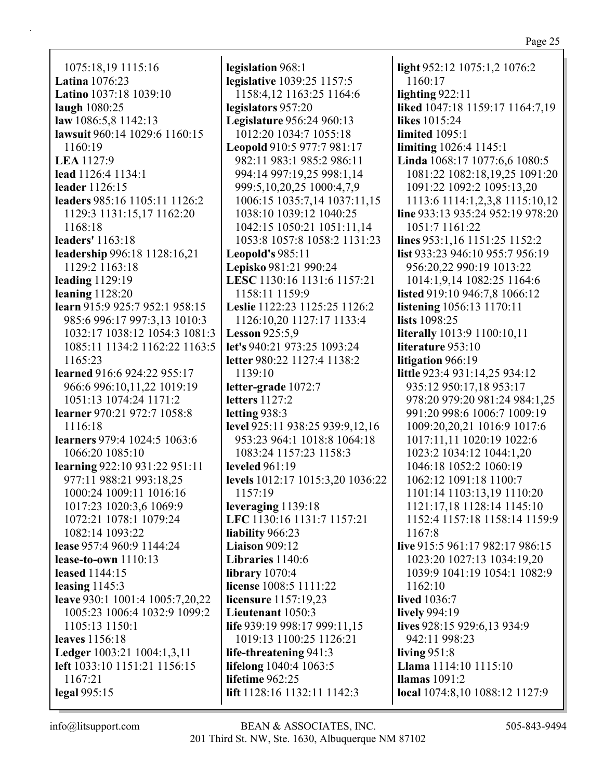1075:18,19 1115:16 **Latina** 1076:23 **Latino** 1037:18 1039:10 **laugh** 1080:25 **law** 1086:5,8 1142:13 **lawsuit** 960:14 1029:6 1160:15 1160:19 **LEA** 1127:9 **lead** 1126:4 1134:1 **leader** 1126:15 **leaders** 985:16 1105:11 1126:2 1129:3 1131:15,17 1162:20 1168:18 **leaders'** 1163:18 **leadership** 996:18 1128:16,21 1129:2 1163:18 **leading** 1129:19 **leaning** 1128:20 **learn** 915:9 925:7 952:1 958:15 985:6 996:17 997:3,13 1010:3 1032:17 1038:12 1054:3 1081:3 1085:11 1134:2 1162:22 1163:5 1165:23 **learned** 916:6 924:22 955:17 966:6 996:10,11,22 1019:19 1051:13 1074:24 1171:2 **learner** 970:21 972:7 1058:8 1116:18 **learners** 979:4 1024:5 1063:6 1066:20 1085:10 **learning** 922:10 931:22 951:11 977:11 988:21 993:18,25 1000:24 1009:11 1016:16 1017:23 1020:3,6 1069:9 1072:21 1078:1 1079:24 1082:14 1093:22 **lease** 957:4 960:9 1144:24 **lease-to-own** 1110:13 **leased** 1144:15 **leasing** 1145:3 **leave** 930:1 1001:4 1005:7,20,22 1005:23 1006:4 1032:9 1099:2 1105:13 1150:1 **leaves** 1156:18 **Ledger** 1003:21 1004:1,3,11 **left** 1033:10 1151:21 1156:15 1167:21 **legal** 995:15

**legislation** 968:1 **legislative** 1039:25 1157:5 1158:4,12 1163:25 1164:6 **legislators** 957:20 **Legislature** 956:24 960:13 1012:20 1034:7 1055:18 **Leopold** 910:5 977:7 981:17 982:11 983:1 985:2 986:11 994:14 997:19,25 998:1,14 999:5,10,20,25 1000:4,7,9 1006:15 1035:7,14 1037:11,15 1038:10 1039:12 1040:25 1042:15 1050:21 1051:11,14 1053:8 1057:8 1058:2 1131:23 **Leopold's** 985:11 **Lepisko** 981:21 990:24 **LESC** 1130:16 1131:6 1157:21 1158:11 1159:9 **Leslie** 1122:23 1125:25 1126:2 1126:10,20 1127:17 1133:4 **Lesson** 925:5,9 **let's** 940:21 973:25 1093:24 **letter** 980:22 1127:4 1138:2 1139:10 **letter-grade** 1072:7 **letters** 1127:2 **letting** 938:3 **level** 925:11 938:25 939:9,12,16 953:23 964:1 1018:8 1064:18 1083:24 1157:23 1158:3 **leveled** 961:19 **levels** 1012:17 1015:3,20 1036:22 1157:19 **leveraging** 1139:18 **LFC** 1130:16 1131:7 1157:21 **liability** 966:23 **Liaison** 909:12 **Libraries** 1140:6 **library** 1070:4 **license** 1008:5 1111:22 **licensure** 1157:19,23 **Lieutenant** 1050:3 **life** 939:19 998:17 999:11,15 1019:13 1100:25 1126:21 **life-threatening** 941:3 **lifelong** 1040:4 1063:5 **lifetime** 962:25 **lift** 1128:16 1132:11 1142:3

**light** 952:12 1075:1,2 1076:2 1160:17 **lighting** 922:11 **liked** 1047:18 1159:17 1164:7,19 **likes** 1015:24 **limited** 1095:1 **limiting** 1026:4 1145:1 **Linda** 1068:17 1077:6,6 1080:5 1081:22 1082:18,19,25 1091:20 1091:22 1092:2 1095:13,20 1113:6 1114:1,2,3,8 1115:10,12 **line** 933:13 935:24 952:19 978:20 1051:7 1161:22 **lines** 953:1,16 1151:25 1152:2 **list** 933:23 946:10 955:7 956:19 956:20,22 990:19 1013:22 1014:1,9,14 1082:25 1164:6 **listed** 919:10 946:7,8 1066:12 **listening** 1056:13 1170:11 **lists** 1098:25 **literally** 1013:9 1100:10,11 **literature** 953:10 **litigation** 966:19 **little** 923:4 931:14,25 934:12 935:12 950:17,18 953:17 978:20 979:20 981:24 984:1,25 991:20 998:6 1006:7 1009:19 1009:20,20,21 1016:9 1017:6 1017:11,11 1020:19 1022:6 1023:2 1034:12 1044:1,20 1046:18 1052:2 1060:19 1062:12 1091:18 1100:7 1101:14 1103:13,19 1110:20 1121:17,18 1128:14 1145:10 1152:4 1157:18 1158:14 1159:9 1167:8 **live** 915:5 961:17 982:17 986:15 1023:20 1027:13 1034:19,20 1039:9 1041:19 1054:1 1082:9 1162:10 **lived** 1036:7 **lively** 994:19 **lives** 928:15 929:6,13 934:9 942:11 998:23 **living** 951:8 **Llama** 1114:10 1115:10 **llamas** 1091:2 **local** 1074:8,10 1088:12 1127:9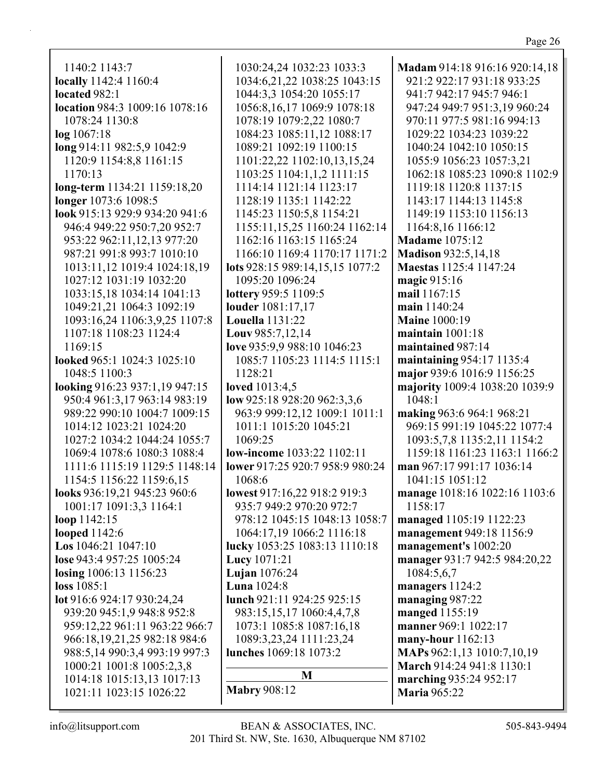**Madam** 914:18 916:16 920:14,18

1140:2 1143:7 **locally** 1142:4 1160:4 **located** 982:1 **location** 984:3 1009:16 1078:16 1078:24 1130:8 **log** 1067:18 **long** 914:11 982:5,9 1042:9 1120:9 1154:8,8 1161:15 1170:13 **long-term** 1134:21 1159:18,20 **longer** 1073:6 1098:5 **look** 915:13 929:9 934:20 941:6 946:4 949:22 950:7,20 952:7 953:22 962:11,12,13 977:20 987:21 991:8 993:7 1010:10 1013:11,12 1019:4 1024:18,19 1027:12 1031:19 1032:20 1033:15,18 1034:14 1041:13 1049:21,21 1064:3 1092:19 1093:16,24 1106:3,9,25 1107:8 1107:18 1108:23 1124:4 1169:15 **looked** 965:1 1024:3 1025:10 1048:5 1100:3 **looking** 916:23 937:1,19 947:15 950:4 961:3,17 963:14 983:19 989:22 990:10 1004:7 1009:15 1014:12 1023:21 1024:20 1027:2 1034:2 1044:24 1055:7 1069:4 1078:6 1080:3 1088:4 1111:6 1115:19 1129:5 1148:14 1154:5 1156:22 1159:6,15 **looks** 936:19,21 945:23 960:6 1001:17 1091:3,3 1164:1 **loop** 1142:15 **looped** 1142:6 **Los** 1046:21 1047:10 **lose** 943:4 957:25 1005:24 **losing** 1006:13 1156:23 **loss** 1085:1 **lot** 916:6 924:17 930:24,24 939:20 945:1,9 948:8 952:8 959:12,22 961:11 963:22 966:7 966:18,19,21,25 982:18 984:6 988:5,14 990:3,4 993:19 997:3 1000:21 1001:8 1005:2,3,8 1014:18 1015:13,13 1017:13 1021:11 1023:15 1026:22 1030:24,24 1032:23 1033:3 1034:6,21,22 1038:25 1043:15 1044:3,3 1054:20 1055:17 1056:8,16,17 1069:9 1078:18 1078:19 1079:2,22 1080:7 1084:23 1085:11,12 1088:17 1089:21 1092:19 1100:15 1101:22,22 1102:10,13,15,24 1103:25 1104:1,1,2 1111:15 1114:14 1121:14 1123:17 1128:19 1135:1 1142:22 1145:23 1150:5,8 1154:21 1155:11,15,25 1160:24 1162:14 1162:16 1163:15 1165:24 1166:10 1169:4 1170:17 1171:2 **lots** 928:15 989:14,15,15 1077:2 1095:20 1096:24 **lottery** 959:5 1109:5 **louder** 1081:17,17 **Louella** 1131:22 **Louv** 985:7,12,14 **love** 935:9,9 988:10 1046:23 1085:7 1105:23 1114:5 1115:1 1128:21 **loved** 1013:4,5 **low** 925:18 928:20 962:3,3,6 963:9 999:12,12 1009:1 1011:1 1011:1 1015:20 1045:21 1069:25 **low-income** 1033:22 1102:11 **lower** 917:25 920:7 958:9 980:24 1068:6 **lowest** 917:16,22 918:2 919:3 935:7 949:2 970:20 972:7 978:12 1045:15 1048:13 1058:7 1064:17,19 1066:2 1116:18 **lucky** 1053:25 1083:13 1110:18 **Lucy** 1071:21 **Lujan** 1076:24 **Luna** 1024:8 **lunch** 921:11 924:25 925:15 983:15,15,17 1060:4,4,7,8 1073:1 1085:8 1087:16,18 1089:3,23,24 1111:23,24 **lunches** 1069:18 1073:2 **M Mabry** 908:12

921:2 922:17 931:18 933:25 941:7 942:17 945:7 946:1 947:24 949:7 951:3,19 960:24 970:11 977:5 981:16 994:13 1029:22 1034:23 1039:22 1040:24 1042:10 1050:15 1055:9 1056:23 1057:3,21 1062:18 1085:23 1090:8 1102:9 1119:18 1120:8 1137:15 1143:17 1144:13 1145:8 1149:19 1153:10 1156:13 1164:8,16 1166:12 **Madame** 1075:12 **Madison** 932:5,14,18 **Maestas** 1125:4 1147:24 **magic** 915:16 **mail** 1167:15 **main** 1140:24 **Maine** 1000:19 **maintain** 1001:18 **maintained** 987:14 **maintaining** 954:17 1135:4 **major** 939:6 1016:9 1156:25 **majority** 1009:4 1038:20 1039:9 1048:1 **making** 963:6 964:1 968:21 969:15 991:19 1045:22 1077:4 1093:5,7,8 1135:2,11 1154:2 1159:18 1161:23 1163:1 1166:2 **man** 967:17 991:17 1036:14 1041:15 1051:12 **manage** 1018:16 1022:16 1103:6 1158:17 **managed** 1105:19 1122:23 **management** 949:18 1156:9 **management's** 1002:20 **manager** 931:7 942:5 984:20,22 1084:5,6,7 **managers** 1124:2 **managing** 987:22 **manged** 1155:19 **manner** 969:1 1022:17 **many-hour** 1162:13 **MAPs** 962:1,13 1010:7,10,19 **March** 914:24 941:8 1130:1 **marching** 935:24 952:17 **Maria** 965:22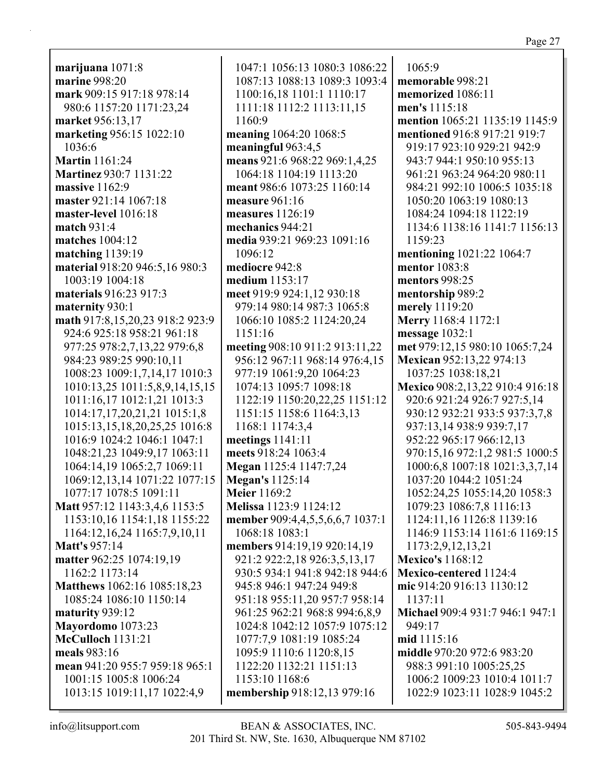**marijuana** 1071:8 **marine** 998:20 **mark** 909:15 917:18 978:14 980:6 1157:20 1171:23,24 **market** 956:13,17 **marketing** 956:15 1022:10 1036:6 **Martin** 1161:24 **Martinez** 930:7 1131:22 **massive** 1162:9 **master** 921:14 1067:18 **master-level** 1016:18 **match** 931:4 **matches** 1004:12 **matching** 1139:19 **material** 918:20 946:5,16 980:3 1003:19 1004:18 **materials** 916:23 917:3 **maternity** 930:1 **math** 917:8,15,20,23 918:2 923:9 924:6 925:18 958:21 961:18 977:25 978:2,7,13,22 979:6,8 984:23 989:25 990:10,11 1008:23 1009:1,7,14,17 1010:3 1010:13,25 1011:5,8,9,14,15,15 1011:16,17 1012:1,21 1013:3 1014:17,17,20,21,21 1015:1,8 1015:13,15,18,20,25,25 1016:8 1016:9 1024:2 1046:1 1047:1 1048:21,23 1049:9,17 1063:11 1064:14,19 1065:2,7 1069:11 1069:12,13,14 1071:22 1077:15 1077:17 1078:5 1091:11 **Matt** 957:12 1143:3,4,6 1153:5 1153:10,16 1154:1,18 1155:22 1164:12,16,24 1165:7,9,10,11 **Matt's** 957:14 **matter** 962:25 1074:19,19 1162:2 1173:14 **Matthews** 1062:16 1085:18,23 1085:24 1086:10 1150:14 **maturity** 939:12 **Mayordomo** 1073:23 **McCulloch** 1131:21 **meals** 983:16 **mean** 941:20 955:7 959:18 965:1 1001:15 1005:8 1006:24 1013:15 1019:11,17 1022:4,9

1047:1 1056:13 1080:3 1086:22 1087:13 1088:13 1089:3 1093:4 1100:16,18 1101:1 1110:17 1111:18 1112:2 1113:11,15 1160:9 **meaning** 1064:20 1068:5 **meaningful** 963:4,5 **means** 921:6 968:22 969:1,4,25 1064:18 1104:19 1113:20 **meant** 986:6 1073:25 1160:14 **measure** 961:16 **measures** 1126:19 **mechanics** 944:21 **media** 939:21 969:23 1091:16 1096:12 **mediocre** 942:8 **medium** 1153:17 **meet** 919:9 924:1,12 930:18 979:14 980:14 987:3 1065:8 1066:10 1085:2 1124:20,24 1151:16 **meeting** 908:10 911:2 913:11,22 956:12 967:11 968:14 976:4,15 977:19 1061:9,20 1064:23 1074:13 1095:7 1098:18 1122:19 1150:20,22,25 1151:12 1151:15 1158:6 1164:3,13 1168:1 1174:3,4 **meetings** 1141:11 **meets** 918:24 1063:4 **Megan** 1125:4 1147:7,24 **Megan's** 1125:14 **Meier** 1169:2 **Melissa** 1123:9 1124:12 **member** 909:4,4,5,5,6,6,7 1037:1 1068:18 1083:1 **members** 914:19,19 920:14,19 921:2 922:2,18 926:3,5,13,17 930:5 934:1 941:8 942:18 944:6 945:8 946:1 947:24 949:8 951:18 955:11,20 957:7 958:14 961:25 962:21 968:8 994:6,8,9 1024:8 1042:12 1057:9 1075:12 1077:7,9 1081:19 1085:24 1095:9 1110:6 1120:8,15 1122:20 1132:21 1151:13 1153:10 1168:6 **membership** 918:12,13 979:16

1065:9 **memorable** 998:21 **memorized** 1086:11 **men's** 1115:18 **mention** 1065:21 1135:19 1145:9 **mentioned** 916:8 917:21 919:7 919:17 923:10 929:21 942:9 943:7 944:1 950:10 955:13 961:21 963:24 964:20 980:11 984:21 992:10 1006:5 1035:18 1050:20 1063:19 1080:13 1084:24 1094:18 1122:19 1134:6 1138:16 1141:7 1156:13 1159:23 **mentioning** 1021:22 1064:7 **mentor** 1083:8 **mentors** 998:25 **mentorship** 989:2 **merely** 1119:20 **Merry** 1168:4 1172:1 **message** 1032:1 **met** 979:12,15 980:10 1065:7,24 **Mexican** 952:13,22 974:13 1037:25 1038:18,21 **Mexico** 908:2,13,22 910:4 916:18 920:6 921:24 926:7 927:5,14 930:12 932:21 933:5 937:3,7,8 937:13,14 938:9 939:7,17 952:22 965:17 966:12,13 970:15,16 972:1,2 981:5 1000:5 1000:6,8 1007:18 1021:3,3,7,14 1037:20 1044:2 1051:24 1052:24,25 1055:14,20 1058:3 1079:23 1086:7,8 1116:13 1124:11,16 1126:8 1139:16 1146:9 1153:14 1161:6 1169:15 1173:2,9,12,13,21 **Mexico's** 1168:12 **Mexico-centered** 1124:4 **mic** 914:20 916:13 1130:12 1137:11 **Michael** 909:4 931:7 946:1 947:1 949:17 **mid** 1115:16 **middle** 970:20 972:6 983:20 988:3 991:10 1005:25,25 1006:2 1009:23 1010:4 1011:7 1022:9 1023:11 1028:9 1045:2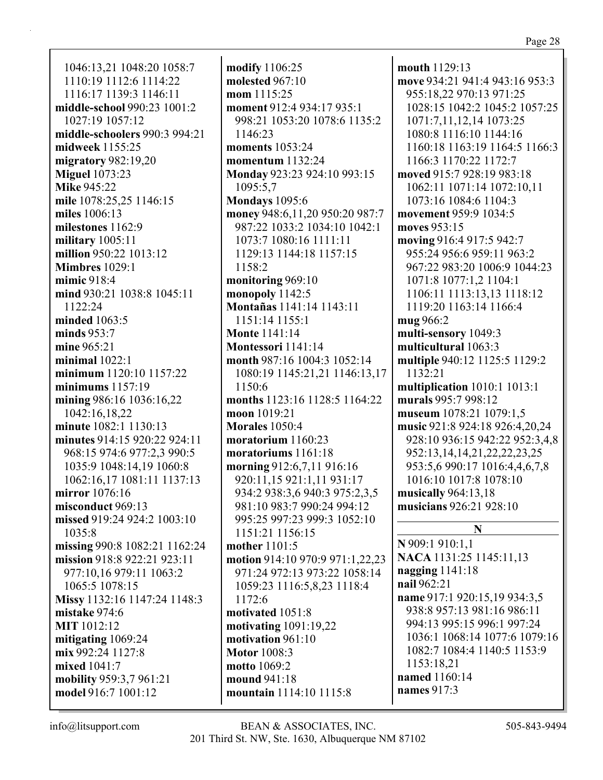1046:13,21 1048:20 1058:7 1110:19 1112:6 1114:22 1116:17 1139:3 1146:11 **middle-school** 990:23 1001:2 1027:19 1057:12 **middle-schoolers** 990:3 994:21 **midweek** 1155:25 **migratory** 982:19,20 **Miguel** 1073:23 **Mike** 945:22 **mile** 1078:25,25 1146:15 **miles** 1006:13 **milestones** 1162:9 **military** 1005:11 **million** 950:22 1013:12 **Mimbres** 1029:1 **mimic** 918:4 **mind** 930:21 1038:8 1045:11 1122:24 **minded** 1063:5 **minds** 953:7 **mine** 965:21 **minimal** 1022:1 **minimum** 1120:10 1157:22 **minimums** 1157:19 **mining** 986:16 1036:16,22 1042:16,18,22 **minute** 1082:1 1130:13 **minutes** 914:15 920:22 924:11 968:15 974:6 977:2,3 990:5 1035:9 1048:14,19 1060:8 1062:16,17 1081:11 1137:13 **mirror** 1076:16 **misconduct** 969:13 **missed** 919:24 924:2 1003:10 1035:8 **missing** 990:8 1082:21 1162:24 **mission** 918:8 922:21 923:11 977:10,16 979:11 1063:2 1065:5 1078:15 **Missy** 1132:16 1147:24 1148:3 **mistake** 974:6 **MIT** 1012:12 **mitigating** 1069:24 **mix** 992:24 1127:8 **mixed** 1041:7 **mobility** 959:3,7 961:21 **model** 916:7 1001:12

**modify** 1106:25 **molested** 967:10 **mom** 1115:25 **moment** 912:4 934:17 935:1 998:21 1053:20 1078:6 1135:2 1146:23 **moments** 1053:24 **momentum** 1132:24 **Monday** 923:23 924:10 993:15 1095:5,7 **Mondays** 1095:6 **money** 948:6,11,20 950:20 987:7 987:22 1033:2 1034:10 1042:1 1073:7 1080:16 1111:11 1129:13 1144:18 1157:15 1158:2 **monitoring** 969:10 **monopoly** 1142:5 **Montañas** 1141:14 1143:11 1151:14 1155:1 **Monte** 1141:14 **Montessori** 1141:14 **month** 987:16 1004:3 1052:14 1080:19 1145:21,21 1146:13,17 1150:6 **months** 1123:16 1128:5 1164:22 **moon** 1019:21 **Morales** 1050:4 **moratorium** 1160:23 **moratoriums** 1161:18 **morning** 912:6,7,11 916:16 920:11,15 921:1,11 931:17 934:2 938:3,6 940:3 975:2,3,5 981:10 983:7 990:24 994:12 995:25 997:23 999:3 1052:10 1151:21 1156:15 **mother** 1101:5 **motion** 914:10 970:9 971:1,22,23 971:24 972:13 973:22 1058:14 1059:23 1116:5,8,23 1118:4 1172:6 **motivated** 1051:8 **motivating** 1091:19,22 **motivation** 961:10 **Motor** 1008:3 **motto** 1069:2 **mound** 941:18 **mountain** 1114:10 1115:8

**mouth** 1129:13 **move** 934:21 941:4 943:16 953:3 955:18,22 970:13 971:25 1028:15 1042:2 1045:2 1057:25 1071:7,11,12,14 1073:25 1080:8 1116:10 1144:16 1160:18 1163:19 1164:5 1166:3 1166:3 1170:22 1172:7 **moved** 915:7 928:19 983:18 1062:11 1071:14 1072:10,11 1073:16 1084:6 1104:3 **movement** 959:9 1034:5 **moves** 953:15 **moving** 916:4 917:5 942:7 955:24 956:6 959:11 963:2 967:22 983:20 1006:9 1044:23 1071:8 1077:1,2 1104:1 1106:11 1113:13,13 1118:12 1119:20 1163:14 1166:4 **mug** 966:2 **multi-sensory** 1049:3 **multicultural** 1063:3 **multiple** 940:12 1125:5 1129:2 1132:21 **multiplication** 1010:1 1013:1 **murals** 995:7 998:12 **museum** 1078:21 1079:1,5 **music** 921:8 924:18 926:4,20,24 928:10 936:15 942:22 952:3,4,8 952:13,14,14,21,22,22,23,25 953:5,6 990:17 1016:4,4,6,7,8 1016:10 1017:8 1078:10 **musically** 964:13,18 **musicians** 926:21 928:10 **N N** 909:1 910:1,1 **NACA** 1131:25 1145:11,13 **nagging** 1141:18 **nail** 962:21 **name** 917:1 920:15,19 934:3,5 938:8 957:13 981:16 986:11 994:13 995:15 996:1 997:24 1036:1 1068:14 1077:6 1079:16

1082:7 1084:4 1140:5 1153:9 1153:18,21 **named** 1160:14 **names** 917:3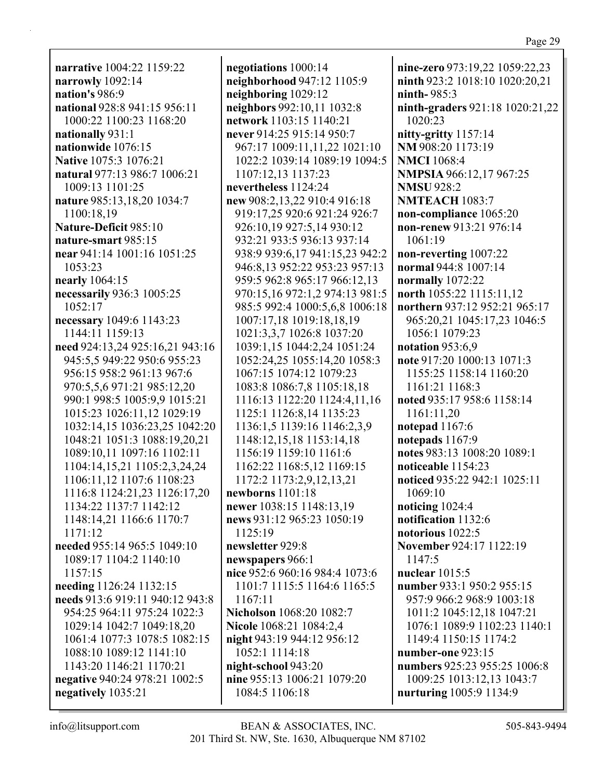**narrative** 1004:22 1159:22 **narrowly** 1092:14 **nation's** 986:9 **national** 928:8 941:15 956:11 1000:22 1100:23 1168:20 **nationally** 931:1 **nationwide** 1076:15 **Native** 1075:3 1076:21 **natural** 977:13 986:7 1006:21 1009:13 1101:25 **nature** 985:13,18,20 1034:7 1100:18,19 **Nature-Deficit** 985:10 **nature-smart** 985:15 **near** 941:14 1001:16 1051:25 1053:23 **nearly** 1064:15 **necessarily** 936:3 1005:25 1052:17 **necessary** 1049:6 1143:23 1144:11 1159:13 **need** 924:13,24 925:16,21 943:16 945:5,5 949:22 950:6 955:23 956:15 958:2 961:13 967:6 970:5,5,6 971:21 985:12,20 990:1 998:5 1005:9,9 1015:21 1015:23 1026:11,12 1029:19 1032:14,15 1036:23,25 1042:20 1048:21 1051:3 1088:19,20,21 1089:10,11 1097:16 1102:11 1104:14,15,21 1105:2,3,24,24 1106:11,12 1107:6 1108:23 1116:8 1124:21,23 1126:17,20 1134:22 1137:7 1142:12 1148:14,21 1166:6 1170:7 1171:12 **needed** 955:14 965:5 1049:10 1089:17 1104:2 1140:10 1157:15 **needing** 1126:24 1132:15 **needs** 913:6 919:11 940:12 943:8 954:25 964:11 975:24 1022:3 1029:14 1042:7 1049:18,20 1061:4 1077:3 1078:5 1082:15 1088:10 1089:12 1141:10 1143:20 1146:21 1170:21 **negative** 940:24 978:21 1002:5 **negatively** 1035:21

**negotiations** 1000:14 **neighborhood** 947:12 1105:9 **neighboring** 1029:12 **neighbors** 992:10,11 1032:8 **network** 1103:15 1140:21 **never** 914:25 915:14 950:7 967:17 1009:11,11,22 1021:10 1022:2 1039:14 1089:19 1094:5 1107:12,13 1137:23 **nevertheless** 1124:24 **new** 908:2,13,22 910:4 916:18 919:17,25 920:6 921:24 926:7 926:10,19 927:5,14 930:12 932:21 933:5 936:13 937:14 938:9 939:6,17 941:15,23 942:2 946:8,13 952:22 953:23 957:13 959:5 962:8 965:17 966:12,13 970:15,16 972:1,2 974:13 981:5 985:5 992:4 1000:5,6,8 1006:18 1007:17,18 1019:18,18,19 1021:3,3,7 1026:8 1037:20 1039:1,15 1044:2,24 1051:24 1052:24,25 1055:14,20 1058:3 1067:15 1074:12 1079:23 1083:8 1086:7,8 1105:18,18 1116:13 1122:20 1124:4,11,16 1125:1 1126:8,14 1135:23 1136:1,5 1139:16 1146:2,3,9 1148:12,15,18 1153:14,18 1156:19 1159:10 1161:6 1162:22 1168:5,12 1169:15 1172:2 1173:2,9,12,13,21 **newborns** 1101:18 **newer** 1038:15 1148:13,19 **news** 931:12 965:23 1050:19 1125:19 **newsletter** 929:8 **newspapers** 966:1 **nice** 952:6 960:16 984:4 1073:6 1101:7 1115:5 1164:6 1165:5 1167:11 **Nicholson** 1068:20 1082:7 **Nicole** 1068:21 1084:2,4 **night** 943:19 944:12 956:12 1052:1 1114:18 **night-school** 943:20 **nine** 955:13 1006:21 1079:20 1084:5 1106:18

**nine-zero** 973:19,22 1059:22,23 **ninth** 923:2 1018:10 1020:20,21 **ninth-** 985:3 **ninth-graders** 921:18 1020:21,22 1020:23 **nitty-gritty** 1157:14 **NM** 908:20 1173:19 **NMCI** 1068:4 **NMPSIA** 966:12,17 967:25 **NMSU** 928:2 **NMTEACH** 1083:7 **non-compliance** 1065:20 **non-renew** 913:21 976:14 1061:19 **non-reverting** 1007:22 **normal** 944:8 1007:14 **normally** 1072:22 **north** 1055:22 1115:11,12 **northern** 937:12 952:21 965:17 965:20,21 1045:17,23 1046:5 1056:1 1079:23 **notation** 953:6,9 **note** 917:20 1000:13 1071:3 1155:25 1158:14 1160:20 1161:21 1168:3 **noted** 935:17 958:6 1158:14 1161:11,20 **notepad** 1167:6 **notepads** 1167:9 **notes** 983:13 1008:20 1089:1 **noticeable** 1154:23 **noticed** 935:22 942:1 1025:11 1069:10 **noticing** 1024:4 **notification** 1132:6 **notorious** 1022:5 **November** 924:17 1122:19 1147:5 **nuclear** 1015:5 **number** 933:1 950:2 955:15 957:9 966:2 968:9 1003:18 1011:2 1045:12,18 1047:21 1076:1 1089:9 1102:23 1140:1 1149:4 1150:15 1174:2 **number-one** 923:15 **numbers** 925:23 955:25 1006:8 1009:25 1013:12,13 1043:7 **nurturing** 1005:9 1134:9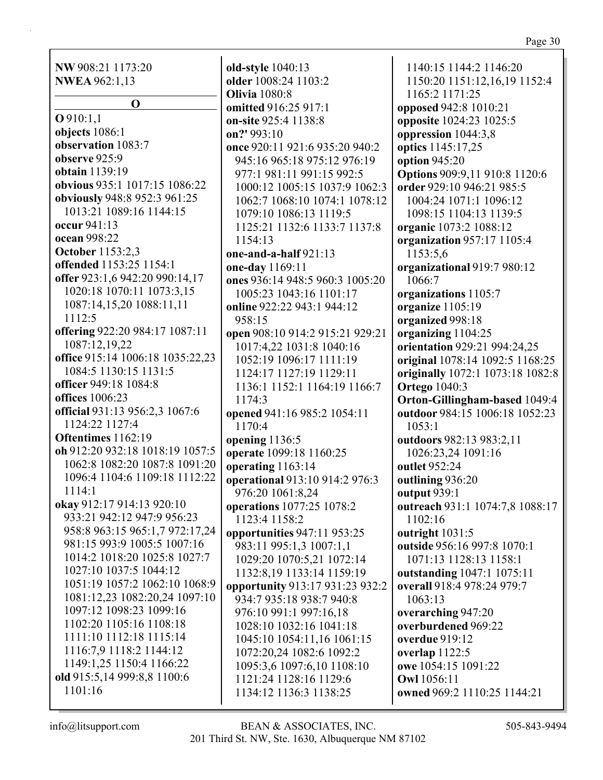**NW** 908:21 1173:20 **NWEA** 962:1,13

**O O** 910:1,1 **objects** 1086:1 **observation** 1083:7 **observe** 925:9 **obtain** 1139:19 **obvious** 935:1 1017:15 1086:22 **obviously** 948:8 952:3 961:25 1013:21 1089:16 1144:15 **occur** 941:13 **ocean** 998:22 **October** 1153:2,3 **offended** 1153:25 1154:1 **offer** 923:1,6 942:20 990:14,17 1020:18 1070:11 1073:3,15 1087:14,15,20 1088:11,11 1112:5 **offering** 922:20 984:17 1087:11 1087:12,19,22 **office** 915:14 1006:18 1035:22,23 1084:5 1130:15 1131:5 **officer** 949:18 1084:8 **offices** 1006:23 **official** 931:13 956:2,3 1067:6 1124:22 1127:4 **Oftentimes** 1162:19 **oh** 912:20 932:18 1018:19 1057:5 1062:8 1082:20 1087:8 1091:20 1096:4 1104:6 1109:18 1112:22 1114:1 **okay** 912:17 914:13 920:10 933:21 942:12 947:9 956:23 958:8 963:15 965:1,7 972:17,24 981:15 993:9 1005:5 1007:16 1014:2 1018:20 1025:8 1027:7 1027:10 1037:5 1044:12 1051:19 1057:2 1062:10 1068:9 1081:12,23 1082:20,24 1097:10 1097:12 1098:23 1099:16 1102:20 1105:16 1108:18 1111:10 1112:18 1115:14 1116:7,9 1118:2 1144:12 1149:1,25 1150:4 1166:22 **old** 915:5,14 999:8,8 1100:6 1101:16

**older** 1008:24 1103:2 **Olivia** 1080:8 **omitted** 916:25 917:1 **on-site** 925:4 1138:8 **on?'** 993:10 **once** 920:11 921:6 935:20 940:2 945:16 965:18 975:12 976:19 977:1 981:11 991:15 992:5 1000:12 1005:15 1037:9 1062:3 1062:7 1068:10 1074:1 1078:12 1079:10 1086:13 1119:5 1125:21 1132:6 1133:7 1137:8 1154:13 **one-and-a-half** 921:13 **one-day** 1169:11 **ones** 936:14 948:5 960:3 1005:20 1005:23 1043:16 1101:17 **online** 922:22 943:1 944:12 958:15 **open** 908:10 914:2 915:21 929:21 1017:4,22 1031:8 1040:16 1052:19 1096:17 1111:19 1124:17 1127:19 1129:11 1136:1 1152:1 1164:19 1166:7 1174:3 **opened** 941:16 985:2 1054:11 1170:4 **opening** 1136:5 **operate** 1099:18 1160:25 **operating** 1163:14 **operational** 913:10 914:2 976:3 976:20 1061:8,24 **operations** 1077:25 1078:2 1123:4 1158:2 **opportunities** 947:11 953:25 983:11 995:1,3 1007:1,1 1029:20 1070:5,21 1072:14 1132:8,19 1133:14 1159:19 **opportunity** 913:17 931:23 932:2 934:7 935:18 938:7 940:8 976:10 991:1 997:16,18 1028:10 1032:16 1041:18 1045:10 1054:11,16 1061:15 1072:20,24 1082:6 1092:2 1095:3,6 1097:6,10 1108:10 1121:24 1128:16 1129:6 1134:12 1136:3 1138:25

**old-style** 1040:13

1140:15 1144:2 1146:20 1150:20 1151:12,16,19 1152:4 1165:2 1171:25 **opposed** 942:8 1010:21 **opposite** 1024:23 1025:5 **oppression** 1044:3,8 **optics** 1145:17,25 **option** 945:20 **Options** 909:9,11 910:8 1120:6 **order** 929:10 946:21 985:5 1004:24 1071:1 1096:12 1098:15 1104:13 1139:5 **organic** 1073:2 1088:12 **organization** 957:17 1105:4 1153:5,6 **organizational** 919:7 980:12 1066:7 **organizations** 1105:7 **organize** 1105:19 **organized** 998:18 **organizing** 1104:25 **orientation** 929:21 994:24,25 **original** 1078:14 1092:5 1168:25 **originally** 1072:1 1073:18 1082:8 **Ortego** 1040:3 **Orton-Gillingham-based** 1049:4 **outdoor** 984:15 1006:18 1052:23 1053:1 **outdoors** 982:13 983:2,11 1026:23,24 1091:16 **outlet** 952:24 **outlining** 936:20 **output** 939:1 **outreach** 931:1 1074:7,8 1088:17 1102:16 **outright** 1031:5 **outside** 956:16 997:8 1070:1 1071:13 1128:13 1158:1 **outstanding** 1047:1 1075:11 **overall** 918:4 978:24 979:7 1063:13 **overarching** 947:20 **overburdened** 969:22 **overdue** 919:12 **overlap** 1122:5 **owe** 1054:15 1091:22 **Owl** 1056:11 **owned** 969:2 1110:25 1144:21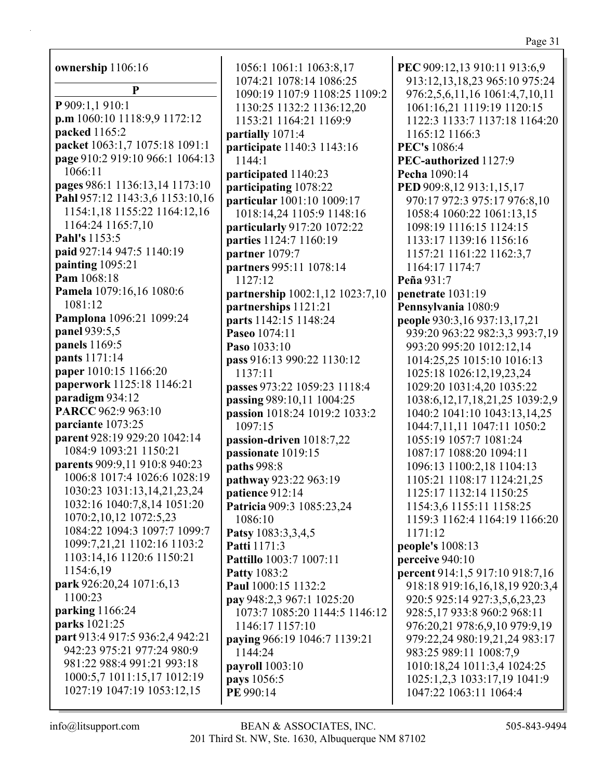| ownership 1106:16               | 1056:1 1061:1 1063:8,17                             |
|---------------------------------|-----------------------------------------------------|
| P                               | 1074:21 1078:14 1086:25                             |
| P 909:1,1 910:1                 | 1090:19 1107:9 1108:25 1109:2                       |
| p.m 1060:10 1118:9,9 1172:12    | 1130:25 1132:2 1136:12,20<br>1153:21 1164:21 1169:9 |
| packed 1165:2                   |                                                     |
| packet 1063:1,7 1075:18 1091:1  | partially 1071:4                                    |
| page 910:2 919:10 966:1 1064:13 | participate 1140:3 1143:16<br>1144:1                |
| 1066:11                         |                                                     |
| pages 986:1 1136:13,14 1173:10  | participated 1140:23<br>participating 1078:22       |
| Pahl 957:12 1143:3,6 1153:10,16 | particular 1001:10 1009:17                          |
| 1154:1,18 1155:22 1164:12,16    | 1018:14,24 1105:9 1148:16                           |
| 1164:24 1165:7,10               | particularly 917:20 1072:22                         |
| Pahl's 1153:5                   | parties 1124:7 1160:19                              |
| paid 927:14 947:5 1140:19       | partner 1079:7                                      |
| painting 1095:21                | partners 995:11 1078:14                             |
| Pam 1068:18                     | 1127:12                                             |
| Pamela 1079:16,16 1080:6        | partnership 1002:1,12 1023:7,10                     |
| 1081:12                         | partnerships 1121:21                                |
| Pamplona 1096:21 1099:24        | parts 1142:15 1148:24                               |
| panel 939:5,5                   | Paseo 1074:11                                       |
| panels 1169:5                   | Paso 1033:10                                        |
| pants 1171:14                   | pass 916:13 990:22 1130:12                          |
| paper 1010:15 1166:20           | 1137:11                                             |
| paperwork 1125:18 1146:21       | passes 973:22 1059:23 1118:4                        |
| paradigm 934:12                 | passing 989:10,11 1004:25                           |
| PARCC 962:9 963:10              | passion 1018:24 1019:2 1033:2                       |
| parciante 1073:25               | 1097:15                                             |
| parent 928:19 929:20 1042:14    | passion-driven 1018:7,22                            |
| 1084:9 1093:21 1150:21          | passionate 1019:15                                  |
| parents 909:9,11 910:8 940:23   | paths 998:8                                         |
| 1006:8 1017:4 1026:6 1028:19    | pathway 923:22 963:19                               |
| 1030:23 1031:13,14,21,23,24     | patience 912:14                                     |
| 1032:16 1040:7,8,14 1051:20     | Patricia 909:3 1085:23,24                           |
| 1070:2,10,12 1072:5,23          | 1086:10                                             |
| 1084:22 1094:3 1097:7 1099:7    | Patsy 1083:3,3,4,5                                  |
| 1099:7,21,21 1102:16 1103:2     | Patti 1171:3                                        |
| 1103:14,16 1120:6 1150:21       | Pattillo 1003:7 1007:11                             |
| 1154:6,19                       | <b>Patty 1083:2</b>                                 |
| park 926:20,24 1071:6,13        | Paul 1000:15 1132:2                                 |
| 1100:23                         | pay 948:2,3 967:1 1025:20                           |
| parking 1166:24                 | 1073:7 1085:20 1144:5 1146:12                       |
| parks 1021:25                   | 1146:17 1157:10                                     |
| part 913:4 917:5 936:2,4 942:21 | paying 966:19 1046:7 1139:21                        |
| 942:23 975:21 977:24 980:9      | 1144:24                                             |
| 981:22 988:4 991:21 993:18      | payroll 1003:10                                     |
| 1000:5,7 1011:15,17 1012:19     | pays 1056:5                                         |
| 1027:19 1047:19 1053:12,15      | PE 990:14                                           |

**PEC** 909:12,13 910:11 913:6,9 913:12,13,18,23 965:10 975:24 976:2,5,6,11,16 1061:4,7,10,11 1061:16,21 1119:19 1120:15 1122:3 1133:7 1137:18 1164:20 1165:12 1166:3 **PEC's** 1086:4 **PEC-authorized** 1127:9 **Pecha** 1090:14 **PED** 909:8,12 913:1,15,17 970:17 972:3 975:17 976:8,10 1058:4 1060:22 1061:13,15 1098:19 1116:15 1124:15 1133:17 1139:16 1156:16 1157:21 1161:22 1162:3,7 1164:17 1174:7 **Peña** 931:7 **penetrate** 1031:19 **Pennsylvania** 1080:9 **people** 930:3,16 937:13,17,21 939:20 963:22 982:3,3 993:7,19 993:20 995:20 1012:12,14 1014:25,25 1015:10 1016:13 1025:18 1026:12,19,23,24 1029:20 1031:4,20 1035:22 1038:6,12,17,18,21,25 1039:2,9 1040:2 1041:10 1043:13,14,25 1044:7,11,11 1047:11 1050:2 1055:19 1057:7 1081:24 1087:17 1088:20 1094:11 1096:13 1100:2,18 1104:13 1105:21 1108:17 1124:21,25 1125:17 1132:14 1150:25 1154:3,6 1155:11 1158:25 1159:3 1162:4 1164:19 1166:20 1171:12 **people's** 1008:13 **perceive** 940:10 **percent** 914:1,5 917:10 918:7,16 918:18 919:16,16,18,19 920:3,4 920:5 925:14 927:3,5,6,23,23 928:5,17 933:8 960:2 968:11 976:20,21 978:6,9,10 979:9,19 979:22,24 980:19,21,24 983:17 983:25 989:11 1008:7,9 1010:18,24 1011:3,4 1024:25 1025:1,2,3 1033:17,19 1041:9 1047:22 1063:11 1064:4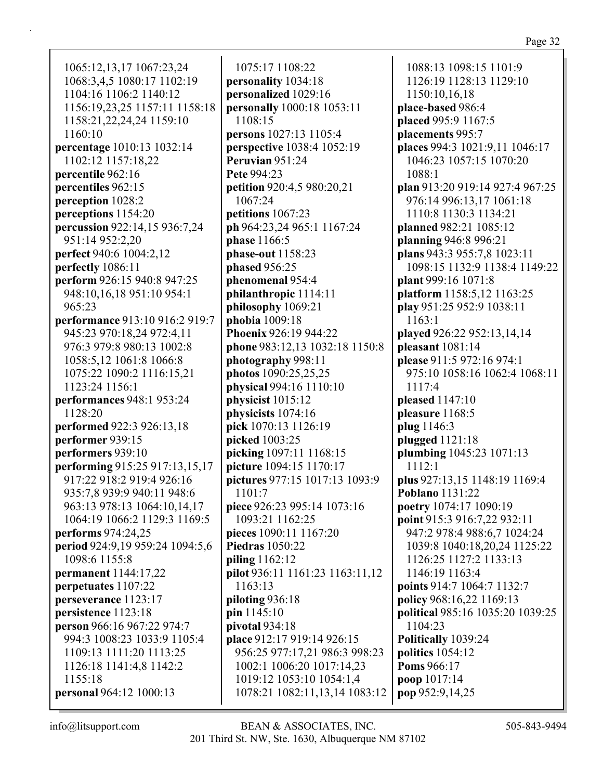1065:12,13,17 1067:23,24 1068:3,4,5 1080:17 1102:19 1104:16 1106:2 1140:12 1156:19,23,25 1157:11 1158:18 1158:21,22,24,24 1159:10 1160:10 **percentage** 1010:13 1032:14 1102:12 1157:18,22 **percentile** 962:16 **percentiles** 962:15 **perception** 1028:2 **perceptions** 1154:20 **percussion** 922:14,15 936:7,24 951:14 952:2,20 **perfect** 940:6 1004:2,12 **perfectly** 1086:11 **perform** 926:15 940:8 947:25 948:10,16,18 951:10 954:1 965:23 **performance** 913:10 916:2 919:7 945:23 970:18,24 972:4,11 976:3 979:8 980:13 1002:8 1058:5,12 1061:8 1066:8 1075:22 1090:2 1116:15,21 1123:24 1156:1 **performances** 948:1 953:24 1128:20 **performed** 922:3 926:13,18 **performer** 939:15 **performers** 939:10 **performing** 915:25 917:13,15,17 917:22 918:2 919:4 926:16 935:7,8 939:9 940:11 948:6 963:13 978:13 1064:10,14,17 1064:19 1066:2 1129:3 1169:5 **performs** 974:24,25 **period** 924:9,19 959:24 1094:5,6 1098:6 1155:8 **permanent** 1144:17,22 **perpetuates** 1107:22 **perseverance** 1123:17 **persistence** 1123:18 **person** 966:16 967:22 974:7 994:3 1008:23 1033:9 1105:4 1109:13 1111:20 1113:25 1126:18 1141:4,8 1142:2 1155:18 **personal** 964:12 1000:13

1075:17 1108:22 **personality** 1034:18 **personalized** 1029:16 **personally** 1000:18 1053:11 1108:15 **persons** 1027:13 1105:4 **perspective** 1038:4 1052:19 **Peruvian** 951:24 **Pete** 994:23 **petition** 920:4,5 980:20,21 1067:24 **petitions** 1067:23 **ph** 964:23,24 965:1 1167:24 **phase** 1166:5 **phase-out** 1158:23 **phased** 956:25 **phenomenal** 954:4 **philanthropic** 1114:11 **philosophy** 1069:21 **phobia** 1009:18 **Phoenix** 926:19 944:22 **phone** 983:12,13 1032:18 1150:8 **photography** 998:11 **photos** 1090:25,25,25 **physical** 994:16 1110:10 **physicist** 1015:12 **physicists** 1074:16 **pick** 1070:13 1126:19 **picked** 1003:25 **picking** 1097:11 1168:15 **picture** 1094:15 1170:17 **pictures** 977:15 1017:13 1093:9 1101:7 **piece** 926:23 995:14 1073:16 1093:21 1162:25 **pieces** 1090:11 1167:20 **Piedras** 1050:22 **piling** 1162:12 **pilot** 936:11 1161:23 1163:11,12 1163:13 **piloting** 936:18 **pin** 1145:10 **pivotal** 934:18 **place** 912:17 919:14 926:15 956:25 977:17,21 986:3 998:23 1002:1 1006:20 1017:14,23 1019:12 1053:10 1054:1,4 1078:21 1082:11,13,14 1083:12

1088:13 1098:15 1101:9 1126:19 1128:13 1129:10 1150:10,16,18 **place-based** 986:4 **placed** 995:9 1167:5 **placements** 995:7 **places** 994:3 1021:9,11 1046:17 1046:23 1057:15 1070:20 1088:1 **plan** 913:20 919:14 927:4 967:25 976:14 996:13,17 1061:18 1110:8 1130:3 1134:21 **planned** 982:21 1085:12 **planning** 946:8 996:21 **plans** 943:3 955:7,8 1023:11 1098:15 1132:9 1138:4 1149:22 **plant** 999:16 1071:8 **platform** 1158:5,12 1163:25 **play** 951:25 952:9 1038:11 1163:1 **played** 926:22 952:13,14,14 **pleasant** 1081:14 **please** 911:5 972:16 974:1 975:10 1058:16 1062:4 1068:11 1117:4 **pleased** 1147:10 **pleasure** 1168:5 **plug** 1146:3 **plugged** 1121:18 **plumbing** 1045:23 1071:13 1112:1 **plus** 927:13,15 1148:19 1169:4 **Poblano** 1131:22 **poetry** 1074:17 1090:19 **point** 915:3 916:7,22 932:11 947:2 978:4 988:6,7 1024:24 1039:8 1040:18,20,24 1125:22 1126:25 1127:2 1133:13 1146:19 1163:4 **points** 914:7 1064:7 1132:7 **policy** 968:16,22 1169:13 **political** 985:16 1035:20 1039:25 1104:23 **Politically** 1039:24 **politics** 1054:12 **Poms** 966:17 **poop** 1017:14 **pop** 952:9,14,25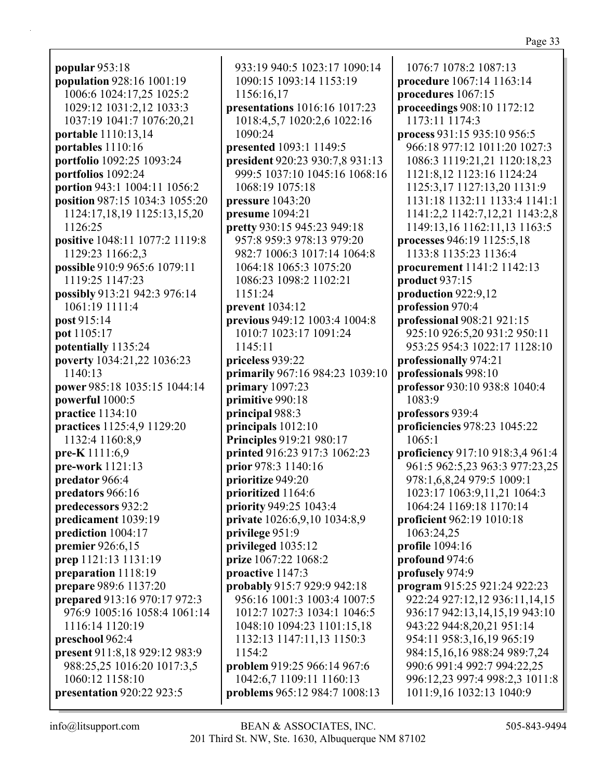**popular** 953:18 **population** 928:16 1001:19 1006:6 1024:17,25 1025:2 1029:12 1031:2,12 1033:3 1037:19 1041:7 1076:20,21 **portable** 1110:13,14 **portables** 1110:16 **portfolio** 1092:25 1093:24 **portfolios** 1092:24 **portion** 943:1 1004:11 1056:2 **position** 987:15 1034:3 1055:20 1124:17,18,19 1125:13,15,20 1126:25 **positive** 1048:11 1077:2 1119:8 1129:23 1166:2,3 **possible** 910:9 965:6 1079:11 1119:25 1147:23 **possibly** 913:21 942:3 976:14 1061:19 1111:4 **post** 915:14 **pot** 1105:17 **potentially** 1135:24 **poverty** 1034:21,22 1036:23 1140:13 **power** 985:18 1035:15 1044:14 **powerful** 1000:5 **practice** 1134:10 **practices** 1125:4,9 1129:20 1132:4 1160:8,9 **pre-K** 1111:6,9 **pre-work** 1121:13 **predator** 966:4 **predators** 966:16 **predecessors** 932:2 **predicament** 1039:19 **prediction** 1004:17 **premier** 926:6,15 **prep** 1121:13 1131:19 **preparation** 1118:19 **prepare** 989:6 1137:20 **prepared** 913:16 970:17 972:3 976:9 1005:16 1058:4 1061:14 1116:14 1120:19 **preschool** 962:4 **present** 911:8,18 929:12 983:9 988:25,25 1016:20 1017:3,5 1060:12 1158:10 **presentation** 920:22 923:5

933:19 940:5 1023:17 1090:14 1090:15 1093:14 1153:19 1156:16,17 **presentations** 1016:16 1017:23 1018:4,5,7 1020:2,6 1022:16 1090:24 **presented** 1093:1 1149:5 **president** 920:23 930:7,8 931:13 999:5 1037:10 1045:16 1068:16 1068:19 1075:18 **pressure** 1043:20 **presume** 1094:21 **pretty** 930:15 945:23 949:18 957:8 959:3 978:13 979:20 982:7 1006:3 1017:14 1064:8 1064:18 1065:3 1075:20 1086:23 1098:2 1102:21 1151:24 **prevent** 1034:12 **previous** 949:12 1003:4 1004:8 1010:7 1023:17 1091:24 1145:11 **priceless** 939:22 **primarily** 967:16 984:23 1039:10 **primary** 1097:23 **primitive** 990:18 **principal** 988:3 **principals** 1012:10 **Principles** 919:21 980:17 **printed** 916:23 917:3 1062:23 **prior** 978:3 1140:16 **prioritize** 949:20 **prioritized** 1164:6 **priority** 949:25 1043:4 **private** 1026:6,9,10 1034:8,9 **privilege** 951:9 **privileged** 1035:12 **prize** 1067:22 1068:2 **proactive** 1147:3 **probably** 915:7 929:9 942:18 956:16 1001:3 1003:4 1007:5 1012:7 1027:3 1034:1 1046:5 1048:10 1094:23 1101:15,18 1132:13 1147:11,13 1150:3 1154:2 **problem** 919:25 966:14 967:6 1042:6,7 1109:11 1160:13 **problems** 965:12 984:7 1008:13

1076:7 1078:2 1087:13 **procedure** 1067:14 1163:14 **procedures** 1067:15 **proceedings** 908:10 1172:12 1173:11 1174:3 **process** 931:15 935:10 956:5 966:18 977:12 1011:20 1027:3 1086:3 1119:21,21 1120:18,23 1121:8,12 1123:16 1124:24 1125:3,17 1127:13,20 1131:9 1131:18 1132:11 1133:4 1141:1 1141:2,2 1142:7,12,21 1143:2,8 1149:13,16 1162:11,13 1163:5 **processes** 946:19 1125:5,18 1133:8 1135:23 1136:4 **procurement** 1141:2 1142:13 **product** 937:15 **production** 922:9,12 **profession** 970:4 **professional** 908:21 921:15 925:10 926:5,20 931:2 950:11 953:25 954:3 1022:17 1128:10 **professionally** 974:21 **professionals** 998:10 **professor** 930:10 938:8 1040:4 1083:9 **professors** 939:4 **proficiencies** 978:23 1045:22 1065:1 **proficiency** 917:10 918:3,4 961:4 961:5 962:5,23 963:3 977:23,25 978:1,6,8,24 979:5 1009:1 1023:17 1063:9,11,21 1064:3 1064:24 1169:18 1170:14 **proficient** 962:19 1010:18 1063:24,25 **profile** 1094:16 **profound** 974:6 **profusely** 974:9 **program** 915:25 921:24 922:23 922:24 927:12,12 936:11,14,15 936:17 942:13,14,15,19 943:10 943:22 944:8,20,21 951:14 954:11 958:3,16,19 965:19 984:15,16,16 988:24 989:7,24 990:6 991:4 992:7 994:22,25 996:12,23 997:4 998:2,3 1011:8 1011:9,16 1032:13 1040:9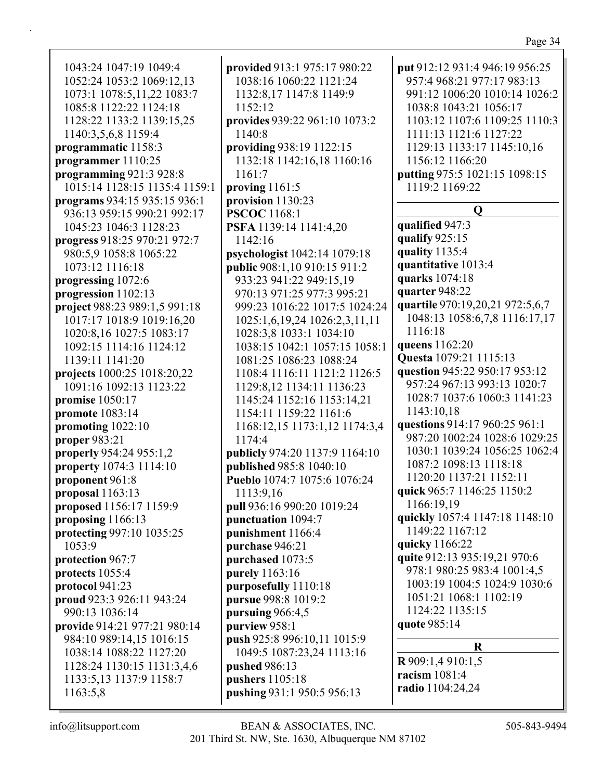1043:24 1047:19 1049:4 1052:24 1053:2 1069:12,13 1073:1 1078:5,11,22 1083:7 1085:8 1122:22 1124:18 1128:22 1133:2 1139:15,25 1140:3,5,6,8 1159:4 **programmatic** 1158:3 **programmer** 1110:25 **programming** 921:3 928:8 1015:14 1128:15 1135:4 1159:1 **programs** 934:15 935:15 936:1 936:13 959:15 990:21 992:17 1045:23 1046:3 1128:23 **progress** 918:25 970:21 972:7 980:5,9 1058:8 1065:22 1073:12 1116:18 **progressing** 1072:6 **progression** 1102:13 **project** 988:23 989:1,5 991:18 1017:17 1018:9 1019:16,20 1020:8,16 1027:5 1083:17 1092:15 1114:16 1124:12 1139:11 1141:20 **projects** 1000:25 1018:20,22 1091:16 1092:13 1123:22 **promise** 1050:17 **promote** 1083:14 **promoting** 1022:10 **proper** 983:21 **properly** 954:24 955:1,2 **property** 1074:3 1114:10 **proponent** 961:8 **proposal** 1163:13 **proposed** 1156:17 1159:9 **proposing** 1166:13 **protecting** 997:10 1035:25 1053:9 **protection** 967:7 **protects** 1055:4 **protocol** 941:23 **proud** 923:3 926:11 943:24 990:13 1036:14 **provide** 914:21 977:21 980:14 984:10 989:14,15 1016:15 1038:14 1088:22 1127:20 1128:24 1130:15 1131:3,4,6 1133:5,13 1137:9 1158:7 1163:5,8

**provided** 913:1 975:17 980:22 1038:16 1060:22 1121:24 1132:8,17 1147:8 1149:9 1152:12 **provides** 939:22 961:10 1073:2 1140:8 **providing** 938:19 1122:15 1132:18 1142:16,18 1160:16 1161:7 **proving** 1161:5 **provision** 1130:23 **PSCOC** 1168:1 **PSFA** 1139:14 1141:4,20 1142:16 **psychologist** 1042:14 1079:18 **public** 908:1,10 910:15 911:2 933:23 941:22 949:15,19 970:13 971:25 977:3 995:21 999:23 1016:22 1017:5 1024:24 1025:1,6,19,24 1026:2,3,11,11 1028:3,8 1033:1 1034:10 1038:15 1042:1 1057:15 1058:1 1081:25 1086:23 1088:24 1108:4 1116:11 1121:2 1126:5 1129:8,12 1134:11 1136:23 1145:24 1152:16 1153:14,21 1154:11 1159:22 1161:6 1168:12,15 1173:1,12 1174:3,4 1174:4 **publicly** 974:20 1137:9 1164:10 **published** 985:8 1040:10 **Pueblo** 1074:7 1075:6 1076:24 1113:9,16 **pull** 936:16 990:20 1019:24 **punctuation** 1094:7 **punishment** 1166:4 **purchase** 946:21 **purchased** 1073:5 **purely** 1163:16 **purposefully** 1110:18 **pursue** 998:8 1019:2 **pursuing** 966:4,5 **purview** 958:1 **push** 925:8 996:10,11 1015:9 1049:5 1087:23,24 1113:16 **pushed** 986:13 **pushers** 1105:18 **pushing** 931:1 950:5 956:13

**put** 912:12 931:4 946:19 956:25 957:4 968:21 977:17 983:13 991:12 1006:20 1010:14 1026:2 1038:8 1043:21 1056:17 1103:12 1107:6 1109:25 1110:3 1111:13 1121:6 1127:22 1129:13 1133:17 1145:10,16 1156:12 1166:20 **putting** 975:5 1021:15 1098:15 1119:2 1169:22 **Q qualified** 947:3 **qualify** 925:15 **quality** 1135:4 **quantitative** 1013:4 **quarks** 1074:18 **quarter** 948:22 **quartile** 970:19,20,21 972:5,6,7 1048:13 1058:6,7,8 1116:17,17 1116:18 **queens** 1162:20 **Questa** 1079:21 1115:13 **question** 945:22 950:17 953:12 957:24 967:13 993:13 1020:7 1028:7 1037:6 1060:3 1141:23 1143:10,18 **questions** 914:17 960:25 961:1 987:20 1002:24 1028:6 1029:25 1030:1 1039:24 1056:25 1062:4 1087:2 1098:13 1118:18 1120:20 1137:21 1152:11 **quick** 965:7 1146:25 1150:2 1166:19,19 **quickly** 1057:4 1147:18 1148:10 1149:22 1167:12 **quicky** 1166:22 **quite** 912:13 935:19,21 970:6 978:1 980:25 983:4 1001:4,5 1003:19 1004:5 1024:9 1030:6 1051:21 1068:1 1102:19 1124:22 1135:15 **quote** 985:14 **R R** 909:1,4 910:1,5 **racism** 1081:4 **radio** 1104:24,24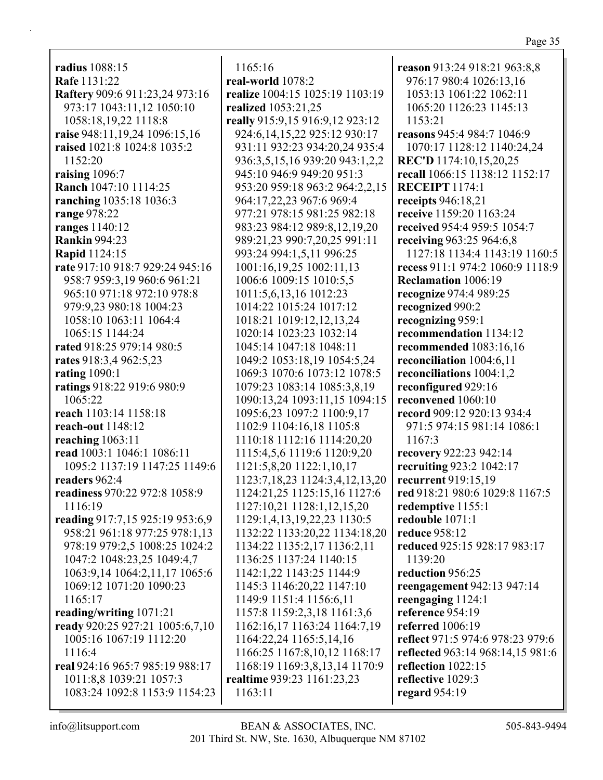**radius** 1088:15 **Rafe** 1131:22 **Raftery** 909:6 911:23,24 973:16 973:17 1043:11,12 1050:10 1058:18,19,22 1118:8 **raise** 948:11,19,24 1096:15,16 **raised** 1021:8 1024:8 1035:2 1152:20 **raising** 1096:7 **Ranch** 1047:10 1114:25 **ranching** 1035:18 1036:3 **range** 978:22 **ranges** 1140:12 **Rankin** 994:23 **Rapid** 1124:15 **rate** 917:10 918:7 929:24 945:16 958:7 959:3,19 960:6 961:21 965:10 971:18 972:10 978:8 979:9,23 980:18 1004:23 1058:10 1063:11 1064:4 1065:15 1144:24 **rated** 918:25 979:14 980:5 **rates** 918:3,4 962:5,23 **rating** 1090:1 **ratings** 918:22 919:6 980:9 1065:22 **reach** 1103:14 1158:18 **reach-out** 1148:12 **reaching** 1063:11 **read** 1003:1 1046:1 1086:11 1095:2 1137:19 1147:25 1149:6 **readers** 962:4 **readiness** 970:22 972:8 1058:9 1116:19 **reading** 917:7,15 925:19 953:6,9 958:21 961:18 977:25 978:1,13 978:19 979:2,5 1008:25 1024:2 1047:2 1048:23,25 1049:4,7 1063:9,14 1064:2,11,17 1065:6 1069:12 1071:20 1090:23 1165:17 **reading/writing** 1071:21 **ready** 920:25 927:21 1005:6,7,10 1005:16 1067:19 1112:20 1116:4 **real** 924:16 965:7 985:19 988:17 1011:8,8 1039:21 1057:3 1083:24 1092:8 1153:9 1154:23

1165:16 **real-world** 1078:2 **realize** 1004:15 1025:19 1103:19 **realized** 1053:21,25 **really** 915:9,15 916:9,12 923:12 924:6,14,15,22 925:12 930:17 931:11 932:23 934:20,24 935:4 936:3,5,15,16 939:20 943:1,2,2 945:10 946:9 949:20 951:3 953:20 959:18 963:2 964:2,2,15 964:17,22,23 967:6 969:4 977:21 978:15 981:25 982:18 983:23 984:12 989:8,12,19,20 989:21,23 990:7,20,25 991:11 993:24 994:1,5,11 996:25 1001:16,19,25 1002:11,13 1006:6 1009:15 1010:5,5 1011:5,6,13,16 1012:23 1014:22 1015:24 1017:12 1018:21 1019:12,12,13,24 1020:14 1023:23 1032:14 1045:14 1047:18 1048:11 1049:2 1053:18,19 1054:5,24 1069:3 1070:6 1073:12 1078:5 1079:23 1083:14 1085:3,8,19 1090:13,24 1093:11,15 1094:15 1095:6,23 1097:2 1100:9,17 1102:9 1104:16,18 1105:8 1110:18 1112:16 1114:20,20 1115:4,5,6 1119:6 1120:9,20 1121:5,8,20 1122:1,10,17 1123:7,18,23 1124:3,4,12,13,20 1124:21,25 1125:15,16 1127:6 1127:10,21 1128:1,12,15,20 1129:1,4,13,19,22,23 1130:5 1132:22 1133:20,22 1134:18,20 1134:22 1135:2,17 1136:2,11 1136:25 1137:24 1140:15 1142:1,22 1143:25 1144:9 1145:3 1146:20,22 1147:10 1149:9 1151:4 1156:6,11 1157:8 1159:2,3,18 1161:3,6 1162:16,17 1163:24 1164:7,19 1164:22,24 1165:5,14,16 1166:25 1167:8,10,12 1168:17 1168:19 1169:3,8,13,14 1170:9 **realtime** 939:23 1161:23,23 1163:11

**reason** 913:24 918:21 963:8,8 976:17 980:4 1026:13,16 1053:13 1061:22 1062:11 1065:20 1126:23 1145:13 1153:21 **reasons** 945:4 984:7 1046:9 1070:17 1128:12 1140:24,24 **REC'D** 1174:10,15,20,25 **recall** 1066:15 1138:12 1152:17 **RECEIPT** 1174:1 **receipts** 946:18,21 **receive** 1159:20 1163:24 **received** 954:4 959:5 1054:7 **receiving** 963:25 964:6,8 1127:18 1134:4 1143:19 1160:5 **recess** 911:1 974:2 1060:9 1118:9 **Reclamation** 1006:19 **recognize** 974:4 989:25 **recognized** 990:2 **recognizing** 959:1 **recommendation** 1134:12 **recommended** 1083:16,16 **reconciliation** 1004:6,11 **reconciliations** 1004:1,2 **reconfigured** 929:16 **reconvened** 1060:10 **record** 909:12 920:13 934:4 971:5 974:15 981:14 1086:1 1167:3 **recovery** 922:23 942:14 **recruiting** 923:2 1042:17 **recurrent** 919:15,19 **red** 918:21 980:6 1029:8 1167:5 **redemptive** 1155:1 **redouble** 1071:1 **reduce** 958:12 **reduced** 925:15 928:17 983:17 1139:20 **reduction** 956:25 **reengagement** 942:13 947:14 **reengaging** 1124:1 **reference** 954:19 **referred** 1006:19 **reflect** 971:5 974:6 978:23 979:6 **reflected** 963:14 968:14,15 981:6 **reflection** 1022:15 **reflective** 1029:3 **regard** 954:19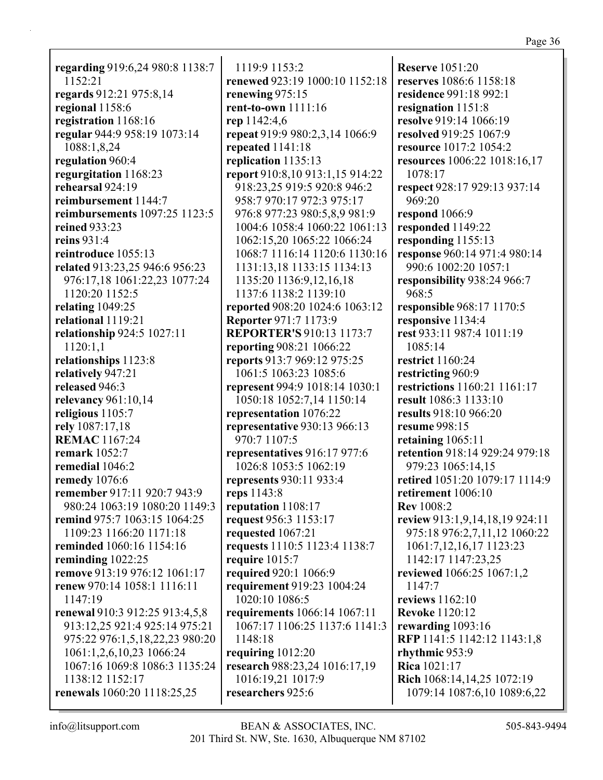| ш<br>-40.<br>īΑ | n |
|-----------------|---|
|                 |   |

**regarding** 919:6,24 980:8 1138:7 1152:21 **regards** 912:21 975:8,14 **regional** 1158:6 **registration** 1168:16 **regular** 944:9 958:19 1073:14 1088:1,8,24 **regulation** 960:4 **regurgitation** 1168:23 **rehearsal** 924:19 **reimbursement** 1144:7 **reimbursements** 1097:25 1123:5 **reined** 933:23 **reins** 931:4 **reintroduce** 1055:13 **related** 913:23,25 946:6 956:23 976:17,18 1061:22,23 1077:24 1120:20 1152:5 **relating** 1049:25 **relational** 1119:21 **relationship** 924:5 1027:11 1120:1,1 **relationships** 1123:8 **relatively** 947:21 **released** 946:3 **relevancy** 961:10,14 **religious** 1105:7 **rely** 1087:17,18 **REMAC** 1167:24 **remark** 1052:7 **remedial** 1046:2 **remedy** 1076:6 **remember** 917:11 920:7 943:9 980:24 1063:19 1080:20 1149:3 **remind** 975:7 1063:15 1064:25 1109:23 1166:20 1171:18 **reminded** 1060:16 1154:16 **reminding** 1022:25 **remove** 913:19 976:12 1061:17 **renew** 970:14 1058:1 1116:11 1147:19 **renewal** 910:3 912:25 913:4,5,8 913:12,25 921:4 925:14 975:21 975:22 976:1,5,18,22,23 980:20 1061:1,2,6,10,23 1066:24 1067:16 1069:8 1086:3 1135:24 1138:12 1152:17 **renewals** 1060:20 1118:25,25

1119:9 1153:2 **renewed** 923:19 1000:10 1152:18 **renewing** 975:15 **rent-to-own** 1111:16 **rep** 1142:4,6 **repeat** 919:9 980:2,3,14 1066:9 **repeated** 1141:18 **replication** 1135:13 **report** 910:8,10 913:1,15 914:22 918:23,25 919:5 920:8 946:2 958:7 970:17 972:3 975:17 976:8 977:23 980:5,8,9 981:9 1004:6 1058:4 1060:22 1061:13 1062:15,20 1065:22 1066:24 1068:7 1116:14 1120:6 1130:16 1131:13,18 1133:15 1134:13 1135:20 1136:9,12,16,18 1137:6 1138:2 1139:10 **reported** 908:20 1024:6 1063:12 **Reporter** 971:7 1173:9 **REPORTER'S** 910:13 1173:7 **reporting** 908:21 1066:22 **reports** 913:7 969:12 975:25 1061:5 1063:23 1085:6 **represent** 994:9 1018:14 1030:1 1050:18 1052:7,14 1150:14 **representation** 1076:22 **representative** 930:13 966:13 970:7 1107:5 **representatives** 916:17 977:6 1026:8 1053:5 1062:19 **represents** 930:11 933:4 **reps** 1143:8 **reputation** 1108:17 **request** 956:3 1153:17 **requested** 1067:21 **requests** 1110:5 1123:4 1138:7 **require** 1015:7 **required** 920:1 1066:9 **requirement** 919:23 1004:24 1020:10 1086:5 **requirements** 1066:14 1067:11 1067:17 1106:25 1137:6 1141:3 1148:18 **requiring** 1012:20 **research** 988:23,24 1016:17,19 1016:19,21 1017:9 **researchers** 925:6

**Reserve** 1051:20 **reserves** 1086:6 1158:18 **residence** 991:18 992:1 **resignation** 1151:8 **resolve** 919:14 1066:19 **resolved** 919:25 1067:9 **resource** 1017:2 1054:2 **resources** 1006:22 1018:16,17 1078:17 **respect** 928:17 929:13 937:14 969:20 **respond** 1066:9 **responded** 1149:22 **responding** 1155:13 **response** 960:14 971:4 980:14 990:6 1002:20 1057:1 **responsibility** 938:24 966:7 968:5 **responsible** 968:17 1170:5 **responsive** 1134:4 **rest** 933:11 987:4 1011:19 1085:14 **restrict** 1160:24 **restricting** 960:9 **restrictions** 1160:21 1161:17 **result** 1086:3 1133:10 **results** 918:10 966:20 **resume** 998:15 **retaining** 1065:11 **retention** 918:14 929:24 979:18 979:23 1065:14,15 **retired** 1051:20 1079:17 1114:9 **retirement** 1006:10 **Rev** 1008:2 **review** 913:1,9,14,18,19 924:11 975:18 976:2,7,11,12 1060:22 1061:7,12,16,17 1123:23 1142:17 1147:23,25 **reviewed** 1066:25 1067:1,2 1147:7 **reviews** 1162:10 **Revoke** 1120:12 **rewarding** 1093:16 **RFP** 1141:5 1142:12 1143:1,8 **rhythmic** 953:9 **Rica** 1021:17 **Rich** 1068:14,14,25 1072:19 1079:14 1087:6,10 1089:6,22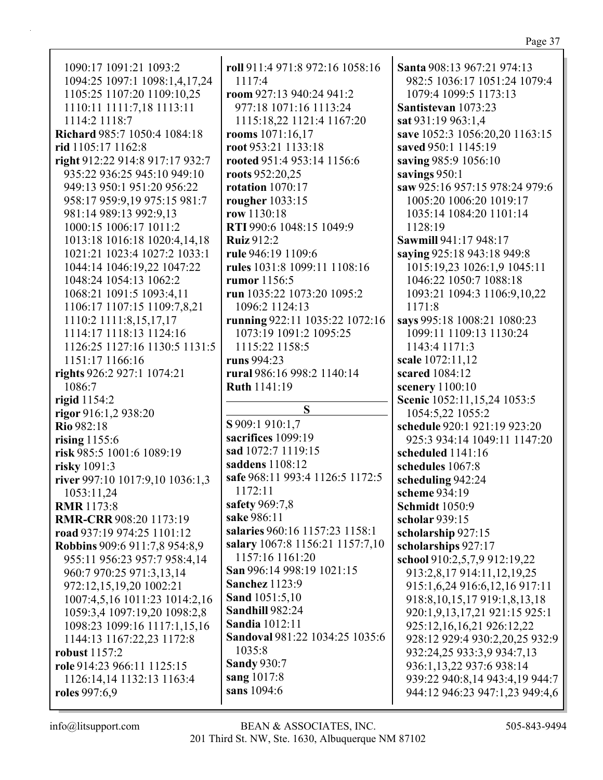| 1090:17 1091:21 1093:2               | roll 911:4 971:8 972:16 1058:16 | Santa 908:13 967:21 974:13         |
|--------------------------------------|---------------------------------|------------------------------------|
| 1094:25 1097:1 1098:1,4,17,24        | 1117:4                          | 982:5 1036:17 1051:24 1079:4       |
| 1105:25 1107:20 1109:10,25           | room 927:13 940:24 941:2        | 1079:4 1099:5 1173:13              |
| 1110:11 1111:7,18 1113:11            | 977:18 1071:16 1113:24          | Santistevan 1073:23                |
| 1114:2 1118:7                        | 1115:18,22 1121:4 1167:20       | sat 931:19 963:1,4                 |
|                                      |                                 |                                    |
| Richard 985:7 1050:4 1084:18         | rooms 1071:16,17                | save 1052:3 1056:20,20 1163:15     |
| rid 1105:17 1162:8                   | root 953:21 1133:18             | saved 950:1 1145:19                |
| right 912:22 914:8 917:17 932:7      | rooted 951:4 953:14 1156:6      | saving 985:9 1056:10               |
| 935:22 936:25 945:10 949:10          | roots 952:20,25                 | savings 950:1                      |
| 949:13 950:1 951:20 956:22           | rotation $1070:17$              | saw 925:16 957:15 978:24 979:6     |
| 958:17 959:9,19 975:15 981:7         | rougher 1033:15                 | 1005:20 1006:20 1019:17            |
| 981:14 989:13 992:9,13               | row 1130:18                     | 1035:14 1084:20 1101:14            |
| 1000:15 1006:17 1011:2               | RTI 990:6 1048:15 1049:9        | 1128:19                            |
| 1013:18 1016:18 1020:4,14,18         | <b>Ruiz</b> 912:2               | Sawmill 941:17 948:17              |
| 1021:21 1023:4 1027:2 1033:1         | rule 946:19 1109:6              | saying 925:18 943:18 949:8         |
| 1044:14 1046:19,22 1047:22           | rules 1031:8 1099:11 1108:16    | 1015:19,23 1026:1,9 1045:11        |
| 1048:24 1054:13 1062:2               | rumor 1156:5                    | 1046:22 1050:7 1088:18             |
| 1068:21 1091:5 1093:4,11             | run 1035:22 1073:20 1095:2      | 1093:21 1094:3 1106:9,10,22        |
| 1106:17 1107:15 1109:7,8,21          | 1096:2 1124:13                  | 1171:8                             |
| 1110:2 1111:8,15,17,17               | running 922:11 1035:22 1072:16  | says 995:18 1008:21 1080:23        |
| 1114:17 1118:13 1124:16              | 1073:19 1091:2 1095:25          | 1099:11 1109:13 1130:24            |
| 1126:25 1127:16 1130:5 1131:5        | 1115:22 1158:5                  | 1143:4 1171:3                      |
| 1151:17 1166:16                      | runs 994:23                     | scale 1072:11,12                   |
|                                      | rural 986:16 998:2 1140:14      | scared 1084:12                     |
| rights 926:2 927:1 1074:21           |                                 |                                    |
| 1086:7                               | Ruth 1141:19                    | scenery 1100:10                    |
| rigid 1154:2                         | S                               | Scenic 1052:11,15,24 1053:5        |
| rigor 916:1,2 938:20                 |                                 | 1054:5,22 1055:2                   |
| Rio 982:18                           | S 909:1 910:1,7                 | schedule 920:1 921:19 923:20       |
| rising $1155:6$                      | sacrifices 1099:19              | 925:3 934:14 1049:11 1147:20       |
| risk 985:5 1001:6 1089:19            | sad 1072:7 1119:15              | scheduled 1141:16                  |
| risky 1091:3                         | saddens 1108:12                 | schedules 1067:8                   |
| river 997:10 1017:9,10 1036:1,3      | safe 968:11 993:4 1126:5 1172:5 | scheduling 942:24                  |
| 1053:11,24                           | 1172:11                         | scheme 934:19                      |
| <b>RMR</b> 1173:8                    | safety 969:7,8                  | <b>Schmidt</b> 1050:9              |
| <b>RMR-CRR 908:20 1173:19</b>        | sake 986:11                     | scholar 939:15                     |
| road 937:19 974:25 1101:12           | salaries 960:16 1157:23 1158:1  | scholarship 927:15                 |
| <b>Robbins</b> 909:6 911:7,8 954:8,9 | salary 1067:8 1156:21 1157:7,10 | scholarships 927:17                |
| 955:11 956:23 957:7 958:4,14         | 1157:16 1161:20                 | school 910:2,5,7,9 912:19,22       |
| 960:7 970:25 971:3,13,14             | San 996:14 998:19 1021:15       | 913:2,8,17 914:11,12,19,25         |
| 972:12,15,19,20 1002:21              | <b>Sanchez</b> 1123:9           | 915:1,6,24 916:6,12,16 917:11      |
| 1007:4,5,16 1011:23 1014:2,16        | <b>Sand</b> 1051:5,10           | 918:8, 10, 15, 17 919:1, 8, 13, 18 |
| 1059:3,4 1097:19,20 1098:2,8         | <b>Sandhill 982:24</b>          | 920:1,9,13,17,21 921:15 925:1      |
| 1098:23 1099:16 1117:1,15,16         | <b>Sandia</b> 1012:11           | 925:12,16,16,21 926:12,22          |
| 1144:13 1167:22,23 1172:8            | Sandoval 981:22 1034:25 1035:6  | 928:12 929:4 930:2,20,25 932:9     |
| <b>robust</b> 1157:2                 | 1035:8                          | 932:24,25 933:3,9 934:7,13         |
| role 914:23 966:11 1125:15           | <b>Sandy 930:7</b>              | 936:1,13,22 937:6 938:14           |
| 1126:14,14 1132:13 1163:4            | sang 1017:8                     | 939:22 940:8,14 943:4,19 944:7     |
|                                      | sans 1094:6                     |                                    |
| roles 997:6,9                        |                                 | 944:12 946:23 947:1,23 949:4,6     |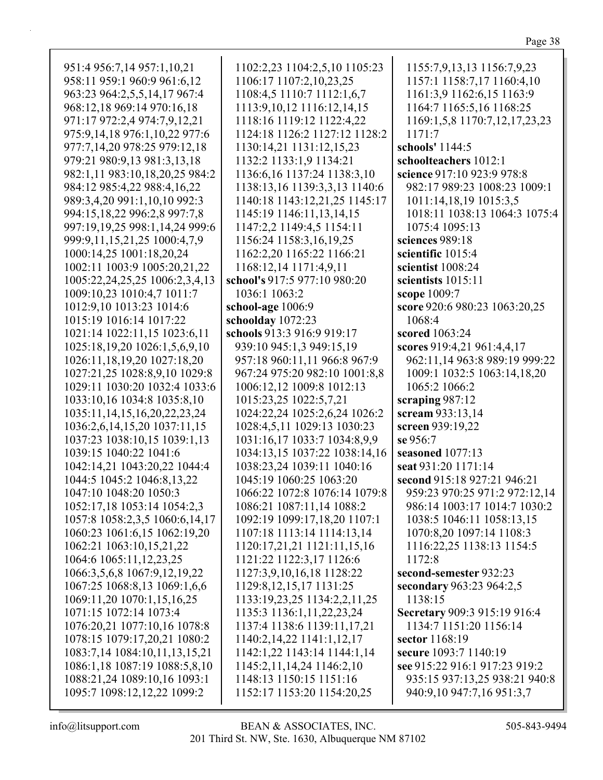| ٧ |  |
|---|--|
|   |  |

| 951:4 956:7,14 957:1,10,21          | 1102:2,23 1104:2,5,10 1105:23   | 1155:7,9,13,13 1156:7,9,23    |
|-------------------------------------|---------------------------------|-------------------------------|
| 958:11 959:1 960:9 961:6,12         | 1106:17 1107:2,10,23,25         | 1157:1 1158:7,17 1160:4,10    |
| 963:23 964:2,5,5,14,17 967:4        | 1108:4,5 1110:7 1112:1,6,7      | 1161:3,9 1162:6,15 1163:9     |
| 968:12,18 969:14 970:16,18          | 1113:9, 10, 12 1116: 12, 14, 15 | 1164:7 1165:5,16 1168:25      |
| 971:17 972:2,4 974:7,9,12,21        | 1118:16 1119:12 1122:4,22       | 1169:1,5,8 1170:7,12,17,23,23 |
| 975:9,14,18 976:1,10,22 977:6       | 1124:18 1126:2 1127:12 1128:2   | 1171:7                        |
| 977:7,14,20 978:25 979:12,18        | 1130:14,21 1131:12,15,23        | schools' 1144:5               |
| 979:21 980:9,13 981:3,13,18         | 1132:2 1133:1,9 1134:21         | schoolteachers 1012:1         |
| 982:1,11 983:10,18,20,25 984:2      | 1136:6, 16 1137:24 1138:3, 10   | science 917:10 923:9 978:8    |
| 984:12 985:4,22 988:4,16,22         | 1138:13,16 1139:3,3,13 1140:6   | 982:17 989:23 1008:23 1009:1  |
| 989:3,4,20 991:1,10,10 992:3        | 1140:18 1143:12,21,25 1145:17   | 1011:14,18,19 1015:3,5        |
| 994:15,18,22 996:2,8 997:7,8        | 1145:19 1146:11,13,14,15        | 1018:11 1038:13 1064:3 1075:4 |
| 997:19,19,25 998:1,14,24 999:6      | 1147:2,2 1149:4,5 1154:11       | 1075:4 1095:13                |
| 999:9,11,15,21,25 1000:4,7,9        | 1156:24 1158:3,16,19,25         | sciences 989:18               |
| 1000:14,25 1001:18,20,24            | 1162:2,20 1165:22 1166:21       | scientific 1015:4             |
| 1002:11 1003:9 1005:20,21,22        | 1168:12,14 1171:4,9,11          | scientist 1008:24             |
| 1005:22,24,25,25 1006:2,3,4,13      | school's 917:5 977:10 980:20    | scientists 1015:11            |
| 1009:10,23 1010:4,7 1011:7          | 1036:1 1063:2                   | scope 1009:7                  |
| 1012:9,10 1013:23 1014:6            | school-age 1006:9               | score 920:6 980:23 1063:20,25 |
| 1015:19 1016:14 1017:22             | schoolday 1072:23               | 1068:4                        |
| 1021:14 1022:11,15 1023:6,11        | schools 913:3 916:9 919:17      | scored 1063:24                |
| 1025:18,19,20 1026:1,5,6,9,10       | 939:10 945:1,3 949:15,19        | scores 919:4,21 961:4,4,17    |
| 1026:11,18,19,20 1027:18,20         | 957:18 960:11,11 966:8 967:9    | 962:11,14 963:8 989:19 999:22 |
| 1027:21,25 1028:8,9,10 1029:8       | 967:24 975:20 982:10 1001:8,8   | 1009:1 1032:5 1063:14,18,20   |
| 1029:11 1030:20 1032:4 1033:6       | 1006:12,12 1009:8 1012:13       | 1065:2 1066:2                 |
| 1033:10,16 1034:8 1035:8,10         | 1015:23,25 1022:5,7,21          | scraping $987:12$             |
| 1035:11, 14, 15, 16, 20, 22, 23, 24 | 1024:22,24 1025:2,6,24 1026:2   | scream 933:13,14              |
| 1036:2,6,14,15,20 1037:11,15        | 1028:4,5,11 1029:13 1030:23     | screen 939:19,22              |
| 1037:23 1038:10,15 1039:1,13        | 1031:16,17 1033:7 1034:8,9,9    | se 956:7                      |
| 1039:15 1040:22 1041:6              | 1034:13,15 1037:22 1038:14,16   | seasoned 1077:13              |
| 1042:14,21 1043:20,22 1044:4        | 1038:23,24 1039:11 1040:16      | seat 931:20 1171:14           |
| 1044:5 1045:2 1046:8,13,22          | 1045:19 1060:25 1063:20         | second 915:18 927:21 946:21   |
| 1047:10 1048:20 1050:3              | 1066:22 1072:8 1076:14 1079:8   | 959:23 970:25 971:2 972:12,14 |
| 1052:17,18 1053:14 1054:2,3         | 1086:21 1087:11,14 1088:2       | 986:14 1003:17 1014:7 1030:2  |
| 1057:8 1058:2,3,5 1060:6,14,17      | 1092:19 1099:17,18,20 1107:1    | 1038:5 1046:11 1058:13,15     |
| 1060:23 1061:6,15 1062:19,20        | 1107:18 1113:14 1114:13,14      | 1070:8,20 1097:14 1108:3      |
| 1062:21 1063:10,15,21,22            | 1120:17,21,21 1121:11,15,16     | 1116:22,25 1138:13 1154:5     |
| 1064:6 1065:11,12,23,25             | 1121:22 1122:3,17 1126:6        | 1172:8                        |
| 1066:3,5,6,8 1067:9,12,19,22        | 1127:3,9,10,16,18 1128:22       | second-semester 932:23        |
| 1067:25 1068:8,13 1069:1,6,6        | 1129:8, 12, 15, 17 1131:25      | secondary 963:23 964:2,5      |
| 1069:11,20 1070:1,15,16,25          | 1133:19,23,25 1134:2,2,11,25    | 1138:15                       |
| 1071:15 1072:14 1073:4              | 1135:3 1136:1,11,22,23,24       | Secretary 909:3 915:19 916:4  |
| 1076:20,21 1077:10,16 1078:8        | 1137:4 1138:6 1139:11,17,21     | 1134:7 1151:20 1156:14        |
| 1078:15 1079:17,20,21 1080:2        | 1140:2,14,22 1141:1,12,17       | sector 1168:19                |
| 1083:7,14 1084:10,11,13,15,21       | 1142:1,22 1143:14 1144:1,14     | secure 1093:7 1140:19         |
| 1086:1,18 1087:19 1088:5,8,10       | 1145:2,11,14,24 1146:2,10       | see 915:22 916:1 917:23 919:2 |
| 1088:21,24 1089:10,16 1093:1        | 1148:13 1150:15 1151:16         | 935:15 937:13,25 938:21 940:8 |
| 1095:7 1098:12,12,22 1099:2         | 1152:17 1153:20 1154:20,25      | 940:9,10 947:7,16 951:3,7     |
|                                     |                                 |                               |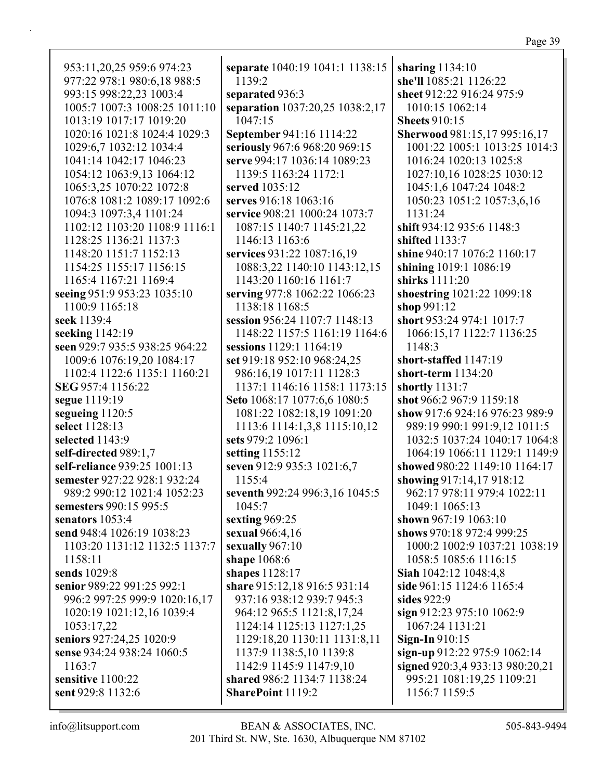953:11,20,25 959:6 974:23 977:22 978:1 980:6,18 988:5 993:15 998:22,23 1003:4 1005:7 1007:3 1008:25 1011:10 1013:19 1017:17 1019:20 1020:16 1021:8 1024:4 1029:3 1029:6,7 1032:12 1034:4 1041:14 1042:17 1046:23 1054:12 1063:9,13 1064:12 1065:3,25 1070:22 1072:8 1076:8 1081:2 1089:17 1092:6 1094:3 1097:3,4 1101:24 1102:12 1103:20 1108:9 1116:1 1128:25 1136:21 1137:3 1148:20 1151:7 1152:13 1154:25 1155:17 1156:15 1165:4 1167:21 1169:4 **seeing** 951:9 953:23 1035:10 1100:9 1165:18 **seek** 1139:4 **seeking** 1142:19 **seen** 929:7 935:5 938:25 964:22 1009:6 1076:19,20 1084:17 1102:4 1122:6 1135:1 1160:21 **SEG** 957:4 1156:22 **segue** 1119:19 **segueing** 1120:5 **select** 1128:13 **selected** 1143:9 **self-directed** 989:1,7 **self-reliance** 939:25 1001:13 **semester** 927:22 928:1 932:24 989:2 990:12 1021:4 1052:23 **semesters** 990:15 995:5 **senators** 1053:4 **send** 948:4 1026:19 1038:23 1103:20 1131:12 1132:5 1137:7 1158:11 **sends** 1029:8 **senior** 989:22 991:25 992:1 996:2 997:25 999:9 1020:16,17 1020:19 1021:12,16 1039:4 1053:17,22 **seniors** 927:24,25 1020:9 **sense** 934:24 938:24 1060:5 1163:7 **sensitive** 1100:22 **sent** 929:8 1132:6

**separate** 1040:19 1041:1 1138:15 1139:2 **separated** 936:3 **separation** 1037:20,25 1038:2,17 1047:15 **September** 941:16 1114:22 **seriously** 967:6 968:20 969:15 **serve** 994:17 1036:14 1089:23 1139:5 1163:24 1172:1 **served** 1035:12 **serves** 916:18 1063:16 **service** 908:21 1000:24 1073:7 1087:15 1140:7 1145:21,22 1146:13 1163:6 **services** 931:22 1087:16,19 1088:3,22 1140:10 1143:12,15 1143:20 1160:16 1161:7 **serving** 977:8 1062:22 1066:23 1138:18 1168:5 **session** 956:24 1107:7 1148:13 1148:22 1157:5 1161:19 1164:6 **sessions** 1129:1 1164:19 **set** 919:18 952:10 968:24,25 986:16,19 1017:11 1128:3 1137:1 1146:16 1158:1 1173:15 **Seto** 1068:17 1077:6,6 1080:5 1081:22 1082:18,19 1091:20 1113:6 1114:1,3,8 1115:10,12 **sets** 979:2 1096:1 **setting** 1155:12 **seven** 912:9 935:3 1021:6,7 1155:4 **seventh** 992:24 996:3,16 1045:5 1045:7 **sexting** 969:25 **sexual** 966:4,16 **sexually** 967:10 **shape** 1068:6 **shapes** 1128:17 **share** 915:12,18 916:5 931:14 937:16 938:12 939:7 945:3 964:12 965:5 1121:8,17,24 1124:14 1125:13 1127:1,25 1129:18,20 1130:11 1131:8,11 1137:9 1138:5,10 1139:8 1142:9 1145:9 1147:9,10 **shared** 986:2 1134:7 1138:24 **SharePoint** 1119:2

**sharing** 1134:10 **she'll** 1085:21 1126:22 **sheet** 912:22 916:24 975:9 1010:15 1062:14 **Sheets** 910:15 **Sherwood** 981:15,17 995:16,17 1001:22 1005:1 1013:25 1014:3 1016:24 1020:13 1025:8 1027:10,16 1028:25 1030:12 1045:1,6 1047:24 1048:2 1050:23 1051:2 1057:3,6,16 1131:24 **shift** 934:12 935:6 1148:3 **shifted** 1133:7 **shine** 940:17 1076:2 1160:17 **shining** 1019:1 1086:19 **shirks** 1111:20 **shoestring** 1021:22 1099:18 **shop** 991:12 **short** 953:24 974:1 1017:7 1066:15,17 1122:7 1136:25 1148:3 **short-staffed** 1147:19 **short-term** 1134:20 **shortly** 1131:7 **shot** 966:2 967:9 1159:18 **show** 917:6 924:16 976:23 989:9 989:19 990:1 991:9,12 1011:5 1032:5 1037:24 1040:17 1064:8 1064:19 1066:11 1129:1 1149:9 **showed** 980:22 1149:10 1164:17 **showing** 917:14,17 918:12 962:17 978:11 979:4 1022:11 1049:1 1065:13 **shown** 967:19 1063:10 **shows** 970:18 972:4 999:25 1000:2 1002:9 1037:21 1038:19 1058:5 1085:6 1116:15 **Siah** 1042:12 1048:4,8 **side** 961:15 1124:6 1165:4 **sides** 922:9 **sign** 912:23 975:10 1062:9 1067:24 1131:21 **Sign-In** 910:15 **sign-up** 912:22 975:9 1062:14 **signed** 920:3,4 933:13 980:20,21 995:21 1081:19,25 1109:21 1156:7 1159:5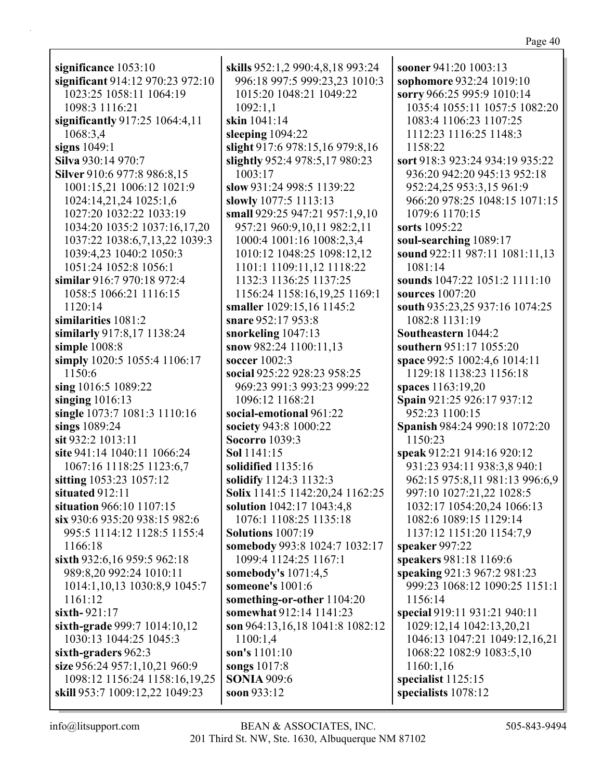**significance** 1053:10 **significant** 914:12 970:23 972:10 1023:25 1058:11 1064:19 1098:3 1116:21 **significantly** 917:25 1064:4,11 1068:3,4 **signs** 1049:1 **Silva** 930:14 970:7 **Silver** 910:6 977:8 986:8,15 1001:15,21 1006:12 1021:9 1024:14,21,24 1025:1,6 1027:20 1032:22 1033:19 1034:20 1035:2 1037:16,17,20 1037:22 1038:6,7,13,22 1039:3 1039:4,23 1040:2 1050:3 1051:24 1052:8 1056:1 **similar** 916:7 970:18 972:4 1058:5 1066:21 1116:15 1120:14 **similarities** 1081:2 **similarly** 917:8,17 1138:24 **simple** 1008:8 **simply** 1020:5 1055:4 1106:17 1150:6 **sing** 1016:5 1089:22 **singing** 1016:13 **single** 1073:7 1081:3 1110:16 **sings** 1089:24 **sit** 932:2 1013:11 **site** 941:14 1040:11 1066:24 1067:16 1118:25 1123:6,7 **sitting** 1053:23 1057:12 **situated** 912:11 **situation** 966:10 1107:15 **six** 930:6 935:20 938:15 982:6 995:5 1114:12 1128:5 1155:4 1166:18 **sixth** 932:6,16 959:5 962:18 989:8,20 992:24 1010:11 1014:1,10,13 1030:8,9 1045:7 1161:12 **sixth-** 921:17 **sixth-grade** 999:7 1014:10,12 1030:13 1044:25 1045:3 **sixth-graders** 962:3 **size** 956:24 957:1,10,21 960:9 1098:12 1156:24 1158:16,19,25 **skill** 953:7 1009:12,22 1049:23

**skills** 952:1,2 990:4,8,18 993:24 996:18 997:5 999:23,23 1010:3 1015:20 1048:21 1049:22 1092:1,1 **skin** 1041:14 **sleeping** 1094:22 **slight** 917:6 978:15,16 979:8,16 **slightly** 952:4 978:5,17 980:23 1003:17 **slow** 931:24 998:5 1139:22 **slowly** 1077:5 1113:13 **small** 929:25 947:21 957:1,9,10 957:21 960:9,10,11 982:2,11 1000:4 1001:16 1008:2,3,4 1010:12 1048:25 1098:12,12 1101:1 1109:11,12 1118:22 1132:3 1136:25 1137:25 1156:24 1158:16,19,25 1169:1 **smaller** 1029:15,16 1145:2 **snare** 952:17 953:8 **snorkeling** 1047:13 **snow** 982:24 1100:11,13 **soccer** 1002:3 **social** 925:22 928:23 958:25 969:23 991:3 993:23 999:22 1096:12 1168:21 **social-emotional** 961:22 **society** 943:8 1000:22 **Socorro** 1039:3 **Sol** 1141:15 **solidified** 1135:16 **solidify** 1124:3 1132:3 **Solix** 1141:5 1142:20,24 1162:25 **solution** 1042:17 1043:4,8 1076:1 1108:25 1135:18 **Solutions** 1007:19 **somebody** 993:8 1024:7 1032:17 1099:4 1124:25 1167:1 **somebody's** 1071:4,5 **someone's** 1001:6 **something-or-other** 1104:20 **somewhat** 912:14 1141:23 **son** 964:13,16,18 1041:8 1082:12 1100:1,4 **son's** 1101:10 **songs** 1017:8 **SONIA** 909:6 **soon** 933:12

**sooner** 941:20 1003:13 **sophomore** 932:24 1019:10 **sorry** 966:25 995:9 1010:14 1035:4 1055:11 1057:5 1082:20 1083:4 1106:23 1107:25 1112:23 1116:25 1148:3 1158:22 **sort** 918:3 923:24 934:19 935:22 936:20 942:20 945:13 952:18 952:24,25 953:3,15 961:9 966:20 978:25 1048:15 1071:15 1079:6 1170:15 **sorts** 1095:22 **soul-searching** 1089:17 **sound** 922:11 987:11 1081:11,13 1081:14 **sounds** 1047:22 1051:2 1111:10 **sources** 1007:20 **south** 935:23,25 937:16 1074:25 1082:8 1131:19 **Southeastern** 1044:2 **southern** 951:17 1055:20 **space** 992:5 1002:4,6 1014:11 1129:18 1138:23 1156:18 **spaces** 1163:19,20 **Spain** 921:25 926:17 937:12 952:23 1100:15 **Spanish** 984:24 990:18 1072:20 1150:23 **speak** 912:21 914:16 920:12 931:23 934:11 938:3,8 940:1 962:15 975:8,11 981:13 996:6,9 997:10 1027:21,22 1028:5 1032:17 1054:20,24 1066:13 1082:6 1089:15 1129:14 1137:12 1151:20 1154:7,9 **speaker** 997:22 **speakers** 981:18 1169:6 **speaking** 921:3 967:2 981:23 999:23 1068:12 1090:25 1151:1 1156:14 **special** 919:11 931:21 940:11 1029:12,14 1042:13,20,21 1046:13 1047:21 1049:12,16,21 1068:22 1082:9 1083:5,10 1160:1,16 **specialist** 1125:15 **specialists** 1078:12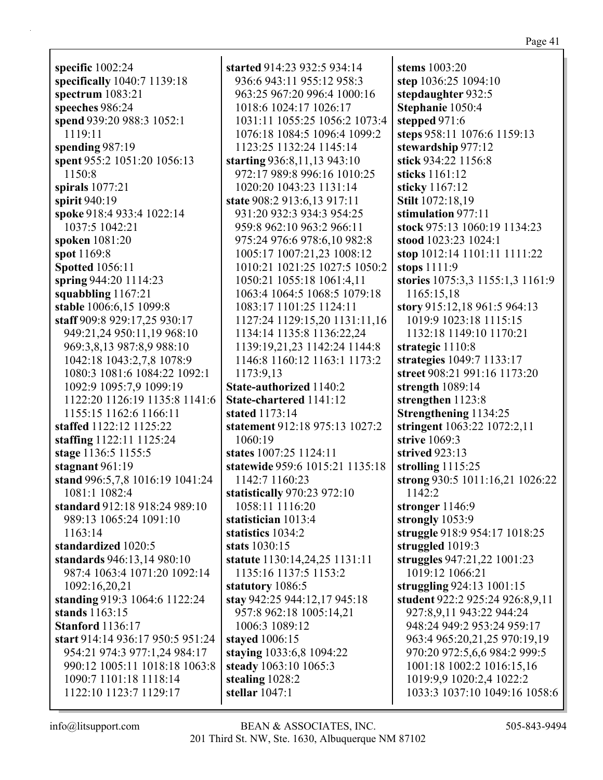**specific** 1002:24 **specifically** 1040:7 1139:18 **spectrum** 1083:21 **speeches** 986:24 **spend** 939:20 988:3 1052:1 1119:11 **spending** 987:19 **spent** 955:2 1051:20 1056:13 1150:8 **spirals** 1077:21 **spirit** 940:19 **spoke** 918:4 933:4 1022:14 1037:5 1042:21 **spoken** 1081:20 **spot** 1169:8 **Spotted** 1056:11 **spring** 944:20 1114:23 **squabbling** 1167:21 **stable** 1006:6,15 1099:8 **staff** 909:8 929:17,25 930:17 949:21,24 950:11,19 968:10 969:3,8,13 987:8,9 988:10 1042:18 1043:2,7,8 1078:9 1080:3 1081:6 1084:22 1092:1 1092:9 1095:7,9 1099:19 1122:20 1126:19 1135:8 1141:6 1155:15 1162:6 1166:11 **staffed** 1122:12 1125:22 **staffing** 1122:11 1125:24 **stage** 1136:5 1155:5 **stagnant** 961:19 **stand** 996:5,7,8 1016:19 1041:24 1081:1 1082:4 **standard** 912:18 918:24 989:10 989:13 1065:24 1091:10 1163:14 **standardized** 1020:5 **standards** 946:13,14 980:10 987:4 1063:4 1071:20 1092:14 1092:16,20,21 **standing** 919:3 1064:6 1122:24 **stands** 1163:15 **Stanford** 1136:17 **start** 914:14 936:17 950:5 951:24 954:21 974:3 977:1,24 984:17 990:12 1005:11 1018:18 1063:8 1090:7 1101:18 1118:14 1122:10 1123:7 1129:17

**started** 914:23 932:5 934:14 936:6 943:11 955:12 958:3 963:25 967:20 996:4 1000:16 1018:6 1024:17 1026:17 1031:11 1055:25 1056:2 1073:4 1076:18 1084:5 1096:4 1099:2 1123:25 1132:24 1145:14 **starting** 936:8,11,13 943:10 972:17 989:8 996:16 1010:25 1020:20 1043:23 1131:14 **state** 908:2 913:6,13 917:11 931:20 932:3 934:3 954:25 959:8 962:10 963:2 966:11 975:24 976:6 978:6,10 982:8 1005:17 1007:21,23 1008:12 1010:21 1021:25 1027:5 1050:2 1050:21 1055:18 1061:4,11 1063:4 1064:5 1068:5 1079:18 1083:17 1101:25 1124:11 1127:24 1129:15,20 1131:11,16 1134:14 1135:8 1136:22,24 1139:19,21,23 1142:24 1144:8 1146:8 1160:12 1163:1 1173:2 1173:9,13 **State-authorized** 1140:2 **State-chartered** 1141:12 **stated** 1173:14 **statement** 912:18 975:13 1027:2 1060:19 **states** 1007:25 1124:11 **statewide** 959:6 1015:21 1135:18 1142:7 1160:23 **statistically** 970:23 972:10 1058:11 1116:20 **statistician** 1013:4 **statistics** 1034:2 **stats** 1030:15 **statute** 1130:14,24,25 1131:11 1135:16 1137:5 1153:2 **statutory** 1086:5 **stay** 942:25 944:12,17 945:18 957:8 962:18 1005:14,21 1006:3 1089:12 **stayed** 1006:15 **staying** 1033:6,8 1094:22 **steady** 1063:10 1065:3 **stealing** 1028:2 **stellar** 1047:1

**stems** 1003:20 **step** 1036:25 1094:10 **stepdaughter** 932:5 **Stephanie** 1050:4 **stepped** 971:6 **steps** 958:11 1076:6 1159:13 **stewardship** 977:12 **stick** 934:22 1156:8 **sticks** 1161:12 **sticky** 1167:12 **Stilt** 1072:18,19 **stimulation** 977:11 **stock** 975:13 1060:19 1134:23 **stood** 1023:23 1024:1 **stop** 1012:14 1101:11 1111:22 **stops** 1111:9 **stories** 1075:3,3 1155:1,3 1161:9 1165:15,18 **story** 915:12,18 961:5 964:13 1019:9 1023:18 1115:15 1132:18 1149:10 1170:21 **strategic** 1110:8 **strategies** 1049:7 1133:17 **street** 908:21 991:16 1173:20 **strength** 1089:14 **strengthen** 1123:8 **Strengthening** 1134:25 **stringent** 1063:22 1072:2,11 **strive** 1069:3 **strived** 923:13 **strolling** 1115:25 **strong** 930:5 1011:16,21 1026:22 1142:2 **stronger** 1146:9 **strongly** 1053:9 **struggle** 918:9 954:17 1018:25 **struggled** 1019:3 **struggles** 947:21,22 1001:23 1019:12 1066:21 **struggling** 924:13 1001:15 **student** 922:2 925:24 926:8,9,11 927:8,9,11 943:22 944:24 948:24 949:2 953:24 959:17 963:4 965:20,21,25 970:19,19 970:20 972:5,6,6 984:2 999:5 1001:18 1002:2 1016:15,16 1019:9,9 1020:2,4 1022:2 1033:3 1037:10 1049:16 1058:6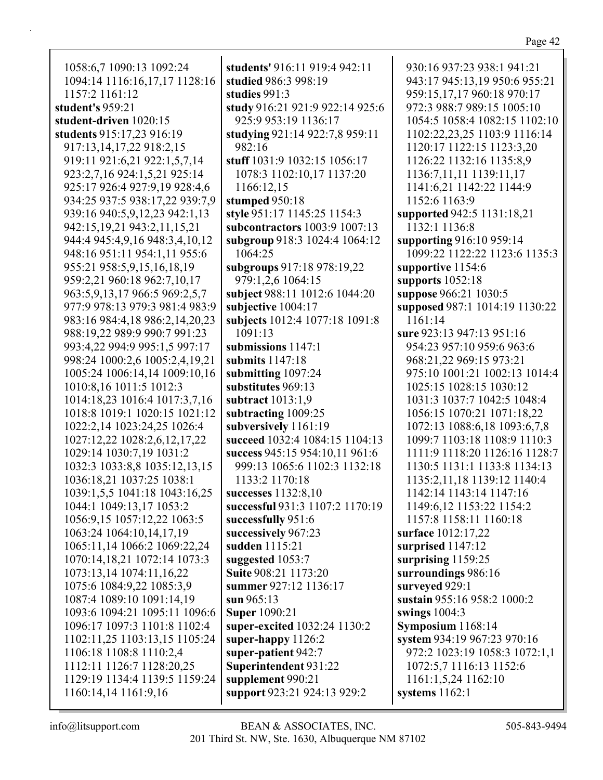| 1058:6,7 1090:13 1092:24             | students' 916:11 919:4 942:11   | 930:16 937:23 938:1 941:21     |
|--------------------------------------|---------------------------------|--------------------------------|
| 1094:14 1116:16,17,17 1128:16        | studied 986:3 998:19            | 943:17 945:13,19 950:6 955:21  |
| 1157:2 1161:12                       | studies 991:3                   | 959:15,17,17 960:18 970:17     |
| student's 959:21                     | study 916:21 921:9 922:14 925:6 | 972:3 988:7 989:15 1005:10     |
| student-driven 1020:15               | 925:9 953:19 1136:17            | 1054:5 1058:4 1082:15 1102:10  |
| students 915:17,23 916:19            | studying 921:14 922:7,8 959:11  | 1102:22,23,25 1103:9 1116:14   |
| 917:13,14,17,22 918:2,15             | 982:16                          | 1120:17 1122:15 1123:3,20      |
| 919:11 921:6,21 922:1,5,7,14         | stuff 1031:9 1032:15 1056:17    | 1126:22 1132:16 1135:8,9       |
| 923:2,7,16 924:1,5,21 925:14         | 1078:3 1102:10,17 1137:20       | 1136:7,11,11 1139:11,17        |
| 925:17 926:4 927:9,19 928:4,6        | 1166:12,15                      | 1141:6,21 1142:22 1144:9       |
| 934:25 937:5 938:17,22 939:7,9       | stumped 950:18                  | 1152:6 1163:9                  |
| 939:16 940:5,9,12,23 942:1,13        | style 951:17 1145:25 1154:3     | supported 942:5 1131:18,21     |
| 942:15,19,21 943:2,11,15,21          | subcontractors 1003:9 1007:13   | 1132:1 1136:8                  |
| 944:4 945:4,9,16 948:3,4,10,12       | subgroup 918:3 1024:4 1064:12   | supporting 916:10 959:14       |
| 948:16 951:11 954:1,11 955:6         | 1064:25                         | 1099:22 1122:22 1123:6 1135:3  |
| 955:21 958:5, 9, 15, 16, 18, 19      | subgroups 917:18 978:19,22      | supportive 1154:6              |
| 959:2,21 960:18 962:7,10,17          | 979:1,2,6 1064:15               | supports $1052:18$             |
| 963:5, 9, 13, 17 966: 5 969: 2, 5, 7 | subject 988:11 1012:6 1044:20   | suppose 966:21 1030:5          |
| 977:9 978:13 979:3 981:4 983:9       | subjective 1004:17              | supposed 987:1 1014:19 1130:22 |
| 983:16 984:4,18 986:2,14,20,23       | subjects 1012:4 1077:18 1091:8  | 1161:14                        |
| 988:19,22 989:9 990:7 991:23         | 1091:13                         | sure 923:13 947:13 951:16      |
| 993:4,22 994:9 995:1,5 997:17        | submissions 1147:1              | 954:23 957:10 959:6 963:6      |
| 998:24 1000:2,6 1005:2,4,19,21       | submits 1147:18                 | 968:21,22 969:15 973:21        |
| 1005:24 1006:14,14 1009:10,16        | submitting 1097:24              | 975:10 1001:21 1002:13 1014:4  |
| 1010:8,16 1011:5 1012:3              | substitutes 969:13              | 1025:15 1028:15 1030:12        |
| 1014:18,23 1016:4 1017:3,7,16        | subtract 1013:1,9               | 1031:3 1037:7 1042:5 1048:4    |
| 1018:8 1019:1 1020:15 1021:12        | subtracting 1009:25             | 1056:15 1070:21 1071:18,22     |
| 1022:2,14 1023:24,25 1026:4          | subversively 1161:19            | 1072:13 1088:6,18 1093:6,7,8   |
| 1027:12,22 1028:2,6,12,17,22         | succeed 1032:4 1084:15 1104:13  | 1099:7 1103:18 1108:9 1110:3   |
| 1029:14 1030:7,19 1031:2             | success 945:15 954:10,11 961:6  | 1111:9 1118:20 1126:16 1128:7  |
| 1032:3 1033:8,8 1035:12,13,15        | 999:13 1065:6 1102:3 1132:18    | 1130:5 1131:1 1133:8 1134:13   |
| 1036:18,21 1037:25 1038:1            | 1133:2 1170:18                  | 1135:2,11,18 1139:12 1140:4    |
| 1039:1,5,5 1041:18 1043:16,25        | successes 1132:8,10             | 1142:14 1143:14 1147:16        |
| 1044:1 1049:13,17 1053:2             | successful 931:3 1107:2 1170:19 | 1149:6,12 1153:22 1154:2       |
| 1056:9,15 1057:12,22 1063:5          | successfully 951:6              | 1157:8 1158:11 1160:18         |
| 1063:24 1064:10,14,17,19             | successively 967:23             | surface 1012:17,22             |
| 1065:11,14 1066:2 1069:22,24         | sudden 1115:21                  | surprised 1147:12              |
| 1070:14,18,21 1072:14 1073:3         | suggested 1053:7                | surprising 1159:25             |
| 1073:13,14 1074:11,16,22             | Suite 908:21 1173:20            | surroundings 986:16            |
| 1075:6 1084:9,22 1085:3,9            | summer 927:12 1136:17           | surveyed 929:1                 |
| 1087:4 1089:10 1091:14,19            | sun $965:13$                    | sustain 955:16 958:2 1000:2    |
| 1093:6 1094:21 1095:11 1096:6        | <b>Super 1090:21</b>            | swings $1004:3$                |
| 1096:17 1097:3 1101:8 1102:4         | super-excited 1032:24 1130:2    | Symposium 1168:14              |
| 1102:11,25 1103:13,15 1105:24        | super-happy 1126:2              | system 934:19 967:23 970:16    |
| 1106:18 1108:8 1110:2,4              | super-patient 942:7             | 972:2 1023:19 1058:3 1072:1,1  |
| 1112:11 1126:7 1128:20,25            | Superintendent 931:22           | 1072:5,7 1116:13 1152:6        |
| 1129:19 1134:4 1139:5 1159:24        | supplement 990:21               | 1161:1,5,24 1162:10            |
| 1160:14,14 1161:9,16                 | support 923:21 924:13 929:2     | systems $1162:1$               |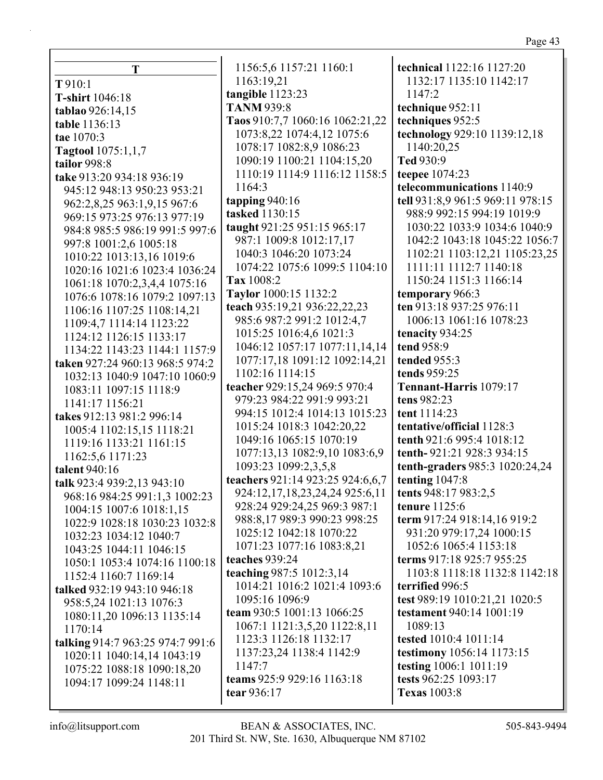| r.<br>١ |  |
|---------|--|
|         |  |

|                                  | 1156:5,6 1157:21 1160:1            | technical 1122:16 1127:20                                      |
|----------------------------------|------------------------------------|----------------------------------------------------------------|
| T                                | 1163:19,21                         | 1132:17 1135:10 1142:17                                        |
| T 910:1                          | tangible 1123:23                   | 1147:2                                                         |
| T-shirt 1046:18                  | <b>TANM 939:8</b>                  | technique 952:11                                               |
| tablao 926:14,15                 | Taos 910:7,7 1060:16 1062:21,22    | techniques 952:5                                               |
| table 1136:13                    | 1073:8,22 1074:4,12 1075:6         | technology 929:10 1139:12,18                                   |
| tae 1070:3                       | 1078:17 1082:8,9 1086:23           | 1140:20,25                                                     |
| <b>Tagtool</b> 1075:1,1,7        | 1090:19 1100:21 1104:15,20         | Ted 930:9                                                      |
| tailor 998:8                     | 1110:19 1114:9 1116:12 1158:5      |                                                                |
| take 913:20 934:18 936:19        | 1164:3                             | teepee 1074:23<br>telecommunications 1140:9                    |
| 945:12 948:13 950:23 953:21      |                                    |                                                                |
| 962:2,8,25 963:1,9,15 967:6      | tapping $940:16$<br>tasked 1130:15 | tell 931:8,9 961:5 969:11 978:15<br>988:9 992:15 994:19 1019:9 |
| 969:15 973:25 976:13 977:19      |                                    |                                                                |
| 984:8 985:5 986:19 991:5 997:6   | taught 921:25 951:15 965:17        | 1030:22 1033:9 1034:6 1040:9                                   |
| 997:8 1001:2,6 1005:18           | 987:1 1009:8 1012:17,17            | 1042:2 1043:18 1045:22 1056:7                                  |
| 1010:22 1013:13,16 1019:6        | 1040:3 1046:20 1073:24             | 1102:21 1103:12,21 1105:23,25                                  |
| 1020:16 1021:6 1023:4 1036:24    | 1074:22 1075:6 1099:5 1104:10      | 1111:11 1112:7 1140:18                                         |
| 1061:18 1070:2,3,4,4 1075:16     | Tax 1008:2                         | 1150:24 1151:3 1166:14                                         |
| 1076:6 1078:16 1079:2 1097:13    | Taylor 1000:15 1132:2              | temporary 966:3                                                |
| 1106:16 1107:25 1108:14,21       | teach 935:19,21 936:22,22,23       | ten 913:18 937:25 976:11                                       |
| 1109:4,7 1114:14 1123:22         | 985:6 987:2 991:2 1012:4,7         | 1006:13 1061:16 1078:23                                        |
| 1124:12 1126:15 1133:17          | 1015:25 1016:4,6 1021:3            | tenacity 934:25                                                |
| 1134:22 1143:23 1144:1 1157:9    | 1046:12 1057:17 1077:11,14,14      | tend 958:9                                                     |
| taken 927:24 960:13 968:5 974:2  | 1077:17,18 1091:12 1092:14,21      | tended 955:3                                                   |
| 1032:13 1040:9 1047:10 1060:9    | 1102:16 1114:15                    | tends 959:25                                                   |
| 1083:11 1097:15 1118:9           | teacher 929:15,24 969:5 970:4      | Tennant-Harris 1079:17                                         |
| 1141:17 1156:21                  | 979:23 984:22 991:9 993:21         | tens 982:23                                                    |
| takes 912:13 981:2 996:14        | 994:15 1012:4 1014:13 1015:23      | tent 1114:23                                                   |
| 1005:4 1102:15,15 1118:21        | 1015:24 1018:3 1042:20,22          | tentative/official 1128:3                                      |
| 1119:16 1133:21 1161:15          | 1049:16 1065:15 1070:19            | tenth 921:6 995:4 1018:12                                      |
| 1162:5,6 1171:23                 | 1077:13,13 1082:9,10 1083:6,9      | tenth-921:21 928:3 934:15                                      |
| talent 940:16                    | 1093:23 1099:2,3,5,8               | tenth-graders 985:3 1020:24,24                                 |
| talk 923:4 939:2,13 943:10       | teachers 921:14 923:25 924:6,6,7   | tenting $1047:8$                                               |
| 968:16 984:25 991:1,3 1002:23    | 924:12,17,18,23,24,24 925:6,11     | tents 948:17 983:2,5                                           |
| 1004:15 1007:6 1018:1,15         | 928:24 929:24,25 969:3 987:1       | tenure $1125:6$                                                |
| 1022:9 1028:18 1030:23 1032:8    | 988:8,17 989:3 990:23 998:25       | term 917:24 918:14,16 919:2                                    |
| 1032:23 1034:12 1040:7           | 1025:12 1042:18 1070:22            | 931:20 979:17,24 1000:15                                       |
| 1043:25 1044:11 1046:15          | 1071:23 1077:16 1083:8,21          | 1052:6 1065:4 1153:18                                          |
| 1050:1 1053:4 1074:16 1100:18    | teaches 939:24                     | terms 917:18 925:7 955:25                                      |
| 1152:4 1160:7 1169:14            | teaching 987:5 1012:3,14           | 1103:8 1118:18 1132:8 1142:18                                  |
| talked 932:19 943:10 946:18      | 1014:21 1016:2 1021:4 1093:6       | terrified 996:5                                                |
| 958:5,24 1021:13 1076:3          | 1095:16 1096:9                     | test 989:19 1010:21,21 1020:5                                  |
| 1080:11,20 1096:13 1135:14       | team 930:5 1001:13 1066:25         | testament 940:14 1001:19                                       |
| 1170:14                          | 1067:1 1121:3,5,20 1122:8,11       | 1089:13                                                        |
| talking 914:7 963:25 974:7 991:6 | 1123:3 1126:18 1132:17             | tested 1010:4 1011:14                                          |
| 1020:11 1040:14,14 1043:19       | 1137:23,24 1138:4 1142:9           | <b>testimony</b> 1056:14 1173:15                               |
| 1075:22 1088:18 1090:18,20       | 1147:7                             | testing 1006:1 1011:19                                         |
| 1094:17 1099:24 1148:11          | teams 925:9 929:16 1163:18         | tests 962:25 1093:17                                           |
|                                  | tear 936:17                        | <b>Texas</b> 1003:8                                            |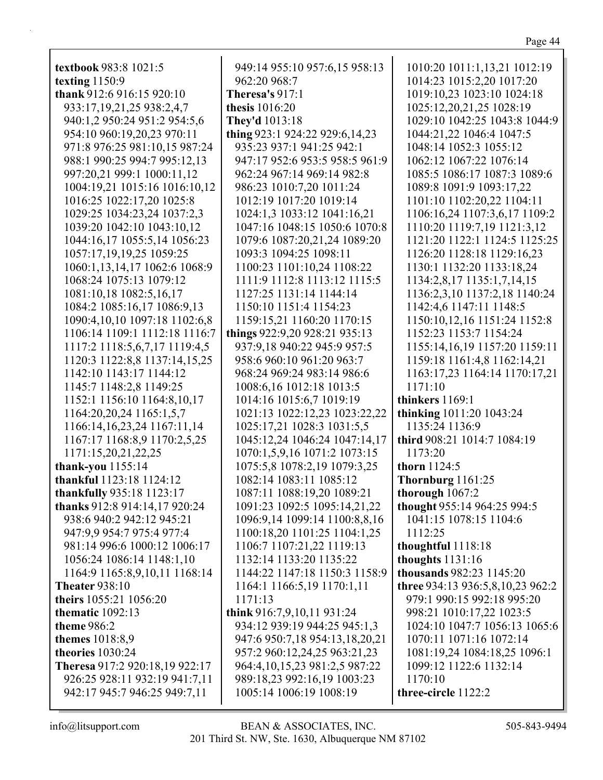| textbook 983:8 1021:5           | 949:14 955:10 957:6,15 958:13  | 1010:20 1011:1,13,21 1012:19     |
|---------------------------------|--------------------------------|----------------------------------|
| texting $1150:9$                | 962:20 968:7                   | 1014:23 1015:2,20 1017:20        |
| thank 912:6 916:15 920:10       | Theresa's $917:1$              | 1019:10,23 1023:10 1024:18       |
| 933:17,19,21,25 938:2,4,7       | thesis 1016:20                 | 1025:12,20,21,25 1028:19         |
| 940:1,2 950:24 951:2 954:5,6    | <b>They'd</b> 1013:18          | 1029:10 1042:25 1043:8 1044:9    |
| 954:10 960:19,20,23 970:11      | thing 923:1 924:22 929:6,14,23 | 1044:21,22 1046:4 1047:5         |
| 971:8 976:25 981:10,15 987:24   | 935:23 937:1 941:25 942:1      | 1048:14 1052:3 1055:12           |
| 988:1 990:25 994:7 995:12,13    | 947:17 952:6 953:5 958:5 961:9 | 1062:12 1067:22 1076:14          |
| 997:20,21 999:1 1000:11,12      | 962:24 967:14 969:14 982:8     | 1085:5 1086:17 1087:3 1089:6     |
| 1004:19,21 1015:16 1016:10,12   | 986:23 1010:7,20 1011:24       | 1089:8 1091:9 1093:17,22         |
| 1016:25 1022:17,20 1025:8       | 1012:19 1017:20 1019:14        | 1101:10 1102:20,22 1104:11       |
| 1029:25 1034:23,24 1037:2,3     | 1024:1,3 1033:12 1041:16,21    | 1106:16,24 1107:3,6,17 1109:2    |
| 1039:20 1042:10 1043:10,12      | 1047:16 1048:15 1050:6 1070:8  | 1110:20 1119:7,19 1121:3,12      |
| 1044:16,17 1055:5,14 1056:23    | 1079:6 1087:20,21,24 1089:20   | 1121:20 1122:1 1124:5 1125:25    |
| 1057:17,19,19,25 1059:25        | 1093:3 1094:25 1098:11         | 1126:20 1128:18 1129:16,23       |
| 1060:1,13,14,17 1062:6 1068:9   | 1100:23 1101:10,24 1108:22     | 1130:1 1132:20 1133:18,24        |
| 1068:24 1075:13 1079:12         | 1111:9 1112:8 1113:12 1115:5   | 1134:2,8,17 1135:1,7,14,15       |
| 1081:10,18 1082:5,16,17         | 1127:25 1131:14 1144:14        | 1136:2,3,10 1137:2,18 1140:24    |
| 1084:2 1085:16,17 1086:9,13     | 1150:10 1151:4 1154:23         | 1142:4,6 1147:11 1148:5          |
| 1090:4,10,10 1097:18 1102:6,8   | 1159:15,21 1160:20 1170:15     | 1150:10,12,16 1151:24 1152:8     |
| 1106:14 1109:1 1112:18 1116:7   | things 922:9,20 928:21 935:13  | 1152:23 1153:7 1154:24           |
| 1117:2 1118:5,6,7,17 1119:4,5   | 937:9,18 940:22 945:9 957:5    | 1155:14,16,19 1157:20 1159:11    |
| 1120:3 1122:8,8 1137:14,15,25   | 958:6 960:10 961:20 963:7      | 1159:18 1161:4,8 1162:14,21      |
| 1142:10 1143:17 1144:12         | 968:24 969:24 983:14 986:6     | 1163:17,23 1164:14 1170:17,21    |
| 1145:7 1148:2,8 1149:25         | 1008:6,16 1012:18 1013:5       | 1171:10                          |
| 1152:1 1156:10 1164:8,10,17     | 1014:16 1015:6,7 1019:19       | thinkers 1169:1                  |
| 1164:20,20,24 1165:1,5,7        | 1021:13 1022:12,23 1023:22,22  | thinking 1011:20 1043:24         |
| 1166:14, 16, 23, 24 1167:11, 14 | 1025:17,21 1028:3 1031:5,5     | 1135:24 1136:9                   |
| 1167:17 1168:8,9 1170:2,5,25    | 1045:12,24 1046:24 1047:14,17  | third 908:21 1014:7 1084:19      |
| 1171:15,20,21,22,25             | 1070:1,5,9,16 1071:2 1073:15   | 1173:20                          |
| thank-you $1155:14$             | 1075:5,8 1078:2,19 1079:3,25   | thorn 1124:5                     |
| thankful 1123:18 1124:12        | 1082:14 1083:11 1085:12        | Thornburg 1161:25                |
| thankfully 935:18 1123:17       | 1087:11 1088:19,20 1089:21     | thorough $1067:2$                |
| thanks 912:8 914:14,17 920:24   | 1091:23 1092:5 1095:14,21,22   | thought 955:14 964:25 994:5      |
| 938:6 940:2 942:12 945:21       | 1096:9,14 1099:14 1100:8,8,16  | 1041:15 1078:15 1104:6           |
| 947:9,9 954:7 975:4 977:4       | 1100:18,20 1101:25 1104:1,25   | 1112:25                          |
| 981:14 996:6 1000:12 1006:17    | 1106:7 1107:21,22 1119:13      | thoughtful 1118:18               |
| 1056:24 1086:14 1148:1,10       | 1132:14 1133:20 1135:22        | thoughts $1131:16$               |
| 1164:9 1165:8,9,10,11 1168:14   | 1144:22 1147:18 1150:3 1158:9  | thousands 982:23 1145:20         |
| <b>Theater 938:10</b>           | 1164:1 1166:5,19 1170:1,11     | three 934:13 936:5,8,10,23 962:2 |
| theirs 1055:21 1056:20          | 1171:13                        | 979:1 990:15 992:18 995:20       |
| thematic $1092:13$              | think 916:7,9,10,11 931:24     | 998:21 1010:17,22 1023:5         |
| theme 986:2                     | 934:12 939:19 944:25 945:1,3   | 1024:10 1047:7 1056:13 1065:6    |
| themes 1018:8,9                 | 947:6 950:7,18 954:13,18,20,21 | 1070:11 1071:16 1072:14          |
| theories 1030:24                | 957:2 960:12,24,25 963:21,23   | 1081:19,24 1084:18,25 1096:1     |
| Theresa 917:2 920:18,19 922:17  | 964:4,10,15,23 981:2,5 987:22  | 1099:12 1122:6 1132:14           |
| 926:25 928:11 932:19 941:7,11   | 989:18,23 992:16,19 1003:23    | 1170:10                          |
| 942:17 945:7 946:25 949:7,11    | 1005:14 1006:19 1008:19        | three-circle 1122:2              |
|                                 |                                |                                  |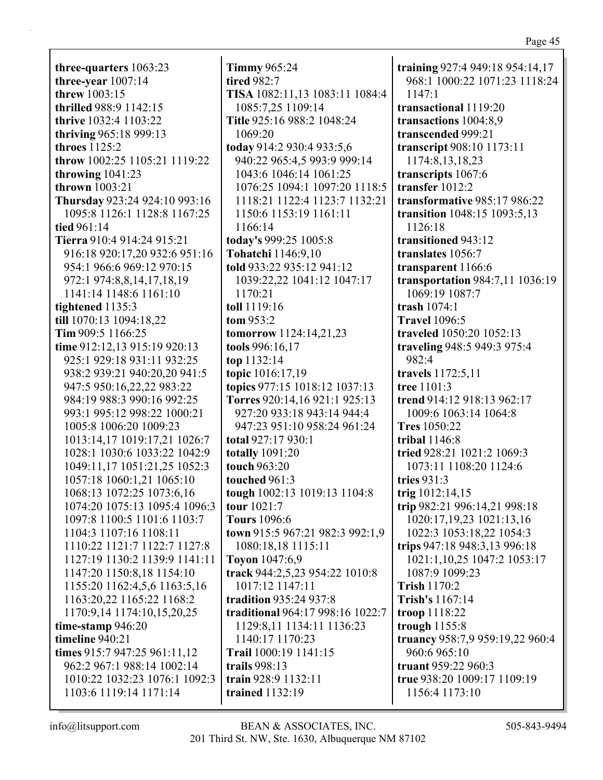**three-quarters** 1063:23 **three-year** 1007:14 **threw** 1003:15 **thrilled** 988:9 1142:15 **thrive** 1032:4 1103:22 **thriving** 965:18 999:13 **throes** 1125:2 **throw** 1002:25 1105:21 1119:22 **throwing** 1041:23 **thrown** 1003:21 **Thursday** 923:24 924:10 993:16 1095:8 1126:1 1128:8 1167:25 **tied** 961:14 **Tierra** 910:4 914:24 915:21 916:18 920:17,20 932:6 951:16 954:1 966:6 969:12 970:15 972:1 974:8,8,14,17,18,19 1141:14 1148:6 1161:10 **tightened** 1135:3 **till** 1070:13 1094:18,22 **Tim** 909:5 1166:25 **time** 912:12,13 915:19 920:13 925:1 929:18 931:11 932:25 938:2 939:21 940:20,20 941:5 947:5 950:16,22,22 983:22 984:19 988:3 990:16 992:25 993:1 995:12 998:22 1000:21 1005:8 1006:20 1009:23 1013:14,17 1019:17,21 1026:7 1028:1 1030:6 1033:22 1042:9 1049:11,17 1051:21,25 1052:3 1057:18 1060:1,21 1065:10 1068:13 1072:25 1073:6,16 1074:20 1075:13 1095:4 1096:3 1097:8 1100:5 1101:6 1103:7 1104:3 1107:16 1108:11 1110:22 1121:7 1122:7 1127:8 1127:19 1130:2 1139:9 1141:11 1147:20 1150:8,18 1154:10 1155:20 1162:4,5,6 1163:5,16 1163:20,22 1165:22 1168:2 1170:9,14 1174:10,15,20,25 **time-stamp** 946:20 **timeline** 940:21 **times** 915:7 947:25 961:11,12 962:2 967:1 988:14 1002:14 1010:22 1032:23 1076:1 1092:3 1103:6 1119:14 1171:14

**Timmy** 965:24 **tired** 982:7 **TISA** 1082:11,13 1083:11 1084:4 1085:7,25 1109:14 **Title** 925:16 988:2 1048:24 1069:20 **today** 914:2 930:4 933:5,6 940:22 965:4,5 993:9 999:14 1043:6 1046:14 1061:25 1076:25 1094:1 1097:20 1118:5 1118:21 1122:4 1123:7 1132:21 1150:6 1153:19 1161:11 1166:14 **today's** 999:25 1005:8 **Tohatchi** 1146:9,10 **told** 933:22 935:12 941:12 1039:22,22 1041:12 1047:17 1170:21 **toll** 1119:16 **tom** 953:2 **tomorrow** 1124:14,21,23 **tools** 996:16,17 **top** 1132:14 **topic** 1016:17,19 **topics** 977:15 1018:12 1037:13 **Torres** 920:14,16 921:1 925:13 927:20 933:18 943:14 944:4 947:23 951:10 958:24 961:24 **total** 927:17 930:1 **totally** 1091:20 **touch** 963:20 **touched** 961:3 **tough** 1002:13 1019:13 1104:8 **tour** 1021:7 **Tours** 1096:6 **town** 915:5 967:21 982:3 992:1,9 1080:18,18 1115:11 **Toyon** 1047:6,9 **track** 944:2,5,23 954:22 1010:8 1017:12 1147:11 **tradition** 935:24 937:8 **traditional** 964:17 998:16 1022:7 1129:8,11 1134:11 1136:23 1140:17 1170:23 **Trail** 1000:19 1141:15 **trails** 998:13 **train** 928:9 1132:11 **trained** 1132:19

**training** 927:4 949:18 954:14,17 968:1 1000:22 1071:23 1118:24  $1147 \cdot 1$ **transactional** 1119:20 **transactions** 1004:8,9 **transcended** 999:21 **transcript** 908:10 1173:11 1174:8,13,18,23 **transcripts** 1067:6 **transfer** 1012:2 **transformative** 985:17 986:22 **transition** 1048:15 1093:5,13 1126:18 **transitioned** 943:12 **translates** 1056:7 **transparent** 1166:6 **transportation** 984:7,11 1036:19 1069:19 1087:7 **trash** 1074:1 **Travel** 1096:5 **traveled** 1050:20 1052:13 **traveling** 948:5 949:3 975:4 982:4 **travels** 1172:5,11 **tree** 1101:3 **trend** 914:12 918:13 962:17 1009:6 1063:14 1064:8 **Tres** 1050:22 **tribal** 1146:8 **tried** 928:21 1021:2 1069:3 1073:11 1108:20 1124:6 **tries** 931:3 **trig** 1012:14,15 **trip** 982:21 996:14,21 998:18 1020:17,19,23 1021:13,16 1022:3 1053:18,22 1054:3 **trips** 947:18 948:3,13 996:18 1021:1,10,25 1047:2 1053:17 1087:9 1099:23 **Trish** 1170:2 **Trish's** 1167:14 **troop** 1118:22 **trough** 1155:8 **truancy** 958:7,9 959:19,22 960:4 960:6 965:10 **truant** 959:22 960:3 **true** 938:20 1009:17 1109:19 1156:4 1173:10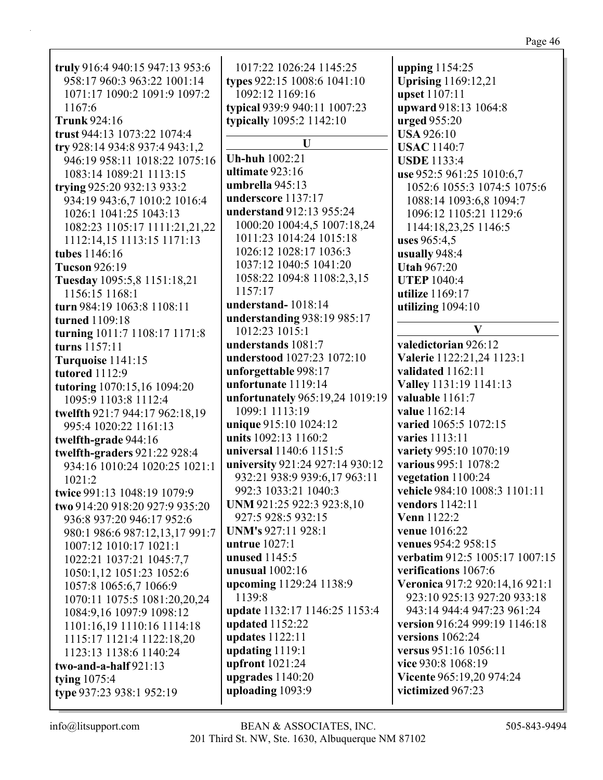| truly 916:4 940:15 947:13 953:6<br>958:17 960:3 963:22 1001:14<br>1071:17 1090:2 1091:9 1097:2<br>1167:6<br><b>Trunk</b> 924:16<br>trust 944:13 1073:22 1074:4 | 1017:22 1026:24 1145:25<br>types 922:15 1008:6 1041:10<br>1092:12 1169:16<br>typical 939:9 940:11 1007:23<br>typically 1095:2 1142:10 | upping 1154:25<br><b>Uprising</b> 1169:12,21<br><b>upset</b> 1107:11<br>upward 918:13 1064:8<br><b>urged</b> 955:20<br><b>USA 926:10</b> |
|----------------------------------------------------------------------------------------------------------------------------------------------------------------|---------------------------------------------------------------------------------------------------------------------------------------|------------------------------------------------------------------------------------------------------------------------------------------|
| try 928:14 934:8 937:4 943:1,2                                                                                                                                 | U                                                                                                                                     | <b>USAC</b> 1140:7                                                                                                                       |
| 946:19 958:11 1018:22 1075:16                                                                                                                                  | <b>Uh-huh</b> 1002:21                                                                                                                 | <b>USDE</b> 1133:4                                                                                                                       |
| 1083:14 1089:21 1113:15                                                                                                                                        | ultimate 923:16                                                                                                                       | use 952:5 961:25 1010:6,7                                                                                                                |
| trying 925:20 932:13 933:2                                                                                                                                     | umbrella 945:13                                                                                                                       | 1052:6 1055:3 1074:5 1075:6                                                                                                              |
| 934:19 943:6,7 1010:2 1016:4                                                                                                                                   | underscore 1137:17                                                                                                                    | 1088:14 1093:6,8 1094:7                                                                                                                  |
| 1026:1 1041:25 1043:13                                                                                                                                         | understand 912:13 955:24                                                                                                              | 1096:12 1105:21 1129:6                                                                                                                   |
| 1082:23 1105:17 1111:21,21,22                                                                                                                                  | 1000:20 1004:4,5 1007:18,24                                                                                                           | 1144:18,23,25 1146:5                                                                                                                     |
| 1112:14,15 1113:15 1171:13                                                                                                                                     | 1011:23 1014:24 1015:18                                                                                                               | uses $965:4,5$                                                                                                                           |
| tubes 1146:16                                                                                                                                                  | 1026:12 1028:17 1036:3                                                                                                                | usually 948:4                                                                                                                            |
| <b>Tucson</b> 926:19                                                                                                                                           | 1037:12 1040:5 1041:20                                                                                                                | <b>Utah 967:20</b>                                                                                                                       |
| Tuesday 1095:5,8 1151:18,21                                                                                                                                    | 1058:22 1094:8 1108:2,3,15                                                                                                            | <b>UTEP 1040:4</b>                                                                                                                       |
| 1156:15 1168:1                                                                                                                                                 | 1157:17                                                                                                                               | utilize 1169:17                                                                                                                          |
| turn 984:19 1063:8 1108:11                                                                                                                                     | understand-1018:14                                                                                                                    | utilizing $1094:10$                                                                                                                      |
| turned 1109:18                                                                                                                                                 | understanding 938:19 985:17                                                                                                           |                                                                                                                                          |
| turning 1011:7 1108:17 1171:8                                                                                                                                  | 1012:23 1015:1                                                                                                                        | V                                                                                                                                        |
| turns 1157:11                                                                                                                                                  | understands 1081:7                                                                                                                    | valedictorian 926:12                                                                                                                     |
| Turquoise 1141:15                                                                                                                                              | understood 1027:23 1072:10                                                                                                            | Valerie 1122:21,24 1123:1                                                                                                                |
| <b>tutored</b> 1112:9                                                                                                                                          | unforgettable 998:17                                                                                                                  | validated 1162:11                                                                                                                        |
| tutoring 1070:15,16 1094:20                                                                                                                                    | unfortunate 1119:14                                                                                                                   | Valley 1131:19 1141:13                                                                                                                   |
| 1095:9 1103:8 1112:4                                                                                                                                           | unfortunately 965:19,24 1019:19                                                                                                       | valuable 1161:7                                                                                                                          |
| twelfth 921:7 944:17 962:18,19                                                                                                                                 | 1099:1 1113:19                                                                                                                        | value 1162:14                                                                                                                            |
| 995:4 1020:22 1161:13                                                                                                                                          | unique 915:10 1024:12                                                                                                                 | varied 1065:5 1072:15                                                                                                                    |
| twelfth-grade 944:16                                                                                                                                           | units 1092:13 1160:2                                                                                                                  | varies 1113:11                                                                                                                           |
| twelfth-graders 921:22 928:4                                                                                                                                   | universal 1140:6 1151:5                                                                                                               | variety 995:10 1070:19                                                                                                                   |
| 934:16 1010:24 1020:25 1021:1                                                                                                                                  | university 921:24 927:14 930:12                                                                                                       | various 995:1 1078:2                                                                                                                     |
| 1021:2                                                                                                                                                         | 932:21 938:9 939:6,17 963:11                                                                                                          | vegetation 1100:24                                                                                                                       |
| twice 991:13 1048:19 1079:9                                                                                                                                    | 992:3 1033:21 1040:3                                                                                                                  | vehicle 984:10 1008:3 1101:11                                                                                                            |
| two 914:20 918:20 927:9 935:20                                                                                                                                 | UNM 921:25 922:3 923:8,10                                                                                                             | vendors 1142:11                                                                                                                          |
| 936:8 937:20 946:17 952:6                                                                                                                                      | 927:5 928:5 932:15                                                                                                                    | <b>Venn</b> 1122:2                                                                                                                       |
| 980:1 986:6 987:12,13,17 991:7                                                                                                                                 | <b>UNM's 927:11 928:1</b>                                                                                                             | venue 1016:22                                                                                                                            |
| 1007:12 1010:17 1021:1                                                                                                                                         | untrue $1027:1$                                                                                                                       | venues 954:2 958:15                                                                                                                      |
| 1022:21 1037:21 1045:7,7                                                                                                                                       | unused 1145:5                                                                                                                         | verbatim 912:5 1005:17 1007:15                                                                                                           |
| 1050:1,12 1051:23 1052:6                                                                                                                                       | unusual 1002:16                                                                                                                       | verifications 1067:6                                                                                                                     |
| 1057:8 1065:6,7 1066:9                                                                                                                                         | upcoming 1129:24 1138:9                                                                                                               | Veronica 917:2 920:14,16 921:1                                                                                                           |
| 1070:11 1075:5 1081:20,20,24                                                                                                                                   | 1139:8                                                                                                                                | 923:10 925:13 927:20 933:18                                                                                                              |
| 1084:9,16 1097:9 1098:12                                                                                                                                       | update 1132:17 1146:25 1153:4                                                                                                         | 943:14 944:4 947:23 961:24                                                                                                               |
| 1101:16,19 1110:16 1114:18                                                                                                                                     | updated 1152:22                                                                                                                       | version 916:24 999:19 1146:18                                                                                                            |
| 1115:17 1121:4 1122:18,20                                                                                                                                      | updates 1122:11                                                                                                                       | versions $1062:24$                                                                                                                       |
| 1123:13 1138:6 1140:24                                                                                                                                         | updating 1119:1                                                                                                                       | versus 951:16 1056:11                                                                                                                    |
| two-and-a-half $921:13$                                                                                                                                        | upfront 1021:24                                                                                                                       | vice 930:8 1068:19                                                                                                                       |
| tying $1075:4$                                                                                                                                                 | upgrades 1140:20                                                                                                                      | Vicente 965:19,20 974:24                                                                                                                 |
| type 937:23 938:1 952:19                                                                                                                                       | uploading 1093:9                                                                                                                      | victimized 967:23                                                                                                                        |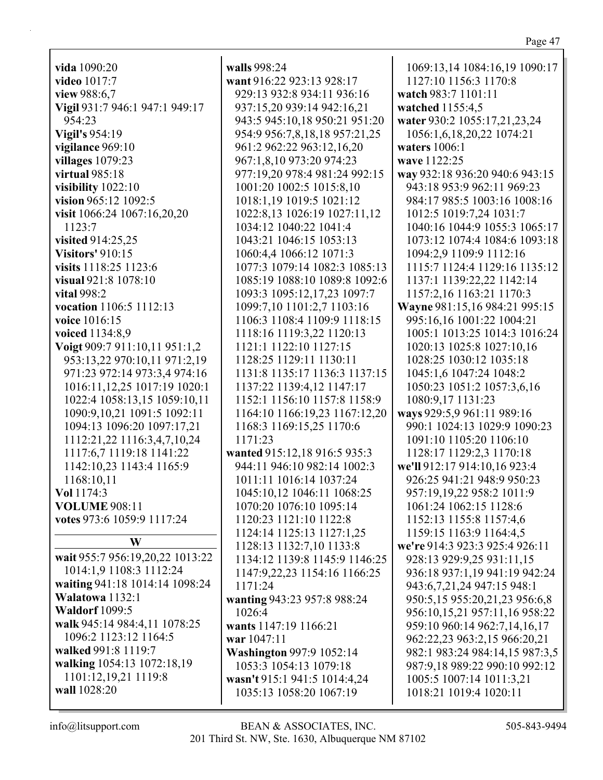| vida 1090:20                    | walls 998:24                    | 1069:13,14 1084:16,19 1090:17  |
|---------------------------------|---------------------------------|--------------------------------|
| video 1017:7                    | want 916:22 923:13 928:17       | 1127:10 1156:3 1170:8          |
| view 988:6,7                    | 929:13 932:8 934:11 936:16      | watch 983:7 1101:11            |
| Vigil 931:7 946:1 947:1 949:17  | 937:15,20 939:14 942:16,21      | watched 1155:4,5               |
| 954:23                          | 943:5 945:10,18 950:21 951:20   | water 930:2 1055:17,21,23,24   |
| <b>Vigil's 954:19</b>           | 954:9 956:7,8,18,18 957:21,25   | 1056:1,6,18,20,22 1074:21      |
| vigilance 969:10                | 961:2 962:22 963:12,16,20       | waters $1006:1$                |
| villages 1079:23                | 967:1,8,10 973:20 974:23        | wave 1122:25                   |
| virtual 985:18                  | 977:19,20 978:4 981:24 992:15   | way 932:18 936:20 940:6 943:15 |
| visibility 1022:10              | 1001:20 1002:5 1015:8,10        | 943:18 953:9 962:11 969:23     |
| vision 965:12 1092:5            | 1018:1,19 1019:5 1021:12        | 984:17 985:5 1003:16 1008:16   |
| visit 1066:24 1067:16,20,20     | 1022:8,13 1026:19 1027:11,12    | 1012:5 1019:7,24 1031:7        |
| 1123:7                          | 1034:12 1040:22 1041:4          | 1040:16 1044:9 1055:3 1065:17  |
|                                 |                                 |                                |
| visited 914:25,25               | 1043:21 1046:15 1053:13         | 1073:12 1074:4 1084:6 1093:18  |
| <b>Visitors' 910:15</b>         | 1060:4,4 1066:12 1071:3         | 1094:2,9 1109:9 1112:16        |
| visits 1118:25 1123:6           | 1077:3 1079:14 1082:3 1085:13   | 1115:7 1124:4 1129:16 1135:12  |
| visual 921:8 1078:10            | 1085:19 1088:10 1089:8 1092:6   | 1137:1 1139:22,22 1142:14      |
| <b>vital</b> 998:2              | 1093:3 1095:12,17,23 1097:7     | 1157:2,16 1163:21 1170:3       |
| vocation 1106:5 1112:13         | 1099:7,10 1101:2,7 1103:16      | Wayne 981:15,16 984:21 995:15  |
| voice 1016:15                   | 1106:3 1108:4 1109:9 1118:15    | 995:16,16 1001:22 1004:21      |
| voiced 1134:8,9                 | 1118:16 1119:3,22 1120:13       | 1005:1 1013:25 1014:3 1016:24  |
| Voigt 909:7 911:10,11 951:1,2   | 1121:1 1122:10 1127:15          | 1020:13 1025:8 1027:10,16      |
| 953:13,22 970:10,11 971:2,19    | 1128:25 1129:11 1130:11         | 1028:25 1030:12 1035:18        |
| 971:23 972:14 973:3,4 974:16    | 1131:8 1135:17 1136:3 1137:15   | 1045:1,6 1047:24 1048:2        |
| 1016:11,12,25 1017:19 1020:1    | 1137:22 1139:4,12 1147:17       | 1050:23 1051:2 1057:3,6,16     |
| 1022:4 1058:13,15 1059:10,11    | 1152:1 1156:10 1157:8 1158:9    | 1080:9,17 1131:23              |
| 1090:9,10,21 1091:5 1092:11     | 1164:10 1166:19,23 1167:12,20   | ways 929:5,9 961:11 989:16     |
| 1094:13 1096:20 1097:17,21      | 1168:3 1169:15,25 1170:6        | 990:1 1024:13 1029:9 1090:23   |
|                                 | 1171:23                         | 1091:10 1105:20 1106:10        |
| 1112:21,22 1116:3,4,7,10,24     |                                 |                                |
| 1117:6,7 1119:18 1141:22        | wanted 915:12,18 916:5 935:3    | 1128:17 1129:2,3 1170:18       |
| 1142:10,23 1143:4 1165:9        | 944:11 946:10 982:14 1002:3     | we'll 912:17 914:10,16 923:4   |
| 1168:10,11                      | 1011:11 1016:14 1037:24         | 926:25 941:21 948:9 950:23     |
| Vol 1174:3                      | 1045:10,12 1046:11 1068:25      | 957:19,19,22 958:2 1011:9      |
| <b>VOLUME 908:11</b>            | 1070:20 1076:10 1095:14         | 1061:24 1062:15 1128:6         |
| votes 973:6 1059:9 1117:24      | 1120:23 1121:10 1122:8          | 1152:13 1155:8 1157:4,6        |
|                                 | 1124:14 1125:13 1127:1,25       | 1159:15 1163:9 1164:4,5        |
| W                               | 1128:13 1132:7,10 1133:8        | we're 914:3 923:3 925:4 926:11 |
| wait 955:7 956:19,20,22 1013:22 | 1134:12 1139:8 1145:9 1146:25   | 928:13 929:9,25 931:11,15      |
| 1014:1,9 1108:3 1112:24         | 1147:9,22,23 1154:16 1166:25    | 936:18 937:1,19 941:19 942:24  |
| waiting 941:18 1014:14 1098:24  | 1171:24                         | 943:6,7,21,24 947:15 948:1     |
| Walatowa 1132:1                 | wanting 943:23 957:8 988:24     | 950:5,15 955:20,21,23 956:6,8  |
| <b>Waldorf</b> 1099:5           | 1026:4                          | 956:10,15,21 957:11,16 958:22  |
| walk 945:14 984:4,11 1078:25    | wants 1147:19 1166:21           | 959:10 960:14 962:7,14,16,17   |
| 1096:2 1123:12 1164:5           | war 1047:11                     | 962:22,23 963:2,15 966:20,21   |
| walked 991:8 1119:7             | <b>Washington 997:9 1052:14</b> | 982:1 983:24 984:14,15 987:3,5 |
| walking 1054:13 1072:18,19      | 1053:3 1054:13 1079:18          | 987:9,18 989:22 990:10 992:12  |
| 1101:12,19,21 1119:8            |                                 |                                |
| wall 1028:20                    | wasn't 915:1 941:5 1014:4,24    | 1005:5 1007:14 1011:3,21       |
|                                 | 1035:13 1058:20 1067:19         | 1018:21 1019:4 1020:11         |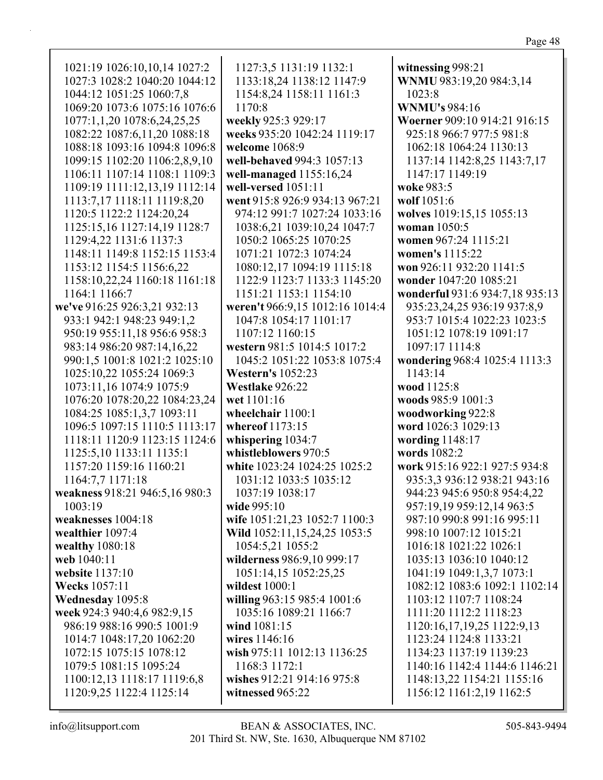1021:19 1026:10,10,14 1027:2 1027:3 1028:2 1040:20 1044:12 1044:12 1051:25 1060:7,8 1069:20 1073:6 1075:16 1076:6 1077:1,1,20 1078:6,24,25,25 1082:22 1087:6,11,20 1088:18 1088:18 1093:16 1094:8 1096:8 1099:15 1102:20 1106:2,8,9,10 1106:11 1107:14 1108:1 1109:3 1109:19 1111:12,13,19 1112:14 1113:7,17 1118:11 1119:8,20 1120:5 1122:2 1124:20,24 1125:15,16 1127:14,19 1128:7 1129:4,22 1131:6 1137:3 1148:11 1149:8 1152:15 1153:4 1153:12 1154:5 1156:6,22 1158:10,22,24 1160:18 1161:18 1164:1 1166:7 **we've** 916:25 926:3,21 932:13 933:1 942:1 948:23 949:1,2 950:19 955:11,18 956:6 958:3 983:14 986:20 987:14,16,22 990:1,5 1001:8 1021:2 1025:10 1025:10,22 1055:24 1069:3 1073:11,16 1074:9 1075:9 1076:20 1078:20,22 1084:23,24 1084:25 1085:1,3,7 1093:11 1096:5 1097:15 1110:5 1113:17 1118:11 1120:9 1123:15 1124:6 1125:5,10 1133:11 1135:1 1157:20 1159:16 1160:21 1164:7,7 1171:18 **weakness** 918:21 946:5,16 980:3 1003:19 **weaknesses** 1004:18 **wealthier** 1097:4 **wealthy** 1080:18 **web** 1040:11 **website** 1137:10 **Wecks** 1057:11 **Wednesday** 1095:8 **week** 924:3 940:4,6 982:9,15 986:19 988:16 990:5 1001:9 1014:7 1048:17,20 1062:20 1072:15 1075:15 1078:12 1079:5 1081:15 1095:24 1100:12,13 1118:17 1119:6,8 1120:9,25 1122:4 1125:14

1127:3,5 1131:19 1132:1 1133:18,24 1138:12 1147:9 1154:8,24 1158:11 1161:3 1170:8 **weekly** 925:3 929:17 **weeks** 935:20 1042:24 1119:17 **welcome** 1068:9 **well-behaved** 994:3 1057:13 **well-managed** 1155:16,24 **well-versed** 1051:11 **went** 915:8 926:9 934:13 967:21 974:12 991:7 1027:24 1033:16 1038:6,21 1039:10,24 1047:7 1050:2 1065:25 1070:25 1071:21 1072:3 1074:24 1080:12,17 1094:19 1115:18 1122:9 1123:7 1133:3 1145:20 1151:21 1153:1 1154:10 **weren't** 966:9,15 1012:16 1014:4 1047:8 1054:17 1101:17 1107:12 1160:15 **western** 981:5 1014:5 1017:2 1045:2 1051:22 1053:8 1075:4 **Western's** 1052:23 **Westlake** 926:22 **wet** 1101:16 **wheelchair** 1100:1 **whereof** 1173:15 **whispering** 1034:7 **whistleblowers** 970:5 **white** 1023:24 1024:25 1025:2 1031:12 1033:5 1035:12 1037:19 1038:17 **wide** 995:10 **wife** 1051:21,23 1052:7 1100:3 **Wild** 1052:11,15,24,25 1053:5 1054:5,21 1055:2 **wilderness** 986:9,10 999:17 1051:14,15 1052:25,25 **wildest** 1000:1 **willing** 963:15 985:4 1001:6 1035:16 1089:21 1166:7 **wind** 1081:15 **wires** 1146:16 **wish** 975:11 1012:13 1136:25 1168:3 1172:1 **wishes** 912:21 914:16 975:8 **witnessed** 965:22

**witnessing** 998:21 **WNMU** 983:19,20 984:3,14 1023:8 **WNMU's** 984:16 **Woerner** 909:10 914:21 916:15 925:18 966:7 977:5 981:8 1062:18 1064:24 1130:13 1137:14 1142:8,25 1143:7,17 1147:17 1149:19 **woke** 983:5 **wolf** 1051:6 **wolves** 1019:15,15 1055:13 **woman** 1050:5 **women** 967:24 1115:21 **women's** 1115:22 **won** 926:11 932:20 1141:5 **wonder** 1047:20 1085:21 **wonderful** 931:6 934:7,18 935:13 935:23,24,25 936:19 937:8,9 953:7 1015:4 1022:23 1023:5 1051:12 1078:19 1091:17 1097:17 1114:8 **wondering** 968:4 1025:4 1113:3 1143:14 **wood** 1125:8 **woods** 985:9 1001:3 **woodworking** 922:8 **word** 1026:3 1029:13 **wording** 1148:17 **words** 1082:2 **work** 915:16 922:1 927:5 934:8 935:3,3 936:12 938:21 943:16 944:23 945:6 950:8 954:4,22 957:19,19 959:12,14 963:5 987:10 990:8 991:16 995:11 998:10 1007:12 1015:21 1016:18 1021:22 1026:1 1035:13 1036:10 1040:12 1041:19 1049:1,3,7 1073:1 1082:12 1083:6 1092:1 1102:14 1103:12 1107:7 1108:24 1111:20 1112:2 1118:23 1120:16,17,19,25 1122:9,13 1123:24 1124:8 1133:21 1134:23 1137:19 1139:23 1140:16 1142:4 1144:6 1146:21 1148:13,22 1154:21 1155:16 1156:12 1161:2,19 1162:5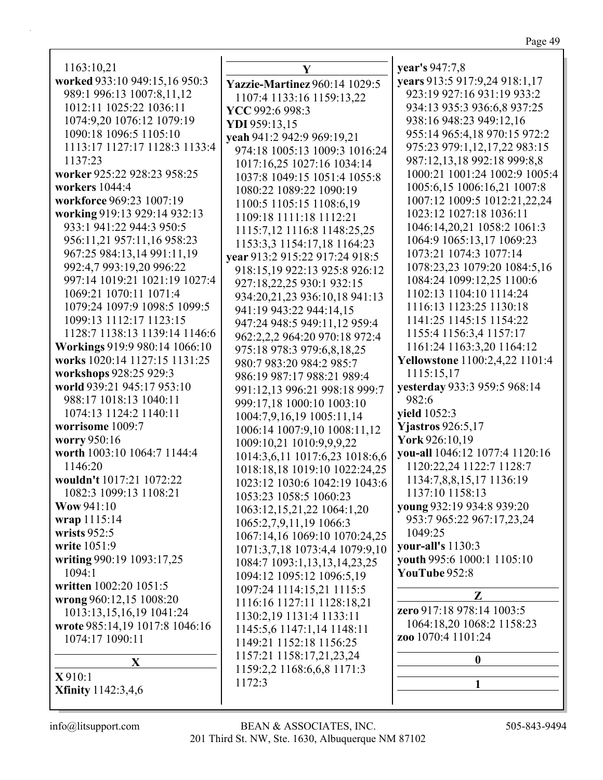1163:10,21 **worked** 933:10 949: 989:1 996:13 1007 1012:11 1025:22 1074:9,20 1076:12 1090:18 1096:5 1 1113:17 1127:17 1137:23 **worker** 925:22 928: **workers** 1044:4 **workforce** 969:23 1 **working** 919:13 929 933:1 941:22 944: 956:11,21 957:11, 967:25 984:13,14 992:4,7 993:19,20 997:14 1019:21 10 1069:21 1070:11 1079:24 1097:9 10 1099:13 1112:17 1128:7 1138:13 1 **Workings** 919:9 980 **works** 1020:14 1127 **workshops** 928:25 9 **world** 939:21 945:1 988:17 1018:13 10 1074:13 1124:2 11 **worrisome** 1009:7 **worry** 950:16 **worth** 1003:10 1064 1146:20 **wouldn't** 1017:21 1 1082:3 1099:13 1 **Wow** 941:10 **wrap** 1115:14 **wrists** 952:5 **write** 1051:9 writing 990:19 1093 1094:1 **written** 1002:20 105 **wrong** 960:12,15 10 1013:13,15,16,19 **wrote** 985:14,19 10 1074:17 1090:11 **X**

**X** 910:1 **Xfinity** 1142:3,4,6

|               | Y                                    | year's 947:7,8                              |
|---------------|--------------------------------------|---------------------------------------------|
| :15,16 950:3  | <b>Yazzie-Martinez 960:14 1029:5</b> | years 913:5 917:9,24 918:1,17               |
| 7:8,11,12     | 1107:4 1133:16 1159:13,22            | 923:19 927:16 931:19 933:2                  |
| 1036:11       | YCC 992:6 998:3                      | 934:13 935:3 936:6,8 937:25                 |
| 2 1079:19     | YDI 959:13,15                        | 938:16 948:23 949:12,16                     |
| 105:10        | yeah 941:2 942:9 969:19,21           | 955:14 965:4,18 970:15 972:2                |
| 128:3 1133:4  | 974:18 1005:13 1009:3 1016:24        | 975:23 979:1,12,17,22 983:15                |
|               | 1017:16,25 1027:16 1034:14           | 987:12,13,18 992:18 999:8,8                 |
| 23 958:25     | 1037:8 1049:15 1051:4 1055:8         | 1000:21 1001:24 1002:9 1005:4               |
|               | 1080:22 1089:22 1090:19              | 1005:6,15 1006:16,21 1007:8                 |
| 007:19        | 1100:5 1105:15 1108:6,19             | 1007:12 1009:5 1012:21,22,24                |
| :14 932:13    | 1109:18 1111:18 1112:21              | 1023:12 1027:18 1036:11                     |
| 3 950:5       | 1115:7,12 1116:8 1148:25,25          | 1046:14,20,21 1058:2 1061:3                 |
| 16 958:23     |                                      | 1064:9 1065:13,17 1069:23                   |
| 991:11,19     | 1153:3,3 1154:17,18 1164:23          | 1073:21 1074:3 1077:14                      |
| 996:22        | year 913:2 915:22 917:24 918:5       | 1078:23,23 1079:20 1084:5,16                |
| 021:19 1027:4 | 918:15,19 922:13 925:8 926:12        | 1084:24 1099:12,25 1100:6                   |
| 1071:4        | 927:18,22,25 930:1 932:15            | 1102:13 1104:10 1114:24                     |
| 98:5 1099:5   | 934:20,21,23 936:10,18 941:13        | 1116:13 1123:25 1130:18                     |
| 123:15        | 941:19 943:22 944:14,15              | 1141:25 1145:15 1154:22                     |
| 139:14 1146:6 | 947:24 948:5 949:11,12 959:4         | 1155:4 1156:3,4 1157:17                     |
| 0:14 1066:10  | 962:2,2,2 964:20 970:18 972:4        | 1161:24 1163:3,20 1164:12                   |
| 7:15 1131:25  | 975:18 978:3 979:6,8,18,25           | <b>Yellowstone</b> 1100:2,4,22 1101:4       |
| 929:3         | 980:7 983:20 984:2 985:7             | 1115:15,17                                  |
| 7 953:10      | 986:19 987:17 988:21 989:4           | yesterday 933:3 959:5 968:14                |
| 140:11        | 991:12,13 996:21 998:18 999:7        | 982:6                                       |
| 140:11        | 999:17,18 1000:10 1003:10            | yield 1052:3                                |
|               | 1004:7,9,16,19 1005:11,14            | <b>Yjastros</b> 926:5,17                    |
|               | 1006:14 1007:9,10 1008:11,12         | York 926:10,19                              |
| 1:7 1144:4    | 1009:10,21 1010:9,9,9,22             | you-all 1046:12 1077:4 1120:16              |
|               | 1014:3,6,11 1017:6,23 1018:6,6       | 1120:22,24 1122:7 1128:7                    |
| 072:22        | 1018:18,18 1019:10 1022:24,25        | 1134:7,8,8,15,17 1136:19                    |
| 108:21        | 1023:12 1030:6 1042:19 1043:6        | 1137:10 1158:13                             |
|               | 1053:23 1058:5 1060:23               | young 932:19 934:8 939:20                   |
|               | 1063:12,15,21,22 1064:1,20           | 953:7 965:22 967:17,23,24                   |
|               | 1065:2,7,9,11,19 1066:3              | 1049:25                                     |
|               | 1067:14,16 1069:10 1070:24,25        | your-all's 1130:3                           |
|               | 1071:3,7,18 1073:4,4 1079:9,10       |                                             |
| 3:17,25       | 1084:7 1093:1,13,13,14,23,25         | youth 995:6 1000:1 1105:10<br>YouTube 952:8 |
|               | 1094:12 1095:12 1096:5,19            |                                             |
| 51:5          | 1097:24 1114:15,21 1115:5            | Z                                           |
| 08:20         | 1116:16 1127:11 1128:18,21           | zero 917:18 978:14 1003:5                   |
| 1041:24       | 1130:2,19 1131:4 1133:11             | 1064:18,20 1068:2 1158:23                   |
| 17:8 1046:16  | 1145:5,6 1147:1,14 1148:11           | zoo 1070:4 1101:24                          |
|               | 1149:21 1152:18 1156:25              |                                             |
|               | 1157:21 1158:17,21,23,24             | $\boldsymbol{0}$                            |
|               | 1159:2,2 1168:6,6,8 1171:3           |                                             |
|               | 1172:3                               | 1                                           |
|               |                                      |                                             |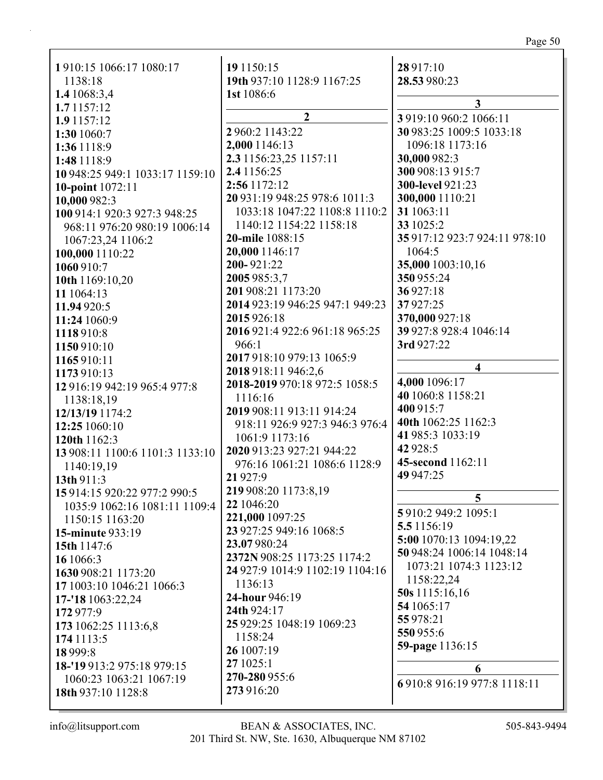| 1910:15 1066:17 1080:17         | 19 1150:15                      | 28 917:10                     |
|---------------------------------|---------------------------------|-------------------------------|
| 1138:18                         | 19th 937:10 1128:9 1167:25      | 28.53 980:23                  |
| 1.4 1068:3,4                    | 1st 1086:6                      | $\mathbf{3}$                  |
| 1.7 1157:12                     | $\boldsymbol{2}$                |                               |
| 1.9 1157:12                     |                                 | 3 919:10 960:2 1066:11        |
| 1:30 1060:7                     | 2 960:2 1143:22                 | 30 983:25 1009:5 1033:18      |
| 1:36 1118:9                     | 2,000 1146:13                   | 1096:18 1173:16               |
| 1:48 1118:9                     | 2.3 1156:23,25 1157:11          | 30,000 982:3                  |
| 10 948:25 949:1 1033:17 1159:10 | 2.4 1156:25                     | 300 908:13 915:7              |
| 10-point 1072:11                | 2:56 1172:12                    | 300-level 921:23              |
| 10,000 982:3                    | 20 931:19 948:25 978:6 1011:3   | 300,000 1110:21               |
| 100 914:1 920:3 927:3 948:25    | 1033:18 1047:22 1108:8 1110:2   | 31 1063:11                    |
| 968:11 976:20 980:19 1006:14    | 1140:12 1154:22 1158:18         | 33 1025:2                     |
| 1067:23,24 1106:2               | 20-mile 1088:15                 | 35 917:12 923:7 924:11 978:10 |
| 100,000 1110:22                 | 20,000 1146:17                  | 1064:5                        |
| 1060 910:7                      | 200-921:22                      | 35,000 1003:10,16             |
| 10th 1169:10,20                 | 2005 985:3,7                    | 350 955:24                    |
| 11 1064:13                      | 201 908:21 1173:20              | 36927:18                      |
| 11.94 920:5                     | 2014 923:19 946:25 947:1 949:23 | 37927:25                      |
| 11:24 1060:9                    | 2015 926:18                     | 370,000 927:18                |
| 1118910:8                       | 2016 921:4 922:6 961:18 965:25  | 39 927:8 928:4 1046:14        |
| 1150 910:10                     | 966:1                           | 3rd 927:22                    |
| 1165910:11                      | 2017 918:10 979:13 1065:9       | $\overline{\mathbf{4}}$       |
| 1173 910:13                     | 2018 918:11 946:2,6             |                               |
| 12 916:19 942:19 965:4 977:8    | 2018-2019 970:18 972:5 1058:5   | 4,000 1096:17                 |
| 1138:18,19                      | 1116:16                         | 40 1060:8 1158:21             |
| 12/13/19 1174:2                 | 2019 908:11 913:11 914:24       | 400 915:7                     |
| 12:25 1060:10                   | 918:11 926:9 927:3 946:3 976:4  | 40th 1062:25 1162:3           |
| 120th 1162:3                    | 1061:9 1173:16                  | 41 985:3 1033:19              |
| 13 908:11 1100:6 1101:3 1133:10 | 2020 913:23 927:21 944:22       | 42 928:5                      |
| 1140:19,19                      | 976:16 1061:21 1086:6 1128:9    | 45-second 1162:11             |
| 13th 911:3                      | 21 9 27:9                       | 49 947:25                     |
| 15 914:15 920:22 977:2 990:5    | 219 908:20 1173:8,19            | 5                             |
| 1035:9 1062:16 1081:11 1109:4   | 22 1046:20                      | 5 910:2 949:2 1095:1          |
| 1150:15 1163:20                 | 221,000 1097:25                 | 5.5 1156:19                   |
| <b>15-minute 933:19</b>         | 23 927:25 949:16 1068:5         | 5:00 1070:13 1094:19,22       |
| 15th 1147:6                     | 23.07980:24                     | 50 948:24 1006:14 1048:14     |
| 16 1066:3                       | 2372N 908:25 1173:25 1174:2     | 1073:21 1074:3 1123:12        |
| 1630 908:21 1173:20             | 24 927:9 1014:9 1102:19 1104:16 | 1158:22,24                    |
| 17 1003:10 1046:21 1066:3       | 1136:13                         | 50s 1115:16,16                |
| 17-'18 1063:22,24               | 24-hour 946:19                  | 54 1065:17                    |
| 172 977:9                       | 24th 924:17                     | 55 978:21                     |
| 173 1062:25 1113:6,8            | 25 929:25 1048:19 1069:23       | 550 955:6                     |
| 174 1113:5                      | 1158:24                         |                               |
| 18 9 9 9 : 8                    | 26 1007:19                      | 59-page 1136:15               |
| 18-'19 913:2 975:18 979:15      | 27 1025:1                       | 6                             |
| 1060:23 1063:21 1067:19         | 270-280 955:6                   | 6 910:8 916:19 977:8 1118:11  |
| 18th 937:10 1128:8              | 273 916:20                      |                               |
|                                 |                                 |                               |